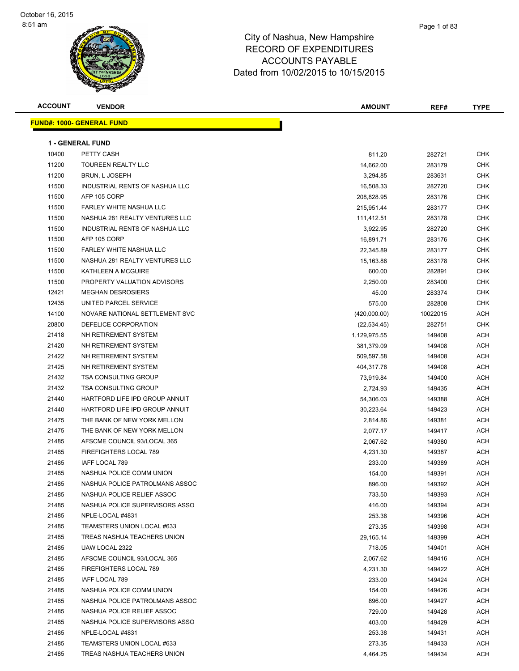

| <b>ACCOUNT</b> | <b>VENDOR</b>                     | <b>AMOUNT</b> | REF#     | <b>TYPE</b> |
|----------------|-----------------------------------|---------------|----------|-------------|
|                | <u> FUND#: 1000- GENERAL FUND</u> |               |          |             |
|                | <b>1 - GENERAL FUND</b>           |               |          |             |
| 10400          | PETTY CASH                        | 811.20        | 282721   | <b>CHK</b>  |
| 11200          | <b>TOUREEN REALTY LLC</b>         | 14,662.00     | 283179   | <b>CHK</b>  |
| 11200          | BRUN, L JOSEPH                    | 3,294.85      | 283631   | <b>CHK</b>  |
| 11500          | INDUSTRIAL RENTS OF NASHUA LLC    | 16,508.33     | 282720   | <b>CHK</b>  |
| 11500          | AFP 105 CORP                      | 208,828.95    | 283176   | CHK         |
| 11500          | FARLEY WHITE NASHUA LLC           | 215,951.44    | 283177   | <b>CHK</b>  |
| 11500          | NASHUA 281 REALTY VENTURES LLC    | 111,412.51    | 283178   | <b>CHK</b>  |
| 11500          | INDUSTRIAL RENTS OF NASHUA LLC    | 3,922.95      | 282720   | <b>CHK</b>  |
| 11500          | AFP 105 CORP                      | 16,891.71     | 283176   | <b>CHK</b>  |
| 11500          | FARLEY WHITE NASHUA LLC           | 22,345.89     | 283177   | <b>CHK</b>  |
| 11500          | NASHUA 281 REALTY VENTURES LLC    | 15,163.86     | 283178   | CHK         |
| 11500          | KATHLEEN A MCGUIRE                | 600.00        | 282891   | <b>CHK</b>  |
| 11500          | PROPERTY VALUATION ADVISORS       | 2,250.00      | 283400   | <b>CHK</b>  |
| 12421          | <b>MEGHAN DESROSIERS</b>          | 45.00         | 283374   | <b>CHK</b>  |
| 12435          | UNITED PARCEL SERVICE             | 575.00        | 282808   | <b>CHK</b>  |
| 14100          | NOVARE NATIONAL SETTLEMENT SVC    | (420,000.00)  | 10022015 | <b>ACH</b>  |
| 20800          | DEFELICE CORPORATION              | (22, 534.45)  | 282751   | <b>CHK</b>  |
| 21418          | NH RETIREMENT SYSTEM              | 1,129,975.55  | 149408   | <b>ACH</b>  |
| 21420          | NH RETIREMENT SYSTEM              | 381,379.09    | 149408   | ACH         |
| 21422          | NH RETIREMENT SYSTEM              | 509,597.58    | 149408   | <b>ACH</b>  |
| 21425          | NH RETIREMENT SYSTEM              | 404,317.76    | 149408   | <b>ACH</b>  |
| 21432          | <b>TSA CONSULTING GROUP</b>       | 73,919.84     | 149400   | ACH         |
| 21432          | <b>TSA CONSULTING GROUP</b>       | 2,724.93      | 149435   | <b>ACH</b>  |
| 21440          | HARTFORD LIFE IPD GROUP ANNUIT    | 54,306.03     | 149388   | <b>ACH</b>  |
| 21440          | HARTFORD LIFE IPD GROUP ANNUIT    | 30,223.64     | 149423   | ACH         |
| 21475          | THE BANK OF NEW YORK MELLON       | 2,814.86      | 149381   | <b>ACH</b>  |
| 21475          | THE BANK OF NEW YORK MELLON       | 2,077.17      | 149417   | <b>ACH</b>  |
| 21485          | AFSCME COUNCIL 93/LOCAL 365       | 2,067.62      | 149380   | <b>ACH</b>  |
| 21485          | FIREFIGHTERS LOCAL 789            | 4,231.30      | 149387   | <b>ACH</b>  |
| 21485          | IAFF LOCAL 789                    | 233.00        | 149389   | <b>ACH</b>  |
| 21485          | NASHUA POLICE COMM UNION          | 154.00        | 149391   | <b>ACH</b>  |
| 21485          | NASHUA POLICE PATROLMANS ASSOC    | 896.00        | 149392   | <b>ACH</b>  |
| 21485          | NASHUA POLICE RELIEF ASSOC        | 733.50        | 149393   | ACH         |
| 21485          | NASHUA POLICE SUPERVISORS ASSO    | 416.00        | 149394   | <b>ACH</b>  |
| 21485          | NPLE-LOCAL #4831                  | 253.38        | 149396   | ACH         |
| 21485          | TEAMSTERS UNION LOCAL #633        | 273.35        | 149398   | <b>ACH</b>  |
| 21485          | TREAS NASHUA TEACHERS UNION       | 29,165.14     | 149399   | <b>ACH</b>  |
| 21485          | UAW LOCAL 2322                    | 718.05        | 149401   | ACH         |
| 21485          | AFSCME COUNCIL 93/LOCAL 365       | 2,067.62      | 149416   | <b>ACH</b>  |
| 21485          | FIREFIGHTERS LOCAL 789            | 4,231.30      | 149422   | <b>ACH</b>  |
| 21485          | IAFF LOCAL 789                    | 233.00        | 149424   | ACH         |
| 21485          | NASHUA POLICE COMM UNION          | 154.00        | 149426   | ACH         |
| 21485          | NASHUA POLICE PATROLMANS ASSOC    | 896.00        | 149427   | <b>ACH</b>  |
| 21485          | NASHUA POLICE RELIEF ASSOC        | 729.00        | 149428   | <b>ACH</b>  |
| 21485          | NASHUA POLICE SUPERVISORS ASSO    | 403.00        | 149429   | ACH         |
| 21485          | NPLE-LOCAL #4831                  | 253.38        | 149431   | <b>ACH</b>  |
| 21485          | TEAMSTERS UNION LOCAL #633        | 273.35        | 149433   | <b>ACH</b>  |
| 21485          | TREAS NASHUA TEACHERS UNION       | 4,464.25      | 149434   | <b>ACH</b>  |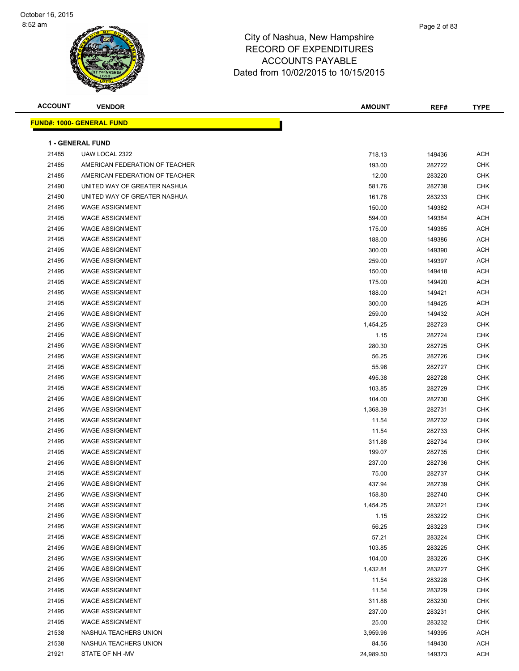| <b>ACCOUNT</b> | <b>VENDOR</b>                    | <b>AMOUNT</b> | REF#   | <b>TYPE</b> |
|----------------|----------------------------------|---------------|--------|-------------|
|                | <b>FUND#: 1000- GENERAL FUND</b> |               |        |             |
|                |                                  |               |        |             |
|                | <b>1 - GENERAL FUND</b>          |               |        |             |
| 21485          | UAW LOCAL 2322                   | 718.13        | 149436 | <b>ACH</b>  |
| 21485          | AMERICAN FEDERATION OF TEACHER   | 193.00        | 282722 | <b>CHK</b>  |
| 21485          | AMERICAN FEDERATION OF TEACHER   | 12.00         | 283220 | <b>CHK</b>  |
| 21490          | UNITED WAY OF GREATER NASHUA     | 581.76        | 282738 | <b>CHK</b>  |
| 21490          | UNITED WAY OF GREATER NASHUA     | 161.76        | 283233 | <b>CHK</b>  |
| 21495          | <b>WAGE ASSIGNMENT</b>           | 150.00        | 149382 | <b>ACH</b>  |
| 21495          | <b>WAGE ASSIGNMENT</b>           | 594.00        | 149384 | <b>ACH</b>  |
| 21495          | <b>WAGE ASSIGNMENT</b>           | 175.00        | 149385 | <b>ACH</b>  |
| 21495          | <b>WAGE ASSIGNMENT</b>           | 188.00        | 149386 | <b>ACH</b>  |
| 21495          | <b>WAGE ASSIGNMENT</b>           | 300.00        | 149390 | <b>ACH</b>  |
| 21495          | <b>WAGE ASSIGNMENT</b>           | 259.00        | 149397 | <b>ACH</b>  |
| 21495          | <b>WAGE ASSIGNMENT</b>           | 150.00        | 149418 | ACH         |
| 21495          | <b>WAGE ASSIGNMENT</b>           | 175.00        | 149420 | <b>ACH</b>  |
| 21495          | <b>WAGE ASSIGNMENT</b>           | 188.00        | 149421 | <b>ACH</b>  |
| 21495          | <b>WAGE ASSIGNMENT</b>           | 300.00        | 149425 | <b>ACH</b>  |
| 21495          | <b>WAGE ASSIGNMENT</b>           | 259.00        | 149432 | <b>ACH</b>  |
| 21495          | <b>WAGE ASSIGNMENT</b>           | 1,454.25      | 282723 | <b>CHK</b>  |
| 21495          | <b>WAGE ASSIGNMENT</b>           | 1.15          | 282724 | <b>CHK</b>  |
| 21495          | <b>WAGE ASSIGNMENT</b>           | 280.30        | 282725 | <b>CHK</b>  |
| 21495          | <b>WAGE ASSIGNMENT</b>           | 56.25         | 282726 | <b>CHK</b>  |
| 21495          | <b>WAGE ASSIGNMENT</b>           | 55.96         | 282727 | <b>CHK</b>  |
| 21495          | <b>WAGE ASSIGNMENT</b>           | 495.38        | 282728 | <b>CHK</b>  |
| 21495          | <b>WAGE ASSIGNMENT</b>           | 103.85        | 282729 | <b>CHK</b>  |
| 21495          | <b>WAGE ASSIGNMENT</b>           | 104.00        | 282730 | <b>CHK</b>  |
| 21495          | <b>WAGE ASSIGNMENT</b>           | 1,368.39      | 282731 | <b>CHK</b>  |
| 21495          | <b>WAGE ASSIGNMENT</b>           | 11.54         | 282732 | <b>CHK</b>  |
| 21495          | <b>WAGE ASSIGNMENT</b>           | 11.54         | 282733 | <b>CHK</b>  |
| 21495          | <b>WAGE ASSIGNMENT</b>           | 311.88        | 282734 | <b>CHK</b>  |
| 21495          | <b>WAGE ASSIGNMENT</b>           | 199.07        | 282735 | <b>CHK</b>  |
| 21495          | <b>WAGE ASSIGNMENT</b>           | 237.00        | 282736 | <b>CHK</b>  |
| 21495          | <b>WAGE ASSIGNMENT</b>           | 75.00         | 282737 | <b>CHK</b>  |
| 21495          | <b>WAGE ASSIGNMENT</b>           | 437.94        | 282739 | <b>CHK</b>  |
| 21495          | <b>WAGE ASSIGNMENT</b>           | 158.80        | 282740 | <b>CHK</b>  |
| 21495          | <b>WAGE ASSIGNMENT</b>           | 1,454.25      | 283221 | <b>CHK</b>  |
| 21495          | WAGE ASSIGNMENT                  | 1.15          | 283222 | <b>CHK</b>  |
| 21495          | <b>WAGE ASSIGNMENT</b>           | 56.25         | 283223 | <b>CHK</b>  |
| 21495          | <b>WAGE ASSIGNMENT</b>           |               |        | <b>CHK</b>  |
|                |                                  | 57.21         | 283224 |             |
| 21495          | <b>WAGE ASSIGNMENT</b>           | 103.85        | 283225 | <b>CHK</b>  |
| 21495          | <b>WAGE ASSIGNMENT</b>           | 104.00        | 283226 | <b>CHK</b>  |
| 21495          | <b>WAGE ASSIGNMENT</b>           | 1,432.81      | 283227 | <b>CHK</b>  |
| 21495          | <b>WAGE ASSIGNMENT</b>           | 11.54         | 283228 | <b>CHK</b>  |
| 21495          | <b>WAGE ASSIGNMENT</b>           | 11.54         | 283229 | <b>CHK</b>  |
| 21495          | <b>WAGE ASSIGNMENT</b>           | 311.88        | 283230 | <b>CHK</b>  |
| 21495          | <b>WAGE ASSIGNMENT</b>           | 237.00        | 283231 | <b>CHK</b>  |
| 21495          | <b>WAGE ASSIGNMENT</b>           | 25.00         | 283232 | <b>CHK</b>  |
| 21538          | NASHUA TEACHERS UNION            | 3,959.96      | 149395 | ACH         |
| 21538          | NASHUA TEACHERS UNION            | 84.56         | 149430 | ACH         |
| 21921          | STATE OF NH-MV                   | 24,989.50     | 149373 | <b>ACH</b>  |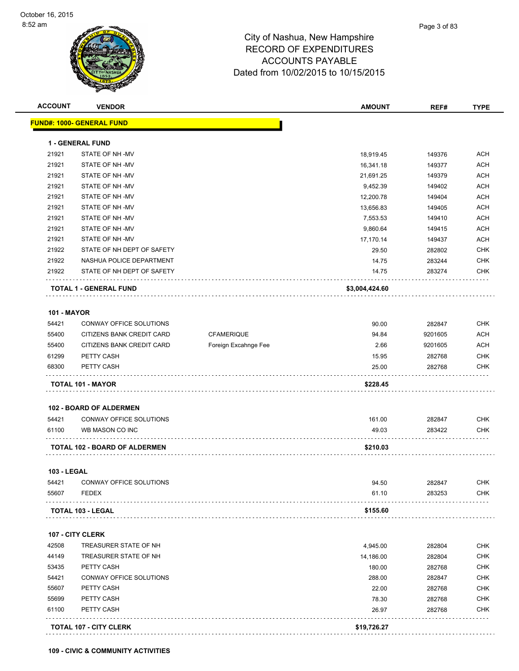| <b>ACCOUNT</b>     | <b>VENDOR</b>                        |                      | <b>AMOUNT</b>  | REF#    | <b>TYPE</b>                                                        |
|--------------------|--------------------------------------|----------------------|----------------|---------|--------------------------------------------------------------------|
|                    | <u> FUND#: 1000- GENERAL FUND</u>    |                      |                |         |                                                                    |
|                    | <b>1 - GENERAL FUND</b>              |                      |                |         |                                                                    |
| 21921              | STATE OF NH-MV                       |                      | 18,919.45      | 149376  | ACH                                                                |
| 21921              | STATE OF NH-MV                       |                      | 16,341.18      | 149377  | <b>ACH</b>                                                         |
| 21921              | STATE OF NH-MV                       |                      | 21,691.25      | 149379  | <b>ACH</b>                                                         |
| 21921              | STATE OF NH-MV                       |                      | 9,452.39       | 149402  | <b>ACH</b>                                                         |
| 21921              | STATE OF NH-MV                       |                      | 12,200.78      | 149404  | <b>ACH</b>                                                         |
| 21921              | STATE OF NH-MV                       |                      | 13,656.83      | 149405  | <b>ACH</b>                                                         |
| 21921              | STATE OF NH-MV                       |                      | 7,553.53       | 149410  | <b>ACH</b>                                                         |
| 21921              | STATE OF NH-MV                       |                      | 9,860.64       | 149415  | <b>ACH</b>                                                         |
| 21921              | STATE OF NH-MV                       |                      | 17,170.14      | 149437  | ACH                                                                |
| 21922              | STATE OF NH DEPT OF SAFETY           |                      | 29.50          | 282802  | <b>CHK</b>                                                         |
| 21922              | NASHUA POLICE DEPARTMENT             |                      |                |         | <b>CHK</b>                                                         |
| 21922              |                                      |                      | 14.75          | 283244  | <b>CHK</b>                                                         |
|                    | STATE OF NH DEPT OF SAFETY           |                      | 14.75          | 283274  |                                                                    |
|                    | <b>TOTAL 1 - GENERAL FUND</b>        |                      | \$3,004,424.60 |         |                                                                    |
|                    |                                      |                      |                |         |                                                                    |
| <b>101 - MAYOR</b> |                                      |                      |                |         |                                                                    |
| 54421              | <b>CONWAY OFFICE SOLUTIONS</b>       |                      | 90.00          | 282847  | <b>CHK</b>                                                         |
| 55400              | CITIZENS BANK CREDIT CARD            | <b>CFAMERIQUE</b>    | 94.84          | 9201605 | <b>ACH</b>                                                         |
| 55400              | CITIZENS BANK CREDIT CARD            | Foreign Excahnge Fee | 2.66           | 9201605 | <b>ACH</b>                                                         |
| 61299              | PETTY CASH                           |                      | 15.95          | 282768  | <b>CHK</b>                                                         |
| 68300              | PETTY CASH                           |                      | 25.00          | 282768  | <b>CHK</b>                                                         |
|                    | <b>TOTAL 101 - MAYOR</b>             |                      | \$228.45       |         |                                                                    |
|                    | <b>102 - BOARD OF ALDERMEN</b>       |                      |                |         |                                                                    |
| 54421              | CONWAY OFFICE SOLUTIONS              |                      | 161.00         | 282847  | <b>CHK</b>                                                         |
| 61100              | WB MASON CO INC                      |                      | 49.03          | 283422  | <b>CHK</b>                                                         |
|                    |                                      |                      |                |         |                                                                    |
|                    | <b>TOTAL 102 - BOARD OF ALDERMEN</b> |                      | \$210.03       |         |                                                                    |
| <b>103 - LEGAL</b> |                                      |                      |                |         |                                                                    |
|                    | 54421 CONWAY OFFICE SOLUTIONS        |                      | 94.50          | 282847  | <b>CHK</b>                                                         |
| 55607              | <b>FEDEX</b>                         |                      | 61.10          | 283253  | CHK                                                                |
|                    | <b>TOTAL 103 - LEGAL</b>             |                      | \$155.60       |         |                                                                    |
|                    |                                      |                      |                |         |                                                                    |
|                    | 107 - CITY CLERK                     |                      |                |         |                                                                    |
|                    | TREASURER STATE OF NH                |                      | 4,945.00       | 282804  | CHK                                                                |
| 42508              |                                      |                      | 14,186.00      | 282804  | <b>CHK</b>                                                         |
| 44149              | TREASURER STATE OF NH                |                      |                |         |                                                                    |
| 53435              | PETTY CASH                           |                      | 180.00         | 282768  |                                                                    |
| 54421              | CONWAY OFFICE SOLUTIONS              |                      | 288.00         | 282847  |                                                                    |
| 55607              | PETTY CASH                           |                      | 22.00          | 282768  |                                                                    |
| 55699              | PETTY CASH                           |                      | 78.30          | 282768  |                                                                    |
| 61100              | PETTY CASH                           |                      | 26.97          | 282768  | <b>CHK</b><br><b>CHK</b><br><b>CHK</b><br><b>CHK</b><br><b>CHK</b> |

**109 - CIVIC & COMMUNITY ACTIVITIES**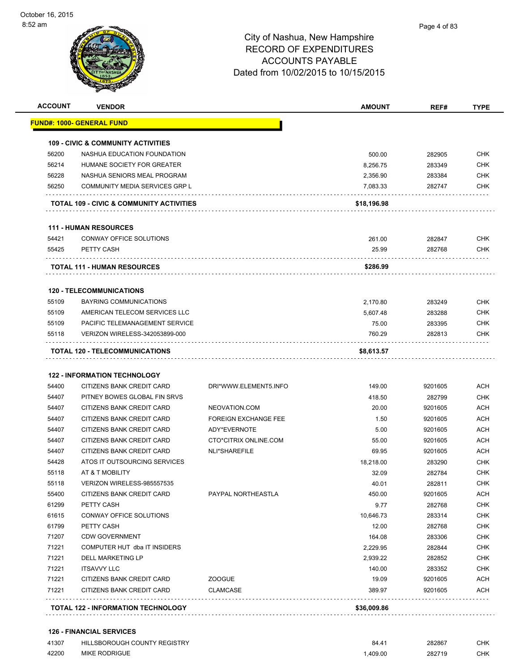

|                                  | <b>VENDOR</b>                                          |                                  | <b>AMOUNT</b>   | REF#               | <b>TYPE</b>                                                                                                                                                                                                                                       |
|----------------------------------|--------------------------------------------------------|----------------------------------|-----------------|--------------------|---------------------------------------------------------------------------------------------------------------------------------------------------------------------------------------------------------------------------------------------------|
|                                  | FUND#: 1000- GENERAL FUND                              |                                  |                 |                    |                                                                                                                                                                                                                                                   |
|                                  | <b>109 - CIVIC &amp; COMMUNITY ACTIVITIES</b>          |                                  |                 |                    |                                                                                                                                                                                                                                                   |
| 56200                            | NASHUA EDUCATION FOUNDATION                            |                                  | 500.00          | 282905             | <b>CHK</b>                                                                                                                                                                                                                                        |
| 56214                            | HUMANE SOCIETY FOR GREATER                             |                                  | 8,256.75        | 283349             | <b>CHK</b>                                                                                                                                                                                                                                        |
| 56228                            | NASHUA SENIORS MEAL PROGRAM                            |                                  | 2,356.90        | 283384             | <b>CHK</b>                                                                                                                                                                                                                                        |
| 56250                            | COMMUNITY MEDIA SERVICES GRP L                         |                                  | 7,083.33        | 282747             | <b>CHK</b>                                                                                                                                                                                                                                        |
|                                  | TOTAL 109 - CIVIC & COMMUNITY ACTIVITIES               |                                  | \$18,196.98     |                    |                                                                                                                                                                                                                                                   |
|                                  | <b>111 - HUMAN RESOURCES</b>                           |                                  |                 |                    |                                                                                                                                                                                                                                                   |
| 54421                            | CONWAY OFFICE SOLUTIONS                                |                                  | 261.00          | 282847             | <b>CHK</b>                                                                                                                                                                                                                                        |
| 55425                            | PETTY CASH                                             |                                  | 25.99           | 282768             | <b>CHK</b>                                                                                                                                                                                                                                        |
|                                  | <b>TOTAL 111 - HUMAN RESOURCES</b>                     |                                  | \$286.99        |                    |                                                                                                                                                                                                                                                   |
|                                  | <b>120 - TELECOMMUNICATIONS</b>                        |                                  |                 |                    |                                                                                                                                                                                                                                                   |
| 55109                            | BAYRING COMMUNICATIONS                                 |                                  | 2,170.80        | 283249             | <b>CHK</b>                                                                                                                                                                                                                                        |
| 55109                            | AMERICAN TELECOM SERVICES LLC                          |                                  | 5,607.48        | 283288             | <b>CHK</b>                                                                                                                                                                                                                                        |
| 55109                            | PACIFIC TELEMANAGEMENT SERVICE                         |                                  | 75.00           | 283395             | <b>CHK</b>                                                                                                                                                                                                                                        |
| 55118                            | VERIZON WIRELESS-342053899-000                         |                                  | 760.29          | 282813             | CHK                                                                                                                                                                                                                                               |
|                                  | .                                                      |                                  |                 |                    |                                                                                                                                                                                                                                                   |
|                                  | TOTAL 120 - TELECOMMUNICATIONS                         |                                  | \$8,613.57      |                    |                                                                                                                                                                                                                                                   |
|                                  |                                                        |                                  |                 |                    |                                                                                                                                                                                                                                                   |
|                                  | <b>122 - INFORMATION TECHNOLOGY</b>                    |                                  |                 |                    |                                                                                                                                                                                                                                                   |
| 54400                            | CITIZENS BANK CREDIT CARD                              | DRI*WWW.ELEMENT5.INFO            | 149.00          | 9201605            |                                                                                                                                                                                                                                                   |
| 54407                            | PITNEY BOWES GLOBAL FIN SRVS                           |                                  | 418.50          | 282799             |                                                                                                                                                                                                                                                   |
| 54407                            | CITIZENS BANK CREDIT CARD                              | NEOVATION.COM                    | 20.00           | 9201605            |                                                                                                                                                                                                                                                   |
| 54407                            | CITIZENS BANK CREDIT CARD                              | <b>FOREIGN EXCHANGE FEE</b>      | 1.50            | 9201605            |                                                                                                                                                                                                                                                   |
| 54407                            | CITIZENS BANK CREDIT CARD                              | ADY*EVERNOTE                     | 5.00            | 9201605            |                                                                                                                                                                                                                                                   |
| 54407                            | CITIZENS BANK CREDIT CARD                              | CTO*CITRIX ONLINE.COM            | 55.00           | 9201605            |                                                                                                                                                                                                                                                   |
|                                  | CITIZENS BANK CREDIT CARD                              | NLI*SHAREFILE                    | 69.95           | 9201605            |                                                                                                                                                                                                                                                   |
| 54407<br>54428                   | ATOS IT OUTSOURCING SERVICES                           |                                  | 18.218.00       | 283290             |                                                                                                                                                                                                                                                   |
| 55118                            | AT & T MOBILITY                                        |                                  | 32.09           | 282784             |                                                                                                                                                                                                                                                   |
| 55118                            | VERIZON WIRELESS-985557535                             |                                  | 40.01           | 282811             |                                                                                                                                                                                                                                                   |
| 55400                            | CITIZENS BANK CREDIT CARD                              | PAYPAL NORTHEASTLA               | 450.00          | 9201605            |                                                                                                                                                                                                                                                   |
| 61299                            | PETTY CASH                                             |                                  | 9.77            | 282768             |                                                                                                                                                                                                                                                   |
|                                  | CONWAY OFFICE SOLUTIONS                                |                                  | 10,646.73       | 283314             |                                                                                                                                                                                                                                                   |
|                                  | PETTY CASH                                             |                                  | 12.00           | 282768             |                                                                                                                                                                                                                                                   |
|                                  | <b>CDW GOVERNMENT</b>                                  |                                  | 164.08          | 283306             |                                                                                                                                                                                                                                                   |
| 61615<br>61799<br>71207<br>71221 | COMPUTER HUT dba IT INSIDERS                           |                                  | 2,229.95        | 282844             |                                                                                                                                                                                                                                                   |
| 71221                            | DELL MARKETING LP                                      |                                  | 2,939.22        | 282852             |                                                                                                                                                                                                                                                   |
| 71221                            | <b>ITSAVVY LLC</b>                                     |                                  | 140.00          | 283352             |                                                                                                                                                                                                                                                   |
| 71221<br>71221                   | CITIZENS BANK CREDIT CARD<br>CITIZENS BANK CREDIT CARD | <b>ZOOGUE</b><br><b>CLAMCASE</b> | 19.09<br>389.97 | 9201605<br>9201605 | <b>ACH</b><br><b>CHK</b><br>ACH<br>ACH<br>ACH<br><b>ACH</b><br><b>ACH</b><br><b>CHK</b><br>CHK<br><b>CHK</b><br><b>ACH</b><br><b>CHK</b><br><b>CHK</b><br>CHK<br><b>CHK</b><br><b>CHK</b><br><b>CHK</b><br><b>CHK</b><br><b>ACH</b><br><b>ACH</b> |

### **126 - FINANCIAL SERVICES**

| 41307 | HILLSBOROUGH COUNTY REGISTRY | $84.4^{\circ}$ | 282867 | <b>CHK</b> |
|-------|------------------------------|----------------|--------|------------|
| 42200 | <b>MIKE RODRIGUE</b>         | .409.00        | 282719 | <b>CHK</b> |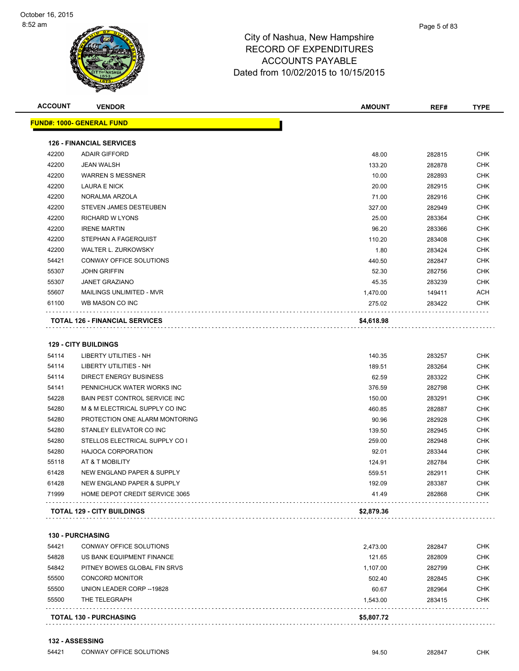| <b>ACCOUNT</b> | <b>VENDOR</b>                         | <b>AMOUNT</b> | REF#   | <b>TYPE</b> |
|----------------|---------------------------------------|---------------|--------|-------------|
|                | <u> FUND#: 1000- GENERAL FUND</u>     |               |        |             |
|                | <b>126 - FINANCIAL SERVICES</b>       |               |        |             |
| 42200          | <b>ADAIR GIFFORD</b>                  | 48.00         | 282815 | <b>CHK</b>  |
| 42200          | <b>JEAN WALSH</b>                     | 133.20        | 282878 | <b>CHK</b>  |
| 42200          | <b>WARREN S MESSNER</b>               | 10.00         | 282893 | <b>CHK</b>  |
| 42200          | <b>LAURA E NICK</b>                   | 20.00         | 282915 | <b>CHK</b>  |
| 42200          | NORALMA ARZOLA                        | 71.00         | 282916 | <b>CHK</b>  |
| 42200          | STEVEN JAMES DESTEUBEN                | 327.00        | 282949 | <b>CHK</b>  |
| 42200          | <b>RICHARD W LYONS</b>                | 25.00         | 283364 | <b>CHK</b>  |
| 42200          | <b>IRENE MARTIN</b>                   | 96.20         | 283366 | <b>CHK</b>  |
| 42200          | STEPHAN A FAGERQUIST                  | 110.20        | 283408 | <b>CHK</b>  |
| 42200          | WALTER L. ZURKOWSKY                   | 1.80          | 283424 | <b>CHK</b>  |
| 54421          | CONWAY OFFICE SOLUTIONS               | 440.50        | 282847 | <b>CHK</b>  |
| 55307          | <b>JOHN GRIFFIN</b>                   | 52.30         | 282756 | <b>CHK</b>  |
| 55307          | <b>JANET GRAZIANO</b>                 | 45.35         | 283239 | <b>CHK</b>  |
| 55607          | MAILINGS UNLIMITED - MVR              | 1,470.00      | 149411 | ACH         |
| 61100          | WB MASON CO INC                       | 275.02        | 283422 | <b>CHK</b>  |
|                | <b>TOTAL 126 - FINANCIAL SERVICES</b> | \$4,618.98    |        |             |
|                |                                       |               |        |             |
|                | <b>129 - CITY BUILDINGS</b>           |               |        |             |
| 54114          | LIBERTY UTILITIES - NH                | 140.35        | 283257 | <b>CHK</b>  |
| 54114          | LIBERTY UTILITIES - NH                | 189.51        | 283264 | <b>CHK</b>  |
| 54114          | <b>DIRECT ENERGY BUSINESS</b>         | 62.59         | 283322 | <b>CHK</b>  |
| 54141          | PENNICHUCK WATER WORKS INC            | 376.59        | 282798 | <b>CHK</b>  |
| 54228          | BAIN PEST CONTROL SERVICE INC         | 150.00        | 283291 | <b>CHK</b>  |
| 54280          | M & M ELECTRICAL SUPPLY CO INC        | 460.85        | 282887 | <b>CHK</b>  |
| 54280          | PROTECTION ONE ALARM MONTORING        | 90.96         | 282928 | <b>CHK</b>  |
| 54280          | STANLEY ELEVATOR CO INC               | 139.50        | 282945 | <b>CHK</b>  |
| 54280          | STELLOS ELECTRICAL SUPPLY CO I        | 259.00        | 282948 | <b>CHK</b>  |
| 54280          | <b>HAJOCA CORPORATION</b>             | 92.01         | 283344 | <b>CHK</b>  |
| 55118          | AT & T MOBILITY                       | 124.91        | 282784 | <b>CHK</b>  |
| 61428          | NEW ENGLAND PAPER & SUPPLY            | 559.51        | 282911 | <b>CHK</b>  |
| 61428          | NEW ENGLAND PAPER & SUPPLY            | 192.09        | 283387 | <b>CHK</b>  |
| 71999          | HOME DEPOT CREDIT SERVICE 3065        | 41.49         | 282868 | <b>CHK</b>  |
|                | TOTAL 129 - CITY BUILDINGS            | \$2,879.36    |        |             |
|                |                                       |               |        |             |
|                | <b>130 - PURCHASING</b>               |               |        |             |
| 54421          | CONWAY OFFICE SOLUTIONS               | 2,473.00      | 282847 | <b>CHK</b>  |
| 54828          | US BANK EQUIPMENT FINANCE             | 121.65        | 282809 | <b>CHK</b>  |
| 54842          | PITNEY BOWES GLOBAL FIN SRVS          | 1,107.00      | 282799 | <b>CHK</b>  |
| 55500          | <b>CONCORD MONITOR</b>                | 502.40        | 282845 | <b>CHK</b>  |
| 55500          | UNION LEADER CORP -- 19828            | 60.67         | 282964 | <b>CHK</b>  |
| 55500          | THE TELEGRAPH                         | 1,543.00      | 283415 | <b>CHK</b>  |
|                | <b>TOTAL 130 - PURCHASING</b>         | \$5,807.72    |        |             |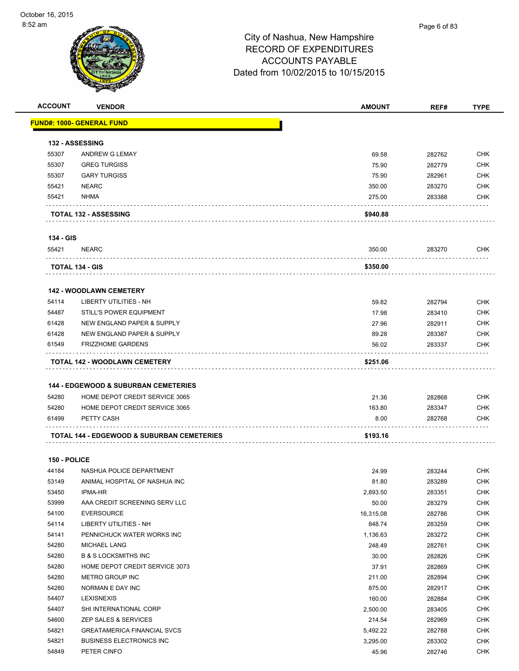| <b>ACCOUNT</b> | <b>VENDOR</b>                                         | <b>AMOUNT</b> | REF#   | <b>TYPE</b> |
|----------------|-------------------------------------------------------|---------------|--------|-------------|
|                | <b>FUND#: 1000- GENERAL FUND</b>                      |               |        |             |
|                |                                                       |               |        |             |
|                | <b>132 - ASSESSING</b>                                |               |        |             |
| 55307          | ANDREW G LEMAY                                        | 69.58         | 282762 | <b>CHK</b>  |
| 55307          | <b>GREG TURGISS</b>                                   | 75.90         | 282779 | <b>CHK</b>  |
| 55307          | <b>GARY TURGISS</b>                                   | 75.90         | 282961 | <b>CHK</b>  |
| 55421          | <b>NEARC</b>                                          | 350.00        | 283270 | <b>CHK</b>  |
| 55421          | <b>NHMA</b>                                           | 275.00        | 283388 | <b>CHK</b>  |
|                |                                                       |               |        |             |
|                | <b>TOTAL 132 - ASSESSING</b>                          | \$940.88      |        |             |
| 134 - GIS      |                                                       |               |        |             |
| 55421          | <b>NEARC</b>                                          | 350.00        | 283270 | CHK         |
|                | TOTAL 134 - GIS                                       | \$350.00      |        |             |
|                |                                                       |               |        |             |
|                | <b>142 - WOODLAWN CEMETERY</b>                        |               |        |             |
| 54114          | <b>LIBERTY UTILITIES - NH</b>                         | 59.82         | 282794 | <b>CHK</b>  |
| 54487          | <b>STILL'S POWER EQUIPMENT</b>                        | 17.98         | 283410 | <b>CHK</b>  |
| 61428          | NEW ENGLAND PAPER & SUPPLY                            | 27.96         | 282911 | <b>CHK</b>  |
| 61428          | NEW ENGLAND PAPER & SUPPLY                            | 89.28         | 283387 | <b>CHK</b>  |
| 61549          | <b>FRIZZHOME GARDENS</b>                              | 56.02         | 283337 | <b>CHK</b>  |
|                | TOTAL 142 - WOODLAWN CEMETERY                         | \$251.06      |        |             |
|                |                                                       |               |        |             |
|                | <b>144 - EDGEWOOD &amp; SUBURBAN CEMETERIES</b>       |               |        |             |
| 54280          | HOME DEPOT CREDIT SERVICE 3065                        | 21.36         | 282868 | <b>CHK</b>  |
| 54280          | HOME DEPOT CREDIT SERVICE 3065                        | 163.80        | 283347 | <b>CHK</b>  |
| 61499          | PETTY CASH                                            | 8.00          | 282768 | <b>CHK</b>  |
|                |                                                       |               |        |             |
|                | <b>TOTAL 144 - EDGEWOOD &amp; SUBURBAN CEMETERIES</b> | \$193.16      |        |             |
| 150 - POLICE   |                                                       |               |        |             |
| 44184          | NASHUA POLICE DEPARTMENT                              | 24.99         | 283244 | <b>CHK</b>  |
| 53149          | ANIMAL HOSPITAL OF NASHUA INC                         | 81.80         | 283289 | <b>CHK</b>  |
| 53450          | <b>IPMA-HR</b>                                        | 2,893.50      | 283351 | <b>CHK</b>  |
| 53999          | AAA CREDIT SCREENING SERV LLC                         | 50.00         | 283279 | <b>CHK</b>  |
| 54100          | <b>EVERSOURCE</b>                                     | 16,315.08     | 282786 | <b>CHK</b>  |
| 54114          | LIBERTY UTILITIES - NH                                | 848.74        | 283259 | <b>CHK</b>  |
| 54141          | PENNICHUCK WATER WORKS INC                            | 1,136.63      | 283272 | <b>CHK</b>  |
| 54280          | <b>MICHAEL LANG</b>                                   | 248.49        | 282761 | <b>CHK</b>  |
| 54280          | <b>B &amp; S LOCKSMITHS INC</b>                       |               |        | <b>CHK</b>  |
| 54280          | HOME DEPOT CREDIT SERVICE 3073                        | 30.00         | 282826 | <b>CHK</b>  |
| 54280          |                                                       | 37.91         | 282869 | <b>CHK</b>  |
|                | METRO GROUP INC                                       | 211.00        | 282894 |             |
| 54280          | NORMAN E DAY INC                                      | 875.00        | 282917 | <b>CHK</b>  |
| 54407          | <b>LEXISNEXIS</b>                                     | 160.00        | 282884 | <b>CHK</b>  |
| 54407          | SHI INTERNATIONAL CORP                                | 2,500.00      | 283405 | <b>CHK</b>  |
| 54600          | ZEP SALES & SERVICES                                  | 214.54        | 282969 | <b>CHK</b>  |
| 54821          | <b>GREATAMERICA FINANCIAL SVCS</b>                    | 5,492.22      | 282788 | CHK         |
| 54821          | <b>BUSINESS ELECTRONICS INC</b>                       | 3,295.00      | 283302 | <b>CHK</b>  |
| 54849          | PETER CINFO                                           | 45.96         | 282746 | <b>CHK</b>  |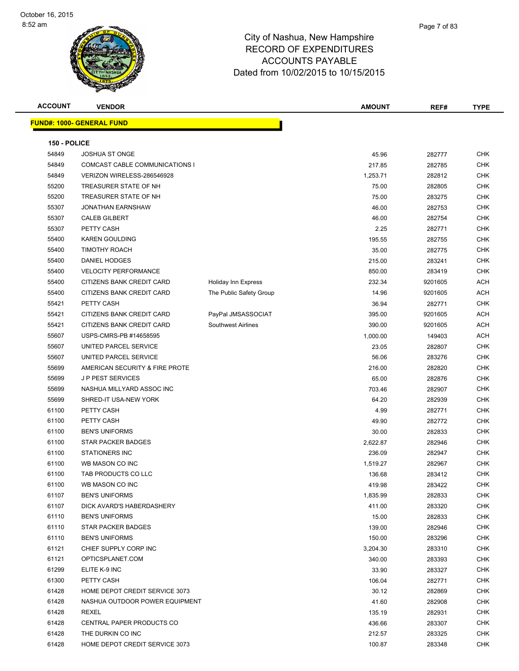| <b>ACCOUNT</b><br><b>VENDOR</b>                                 | <b>AMOUNT</b>      | REF#             | <b>TYPE</b>              |
|-----------------------------------------------------------------|--------------------|------------------|--------------------------|
| <b>FUND#: 1000- GENERAL FUND</b>                                |                    |                  |                          |
|                                                                 |                    |                  |                          |
| 150 - POLICE                                                    |                    |                  |                          |
| 54849<br><b>JOSHUA ST ONGE</b>                                  | 45.96              | 282777           | <b>CHK</b>               |
| 54849<br>COMCAST CABLE COMMUNICATIONS I                         | 217.85             | 282785           | <b>CHK</b>               |
| 54849<br>VERIZON WIRELESS-286546928                             | 1,253.71           | 282812           | <b>CHK</b>               |
| 55200<br>TREASURER STATE OF NH                                  | 75.00              | 282805           | <b>CHK</b>               |
| 55200<br>TREASURER STATE OF NH                                  | 75.00              | 283275           | <b>CHK</b>               |
| 55307<br><b>JONATHAN EARNSHAW</b>                               | 46.00              | 282753           | <b>CHK</b>               |
| 55307<br><b>CALEB GILBERT</b>                                   | 46.00              | 282754           | <b>CHK</b>               |
| 55307<br>PETTY CASH                                             | 2.25               | 282771           | <b>CHK</b>               |
| 55400<br><b>KAREN GOULDING</b>                                  | 195.55             | 282755           | <b>CHK</b>               |
| 55400<br><b>TIMOTHY ROACH</b>                                   | 35.00              | 282775           | <b>CHK</b>               |
| 55400<br>DANIEL HODGES                                          | 215.00             | 283241           | <b>CHK</b>               |
| 55400<br><b>VELOCITY PERFORMANCE</b>                            | 850.00             | 283419           | <b>CHK</b>               |
| 55400<br>CITIZENS BANK CREDIT CARD<br>Holiday Inn Express       | 232.34             | 9201605          | <b>ACH</b>               |
| 55400<br>CITIZENS BANK CREDIT CARD<br>The Public Safety Group   | 14.96              | 9201605          | <b>ACH</b>               |
| 55421<br>PETTY CASH                                             | 36.94              | 282771           | <b>CHK</b>               |
| 55421<br>CITIZENS BANK CREDIT CARD<br>PayPal JMSASSOCIAT        | 395.00             | 9201605          | ACH                      |
| 55421<br>CITIZENS BANK CREDIT CARD<br><b>Southwest Airlines</b> | 390.00             | 9201605          | <b>ACH</b>               |
| 55607<br>USPS-CMRS-PB #14658595                                 | 1,000.00           | 149403           | <b>ACH</b>               |
| 55607<br>UNITED PARCEL SERVICE                                  | 23.05              | 282807           | <b>CHK</b>               |
| 55607<br>UNITED PARCEL SERVICE                                  | 56.06              | 283276           | <b>CHK</b>               |
| 55699<br>AMERICAN SECURITY & FIRE PROTE                         | 216.00             | 282820           | <b>CHK</b>               |
| J P PEST SERVICES<br>55699                                      | 65.00              | 282876           | <b>CHK</b>               |
| 55699<br>NASHUA MILLYARD ASSOC INC                              | 703.46             | 282907           | CHK                      |
| 55699<br>SHRED-IT USA-NEW YORK<br>PETTY CASH<br>61100           | 64.20<br>4.99      | 282939<br>282771 | <b>CHK</b><br><b>CHK</b> |
| 61100<br>PETTY CASH                                             |                    |                  | <b>CHK</b>               |
| 61100<br><b>BEN'S UNIFORMS</b>                                  | 49.90<br>30.00     | 282772<br>282833 | <b>CHK</b>               |
| 61100<br><b>STAR PACKER BADGES</b>                              |                    |                  | <b>CHK</b>               |
| 61100<br><b>STATIONERS INC</b>                                  | 2,622.87<br>236.09 | 282946<br>282947 | <b>CHK</b>               |
| 61100<br>WB MASON CO INC                                        |                    | 282967           | CHK                      |
| 61100<br>TAB PRODUCTS CO LLC                                    | 1,519.27           | 283412           | <b>CHK</b>               |
| 61100<br>WB MASON CO INC                                        | 136.68<br>419.98   | 283422           | <b>CHK</b>               |
| 61107<br><b>BEN'S UNIFORMS</b>                                  | 1,835.99           | 282833           | <b>CHK</b>               |
| 61107<br>DICK AVARD'S HABERDASHERY                              | 411.00             | 283320           | CHK                      |
| 61110<br><b>BEN'S UNIFORMS</b>                                  | 15.00              | 282833           | <b>CHK</b>               |
| 61110<br>STAR PACKER BADGES                                     | 139.00             | 282946           | <b>CHK</b>               |
| 61110<br><b>BEN'S UNIFORMS</b>                                  | 150.00             | 283296           | <b>CHK</b>               |
| 61121<br>CHIEF SUPPLY CORP INC                                  | 3,204.30           | 283310           | <b>CHK</b>               |
| 61121<br>OPTICSPLANET.COM                                       | 340.00             | 283393           | <b>CHK</b>               |
| 61299<br>ELITE K-9 INC                                          | 33.90              | 283327           | <b>CHK</b>               |
| 61300<br>PETTY CASH                                             | 106.04             | 282771           | CHK                      |
| 61428<br>HOME DEPOT CREDIT SERVICE 3073                         | 30.12              | 282869           | CHK                      |
| 61428<br>NASHUA OUTDOOR POWER EQUIPMENT                         | 41.60              | 282908           | CHK                      |
| 61428<br>REXEL                                                  | 135.19             | 282931           | <b>CHK</b>               |
| 61428<br>CENTRAL PAPER PRODUCTS CO                              | 436.66             | 283307           | CHK                      |
| 61428<br>THE DURKIN CO INC                                      | 212.57             | 283325           | CHK                      |
| 61428<br>HOME DEPOT CREDIT SERVICE 3073                         | 100.87             | 283348           | CHK                      |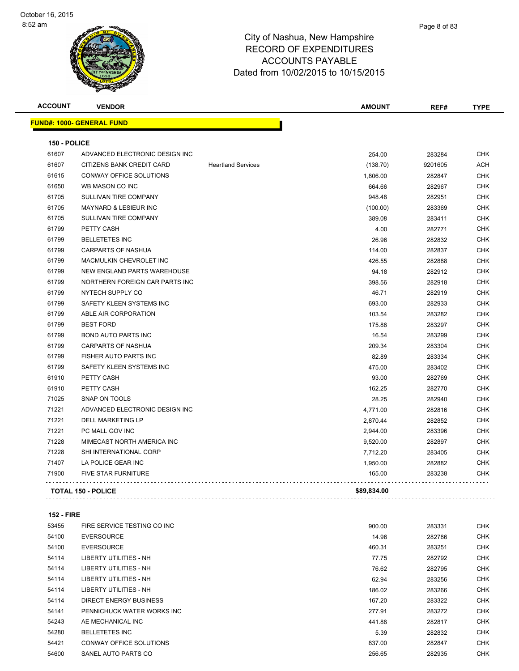| <b>ACCOUNT</b> | <b>VENDOR</b>                    |                           | <b>AMOUNT</b> | REF#    | <b>TYPE</b> |
|----------------|----------------------------------|---------------------------|---------------|---------|-------------|
|                | <b>FUND#: 1000- GENERAL FUND</b> |                           |               |         |             |
| 150 - POLICE   |                                  |                           |               |         |             |
| 61607          | ADVANCED ELECTRONIC DESIGN INC   |                           | 254.00        | 283284  | <b>CHK</b>  |
| 61607          | CITIZENS BANK CREDIT CARD        | <b>Heartland Services</b> | (138.70)      | 9201605 | <b>ACH</b>  |
| 61615          | CONWAY OFFICE SOLUTIONS          |                           | 1,806.00      | 282847  | <b>CHK</b>  |
| 61650          | WB MASON CO INC                  |                           | 664.66        | 282967  | <b>CHK</b>  |
| 61705          | SULLIVAN TIRE COMPANY            |                           | 948.48        | 282951  | <b>CHK</b>  |
| 61705          | <b>MAYNARD &amp; LESIEUR INC</b> |                           | (100.00)      | 283369  | <b>CHK</b>  |
| 61705          | SULLIVAN TIRE COMPANY            |                           | 389.08        | 283411  | <b>CHK</b>  |
| 61799          | PETTY CASH                       |                           | 4.00          | 282771  | <b>CHK</b>  |
| 61799          | <b>BELLETETES INC</b>            |                           | 26.96         | 282832  | <b>CHK</b>  |
| 61799          | <b>CARPARTS OF NASHUA</b>        |                           | 114.00        | 282837  | <b>CHK</b>  |
| 61799          | MACMULKIN CHEVROLET INC          |                           | 426.55        | 282888  | <b>CHK</b>  |
| 61799          | NEW ENGLAND PARTS WAREHOUSE      |                           | 94.18         | 282912  | <b>CHK</b>  |
| 61799          | NORTHERN FOREIGN CAR PARTS INC   |                           | 398.56        | 282918  | <b>CHK</b>  |
| 61799          | NYTECH SUPPLY CO                 |                           | 46.71         | 282919  | <b>CHK</b>  |
| 61799          | SAFETY KLEEN SYSTEMS INC         |                           | 693.00        | 282933  | <b>CHK</b>  |
| 61799          | ABLE AIR CORPORATION             |                           | 103.54        | 283282  | <b>CHK</b>  |
| 61799          | <b>BEST FORD</b>                 |                           | 175.86        | 283297  | <b>CHK</b>  |
| 61799          | <b>BOND AUTO PARTS INC</b>       |                           | 16.54         | 283299  | <b>CHK</b>  |
| 61799          | CARPARTS OF NASHUA               |                           | 209.34        | 283304  | <b>CHK</b>  |
| 61799          | FISHER AUTO PARTS INC            |                           | 82.89         | 283334  | <b>CHK</b>  |
| 61799          | SAFETY KLEEN SYSTEMS INC         |                           | 475.00        | 283402  | <b>CHK</b>  |
| 61910          | PETTY CASH                       |                           | 93.00         | 282769  | <b>CHK</b>  |
| 61910          | PETTY CASH                       |                           | 162.25        | 282770  | <b>CHK</b>  |
| 71025          | SNAP ON TOOLS                    |                           | 28.25         | 282940  | <b>CHK</b>  |
| 71221          | ADVANCED ELECTRONIC DESIGN INC   |                           | 4,771.00      | 282816  | <b>CHK</b>  |
| 71221          | <b>DELL MARKETING LP</b>         |                           | 2,870.44      | 282852  | <b>CHK</b>  |
| 71221          | PC MALL GOV INC                  |                           | 2,944.00      | 283396  | <b>CHK</b>  |
| 71228          | MIMECAST NORTH AMERICA INC       |                           | 9,520.00      | 282897  | <b>CHK</b>  |
| 71228          | SHI INTERNATIONAL CORP           |                           | 7,712.20      | 283405  | <b>CHK</b>  |
| 71407          | LA POLICE GEAR INC               |                           | 1,950.00      | 282882  | <b>CHK</b>  |
| 71900          | <b>FIVE STAR FURNITURE</b>       |                           | 165.00        | 283238  | <b>CHK</b>  |
|                | <b>TOTAL 150 - POLICE</b>        |                           | \$89,834.00   |         |             |
|                |                                  |                           |               |         |             |

#### **152 - FIRE**

| 53455 | FIRE SERVICE TESTING CO INC   | 900.00 | 283331 | <b>CHK</b> |
|-------|-------------------------------|--------|--------|------------|
| 54100 | <b>EVERSOURCE</b>             | 14.96  | 282786 | <b>CHK</b> |
| 54100 | <b>EVERSOURCE</b>             | 460.31 | 283251 | <b>CHK</b> |
| 54114 | LIBERTY UTILITIES - NH        | 77.75  | 282792 | <b>CHK</b> |
| 54114 | LIBERTY UTILITIES - NH        | 76.62  | 282795 | <b>CHK</b> |
| 54114 | LIBERTY UTILITIES - NH        | 62.94  | 283256 | <b>CHK</b> |
| 54114 | <b>LIBERTY UTILITIES - NH</b> | 186.02 | 283266 | <b>CHK</b> |
| 54114 | DIRECT ENERGY BUSINESS        | 167.20 | 283322 | <b>CHK</b> |
| 54141 | PENNICHUCK WATER WORKS INC    | 277.91 | 283272 | <b>CHK</b> |
| 54243 | AE MECHANICAL INC             | 441.88 | 282817 | <b>CHK</b> |
| 54280 | <b>BELLETETES INC</b>         | 5.39   | 282832 | <b>CHK</b> |
| 54421 | CONWAY OFFICE SOLUTIONS       | 837.00 | 282847 | <b>CHK</b> |
| 54600 | SANEL AUTO PARTS CO           | 256.65 | 282935 | <b>CHK</b> |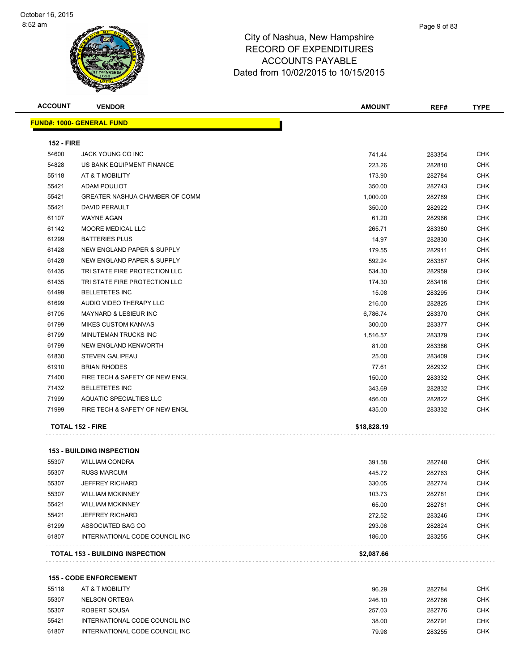|                   | <b>FUND#: 1000- GENERAL FUND</b>      |             |        |            |
|-------------------|---------------------------------------|-------------|--------|------------|
| <b>152 - FIRE</b> |                                       |             |        |            |
| 54600             | JACK YOUNG CO INC                     | 741.44      | 283354 | <b>CHK</b> |
| 54828             | US BANK EQUIPMENT FINANCE             | 223.26      | 282810 | <b>CHK</b> |
| 55118             | AT & T MOBILITY                       | 173.90      | 282784 | <b>CHK</b> |
| 55421             | <b>ADAM POULIOT</b>                   | 350.00      | 282743 | <b>CHK</b> |
| 55421             | <b>GREATER NASHUA CHAMBER OF COMM</b> | 1,000.00    | 282789 | <b>CHK</b> |
| 55421             | <b>DAVID PERAULT</b>                  | 350.00      | 282922 | <b>CHK</b> |
| 61107             | <b>WAYNE AGAN</b>                     | 61.20       | 282966 | <b>CHK</b> |
| 61142             | <b>MOORE MEDICAL LLC</b>              | 265.71      | 283380 | <b>CHK</b> |
| 61299             | <b>BATTERIES PLUS</b>                 | 14.97       | 282830 | <b>CHK</b> |
| 61428             | <b>NEW ENGLAND PAPER &amp; SUPPLY</b> | 179.55      | 282911 | <b>CHK</b> |
| 61428             | <b>NEW ENGLAND PAPER &amp; SUPPLY</b> | 592.24      | 283387 | <b>CHK</b> |
| 61435             | TRI STATE FIRE PROTECTION LLC         | 534.30      | 282959 | <b>CHK</b> |
| 61435             | TRI STATE FIRE PROTECTION LLC         | 174.30      | 283416 | <b>CHK</b> |
| 61499             | <b>BELLETETES INC</b>                 | 15.08       | 283295 | <b>CHK</b> |
| 61699             | AUDIO VIDEO THERAPY LLC               | 216.00      | 282825 | <b>CHK</b> |
| 61705             | <b>MAYNARD &amp; LESIEUR INC</b>      | 6,786.74    | 283370 | <b>CHK</b> |
| 61799             | <b>MIKES CUSTOM KANVAS</b>            | 300.00      | 283377 | <b>CHK</b> |
| 61799             | MINUTEMAN TRUCKS INC                  | 1,516.57    | 283379 | <b>CHK</b> |
| 61799             | <b>NEW ENGLAND KENWORTH</b>           | 81.00       | 283386 | <b>CHK</b> |
| 61830             | <b>STEVEN GALIPEAU</b>                | 25.00       | 283409 | CHK        |
| 61910             | <b>BRIAN RHODES</b>                   | 77.61       | 282932 | CHK        |
| 71400             | FIRE TECH & SAFETY OF NEW ENGL        | 150.00      | 283332 | <b>CHK</b> |
| 71432             | <b>BELLETETES INC</b>                 | 343.69      | 282832 | <b>CHK</b> |
| 71999             | <b>AQUATIC SPECIALTIES LLC</b>        | 456.00      | 282822 | <b>CHK</b> |
| 71999             | FIRE TECH & SAFETY OF NEW ENGL        | 435.00      | 283332 | CHK        |
|                   | <b>TOTAL 152 - FIRE</b>               | \$18,828.19 |        |            |

|       | <b>TOTAL 153 - BUILDING INSPECTION</b> | \$2,087.66 |        |            |
|-------|----------------------------------------|------------|--------|------------|
| 61807 | INTERNATIONAL CODE COUNCIL INC         | 186.00     | 283255 | <b>CHK</b> |
| 61299 | ASSOCIATED BAG CO                      | 293.06     | 282824 | <b>CHK</b> |
| 55421 | <b>JEFFREY RICHARD</b>                 | 272.52     | 283246 | <b>CHK</b> |
| 55421 | <b>WILLIAM MCKINNEY</b>                | 65.00      | 282781 | <b>CHK</b> |
| 55307 | <b>WILLIAM MCKINNEY</b>                | 103.73     | 282781 | <b>CHK</b> |
| 55307 | JEFFREY RICHARD                        | 330.05     | 282774 | <b>CHK</b> |
| 55307 | <b>RUSS MARCUM</b>                     | 445.72     | 282763 | <b>CHK</b> |
| 55307 | <b>WILLIAM CONDRA</b>                  | 391.58     | 282748 | <b>CHK</b> |

**155 - CODE ENFORCEMENT**

| 55118 | AT & T MOBILITY                | 96.29  | 282784 | снк        |
|-------|--------------------------------|--------|--------|------------|
| 55307 | NELSON ORTEGA                  | 246.10 | 282766 | <b>CHK</b> |
| 55307 | ROBERT SOUSA                   | 257.03 | 282776 | CHK        |
| 55421 | INTERNATIONAL CODE COUNCIL INC | 38.00  | 282791 | СНК        |
| 61807 | INTERNATIONAL CODE COUNCIL INC | 79.98  | 283255 | снк        |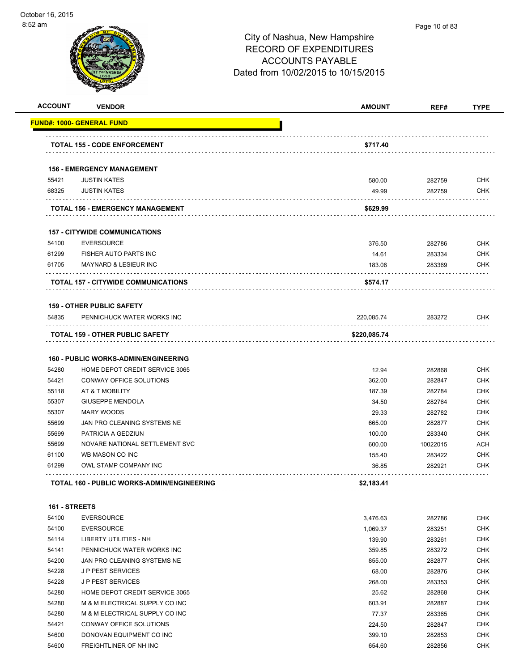

| <b>ACCOUNT</b> | <b>VENDOR</b>                               | <b>AMOUNT</b> | REF#     | <b>TYPE</b> |
|----------------|---------------------------------------------|---------------|----------|-------------|
|                | <b>FUND#: 1000- GENERAL FUND</b>            |               |          |             |
|                | <b>TOTAL 155 - CODE ENFORCEMENT</b>         | \$717.40      |          |             |
|                | <b>156 - EMERGENCY MANAGEMENT</b>           |               |          |             |
| 55421          | <b>JUSTIN KATES</b>                         | 580.00        | 282759   | <b>CHK</b>  |
| 68325          | <b>JUSTIN KATES</b>                         | 49.99         | 282759   | <b>CHK</b>  |
|                | TOTAL 156 - EMERGENCY MANAGEMENT            | \$629.99      |          |             |
|                | <b>157 - CITYWIDE COMMUNICATIONS</b>        |               |          |             |
| 54100          | <b>EVERSOURCE</b>                           | 376.50        | 282786   | <b>CHK</b>  |
| 61299          | FISHER AUTO PARTS INC                       | 14.61         | 283334   | <b>CHK</b>  |
| 61705          | <b>MAYNARD &amp; LESIEUR INC</b>            | 183.06        | 283369   | CHK         |
|                | <b>TOTAL 157 - CITYWIDE COMMUNICATIONS</b>  | \$574.17      |          |             |
|                | <b>159 - OTHER PUBLIC SAFETY</b>            |               |          |             |
| 54835          | PENNICHUCK WATER WORKS INC                  | 220,085.74    | 283272   | CHK         |
|                | <b>TOTAL 159 - OTHER PUBLIC SAFETY</b>      | \$220,085.74  |          |             |
|                | <b>160 - PUBLIC WORKS-ADMIN/ENGINEERING</b> |               |          |             |
| 54280          | HOME DEPOT CREDIT SERVICE 3065              | 12.94         | 282868   | <b>CHK</b>  |
| 54421          | CONWAY OFFICE SOLUTIONS                     | 362.00        | 282847   | <b>CHK</b>  |
| 55118          | AT & T MOBILITY                             | 187.39        | 282784   | <b>CHK</b>  |
| 55307          | <b>GIUSEPPE MENDOLA</b>                     | 34.50         | 282764   | <b>CHK</b>  |
| 55307          | <b>MARY WOODS</b>                           | 29.33         | 282782   | <b>CHK</b>  |
| 55699          | JAN PRO CLEANING SYSTEMS NE                 | 665.00        | 282877   | <b>CHK</b>  |
| 55699          | PATRICIA A GEDZIUN                          | 100.00        | 283340   | <b>CHK</b>  |
| 55699          | NOVARE NATIONAL SETTLEMENT SVC              | 600.00        | 10022015 | ACH         |
| 61100          | WB MASON CO INC                             | 155.40        | 283422   | <b>CHK</b>  |
| 61299          | OWL STAMP COMPANY INC                       | 36.85         | 282921   | CHK         |
|                | TOTAL 160 - PUBLIC WORKS-ADMIN/ENGINEERING  | \$2,183.41    |          |             |
| 161 - STREETS  |                                             |               |          |             |
| 54100          | <b>EVERSOURCE</b>                           | 3,476.63      | 282786   | <b>CHK</b>  |
| 54100          | <b>EVERSOURCE</b>                           | 1,069.37      | 283251   | CHK         |
| 54114          | LIBERTY UTILITIES - NH                      | 139.90        | 283261   | CHK         |
| 54141          | PENNICHUCK WATER WORKS INC                  | 359.85        | 283272   | <b>CHK</b>  |
| 54200          | JAN PRO CLEANING SYSTEMS NE                 | 855.00        | 282877   | <b>CHK</b>  |
| 54228          | <b>JP PEST SERVICES</b>                     | 68.00         | 282876   | <b>CHK</b>  |
| 54228          | J P PEST SERVICES                           | 268.00        | 283353   | <b>CHK</b>  |
| 54280          | HOME DEPOT CREDIT SERVICE 3065              | 25.62         | 282868   | <b>CHK</b>  |
| 54280          | M & M ELECTRICAL SUPPLY CO INC              | 603.91        | 282887   | <b>CHK</b>  |
| 54280          | M & M ELECTRICAL SUPPLY CO INC              | 77.37         | 283365   | <b>CHK</b>  |
| 54421          | CONWAY OFFICE SOLUTIONS                     | 224.50        | 282847   | <b>CHK</b>  |
| 54600          | DONOVAN EQUIPMENT CO INC                    | 399.10        | 282853   | <b>CHK</b>  |

FREIGHTLINER OF NH INC 654.60 282856 CHK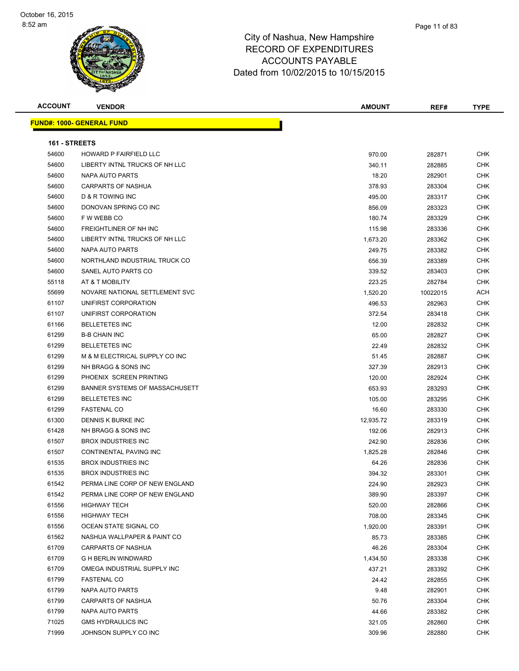| <b>ACCOUNT</b> | <b>VENDOR</b>                    | <b>AMOUNT</b> | REF#     | TYPE       |
|----------------|----------------------------------|---------------|----------|------------|
|                | <b>FUND#: 1000- GENERAL FUND</b> |               |          |            |
|                |                                  |               |          |            |
| 161 - STREETS  |                                  |               |          |            |
| 54600          | <b>HOWARD P FAIRFIELD LLC</b>    | 970.00        | 282871   | <b>CHK</b> |
| 54600          | LIBERTY INTNL TRUCKS OF NH LLC   | 340.11        | 282885   | <b>CHK</b> |
| 54600          | NAPA AUTO PARTS                  | 18.20         | 282901   | <b>CHK</b> |
| 54600          | CARPARTS OF NASHUA               | 378.93        | 283304   | <b>CHK</b> |
| 54600          | D & R TOWING INC                 | 495.00        | 283317   | <b>CHK</b> |
| 54600          | DONOVAN SPRING CO INC            | 856.09        | 283323   | <b>CHK</b> |
| 54600          | F W WEBB CO                      | 180.74        | 283329   | <b>CHK</b> |
| 54600          | FREIGHTLINER OF NH INC           | 115.98        | 283336   | <b>CHK</b> |
| 54600          | LIBERTY INTNL TRUCKS OF NH LLC   | 1,673.20      | 283362   | <b>CHK</b> |
| 54600          | NAPA AUTO PARTS                  | 249.75        | 283382   | <b>CHK</b> |
| 54600          | NORTHLAND INDUSTRIAL TRUCK CO    | 656.39        | 283389   | <b>CHK</b> |
| 54600          | SANEL AUTO PARTS CO              | 339.52        | 283403   | <b>CHK</b> |
| 55118          | AT & T MOBILITY                  | 223.25        | 282784   | <b>CHK</b> |
| 55699          | NOVARE NATIONAL SETTLEMENT SVC   | 1,520.20      | 10022015 | ACH        |
| 61107          | UNIFIRST CORPORATION             | 496.53        | 282963   | <b>CHK</b> |
| 61107          | UNIFIRST CORPORATION             | 372.54        | 283418   | <b>CHK</b> |
| 61166          | <b>BELLETETES INC</b>            | 12.00         | 282832   | <b>CHK</b> |
| 61299          | <b>B-B CHAIN INC</b>             | 65.00         | 282827   | <b>CHK</b> |
| 61299          | <b>BELLETETES INC</b>            | 22.49         | 282832   | <b>CHK</b> |
| 61299          | M & M ELECTRICAL SUPPLY CO INC   | 51.45         | 282887   | <b>CHK</b> |
| 61299          | NH BRAGG & SONS INC              | 327.39        | 282913   | <b>CHK</b> |
| 61299          | PHOENIX SCREEN PRINTING          | 120.00        | 282924   | <b>CHK</b> |
| 61299          | BANNER SYSTEMS OF MASSACHUSETT   | 653.93        | 283293   | <b>CHK</b> |
| 61299          | <b>BELLETETES INC</b>            | 105.00        | 283295   | <b>CHK</b> |
| 61299          | <b>FASTENAL CO</b>               | 16.60         | 283330   | <b>CHK</b> |
| 61300          | DENNIS K BURKE INC               | 12,935.72     | 283319   | <b>CHK</b> |
| 61428          | NH BRAGG & SONS INC              | 192.06        | 282913   | <b>CHK</b> |
| 61507          | <b>BROX INDUSTRIES INC</b>       | 242.90        | 282836   | <b>CHK</b> |
| 61507          | CONTINENTAL PAVING INC           | 1,825.28      | 282846   | <b>CHK</b> |
| 61535          | <b>BROX INDUSTRIES INC</b>       | 64.26         | 282836   | <b>CHK</b> |
| 61535          | <b>BROX INDUSTRIES INC</b>       | 394.32        | 283301   | <b>CHK</b> |
| 61542          | PERMA LINE CORP OF NEW ENGLAND   | 224.90        | 282923   | CHK        |
| 61542          | PERMA LINE CORP OF NEW ENGLAND   | 389.90        | 283397   | CHK        |
| 61556          | <b>HIGHWAY TECH</b>              | 520.00        | 282866   | <b>CHK</b> |
| 61556          | <b>HIGHWAY TECH</b>              | 708.00        | 283345   | CHK        |
| 61556          | OCEAN STATE SIGNAL CO            | 1,920.00      | 283391   | CHK        |
| 61562          | NASHUA WALLPAPER & PAINT CO      | 85.73         | 283385   | <b>CHK</b> |
| 61709          | CARPARTS OF NASHUA               | 46.26         | 283304   | CHK        |
| 61709          | <b>G H BERLIN WINDWARD</b>       | 1,434.50      | 283338   | CHK        |
| 61709          | OMEGA INDUSTRIAL SUPPLY INC      | 437.21        | 283392   | <b>CHK</b> |
| 61799          | <b>FASTENAL CO</b>               | 24.42         | 282855   | CHK        |
| 61799          | <b>NAPA AUTO PARTS</b>           | 9.48          | 282901   | CHK        |
| 61799          | CARPARTS OF NASHUA               | 50.76         | 283304   | CHK        |
| 61799          | NAPA AUTO PARTS                  | 44.66         | 283382   | CHK        |
| 71025          | <b>GMS HYDRAULICS INC</b>        | 321.05        | 282860   | CHK        |
| 71999          | JOHNSON SUPPLY CO INC            | 309.96        | 282880   | CHK        |
|                |                                  |               |          |            |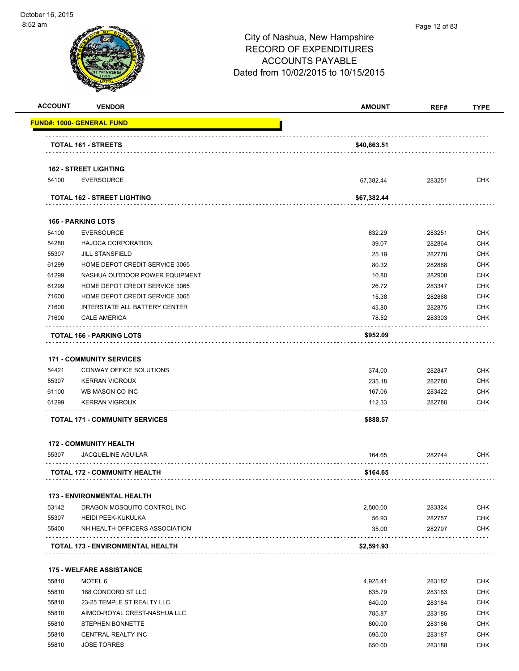| <b>ACCOUNT</b> | <b>VENDOR</b>                                     | <b>AMOUNT</b> | REF#             | <b>TYPE</b> |
|----------------|---------------------------------------------------|---------------|------------------|-------------|
|                | <u> FUND#: 1000- GENERAL FUND</u>                 |               |                  |             |
|                | <b>TOTAL 161 - STREETS</b>                        | \$40,663.51   |                  |             |
|                |                                                   |               |                  |             |
| 54100          | <b>162 - STREET LIGHTING</b><br><b>EVERSOURCE</b> | 67,382.44     | 283251           | <b>CHK</b>  |
|                | TOTAL 162 - STREET LIGHTING                       | \$67,382.44   |                  |             |
|                |                                                   |               |                  |             |
|                | <b>166 - PARKING LOTS</b>                         |               |                  |             |
| 54100          | <b>EVERSOURCE</b>                                 | 632.29        | 283251           | <b>CHK</b>  |
| 54280          | <b>HAJOCA CORPORATION</b>                         | 39.07         | 282864           | <b>CHK</b>  |
| 55307          | <b>JILL STANSFIELD</b>                            | 25.19         | 282778           | <b>CHK</b>  |
| 61299          | HOME DEPOT CREDIT SERVICE 3065                    | 80.32         | 282868           | <b>CHK</b>  |
| 61299          | NASHUA OUTDOOR POWER EQUIPMENT                    | 10.80         | 282908           | <b>CHK</b>  |
| 61299          | HOME DEPOT CREDIT SERVICE 3065                    | 26.72         | 283347           | <b>CHK</b>  |
| 71600          | HOME DEPOT CREDIT SERVICE 3065                    | 15.38         | 282868           | <b>CHK</b>  |
| 71600          | <b>INTERSTATE ALL BATTERY CENTER</b>              | 43.80         | 282875           | <b>CHK</b>  |
| 71600          | <b>CALE AMERICA</b>                               | 78.52         | 283303           | <b>CHK</b>  |
|                | TOTAL 166 - PARKING LOTS                          | \$952.09      |                  |             |
|                | <b>171 - COMMUNITY SERVICES</b>                   |               |                  |             |
| 54421          | CONWAY OFFICE SOLUTIONS                           | 374.00        | 282847           | <b>CHK</b>  |
| 55307          | <b>KERRAN VIGROUX</b>                             | 235.18        | 282780           | <b>CHK</b>  |
| 61100          |                                                   | 167.06        |                  | <b>CHK</b>  |
| 61299          | WB MASON CO INC<br><b>KERRAN VIGROUX</b>          | 112.33        | 283422<br>282780 | <b>CHK</b>  |
|                |                                                   |               |                  |             |
|                | <b>TOTAL 171 - COMMUNITY SERVICES</b>             | \$888.57      |                  |             |
|                | <b>172 - COMMUNITY HEALTH</b>                     |               |                  |             |
| 55307          | <b>JACQUELINE AGUILAR</b>                         | 164.65        | 282744           | <b>CHK</b>  |
|                | <b>TOTAL 172 - COMMUNITY HEALTH</b>               | \$164.65      |                  |             |
|                | <b>173 - ENVIRONMENTAL HEALTH</b>                 |               |                  |             |
| 53142          | DRAGON MOSQUITO CONTROL INC                       | 2,500.00      | 283324           | <b>CHK</b>  |
| 55307          | <b>HEIDI PEEK-KUKULKA</b>                         | 56.93         | 282757           | <b>CHK</b>  |
| 55400          | NH HEALTH OFFICERS ASSOCIATION                    | 35.00         | 282797           | <b>CHK</b>  |
|                | <b>TOTAL 173 - ENVIRONMENTAL HEALTH</b>           | \$2,591.93    |                  |             |
|                |                                                   |               |                  |             |
|                | <b>175 - WELFARE ASSISTANCE</b>                   |               |                  |             |
| 55810          | MOTEL 6                                           | 4,925.41      | 283182           | <b>CHK</b>  |
| 55810          | 188 CONCORD ST LLC                                | 635.79        | 283183           | <b>CHK</b>  |
| 55810          | 23-25 TEMPLE ST REALTY LLC                        | 640.00        | 283184           | <b>CHK</b>  |
| 55810          | AIMCO-ROYAL CREST-NASHUA LLC                      | 785.87        | 283185           | <b>CHK</b>  |
| 55810          | STEPHEN BONNETTE                                  | 800.00        | 283186           | <b>CHK</b>  |
| 55810          | <b>CENTRAL REALTY INC</b>                         | 695.00        | 283187           | <b>CHK</b>  |
| 55810          | <b>JOSE TORRES</b>                                | 650.00        | 283188           | <b>CHK</b>  |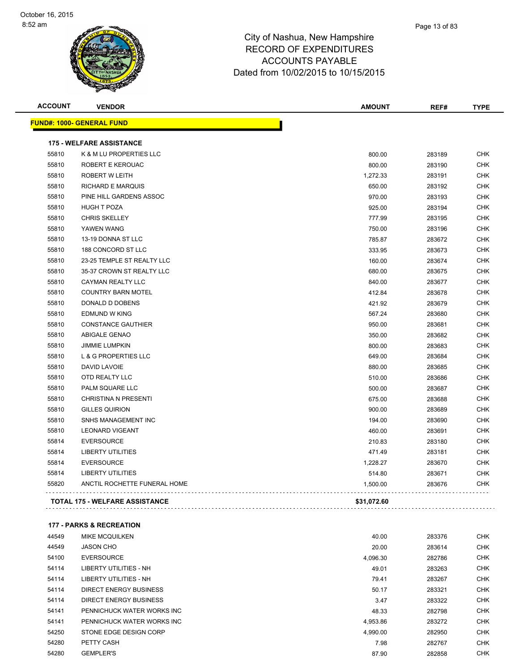#### Page 13 of 83

### City of Nashua, New Hampshire RECORD OF EXPENDITURES ACCOUNTS PAYABLE Dated from 10/02/2015 to 10/15/2015

| <b>ACCOUNT</b> | <b>VENDOR</b>                         | <b>AMOUNT</b> | REF#   | <b>TYPE</b> |
|----------------|---------------------------------------|---------------|--------|-------------|
|                | <b>FUND#: 1000- GENERAL FUND</b>      |               |        |             |
|                | <b>175 - WELFARE ASSISTANCE</b>       |               |        |             |
| 55810          | K & M LU PROPERTIES LLC               | 800.00        | 283189 | <b>CHK</b>  |
| 55810          | <b>ROBERT E KEROUAC</b>               | 800.00        | 283190 | <b>CHK</b>  |
| 55810          | <b>ROBERT W LEITH</b>                 | 1,272.33      | 283191 | <b>CHK</b>  |
| 55810          | <b>RICHARD E MARQUIS</b>              | 650.00        | 283192 | <b>CHK</b>  |
| 55810          | PINE HILL GARDENS ASSOC               | 970.00        | 283193 | <b>CHK</b>  |
| 55810          | <b>HUGH T POZA</b>                    | 925.00        | 283194 | <b>CHK</b>  |
| 55810          | <b>CHRIS SKELLEY</b>                  | 777.99        | 283195 | <b>CHK</b>  |
| 55810          | YAWEN WANG                            | 750.00        | 283196 | <b>CHK</b>  |
| 55810          | 13-19 DONNA ST LLC                    | 785.87        | 283672 | <b>CHK</b>  |
| 55810          | 188 CONCORD ST LLC                    | 333.95        | 283673 | <b>CHK</b>  |
| 55810          | 23-25 TEMPLE ST REALTY LLC            | 160.00        | 283674 | <b>CHK</b>  |
| 55810          | 35-37 CROWN ST REALTY LLC             | 680.00        | 283675 | <b>CHK</b>  |
| 55810          | <b>CAYMAN REALTY LLC</b>              | 840.00        | 283677 | <b>CHK</b>  |
| 55810          | <b>COUNTRY BARN MOTEL</b>             | 412.84        | 283678 | <b>CHK</b>  |
| 55810          | DONALD D DOBENS                       | 421.92        | 283679 | <b>CHK</b>  |
| 55810          | <b>EDMUND W KING</b>                  | 567.24        | 283680 | <b>CHK</b>  |
| 55810          | <b>CONSTANCE GAUTHIER</b>             | 950.00        | 283681 | <b>CHK</b>  |
| 55810          | ABIGALE GENAO                         | 350.00        | 283682 | <b>CHK</b>  |
| 55810          | <b>JIMMIE LUMPKIN</b>                 | 800.00        | 283683 | <b>CHK</b>  |
| 55810          | <b>L &amp; G PROPERTIES LLC</b>       | 649.00        | 283684 | CHK         |
| 55810          | <b>DAVID LAVOIE</b>                   | 880.00        | 283685 | <b>CHK</b>  |
| 55810          | OTD REALTY LLC                        | 510.00        | 283686 | <b>CHK</b>  |
| 55810          | PALM SQUARE LLC                       | 500.00        | 283687 | <b>CHK</b>  |
| 55810          | <b>CHRISTINA N PRESENTI</b>           | 675.00        | 283688 | <b>CHK</b>  |
| 55810          | <b>GILLES QUIRION</b>                 | 900.00        | 283689 | <b>CHK</b>  |
| 55810          | <b>SNHS MANAGEMENT INC</b>            | 194.00        | 283690 | <b>CHK</b>  |
| 55810          | <b>LEONARD VIGEANT</b>                | 460.00        | 283691 | <b>CHK</b>  |
| 55814          | <b>EVERSOURCE</b>                     | 210.83        | 283180 | <b>CHK</b>  |
| 55814          | <b>LIBERTY UTILITIES</b>              | 471.49        | 283181 | <b>CHK</b>  |
| 55814          | <b>EVERSOURCE</b>                     | 1,228.27      | 283670 | <b>CHK</b>  |
| 55814          | <b>LIBERTY UTILITIES</b>              | 514.80        | 283671 | <b>CHK</b>  |
| 55820          | ANCTIL ROCHETTE FUNERAL HOME          | 1,500.00      | 283676 | <b>CHK</b>  |
|                | <b>TOTAL 175 - WELFARE ASSISTANCE</b> | \$31,072.60   |        |             |

### **177 - PARKS & RECREATION**

| 44549 | <b>MIKE MCQUILKEN</b>         | 40.00    | 283376 | <b>CHK</b> |
|-------|-------------------------------|----------|--------|------------|
| 44549 | <b>JASON CHO</b>              | 20.00    | 283614 | <b>CHK</b> |
| 54100 | <b>EVERSOURCE</b>             | 4,096.30 | 282786 | <b>CHK</b> |
| 54114 | <b>LIBERTY UTILITIES - NH</b> | 49.01    | 283263 | <b>CHK</b> |
| 54114 | <b>LIBERTY UTILITIES - NH</b> | 79.41    | 283267 | <b>CHK</b> |
| 54114 | DIRECT ENERGY BUSINESS        | 50.17    | 283321 | <b>CHK</b> |
| 54114 | <b>DIRECT ENERGY BUSINESS</b> | 3.47     | 283322 | <b>CHK</b> |
| 54141 | PENNICHUCK WATER WORKS INC    | 48.33    | 282798 | <b>CHK</b> |
| 54141 | PENNICHUCK WATER WORKS INC    | 4,953.86 | 283272 | <b>CHK</b> |
| 54250 | STONE EDGE DESIGN CORP        | 4,990.00 | 282950 | <b>CHK</b> |
| 54280 | PETTY CASH                    | 7.98     | 282767 | <b>CHK</b> |
| 54280 | <b>GEMPLER'S</b>              | 87.90    | 282858 | <b>CHK</b> |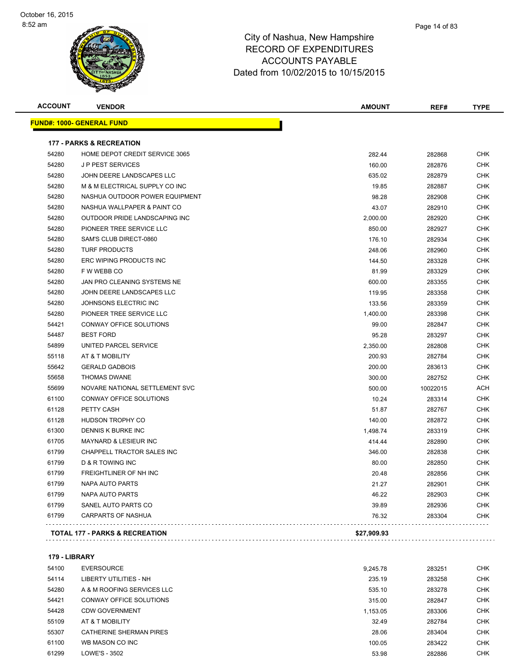| <b>ACCOUNT</b> | <b>VENDOR</b>                       | <b>AMOUNT</b> | REF#     | <b>TYPE</b> |
|----------------|-------------------------------------|---------------|----------|-------------|
|                | <u> FUND#: 1000- GENERAL FUND</u>   |               |          |             |
|                | <b>177 - PARKS &amp; RECREATION</b> |               |          |             |
| 54280          | HOME DEPOT CREDIT SERVICE 3065      | 282.44        | 282868   | <b>CHK</b>  |
| 54280          | <b>JP PEST SERVICES</b>             | 160.00        | 282876   | <b>CHK</b>  |
| 54280          | JOHN DEERE LANDSCAPES LLC           | 635.02        | 282879   | <b>CHK</b>  |
| 54280          | M & M ELECTRICAL SUPPLY CO INC      | 19.85         | 282887   | <b>CHK</b>  |
| 54280          | NASHUA OUTDOOR POWER EQUIPMENT      | 98.28         | 282908   | <b>CHK</b>  |
| 54280          | NASHUA WALLPAPER & PAINT CO         | 43.07         | 282910   | <b>CHK</b>  |
| 54280          | OUTDOOR PRIDE LANDSCAPING INC       | 2,000.00      | 282920   | <b>CHK</b>  |
| 54280          | PIONEER TREE SERVICE LLC            | 850.00        | 282927   | <b>CHK</b>  |
| 54280          | SAM'S CLUB DIRECT-0860              | 176.10        | 282934   | <b>CHK</b>  |
| 54280          | <b>TURF PRODUCTS</b>                | 248.06        | 282960   | <b>CHK</b>  |
| 54280          | ERC WIPING PRODUCTS INC             | 144.50        | 283328   | <b>CHK</b>  |
| 54280          | F W WEBB CO                         | 81.99         | 283329   | <b>CHK</b>  |
| 54280          | JAN PRO CLEANING SYSTEMS NE         | 600.00        | 283355   | <b>CHK</b>  |
| 54280          | JOHN DEERE LANDSCAPES LLC           | 119.95        | 283358   | <b>CHK</b>  |
| 54280          | JOHNSONS ELECTRIC INC               | 133.56        | 283359   | <b>CHK</b>  |
| 54280          | PIONEER TREE SERVICE LLC            | 1,400.00      | 283398   | <b>CHK</b>  |
| 54421          | CONWAY OFFICE SOLUTIONS             | 99.00         | 282847   | <b>CHK</b>  |
| 54487          | <b>BEST FORD</b>                    | 95.28         | 283297   | <b>CHK</b>  |
| 54899          | UNITED PARCEL SERVICE               | 2,350.00      | 282808   | <b>CHK</b>  |
| 55118          | AT & T MOBILITY                     | 200.93        | 282784   | <b>CHK</b>  |
| 55642          | <b>GERALD GADBOIS</b>               | 200.00        | 283613   | <b>CHK</b>  |
| 55658          | <b>THOMAS DWANE</b>                 | 300.00        | 282752   | <b>CHK</b>  |
| 55699          | NOVARE NATIONAL SETTLEMENT SVC      | 500.00        | 10022015 | <b>ACH</b>  |
| 61100          | CONWAY OFFICE SOLUTIONS             | 10.24         | 283314   | <b>CHK</b>  |
| 61128          | PETTY CASH                          | 51.87         | 282767   | <b>CHK</b>  |
| 61128          | <b>HUDSON TROPHY CO</b>             | 140.00        | 282872   | <b>CHK</b>  |
| 61300          | DENNIS K BURKE INC                  | 1,498.74      | 283319   | <b>CHK</b>  |
| 61705          | <b>MAYNARD &amp; LESIEUR INC</b>    | 414.44        | 282890   | <b>CHK</b>  |
| 61799          | CHAPPELL TRACTOR SALES INC          | 346.00        | 282838   | CHK         |
| 61799          | <b>D &amp; R TOWING INC</b>         | 80.00         | 282850   | <b>CHK</b>  |
| 61799          | FREIGHTLINER OF NH INC              | 20.48         | 282856   | <b>CHK</b>  |
| 61799          | NAPA AUTO PARTS                     | 21.27         | 282901   | <b>CHK</b>  |
| 61799          | NAPA AUTO PARTS                     | 46.22         | 282903   | <b>CHK</b>  |
| 61799          | SANEL AUTO PARTS CO                 | 39.89         | 282936   | <b>CHK</b>  |
| 61799          | <b>CARPARTS OF NASHUA</b>           | 76.32         | 283304   | <b>CHK</b>  |

### **179 - LIBRARY**

| 54100 | <b>EVERSOURCE</b>              | 9.245.78 | 283251 | <b>CHK</b> |
|-------|--------------------------------|----------|--------|------------|
| 54114 | LIBERTY UTILITIES - NH         | 235.19   | 283258 | <b>CHK</b> |
| 54280 | A & M ROOFING SERVICES LLC     | 535.10   | 283278 | <b>CHK</b> |
| 54421 | CONWAY OFFICE SOLUTIONS        | 315.00   | 282847 | <b>CHK</b> |
| 54428 | <b>CDW GOVERNMENT</b>          | 1.153.05 | 283306 | <b>CHK</b> |
| 55109 | AT & T MOBILITY                | 32.49    | 282784 | <b>CHK</b> |
| 55307 | <b>CATHERINE SHERMAN PIRES</b> | 28.06    | 283404 | <b>CHK</b> |
| 61100 | WB MASON CO INC                | 100.05   | 283422 | <b>CHK</b> |
| 61299 | LOWE'S - 3502                  | 53.98    | 282886 | <b>CHK</b> |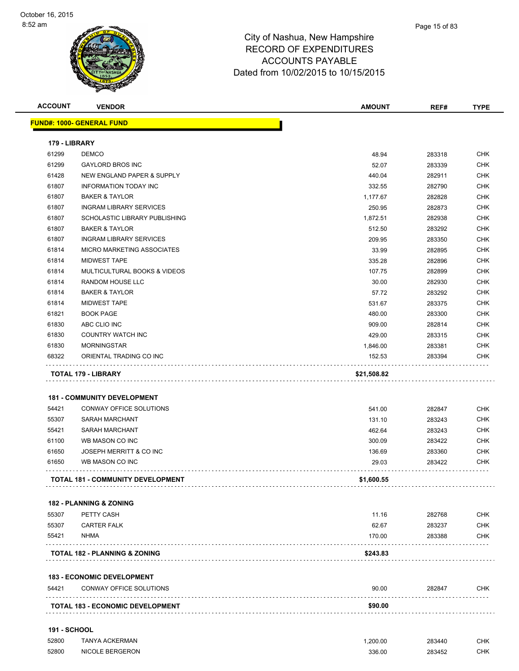| <b>ACCOUNT</b>      | <b>VENDOR</b>                            | <b>AMOUNT</b> | REF#   | <b>TYPE</b> |
|---------------------|------------------------------------------|---------------|--------|-------------|
|                     | <u> FUND#: 1000- GENERAL FUND</u>        |               |        |             |
| 179 - LIBRARY       |                                          |               |        |             |
| 61299               | <b>DEMCO</b>                             | 48.94         | 283318 | CHK         |
| 61299               | <b>GAYLORD BROS INC</b>                  | 52.07         | 283339 | <b>CHK</b>  |
| 61428               | NEW ENGLAND PAPER & SUPPLY               | 440.04        | 282911 | CHK         |
| 61807               | <b>INFORMATION TODAY INC</b>             | 332.55        | 282790 | <b>CHK</b>  |
| 61807               | <b>BAKER &amp; TAYLOR</b>                | 1,177.67      | 282828 | <b>CHK</b>  |
| 61807               | <b>INGRAM LIBRARY SERVICES</b>           | 250.95        | 282873 | CHK         |
| 61807               | SCHOLASTIC LIBRARY PUBLISHING            | 1,872.51      | 282938 | <b>CHK</b>  |
| 61807               | <b>BAKER &amp; TAYLOR</b>                | 512.50        | 283292 | <b>CHK</b>  |
| 61807               | <b>INGRAM LIBRARY SERVICES</b>           | 209.95        | 283350 | <b>CHK</b>  |
| 61814               | MICRO MARKETING ASSOCIATES               | 33.99         | 282895 | <b>CHK</b>  |
| 61814               | <b>MIDWEST TAPE</b>                      | 335.28        | 282896 | CHK         |
| 61814               | <b>MULTICULTURAL BOOKS &amp; VIDEOS</b>  | 107.75        | 282899 | CHK         |
| 61814               | RANDOM HOUSE LLC                         | 30.00         | 282930 | <b>CHK</b>  |
| 61814               | <b>BAKER &amp; TAYLOR</b>                | 57.72         | 283292 | <b>CHK</b>  |
| 61814               | <b>MIDWEST TAPE</b>                      | 531.67        | 283375 | CHK         |
| 61821               | <b>BOOK PAGE</b>                         | 480.00        | 283300 | <b>CHK</b>  |
| 61830               | ABC CLIO INC                             | 909.00        | 282814 | <b>CHK</b>  |
| 61830               | COUNTRY WATCH INC                        | 429.00        | 283315 | <b>CHK</b>  |
| 61830               | <b>MORNINGSTAR</b>                       | 1,846.00      | 283381 | <b>CHK</b>  |
| 68322               | ORIENTAL TRADING CO INC                  | 152.53        | 283394 | CHK         |
|                     | TOTAL 179 - LIBRARY                      | \$21,508.82   |        |             |
|                     |                                          |               |        |             |
|                     | <b>181 - COMMUNITY DEVELOPMENT</b>       |               |        |             |
| 54421               | CONWAY OFFICE SOLUTIONS                  | 541.00        | 282847 | <b>CHK</b>  |
| 55307               | <b>SARAH MARCHANT</b>                    | 131.10        | 283243 | <b>CHK</b>  |
| 55421               | <b>SARAH MARCHANT</b>                    | 462.64        | 283243 | <b>CHK</b>  |
| 61100               | WB MASON CO INC                          | 300.09        | 283422 | <b>CHK</b>  |
| 61650               | JOSEPH MERRITT & CO INC                  | 136.69        | 283360 | CHK         |
| 61650               | WB MASON CO INC                          | 29.03         | 283422 | CHK         |
|                     |                                          |               |        |             |
|                     | <b>TOTAL 181 - COMMUNITY DEVELOPMENT</b> | \$1,600.55    |        |             |
|                     | <b>182 - PLANNING &amp; ZONING</b>       |               |        |             |
| 55307               | PETTY CASH                               | 11.16         | 282768 | CHK         |
| 55307               | <b>CARTER FALK</b>                       | 62.67         | 283237 | <b>CHK</b>  |
| 55421               | NHMA                                     | 170.00        | 283388 | <b>CHK</b>  |
|                     | TOTAL 182 - PLANNING & ZONING            | \$243.83      |        |             |
|                     |                                          |               |        |             |
|                     | <b>183 - ECONOMIC DEVELOPMENT</b>        |               |        |             |
| 54421               | CONWAY OFFICE SOLUTIONS                  | 90.00         | 282847 | CHK         |
|                     | <b>TOTAL 183 - ECONOMIC DEVELOPMENT</b>  | \$90.00       |        |             |
| <b>191 - SCHOOL</b> |                                          |               |        |             |
| 52800               | <b>TANYA ACKERMAN</b>                    | 1,200.00      | 283440 | CHK         |
| 52800               | <b>NICOLE BERGERON</b>                   | 336.00        | 283452 | <b>CHK</b>  |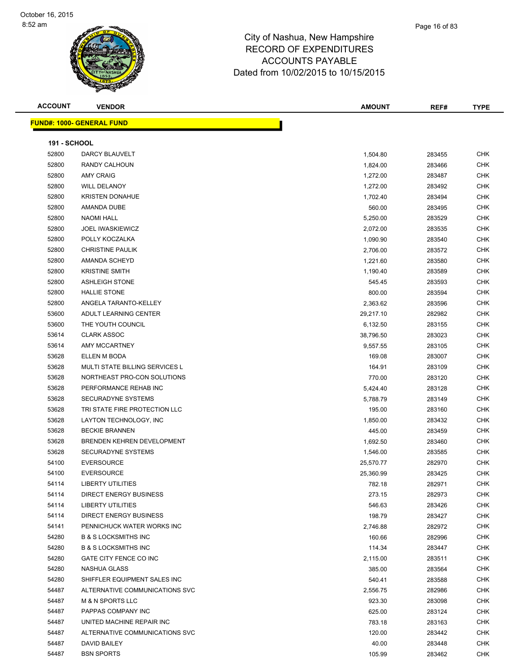

Page 16 of 83

| <b>191 - SCHOOL</b> |                                 |           |        |            |
|---------------------|---------------------------------|-----------|--------|------------|
| 52800               | DARCY BLAUVELT                  | 1,504.80  | 283455 | <b>CHK</b> |
| 52800               | RANDY CALHOUN                   | 1,824.00  | 283466 | <b>CHK</b> |
| 52800               | <b>AMY CRAIG</b>                | 1,272.00  | 283487 | <b>CHK</b> |
| 52800               | <b>WILL DELANOY</b>             | 1,272.00  | 283492 | <b>CHK</b> |
| 52800               | <b>KRISTEN DONAHUE</b>          | 1,702.40  | 283494 | <b>CHK</b> |
| 52800               | AMANDA DUBE                     | 560.00    | 283495 | <b>CHK</b> |
| 52800               | <b>NAOMI HALL</b>               | 5,250.00  | 283529 | <b>CHK</b> |
| 52800               | <b>JOEL IWASKIEWICZ</b>         | 2,072.00  | 283535 | <b>CHK</b> |
| 52800               | POLLY KOCZALKA                  | 1,090.90  | 283540 | <b>CHK</b> |
| 52800               | <b>CHRISTINE PAULIK</b>         | 2,706.00  | 283572 | <b>CHK</b> |
| 52800               | AMANDA SCHEYD                   | 1,221.60  | 283580 | <b>CHK</b> |
| 52800               | <b>KRISTINE SMITH</b>           | 1,190.40  | 283589 | <b>CHK</b> |
| 52800               | <b>ASHLEIGH STONE</b>           | 545.45    | 283593 | <b>CHK</b> |
| 52800               | <b>HALLIE STONE</b>             | 800.00    | 283594 | <b>CHK</b> |
| 52800               | ANGELA TARANTO-KELLEY           | 2,363.62  | 283596 | <b>CHK</b> |
| 53600               | ADULT LEARNING CENTER           | 29,217.10 | 282982 | <b>CHK</b> |
| 53600               | THE YOUTH COUNCIL               | 6,132.50  | 283155 | <b>CHK</b> |
| 53614               | <b>CLARK ASSOC</b>              | 38,796.50 | 283023 | <b>CHK</b> |
| 53614               | AMY MCCARTNEY                   | 9,557.55  | 283105 | <b>CHK</b> |
| 53628               | ELLEN M BODA                    | 169.08    | 283007 | <b>CHK</b> |
| 53628               | MULTI STATE BILLING SERVICES L  | 164.91    | 283109 | <b>CHK</b> |
| 53628               | NORTHEAST PRO-CON SOLUTIONS     | 770.00    | 283120 | <b>CHK</b> |
| 53628               | PERFORMANCE REHAB INC           | 5,424.40  | 283128 | <b>CHK</b> |
| 53628               | <b>SECURADYNE SYSTEMS</b>       | 5,788.79  | 283149 | <b>CHK</b> |
| 53628               | TRI STATE FIRE PROTECTION LLC   | 195.00    | 283160 | <b>CHK</b> |
| 53628               | LAYTON TECHNOLOGY, INC          | 1,850.00  | 283432 | <b>CHK</b> |
| 53628               | <b>BECKIE BRANNEN</b>           | 445.00    | 283459 | <b>CHK</b> |
| 53628               | BRENDEN KEHREN DEVELOPMENT      | 1,692.50  | 283460 | <b>CHK</b> |
| 53628               | SECURADYNE SYSTEMS              | 1,546.00  | 283585 | <b>CHK</b> |
| 54100               | <b>EVERSOURCE</b>               | 25,570.77 | 282970 | <b>CHK</b> |
| 54100               | <b>EVERSOURCE</b>               | 25,360.99 | 283425 | <b>CHK</b> |
| 54114               | <b>LIBERTY UTILITIES</b>        | 782.18    | 282971 | <b>CHK</b> |
| 54114               | <b>DIRECT ENERGY BUSINESS</b>   | 273.15    | 282973 | <b>CHK</b> |
| 54114               | <b>LIBERTY UTILITIES</b>        | 546.63    | 283426 | <b>CHK</b> |
| 54114               | DIRECT ENERGY BUSINESS          | 198.79    | 283427 | <b>CHK</b> |
| 54141               | PENNICHUCK WATER WORKS INC      | 2,746.88  | 282972 | <b>CHK</b> |
| 54280               | <b>B &amp; S LOCKSMITHS INC</b> | 160.66    | 282996 | <b>CHK</b> |
| 54280               | <b>B &amp; S LOCKSMITHS INC</b> | 114.34    | 283447 | <b>CHK</b> |

 GATE CITY FENCE CO INC 2,115.00 283511 CHK NASHUA GLASS 385.00 283564 CHK SHIFFLER EQUIPMENT SALES INC 540.41 283588 CHK ALTERNATIVE COMMUNICATIONS SVC 2,556.75 282986 CHK M & N SPORTS LLC 923.30 283098 CHK PAPPAS COMPANY INC 625.00 283124 CHK UNITED MACHINE REPAIR INC 783.18 283163 CHK ALTERNATIVE COMMUNICATIONS SVC 120.00 283442 CHK DAVID BAILEY 40.00 283448 CHK BSN SPORTS 105.99 283462 CHK

**ACCOUNT VENDOR AMOUNT REF# TYPE**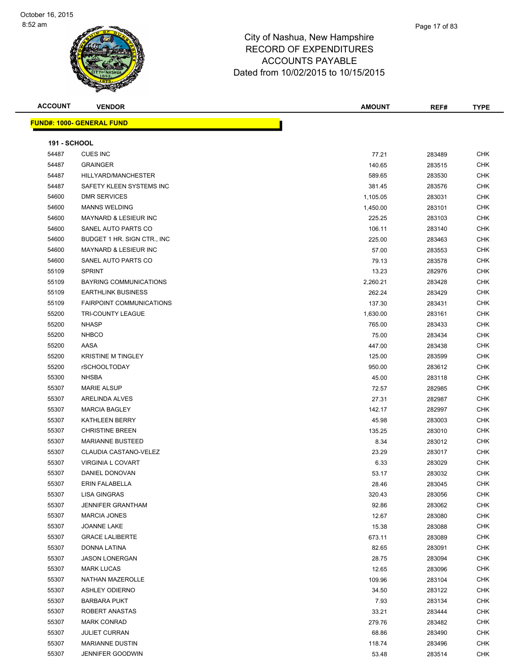**FUND#: 1000- GENERAL FUND 191 - SCHOOL**

| 54487 | CUES INC                         | 77.21    | 283489 | CHK        |
|-------|----------------------------------|----------|--------|------------|
| 54487 | <b>GRAINGER</b>                  | 140.65   | 283515 | <b>CHK</b> |
| 54487 | HILLYARD/MANCHESTER              | 589.65   | 283530 | CHK        |
| 54487 | SAFETY KLEEN SYSTEMS INC         | 381.45   | 283576 | <b>CHK</b> |
| 54600 | <b>DMR SERVICES</b>              | 1,105.05 | 283031 | <b>CHK</b> |
| 54600 | <b>MANNS WELDING</b>             | 1,450.00 | 283101 | <b>CHK</b> |
| 54600 | <b>MAYNARD &amp; LESIEUR INC</b> | 225.25   | 283103 | <b>CHK</b> |
| 54600 | SANEL AUTO PARTS CO              | 106.11   | 283140 | <b>CHK</b> |
| 54600 | BUDGET 1 HR. SIGN CTR., INC      | 225.00   | 283463 | <b>CHK</b> |
| 54600 | MAYNARD & LESIEUR INC            | 57.00    | 283553 | <b>CHK</b> |
| 54600 | SANEL AUTO PARTS CO              | 79.13    | 283578 | <b>CHK</b> |
| 55109 | <b>SPRINT</b>                    | 13.23    | 282976 | <b>CHK</b> |
| 55109 | <b>BAYRING COMMUNICATIONS</b>    | 2,260.21 | 283428 | <b>CHK</b> |
| 55109 | <b>EARTHLINK BUSINESS</b>        | 262.24   | 283429 | CHK        |
| 55109 | <b>FAIRPOINT COMMUNICATIONS</b>  | 137.30   | 283431 | <b>CHK</b> |
| 55200 | <b>TRI-COUNTY LEAGUE</b>         | 1,630.00 | 283161 | <b>CHK</b> |
| 55200 | <b>NHASP</b>                     | 765.00   | 283433 | CHK        |
| 55200 | <b>NHBCO</b>                     | 75.00    | 283434 | <b>CHK</b> |
| 55200 | AASA                             | 447.00   | 283438 | <b>CHK</b> |
| 55200 | <b>KRISTINE M TINGLEY</b>        | 125.00   | 283599 | <b>CHK</b> |
| 55200 | <b>rSCHOOLTODAY</b>              | 950.00   | 283612 | <b>CHK</b> |
| 55300 | <b>NHSBA</b>                     | 45.00    | 283118 | <b>CHK</b> |
| 55307 | <b>MARIE ALSUP</b>               | 72.57    | 282985 | <b>CHK</b> |
| 55307 | ARELINDA ALVES                   | 27.31    | 282987 | <b>CHK</b> |
| 55307 | <b>MARCIA BAGLEY</b>             | 142.17   | 282997 | CHK        |
| 55307 | <b>KATHLEEN BERRY</b>            | 45.98    | 283003 | CHK        |
| 55307 | <b>CHRISTINE BREEN</b>           | 135.25   | 283010 | <b>CHK</b> |
| 55307 | <b>MARIANNE BUSTEED</b>          | 8.34     | 283012 | CHK        |
| 55307 | CLAUDIA CASTANO-VELEZ            | 23.29    | 283017 | <b>CHK</b> |
| 55307 | <b>VIRGINIA L COVART</b>         | 6.33     | 283029 | <b>CHK</b> |
| 55307 | DANIEL DONOVAN                   | 53.17    | 283032 | <b>CHK</b> |
| 55307 | <b>ERIN FALABELLA</b>            | 28.46    | 283045 | <b>CHK</b> |
| 55307 | LISA GINGRAS                     | 320.43   | 283056 | CHK        |
| 55307 | <b>JENNIFER GRANTHAM</b>         | 92.86    | 283062 | CHK        |
| 55307 | <b>MARCIA JONES</b>              | 12.67    | 283080 | <b>CHK</b> |
| 55307 | JOANNE LAKE                      | 15.38    | 283088 | CHK        |
| 55307 | <b>GRACE LALIBERTE</b>           | 673.11   | 283089 | <b>CHK</b> |
| 55307 | DONNA LATINA                     | 82.65    | 283091 | <b>CHK</b> |
| 55307 | <b>JASON LONERGAN</b>            | 28.75    | 283094 | <b>CHK</b> |
| 55307 | <b>MARK LUCAS</b>                | 12.65    | 283096 | <b>CHK</b> |
| 55307 | NATHAN MAZEROLLE                 | 109.96   | 283104 | <b>CHK</b> |
| 55307 | <b>ASHLEY ODIERNO</b>            | 34.50    | 283122 | CHK        |
| 55307 | <b>BARBARA PUKT</b>              | 7.93     | 283134 | <b>CHK</b> |
| 55307 | ROBERT ANASTAS                   | 33.21    | 283444 | <b>CHK</b> |
| 55307 | <b>MARK CONRAD</b>               | 279.76   | 283482 | CHK        |
| 55307 | <b>JULIET CURRAN</b>             | 68.86    | 283490 | <b>CHK</b> |
| 55307 | <b>MARIANNE DUSTIN</b>           | 118.74   | 283496 | CHK        |
| 55307 | <b>JENNIFER GOODWIN</b>          | 53.48    | 283514 | CHK        |

**ACCOUNT VENDOR AMOUNT REF# TYPE**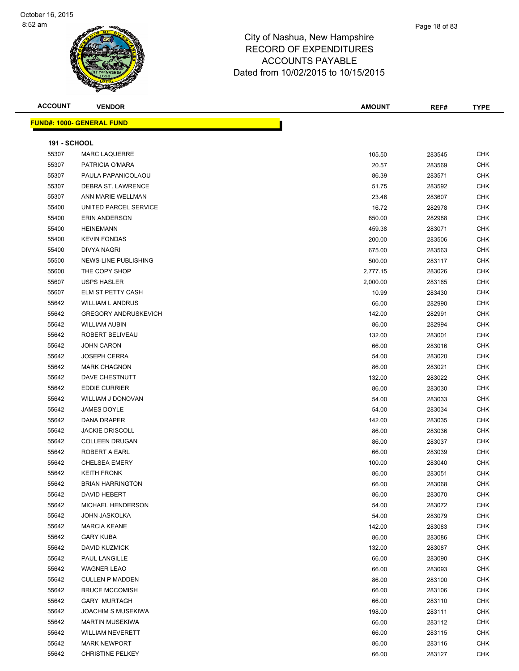#### Page 18 of 83

| <b>ACCOUNT</b>      | <b>VENDOR</b>                    | <b>AMOUNT</b> | REF#   | <b>TYPE</b> |
|---------------------|----------------------------------|---------------|--------|-------------|
|                     | <b>FUND#: 1000- GENERAL FUND</b> |               |        |             |
|                     |                                  |               |        |             |
| <b>191 - SCHOOL</b> |                                  |               |        |             |
| 55307               | <b>MARC LAQUERRE</b>             | 105.50        | 283545 | <b>CHK</b>  |
| 55307               | PATRICIA O'MARA                  | 20.57         | 283569 | <b>CHK</b>  |
| 55307               | PAULA PAPANICOLAOU               | 86.39         | 283571 | <b>CHK</b>  |
| 55307               | <b>DEBRA ST. LAWRENCE</b>        | 51.75         | 283592 | <b>CHK</b>  |
| 55307               | ANN MARIE WELLMAN                | 23.46         | 283607 | CHK         |
| 55400               | UNITED PARCEL SERVICE            | 16.72         | 282978 | <b>CHK</b>  |
| 55400               | <b>ERIN ANDERSON</b>             | 650.00        | 282988 | <b>CHK</b>  |
| 55400               | <b>HEINEMANN</b>                 | 459.38        | 283071 | <b>CHK</b>  |
| 55400               | <b>KEVIN FONDAS</b>              | 200.00        | 283506 | <b>CHK</b>  |
| 55400               | <b>DIVYA NAGRI</b>               | 675.00        | 283563 | <b>CHK</b>  |
| 55500               | NEWS-LINE PUBLISHING             | 500.00        | 283117 | <b>CHK</b>  |
| 55600               | THE COPY SHOP                    | 2,777.15      | 283026 | <b>CHK</b>  |
| 55607               | <b>USPS HASLER</b>               | 2,000.00      | 283165 | <b>CHK</b>  |
| 55607               | ELM ST PETTY CASH                | 10.99         | 283430 | <b>CHK</b>  |
| 55642               | <b>WILLIAM L ANDRUS</b>          | 66.00         | 282990 | CHK         |
| 55642               | <b>GREGORY ANDRUSKEVICH</b>      | 142.00        | 282991 | <b>CHK</b>  |
| 55642               | <b>WILLIAM AUBIN</b>             | 86.00         | 282994 | <b>CHK</b>  |
| 55642               | ROBERT BELIVEAU                  | 132.00        | 283001 | CHK         |
| 55642               | <b>JOHN CARON</b>                | 66.00         | 283016 | <b>CHK</b>  |
| 55642               | <b>JOSEPH CERRA</b>              | 54.00         | 283020 | <b>CHK</b>  |
| 55642               | <b>MARK CHAGNON</b>              | 86.00         | 283021 | <b>CHK</b>  |
| 55642               | DAVE CHESTNUTT                   | 132.00        | 283022 | <b>CHK</b>  |
| 55642               | <b>EDDIE CURRIER</b>             | 86.00         | 283030 | <b>CHK</b>  |
| 55642               | <b>WILLIAM J DONOVAN</b>         | 54.00         | 283033 | CHK         |
| 55642               | JAMES DOYLE                      | 54.00         | 283034 | <b>CHK</b>  |
| 55642               | DANA DRAPER                      | 142.00        | 283035 | CHK         |
| 55642               | <b>JACKIE DRISCOLL</b>           | 86.00         | 283036 | <b>CHK</b>  |
| 55642               | <b>COLLEEN DRUGAN</b>            | 86.00         | 283037 | <b>CHK</b>  |
| 55642               | ROBERT A EARL                    | 66.00         | 283039 | <b>CHK</b>  |
| 55642               | <b>CHELSEA EMERY</b>             | 100.00        | 283040 | <b>CHK</b>  |
| 55642               | <b>KEITH FRONK</b>               | 86.00         | 283051 | <b>CHK</b>  |
| 55642               | <b>BRIAN HARRINGTON</b>          | 66.00         | 283068 | <b>CHK</b>  |
| 55642               | DAVID HEBERT                     | 86.00         | 283070 | CHK         |
| 55642               | MICHAEL HENDERSON                | 54.00         | 283072 | <b>CHK</b>  |
| 55642               | JOHN JASKOLKA                    | 54.00         | 283079 | CHK         |
| 55642               | <b>MARCIA KEANE</b>              | 142.00        | 283083 | <b>CHK</b>  |
| 55642               | <b>GARY KUBA</b>                 | 86.00         | 283086 | <b>CHK</b>  |
| 55642               | DAVID KUZMICK                    | 132.00        | 283087 | <b>CHK</b>  |
| 55642               | PAUL LANGILLE                    | 66.00         | 283090 | <b>CHK</b>  |
| 55642               | <b>WAGNER LEAO</b>               | 66.00         | 283093 | <b>CHK</b>  |
| 55642               | <b>CULLEN P MADDEN</b>           | 86.00         | 283100 | CHK         |
| 55642               | <b>BRUCE MCCOMISH</b>            | 66.00         | 283106 | CHK         |
| 55642               | <b>GARY MURTAGH</b>              | 66.00         | 283110 | <b>CHK</b>  |
| 55642               | <b>JOACHIM S MUSEKIWA</b>        | 198.00        | 283111 | CHK         |
| 55642               | <b>MARTIN MUSEKIWA</b>           | 66.00         | 283112 | <b>CHK</b>  |
| 55642               | <b>WILLIAM NEVERETT</b>          | 66.00         | 283115 | CHK         |
| 55642               | <b>MARK NEWPORT</b>              | 86.00         | 283116 | CHK         |
| 55642               | <b>CHRISTINE PELKEY</b>          | 66.00         | 283127 | <b>CHK</b>  |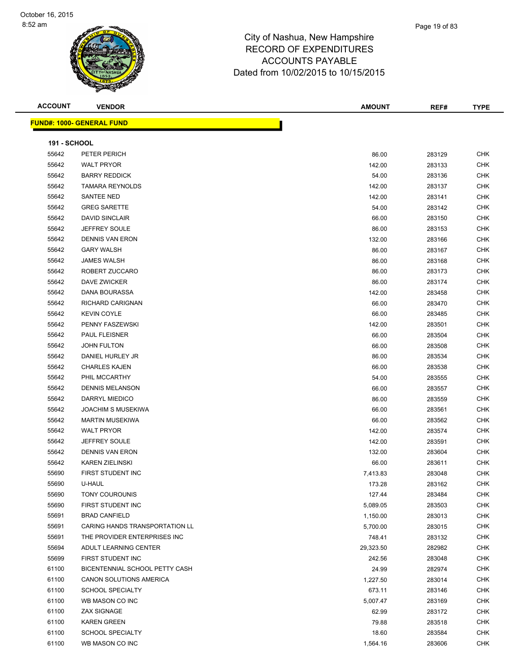#### Page 19 of 83

### City of Nashua, New Hampshire RECORD OF EXPENDITURES ACCOUNTS PAYABLE Dated from 10/02/2015 to 10/15/2015

**ACCOUNT VENDOR AMOUNT REF# TYPE**

**FUND#: 1000- GENERAL FUND**

|                | D#: 1000- GENERAL FUND         |                   |                  |            |  |  |
|----------------|--------------------------------|-------------------|------------------|------------|--|--|
|                | <b>191 - SCHOOL</b>            |                   |                  |            |  |  |
| 55642          | PETER PERICH                   | 86.00             | 283129           | <b>CHK</b> |  |  |
| 55642          | <b>WALT PRYOR</b>              | 142.00            | 283133           | <b>CHK</b> |  |  |
| 55642          | <b>BARRY REDDICK</b>           | 54.00             | 283136           | <b>CHK</b> |  |  |
| 55642          | <b>TAMARA REYNOLDS</b>         | 142.00            | 283137           | <b>CHK</b> |  |  |
| 55642          | SANTEE NED                     | 142.00            | 283141           | <b>CHK</b> |  |  |
| 55642          | <b>GREG SARETTE</b>            | 54.00             | 283142           | <b>CHK</b> |  |  |
| 55642          | <b>DAVID SINCLAIR</b>          | 66.00             | 283150           | <b>CHK</b> |  |  |
| 55642          | <b>JEFFREY SOULE</b>           | 86.00             | 283153           | CHK        |  |  |
| 55642          | <b>DENNIS VAN ERON</b>         | 132.00            | 283166           | <b>CHK</b> |  |  |
| 55642          | <b>GARY WALSH</b>              | 86.00             | 283167           | <b>CHK</b> |  |  |
| 55642          | <b>JAMES WALSH</b>             | 86.00             | 283168           | <b>CHK</b> |  |  |
| 55642          | ROBERT ZUCCARO                 | 86.00             | 283173           | <b>CHK</b> |  |  |
| 55642          | DAVE ZWICKER                   | 86.00             | 283174           | CHK        |  |  |
| 55642          | DANA BOURASSA                  | 142.00            | 283458           | <b>CHK</b> |  |  |
| 55642          | RICHARD CARIGNAN               | 66.00             | 283470           | <b>CHK</b> |  |  |
| 55642          | <b>KEVIN COYLE</b>             | 66.00             | 283485           | CHK        |  |  |
| 55642          | PENNY FASZEWSKI                | 142.00            | 283501           | CHK        |  |  |
| 55642          | <b>PAUL FLEISNER</b>           | 66.00             | 283504           | CHK        |  |  |
| 55642          | <b>JOHN FULTON</b>             | 66.00             | 283508           | CHK        |  |  |
| 55642          | DANIEL HURLEY JR               | 86.00             | 283534           | <b>CHK</b> |  |  |
| 55642          | <b>CHARLES KAJEN</b>           | 66.00             | 283538           | <b>CHK</b> |  |  |
| 55642          | PHIL MCCARTHY                  | 54.00             | 283555           | <b>CHK</b> |  |  |
| 55642          | <b>DENNIS MELANSON</b>         | 66.00             | 283557           | <b>CHK</b> |  |  |
| 55642          | DARRYL MIEDICO                 | 86.00             | 283559           | <b>CHK</b> |  |  |
| 55642          | <b>JOACHIM S MUSEKIWA</b>      | 66.00             | 283561           | <b>CHK</b> |  |  |
| 55642          | <b>MARTIN MUSEKIWA</b>         | 66.00             | 283562           | <b>CHK</b> |  |  |
| 55642          | <b>WALT PRYOR</b>              | 142.00            | 283574           | CHK        |  |  |
| 55642          | <b>JEFFREY SOULE</b>           | 142.00            | 283591           | <b>CHK</b> |  |  |
| 55642          | DENNIS VAN ERON                | 132.00            | 283604           | CHK        |  |  |
| 55642          | <b>KAREN ZIELINSKI</b>         | 66.00             | 283611           | CHK        |  |  |
| 55690          | FIRST STUDENT INC              | 7,413.83          | 283048           | <b>CHK</b> |  |  |
| 55690          | U-HAUL                         | 173.28            | 283162           | <b>CHK</b> |  |  |
| 55690          | TONY COUROUNIS                 | 127.44            | 283484           | <b>CHK</b> |  |  |
| 55690          | FIRST STUDENT INC              | 5,089.05          | 283503           | <b>CHK</b> |  |  |
| 55691          | <b>BRAD CANFIELD</b>           | 1,150.00          | 283013           | <b>CHK</b> |  |  |
| 55691          | CARING HANDS TRANSPORTATION LL | 5,700.00          | 283015           | <b>CHK</b> |  |  |
| 55691          | THE PROVIDER ENTERPRISES INC.  | 748.41            | 283132           | <b>CHK</b> |  |  |
| 55694          | ADULT LEARNING CENTER          | 29,323.50         | 282982           | <b>CHK</b> |  |  |
| 55699          | FIRST STUDENT INC              | 242.56            | 283048           | <b>CHK</b> |  |  |
|                | BICENTENNIAL SCHOOL PETTY CASH |                   |                  | <b>CHK</b> |  |  |
| 61100<br>61100 | CANON SOLUTIONS AMERICA        | 24.99<br>1,227.50 | 282974<br>283014 | CHK        |  |  |
| 61100          | <b>SCHOOL SPECIALTY</b>        | 673.11            | 283146           | <b>CHK</b> |  |  |
| 61100          | WB MASON CO INC                | 5,007.47          |                  | <b>CHK</b> |  |  |
| 61100          | ZAX SIGNAGE                    | 62.99             | 283169<br>283172 | <b>CHK</b> |  |  |
| 61100          | <b>KAREN GREEN</b>             |                   |                  | <b>CHK</b> |  |  |
|                |                                | 79.88             | 283518           |            |  |  |

 SCHOOL SPECIALTY 18.60 283584 CHK 61100 WB MASON CO INC 61100 CHK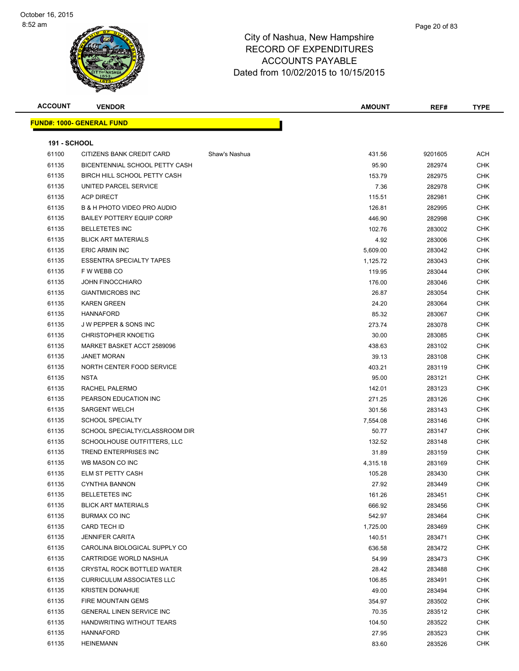| <b>ACCOUNT</b>      | <b>VENDOR</b>                    |               | <b>AMOUNT</b> | REF#    | <b>TYPE</b> |
|---------------------|----------------------------------|---------------|---------------|---------|-------------|
|                     | <b>FUND#: 1000- GENERAL FUND</b> |               |               |         |             |
|                     |                                  |               |               |         |             |
| <b>191 - SCHOOL</b> |                                  |               |               |         |             |
| 61100               | CITIZENS BANK CREDIT CARD        | Shaw's Nashua | 431.56        | 9201605 | ACH         |
| 61135               | BICENTENNIAL SCHOOL PETTY CASH   |               | 95.90         | 282974  | <b>CHK</b>  |
| 61135               | BIRCH HILL SCHOOL PETTY CASH     |               | 153.79        | 282975  | CHK         |
| 61135               | UNITED PARCEL SERVICE            |               | 7.36          | 282978  | <b>CHK</b>  |
| 61135               | <b>ACP DIRECT</b>                |               | 115.51        | 282981  | <b>CHK</b>  |
| 61135               | B & H PHOTO VIDEO PRO AUDIO      |               | 126.81        | 282995  | CHK         |
| 61135               | <b>BAILEY POTTERY EQUIP CORP</b> |               | 446.90        | 282998  | CHK         |
| 61135               | <b>BELLETETES INC</b>            |               | 102.76        | 283002  | CHK         |
| 61135               | <b>BLICK ART MATERIALS</b>       |               | 4.92          | 283006  | CHK         |
| 61135               | <b>ERIC ARMIN INC</b>            |               | 5,609.00      | 283042  | <b>CHK</b>  |
| 61135               | <b>ESSENTRA SPECIALTY TAPES</b>  |               | 1,125.72      | 283043  | CHK         |
| 61135               | F W WEBB CO                      |               | 119.95        | 283044  | <b>CHK</b>  |
| 61135               | <b>JOHN FINOCCHIARO</b>          |               | 176.00        | 283046  | CHK         |
| 61135               | <b>GIANTMICROBS INC</b>          |               | 26.87         | 283054  | CHK         |
| 61135               | <b>KAREN GREEN</b>               |               | 24.20         | 283064  | <b>CHK</b>  |
| 61135               | <b>HANNAFORD</b>                 |               | 85.32         | 283067  | CHK         |
| 61135               | <b>JW PEPPER &amp; SONS INC</b>  |               | 273.74        | 283078  | CHK         |
| 61135               | <b>CHRISTOPHER KNOETIG</b>       |               | 30.00         | 283085  | CHK         |
| 61135               | MARKET BASKET ACCT 2589096       |               | 438.63        | 283102  | <b>CHK</b>  |
| 61135               | <b>JANET MORAN</b>               |               | 39.13         | 283108  | <b>CHK</b>  |
| 61135               | NORTH CENTER FOOD SERVICE        |               | 403.21        | 283119  | <b>CHK</b>  |
| 61135               | <b>NSTA</b>                      |               | 95.00         | 283121  | <b>CHK</b>  |
| 61135               | RACHEL PALERMO                   |               | 142.01        | 283123  | <b>CHK</b>  |
| 61135               | PEARSON EDUCATION INC            |               | 271.25        | 283126  | CHK         |
| 61135               | <b>SARGENT WELCH</b>             |               | 301.56        | 283143  | <b>CHK</b>  |
| 61135               | <b>SCHOOL SPECIALTY</b>          |               | 7,554.08      | 283146  | <b>CHK</b>  |
| 61135               | SCHOOL SPECIALTY/CLASSROOM DIR   |               | 50.77         | 283147  | CHK         |
| 61135               | SCHOOLHOUSE OUTFITTERS, LLC      |               | 132.52        | 283148  | CHK         |
| 61135               | TREND ENTERPRISES INC            |               | 31.89         | 283159  | <b>CHK</b>  |
| 61135               | WB MASON CO INC                  |               | 4,315.18      | 283169  | <b>CHK</b>  |
| 61135               | <b>ELM ST PETTY CASH</b>         |               | 105.28        | 283430  | CHK         |
| 61135               | <b>CYNTHIA BANNON</b>            |               | 27.92         | 283449  | CHK.        |
| 61135               | <b>BELLETETES INC</b>            |               | 161.26        | 283451  | CHK         |
| 61135               | <b>BLICK ART MATERIALS</b>       |               | 666.92        | 283456  | <b>CHK</b>  |
| 61135               | BURMAX CO INC                    |               | 542.97        | 283464  | CHK         |
| 61135               | CARD TECH ID                     |               | 1,725.00      | 283469  | <b>CHK</b>  |
| 61135               | <b>JENNIFER CARITA</b>           |               | 140.51        | 283471  | <b>CHK</b>  |
| 61135               | CAROLINA BIOLOGICAL SUPPLY CO    |               | 636.58        | 283472  | <b>CHK</b>  |
| 61135               | CARTRIDGE WORLD NASHUA           |               | 54.99         | 283473  | <b>CHK</b>  |
| 61135               | CRYSTAL ROCK BOTTLED WATER       |               | 28.42         | 283488  | <b>CHK</b>  |
| 61135               | <b>CURRICULUM ASSOCIATES LLC</b> |               | 106.85        | 283491  | <b>CHK</b>  |
| 61135               | <b>KRISTEN DONAHUE</b>           |               | 49.00         | 283494  | <b>CHK</b>  |
| 61135               | FIRE MOUNTAIN GEMS               |               | 354.97        | 283502  | CHK         |
| 61135               | <b>GENERAL LINEN SERVICE INC</b> |               | 70.35         | 283512  | CHK         |
| 61135               | HANDWRITING WITHOUT TEARS        |               | 104.50        | 283522  | <b>CHK</b>  |
| 61135               | <b>HANNAFORD</b>                 |               | 27.95         | 283523  | CHK         |
| 61135               | <b>HEINEMANN</b>                 |               | 83.60         | 283526  | <b>CHK</b>  |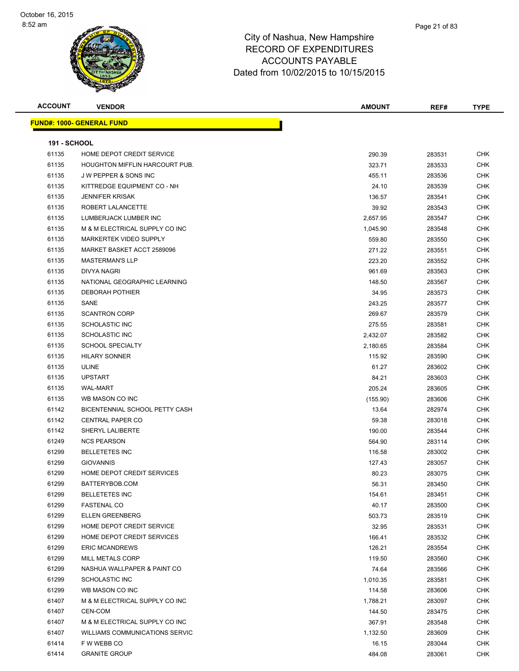| <b>ACCOUNT</b>      | <b>VENDOR</b>                    | <b>AMOUNT</b> | REF#   | <b>TYPE</b> |
|---------------------|----------------------------------|---------------|--------|-------------|
|                     | <b>FUND#: 1000- GENERAL FUND</b> |               |        |             |
|                     |                                  |               |        |             |
| <b>191 - SCHOOL</b> |                                  |               |        |             |
| 61135               | HOME DEPOT CREDIT SERVICE        | 290.39        | 283531 | CHK         |
| 61135               | HOUGHTON MIFFLIN HARCOURT PUB.   | 323.71        | 283533 | CHK         |
| 61135               | <b>JW PEPPER &amp; SONS INC</b>  | 455.11        | 283536 | CHK         |
| 61135               | KITTREDGE EQUIPMENT CO - NH      | 24.10         | 283539 | CHK         |
| 61135               | <b>JENNIFER KRISAK</b>           | 136.57        | 283541 | CHK         |
| 61135               | ROBERT LALANCETTE                | 39.92         | 283543 | CHK         |
| 61135               | LUMBERJACK LUMBER INC            | 2,657.95      | 283547 | CHK         |
| 61135               | M & M ELECTRICAL SUPPLY CO INC   | 1,045.90      | 283548 | CHK         |
| 61135               | MARKERTEK VIDEO SUPPLY           | 559.80        | 283550 | CHK         |
| 61135               | MARKET BASKET ACCT 2589096       | 271.22        | 283551 | CHK         |
| 61135               | <b>MASTERMAN'S LLP</b>           | 223.20        | 283552 | CHK         |
| 61135               | <b>DIVYA NAGRI</b>               | 961.69        | 283563 | CHK         |
| 61135               | NATIONAL GEOGRAPHIC LEARNING     | 148.50        | 283567 | CHK         |
| 61135               | <b>DEBORAH POTHIER</b>           | 34.95         | 283573 | CHK         |
| 61135               | SANE                             | 243.25        | 283577 | CHK         |
| 61135               | <b>SCANTRON CORP</b>             | 269.67        | 283579 | CHK         |
| 61135               | <b>SCHOLASTIC INC</b>            | 275.55        | 283581 | CHK         |
| 61135               | <b>SCHOLASTIC INC</b>            | 2,432.07      | 283582 | CHK         |
| 61135               | <b>SCHOOL SPECIALTY</b>          | 2,180.65      | 283584 | CHK         |
| 61135               | <b>HILARY SONNER</b>             | 115.92        | 283590 | CHK         |
| 61135               | <b>ULINE</b>                     | 61.27         | 283602 | CHK         |
| 61135               | <b>UPSTART</b>                   | 84.21         | 283603 | CHK         |
| 61135               | <b>WAL-MART</b>                  | 205.24        | 283605 | <b>CHK</b>  |
| 61135               | WB MASON CO INC                  | (155.90)      | 283606 | CHK         |
| 61142               | BICENTENNIAL SCHOOL PETTY CASH   | 13.64         | 282974 | CHK         |
| 61142               | <b>CENTRAL PAPER CO</b>          | 59.38         | 283018 | CHK         |
| 61142               | SHERYL LALIBERTE                 | 190.00        | 283544 | <b>CHK</b>  |
| 61249               | <b>NCS PEARSON</b>               | 564.90        | 283114 | <b>CHK</b>  |
| 61299               | <b>BELLETETES INC</b>            | 116.58        | 283002 | CHK         |
| 61299               | <b>GIOVANNIS</b>                 | 127.43        | 283057 | CHK         |
| 61299               | HOME DEPOT CREDIT SERVICES       | 80.23         | 283075 | CHK         |
| 61299               | BATTERYBOB.COM                   | 56.31         | 283450 | <b>CHK</b>  |
| 61299               | <b>BELLETETES INC</b>            | 154.61        | 283451 | <b>CHK</b>  |
| 61299               | <b>FASTENAL CO</b>               | 40.17         | 283500 | CHK         |
| 61299               | <b>ELLEN GREENBERG</b>           | 503.73        | 283519 | CHK         |
| 61299               | HOME DEPOT CREDIT SERVICE        | 32.95         | 283531 | CHK         |
| 61299               | HOME DEPOT CREDIT SERVICES       | 166.41        | 283532 | CHK         |
| 61299               | <b>ERIC MCANDREWS</b>            | 126.21        | 283554 | CHK         |
| 61299               | MILL METALS CORP                 | 119.50        | 283560 | CHK         |
| 61299               | NASHUA WALLPAPER & PAINT CO      | 74.64         | 283566 | <b>CHK</b>  |
| 61299               | SCHOLASTIC INC                   | 1,010.35      | 283581 | <b>CHK</b>  |
| 61299               | WB MASON CO INC                  | 114.58        | 283606 | CHK         |
| 61407               | M & M ELECTRICAL SUPPLY CO INC   | 1,788.21      | 283097 | CHK         |
| 61407               | CEN-COM                          | 144.50        | 283475 | CHK         |
| 61407               | M & M ELECTRICAL SUPPLY CO INC   | 367.91        | 283548 | CHK         |
| 61407               | WILLIAMS COMMUNICATIONS SERVIC   | 1,132.50      | 283609 | CHK         |
| 61414               | F W WEBB CO                      | 16.15         | 283044 | CHK         |
| 61414               | <b>GRANITE GROUP</b>             | 484.08        | 283061 | CHK         |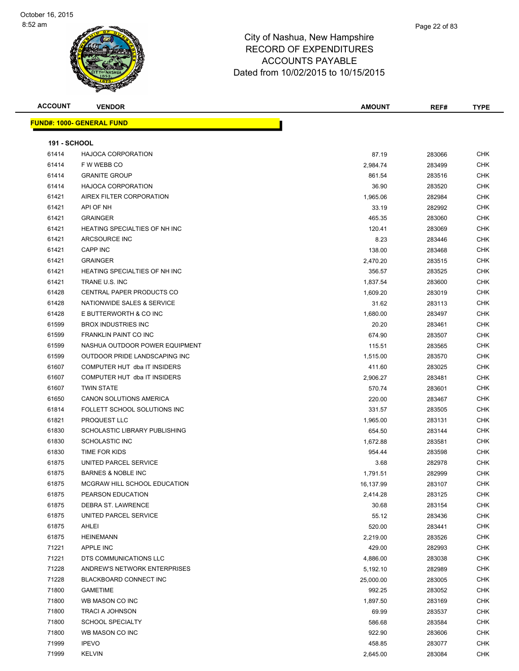#### Page 22 of 83

| <b>ACCOUNT</b>      | <b>VENDOR</b>                        | AMOUNT    | REF#   | <b>TYPE</b> |  |  |
|---------------------|--------------------------------------|-----------|--------|-------------|--|--|
|                     | <b>FUND#: 1000- GENERAL FUND</b>     |           |        |             |  |  |
|                     |                                      |           |        |             |  |  |
| <b>191 - SCHOOL</b> |                                      |           |        |             |  |  |
| 61414               | <b>HAJOCA CORPORATION</b>            | 87.19     | 283066 | <b>CHK</b>  |  |  |
| 61414               | F W WEBB CO                          | 2,984.74  | 283499 | <b>CHK</b>  |  |  |
| 61414               | <b>GRANITE GROUP</b>                 | 861.54    | 283516 | <b>CHK</b>  |  |  |
| 61414               | <b>HAJOCA CORPORATION</b>            | 36.90     | 283520 | CHK         |  |  |
| 61421               | AIREX FILTER CORPORATION             | 1,965.06  | 282984 | CHK         |  |  |
| 61421               | API OF NH                            | 33.19     | 282992 | CHK         |  |  |
| 61421               | <b>GRAINGER</b>                      | 465.35    | 283060 | CHK         |  |  |
| 61421               | HEATING SPECIALTIES OF NH INC        | 120.41    | 283069 | <b>CHK</b>  |  |  |
| 61421               | ARCSOURCE INC                        | 8.23      | 283446 | CHK         |  |  |
| 61421               | <b>CAPP INC</b>                      | 138.00    | 283468 | CHK         |  |  |
| 61421               | <b>GRAINGER</b>                      | 2,470.20  | 283515 | CHK         |  |  |
| 61421               | <b>HEATING SPECIALTIES OF NH INC</b> | 356.57    | 283525 | CHK         |  |  |
| 61421               | TRANE U.S. INC                       | 1,837.54  | 283600 | CHK         |  |  |
| 61428               | CENTRAL PAPER PRODUCTS CO            | 1,609.20  | 283019 | CHK         |  |  |
| 61428               | NATIONWIDE SALES & SERVICE           | 31.62     | 283113 | CHK         |  |  |
| 61428               | E BUTTERWORTH & CO INC               | 1,680.00  | 283497 | CHK         |  |  |
| 61599               | <b>BROX INDUSTRIES INC</b>           | 20.20     | 283461 | CHK         |  |  |
| 61599               | FRANKLIN PAINT CO INC                | 674.90    | 283507 | <b>CHK</b>  |  |  |
| 61599               | NASHUA OUTDOOR POWER EQUIPMENT       | 115.51    | 283565 | CHK         |  |  |
| 61599               | OUTDOOR PRIDE LANDSCAPING INC        | 1,515.00  | 283570 | CHK         |  |  |
| 61607               | COMPUTER HUT dba IT INSIDERS         | 411.60    | 283025 | CHK         |  |  |
| 61607               | COMPUTER HUT dba IT INSIDERS         | 2,906.27  | 283481 | <b>CHK</b>  |  |  |
| 61607               | <b>TWIN STATE</b>                    | 570.74    | 283601 | CHK         |  |  |
| 61650               | CANON SOLUTIONS AMERICA              | 220.00    | 283467 | <b>CHK</b>  |  |  |
| 61814               | FOLLETT SCHOOL SOLUTIONS INC         | 331.57    | 283505 | <b>CHK</b>  |  |  |
| 61821               | PROQUEST LLC                         | 1,965.00  | 283131 | CHK         |  |  |
| 61830               | <b>SCHOLASTIC LIBRARY PUBLISHING</b> | 654.50    | 283144 | CHK         |  |  |
| 61830               | <b>SCHOLASTIC INC</b>                | 1,672.88  | 283581 | CHK         |  |  |
| 61830               | TIME FOR KIDS                        | 954.44    | 283598 | <b>CHK</b>  |  |  |
| 61875               | UNITED PARCEL SERVICE                | 3.68      | 282978 | CHK         |  |  |
| 61875               | <b>BARNES &amp; NOBLE INC</b>        | 1,791.51  | 282999 | CHK         |  |  |
| 61875               | MCGRAW HILL SCHOOL EDUCATION         | 16,137.99 | 283107 | <b>CHK</b>  |  |  |
| 61875               | PEARSON EDUCATION                    | 2,414.28  | 283125 | <b>CHK</b>  |  |  |
| 61875               | DEBRA ST. LAWRENCE                   | 30.68     | 283154 | <b>CHK</b>  |  |  |
| 61875               | UNITED PARCEL SERVICE                | 55.12     | 283436 | <b>CHK</b>  |  |  |
| 61875               | AHLEI                                | 520.00    | 283441 | <b>CHK</b>  |  |  |
| 61875               | <b>HEINEMANN</b>                     | 2,219.00  | 283526 | <b>CHK</b>  |  |  |
| 71221               | APPLE INC                            | 429.00    | 282993 | <b>CHK</b>  |  |  |
| 71221               | DTS COMMUNICATIONS LLC               | 4,886.00  | 283038 | <b>CHK</b>  |  |  |
| 71228               | ANDREW'S NETWORK ENTERPRISES         | 5,192.10  | 282989 | <b>CHK</b>  |  |  |
| 71228               | BLACKBOARD CONNECT INC               | 25,000.00 | 283005 | <b>CHK</b>  |  |  |
| 71800               | <b>GAMETIME</b>                      | 992.25    | 283052 | CHK         |  |  |
| 71800               | WB MASON CO INC                      | 1,897.50  | 283169 | CHK         |  |  |
| 71800               | <b>TRACI A JOHNSON</b>               | 69.99     | 283537 | <b>CHK</b>  |  |  |
| 71800               | <b>SCHOOL SPECIALTY</b>              | 586.68    | 283584 | CHK         |  |  |
| 71800               | WB MASON CO INC                      | 922.90    | 283606 | CHK         |  |  |
| 71999               | <b>IPEVO</b>                         | 458.85    | 283077 | CHK         |  |  |
| 71999               | KELVIN                               | 2,645.00  | 283084 | CHK         |  |  |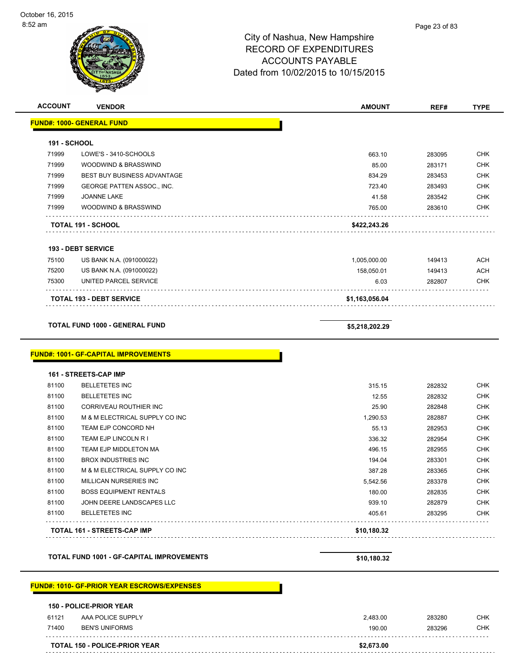| <b>ACCOUNT</b>      | <b>VENDOR</b>                                      | <b>AMOUNT</b>    | REF#             | <b>TYPE</b>                                                                                                                                                                        |
|---------------------|----------------------------------------------------|------------------|------------------|------------------------------------------------------------------------------------------------------------------------------------------------------------------------------------|
|                     | <b>FUND#: 1000- GENERAL FUND</b>                   |                  |                  |                                                                                                                                                                                    |
| <b>191 - SCHOOL</b> |                                                    |                  |                  |                                                                                                                                                                                    |
| 71999               | LOWE'S - 3410-SCHOOLS                              | 663.10           | 283095           | <b>CHK</b>                                                                                                                                                                         |
| 71999               | WOODWIND & BRASSWIND                               | 85.00            | 283171           | <b>CHK</b>                                                                                                                                                                         |
| 71999               | <b>BEST BUY BUSINESS ADVANTAGE</b>                 | 834.29           | 283453           | <b>CHK</b>                                                                                                                                                                         |
| 71999               | GEORGE PATTEN ASSOC., INC.                         | 723.40           | 283493           | <b>CHK</b>                                                                                                                                                                         |
| 71999               | JOANNE LAKE                                        | 41.58            | 283542           | <b>CHK</b>                                                                                                                                                                         |
| 71999               | WOODWIND & BRASSWIND                               | 765.00           | 283610           | <b>CHK</b>                                                                                                                                                                         |
|                     | TOTAL 191 - SCHOOL                                 | \$422,243.26     |                  |                                                                                                                                                                                    |
|                     | <b>193 - DEBT SERVICE</b>                          |                  |                  |                                                                                                                                                                                    |
| 75100               | US BANK N.A. (091000022)                           | 1,005,000.00     | 149413           | <b>ACH</b>                                                                                                                                                                         |
| 75200               | US BANK N.A. (091000022)                           | 158,050.01       | 149413           | <b>ACH</b>                                                                                                                                                                         |
| 75300               | UNITED PARCEL SERVICE                              | 6.03             | 282807           | <b>CHK</b>                                                                                                                                                                         |
|                     | <b>TOTAL 193 - DEBT SERVICE</b>                    | \$1,163,056.04   |                  |                                                                                                                                                                                    |
|                     |                                                    |                  |                  |                                                                                                                                                                                    |
|                     | TOTAL FUND 1000 - GENERAL FUND                     | \$5,218,202.29   |                  |                                                                                                                                                                                    |
|                     | <b>FUND#: 1001- GF-CAPITAL IMPROVEMENTS</b>        |                  |                  |                                                                                                                                                                                    |
|                     | 161 - STREETS-CAP IMP                              |                  |                  |                                                                                                                                                                                    |
| 81100               | <b>BELLETETES INC</b>                              | 315.15           | 282832           |                                                                                                                                                                                    |
| 81100               | <b>BELLETETES INC</b>                              | 12.55            | 282832           |                                                                                                                                                                                    |
| 81100               | CORRIVEAU ROUTHIER INC                             | 25.90            | 282848           |                                                                                                                                                                                    |
| 81100               | M & M ELECTRICAL SUPPLY CO INC                     | 1,290.53         | 282887           |                                                                                                                                                                                    |
| 81100               | TEAM EJP CONCORD NH                                | 55.13            | 282953           |                                                                                                                                                                                    |
| 81100               | TEAM EJP LINCOLN R I                               | 336.32           | 282954           |                                                                                                                                                                                    |
| 81100               | TEAM EJP MIDDLETON MA                              | 496.15           | 282955           |                                                                                                                                                                                    |
| 81100               | <b>BROX INDUSTRIES INC</b>                         | 194.04           | 283301           |                                                                                                                                                                                    |
| 81100               | M & M ELECTRICAL SUPPLY CO INC                     | 387.28           | 283365           |                                                                                                                                                                                    |
| 81100               | MILLICAN NURSERIES INC                             | 5,542.56         | 283378           |                                                                                                                                                                                    |
| 81100               | <b>BOSS EQUIPMENT RENTALS</b>                      | 180.00           | 282835           |                                                                                                                                                                                    |
| 81100<br>81100      | JOHN DEERE LANDSCAPES LLC<br><b>BELLETETES INC</b> | 939.10<br>405.61 | 282879<br>283295 |                                                                                                                                                                                    |
|                     | TOTAL 161 - STREETS-CAP IMP                        | \$10,180.32      |                  | <b>CHK</b><br><b>CHK</b><br><b>CHK</b><br><b>CHK</b><br><b>CHK</b><br><b>CHK</b><br><b>CHK</b><br><b>CHK</b><br><b>CHK</b><br><b>CHK</b><br><b>CHK</b><br><b>CHK</b><br><b>CHK</b> |
|                     | <b>TOTAL FUND 1001 - GF-CAPITAL IMPROVEMENTS</b>   | \$10,180.32      |                  |                                                                                                                                                                                    |

### **FUND#: 1010- GF-PRIOR YEAR ESCROWS/EXPENSES**

#### **150 - POLICE-PRIOR YEAR**

|       | <b>TOTAL 150 - POLICE-PRIOR YEAR</b> | \$2,673.00 |        |            |
|-------|--------------------------------------|------------|--------|------------|
| 71400 | <b>BEN'S UNIFORMS</b>                | 190.00     | 283296 | <b>CHK</b> |
| 61121 | AAA POLICE SUPPLY                    | 2.483.00   | 283280 | CHK        |
| .     | .                                    |            |        |            |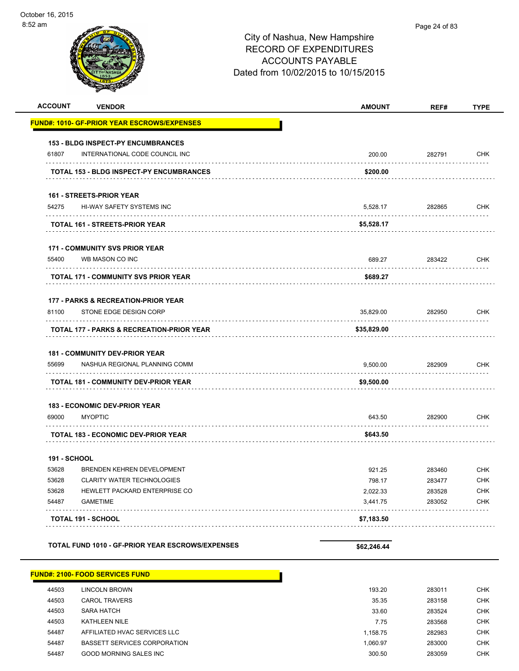| <b>ACCOUNT</b>      | <b>VENDOR</b>                                                               | <b>AMOUNT</b> | REF#        | <b>TYPE</b>           |
|---------------------|-----------------------------------------------------------------------------|---------------|-------------|-----------------------|
|                     | <b>FUND#: 1010- GF-PRIOR YEAR ESCROWS/EXPENSES</b>                          |               |             |                       |
|                     |                                                                             |               |             |                       |
| 61807               | <b>153 - BLDG INSPECT-PY ENCUMBRANCES</b><br>INTERNATIONAL CODE COUNCIL INC | 200.00        | 282791      | <b>CHK</b>            |
|                     |                                                                             |               |             |                       |
|                     | <b>TOTAL 153 - BLDG INSPECT-PY ENCUMBRANCES</b>                             | \$200.00      |             |                       |
|                     | <b>161 - STREETS-PRIOR YEAR</b>                                             |               |             |                       |
| 54275               | HI-WAY SAFETY SYSTEMS INC                                                   | 5,528.17      | 282865<br>. | <b>CHK</b><br>1.1.1.1 |
|                     | TOTAL 161 - STREETS-PRIOR YEAR                                              | \$5,528.17    |             |                       |
|                     | <b>171 - COMMUNITY SVS PRIOR YEAR</b>                                       |               |             |                       |
| 55400               | WB MASON CO INC                                                             | 689.27        | 283422      | <b>CHK</b>            |
|                     | .<br>TOTAL 171 - COMMUNITY SVS PRIOR YEAR                                   | \$689.27      |             |                       |
|                     | 177 - PARKS & RECREATION-PRIOR YEAR                                         |               |             |                       |
| 81100               | STONE EDGE DESIGN CORP                                                      | 35,829.00     | 282950      | <b>CHK</b>            |
|                     | TOTAL 177 - PARKS & RECREATION-PRIOR YEAR                                   | \$35,829.00   |             |                       |
|                     |                                                                             |               |             |                       |
|                     | <b>181 - COMMUNITY DEV-PRIOR YEAR</b>                                       |               |             |                       |
| 55699               | NASHUA REGIONAL PLANNING COMM                                               | 9,500.00      | 282909      | <b>CHK</b>            |
|                     | <b>TOTAL 181 - COMMUNITY DEV-PRIOR YEAR</b>                                 | \$9,500.00    |             |                       |
|                     | <b>183 - ECONOMIC DEV-PRIOR YEAR</b>                                        |               |             |                       |
| 69000               | <b>MYOPTIC</b>                                                              | 643.50        | 282900      | <b>CHK</b>            |
|                     | <b>TOTAL 183 - ECONOMIC DEV-PRIOR YEAR</b>                                  | \$643.50      |             |                       |
| <b>191 - SCHOOL</b> |                                                                             |               |             |                       |
| 53628               | BRENDEN KEHREN DEVELOPMENT                                                  | 921.25        | 283460      | <b>CHK</b>            |
| 53628               | <b>CLARITY WATER TECHNOLOGIES</b>                                           | 798.17        | 283477      | <b>CHK</b>            |
| 53628               | HEWLETT PACKARD ENTERPRISE CO                                               | 2,022.33      | 283528      | CHK                   |
| 54487               | <b>GAMETIME</b>                                                             | 3,441.75      | 283052      | <b>CHK</b>            |
|                     | <b>TOTAL 191 - SCHOOL</b>                                                   | \$7,183.50    |             |                       |
|                     |                                                                             |               |             |                       |
|                     | TOTAL FUND 1010 - GF-PRIOR YEAR ESCROWS/EXPENSES                            | \$62,246.44   |             |                       |
|                     | <b>FUND#: 2100- FOOD SERVICES FUND</b>                                      |               |             |                       |
| 44503               | <b>LINCOLN BROWN</b>                                                        | 193.20        | 283011      | <b>CHK</b>            |
| 44503               | <b>CAROL TRAVERS</b>                                                        | 35.35         | 283158      | CHK                   |
| 44503               | <b>SARA HATCH</b>                                                           | 33.60         | 283524      | <b>CHK</b>            |
| 44503               | KATHLEEN NILE                                                               | 7.75          | 283568      | <b>CHK</b>            |
| 54487               | AFFILIATED HVAC SERVICES LLC                                                | 1,158.75      | 282983      | <b>CHK</b>            |

54487 BASSETT SERVICES CORPORATION **1,060.97** 283000 CHK 54487 GOOD MORNING SALES INC 283059 CHK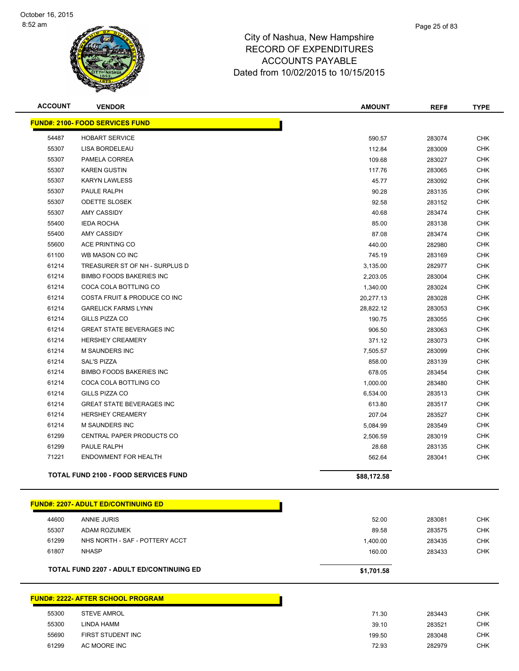

| <b>ACCOUNT</b> | <b>VENDOR</b>                               | <b>AMOUNT</b> | REF#   | <b>TYPE</b> |
|----------------|---------------------------------------------|---------------|--------|-------------|
|                | <b>FUND#: 2100- FOOD SERVICES FUND</b>      |               |        |             |
| 54487          | <b>HOBART SERVICE</b>                       | 590.57        | 283074 | <b>CHK</b>  |
| 55307          | LISA BORDELEAU                              | 112.84        | 283009 | <b>CHK</b>  |
| 55307          | PAMELA CORREA                               | 109.68        | 283027 | <b>CHK</b>  |
| 55307          | <b>KAREN GUSTIN</b>                         | 117.76        | 283065 | <b>CHK</b>  |
| 55307          | <b>KARYN LAWLESS</b>                        | 45.77         | 283092 | <b>CHK</b>  |
| 55307          | PAULE RALPH                                 | 90.28         | 283135 | <b>CHK</b>  |
| 55307          | <b>ODETTE SLOSEK</b>                        | 92.58         | 283152 | <b>CHK</b>  |
| 55307          | AMY CASSIDY                                 | 40.68         | 283474 | <b>CHK</b>  |
| 55400          | <b>IEDA ROCHA</b>                           | 85.00         | 283138 | <b>CHK</b>  |
| 55400          | <b>AMY CASSIDY</b>                          | 87.08         | 283474 | <b>CHK</b>  |
| 55600          | ACE PRINTING CO                             | 440.00        | 282980 | <b>CHK</b>  |
| 61100          | WB MASON CO INC                             | 745.19        | 283169 | <b>CHK</b>  |
| 61214          | TREASURER ST OF NH - SURPLUS D              | 3,135.00      | 282977 | <b>CHK</b>  |
| 61214          | <b>BIMBO FOODS BAKERIES INC</b>             | 2,203.05      | 283004 | <b>CHK</b>  |
| 61214          | COCA COLA BOTTLING CO                       | 1,340.00      | 283024 | <b>CHK</b>  |
| 61214          | COSTA FRUIT & PRODUCE CO INC                | 20,277.13     | 283028 | <b>CHK</b>  |
| 61214          | <b>GARELICK FARMS LYNN</b>                  | 28,822.12     | 283053 | <b>CHK</b>  |
| 61214          | GILLS PIZZA CO                              | 190.75        | 283055 | <b>CHK</b>  |
| 61214          | <b>GREAT STATE BEVERAGES INC</b>            | 906.50        | 283063 | <b>CHK</b>  |
| 61214          | <b>HERSHEY CREAMERY</b>                     | 371.12        | 283073 | <b>CHK</b>  |
| 61214          | <b>M SAUNDERS INC</b>                       | 7,505.57      | 283099 | <b>CHK</b>  |
| 61214          | <b>SAL'S PIZZA</b>                          | 858.00        | 283139 | <b>CHK</b>  |
| 61214          | <b>BIMBO FOODS BAKERIES INC</b>             | 678.05        | 283454 | <b>CHK</b>  |
| 61214          | COCA COLA BOTTLING CO                       | 1,000.00      | 283480 | <b>CHK</b>  |
| 61214          | <b>GILLS PIZZA CO</b>                       | 6,534.00      | 283513 | <b>CHK</b>  |
| 61214          | <b>GREAT STATE BEVERAGES INC</b>            | 613.80        | 283517 | <b>CHK</b>  |
| 61214          | <b>HERSHEY CREAMERY</b>                     | 207.04        | 283527 | <b>CHK</b>  |
| 61214          | <b>M SAUNDERS INC</b>                       | 5,084.99      | 283549 | <b>CHK</b>  |
| 61299          | CENTRAL PAPER PRODUCTS CO                   | 2,506.59      | 283019 | <b>CHK</b>  |
| 61299          | PAULE RALPH                                 | 28.68         | 283135 | <b>CHK</b>  |
| 71221          | <b>ENDOWMENT FOR HEALTH</b>                 | 562.64        | 283041 | <b>CHK</b>  |
|                | <b>TOTAL FUND 2100 - FOOD SERVICES FUND</b> | \$88,172.58   |        |             |
|                |                                             |               |        |             |

|       | <u> FUND#: 2207- ADULT ED/CONTINUING ED</u>     |            |        |
|-------|-------------------------------------------------|------------|--------|
| 44600 | ANNIE JURIS                                     | 52.00      | 283081 |
| 55307 | <b>ADAM ROZUMEK</b>                             | 89.58      | 283575 |
| 61299 | NHS NORTH - SAF - POTTERY ACCT                  | 1.400.00   | 283435 |
| 61807 | <b>NHASP</b>                                    | 160.00     | 283433 |
|       | <b>TOTAL FUND 2207 - ADULT ED/CONTINUING ED</b> | \$1,701.58 |        |

|       | <b>FUND#: 2222- AFTER SCHOOL PROGRAM</b> |        |        |            |
|-------|------------------------------------------|--------|--------|------------|
| 55300 | <b>STEVE AMROL</b>                       | 71.30  | 283443 | <b>CHK</b> |
| 55300 | LINDA HAMM                               | 39.10  | 283521 | <b>CHK</b> |
| 55690 | FIRST STUDENT INC                        | 199.50 | 283048 | <b>CHK</b> |
| 61299 | AC MOORE INC                             | 72.93  | 282979 | CHK        |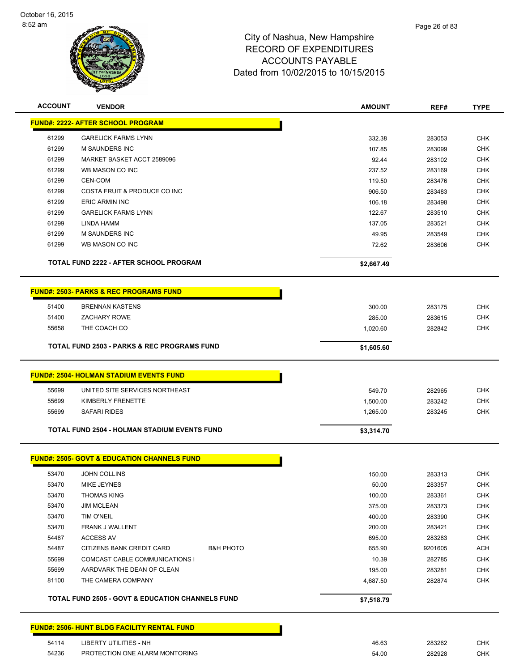

| <b>ACCOUNT</b> | <b>VENDOR</b>                                               | <b>AMOUNT</b> | REF#    | <b>TYPE</b> |
|----------------|-------------------------------------------------------------|---------------|---------|-------------|
|                | <b>FUND#: 2222- AFTER SCHOOL PROGRAM</b>                    |               |         |             |
| 61299          | <b>GARELICK FARMS LYNN</b>                                  | 332.38        | 283053  | <b>CHK</b>  |
| 61299          | <b>M SAUNDERS INC</b>                                       | 107.85        | 283099  | <b>CHK</b>  |
| 61299          | MARKET BASKET ACCT 2589096                                  | 92.44         | 283102  | <b>CHK</b>  |
| 61299          | WB MASON CO INC                                             | 237.52        | 283169  | <b>CHK</b>  |
| 61299          | CEN-COM                                                     | 119.50        | 283476  | <b>CHK</b>  |
| 61299          | COSTA FRUIT & PRODUCE CO INC                                | 906.50        | 283483  | <b>CHK</b>  |
| 61299          | <b>ERIC ARMIN INC</b>                                       | 106.18        | 283498  | <b>CHK</b>  |
| 61299          | <b>GARELICK FARMS LYNN</b>                                  | 122.67        | 283510  | <b>CHK</b>  |
| 61299          | LINDA HAMM                                                  | 137.05        | 283521  | <b>CHK</b>  |
| 61299          | M SAUNDERS INC                                              | 49.95         | 283549  | <b>CHK</b>  |
| 61299          | WB MASON CO INC                                             | 72.62         | 283606  | <b>CHK</b>  |
|                | <b>TOTAL FUND 2222 - AFTER SCHOOL PROGRAM</b>               | \$2,667.49    |         |             |
|                | <b>FUND#: 2503- PARKS &amp; REC PROGRAMS FUND</b>           |               |         |             |
| 51400          | <b>BRENNAN KASTENS</b>                                      | 300.00        | 283175  | <b>CHK</b>  |
| 51400          | <b>ZACHARY ROWE</b>                                         | 285.00        | 283615  | <b>CHK</b>  |
| 55658          | THE COACH CO                                                | 1,020.60      | 282842  | <b>CHK</b>  |
|                | <b>TOTAL FUND 2503 - PARKS &amp; REC PROGRAMS FUND</b>      | \$1,605.60    |         |             |
|                | <b>FUND#: 2504- HOLMAN STADIUM EVENTS FUND</b>              |               |         |             |
| 55699          | UNITED SITE SERVICES NORTHEAST                              | 549.70        | 282965  | <b>CHK</b>  |
| 55699          | KIMBERLY FRENETTE                                           | 1,500.00      | 283242  | <b>CHK</b>  |
| 55699          | <b>SAFARI RIDES</b>                                         | 1,265.00      | 283245  | <b>CHK</b>  |
|                | <b>TOTAL FUND 2504 - HOLMAN STADIUM EVENTS FUND</b>         | \$3,314.70    |         |             |
|                | <b>FUND#: 2505- GOVT &amp; EDUCATION CHANNELS FUND</b>      |               |         |             |
| 53470          | <b>JOHN COLLINS</b>                                         | 150.00        | 283313  | <b>CHK</b>  |
| 53470          | MIKE JEYNES                                                 | 50.00         | 283357  | <b>CHK</b>  |
| 53470          | <b>THOMAS KING</b>                                          | 100.00        | 283361  | <b>CHK</b>  |
| 53470          | <b>JIM MCLEAN</b>                                           | 375.00        | 283373  | <b>CHK</b>  |
| 53470          | <b>TIM O'NEIL</b>                                           | 400.00        | 283390  | <b>CHK</b>  |
| 53470          | FRANK J WALLENT                                             | 200.00        | 283421  | <b>CHK</b>  |
| 54487          | <b>ACCESS AV</b>                                            | 695.00        | 283283  | <b>CHK</b>  |
| 54487          | CITIZENS BANK CREDIT CARD<br><b>B&amp;H PHOTO</b>           | 655.90        | 9201605 | <b>ACH</b>  |
| 55699          | <b>COMCAST CABLE COMMUNICATIONS I</b>                       | 10.39         | 282785  | <b>CHK</b>  |
| 55699          | AARDVARK THE DEAN OF CLEAN                                  | 195.00        | 283281  | <b>CHK</b>  |
| 81100          | THE CAMERA COMPANY                                          | 4,687.50      | 282874  | <b>CHK</b>  |
|                | <b>TOTAL FUND 2505 - GOVT &amp; EDUCATION CHANNELS FUND</b> | \$7,518.79    |         |             |
|                | <b>FUND#: 2506- HUNT BLDG FACILITY RENTAL FUND</b>          |               |         |             |
| 54114          | <b>LIBERTY UTILITIES - NH</b>                               | 46.63         | 283262  | <b>CHK</b>  |
| 54236          | PROTECTION ONE ALARM MONTORING                              | 54.00         | 282928  | CHK         |
|                |                                                             |               |         |             |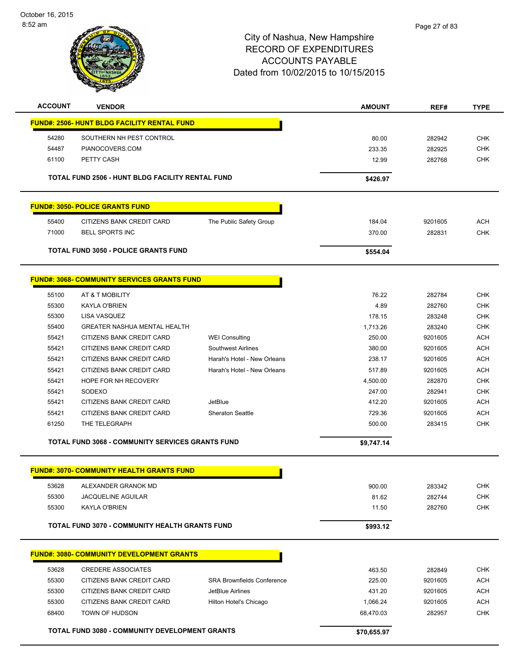

| <b>ACCOUNT</b> | <b>VENDOR</b>                                           |                                   | <b>AMOUNT</b>      | REF#              | <b>TYPE</b>              |
|----------------|---------------------------------------------------------|-----------------------------------|--------------------|-------------------|--------------------------|
|                | <b>FUND#: 2506- HUNT BLDG FACILITY RENTAL FUND</b>      |                                   |                    |                   |                          |
| 54280          | SOUTHERN NH PEST CONTROL                                |                                   | 80.00              | 282942            | <b>CHK</b>               |
| 54487          | PIANOCOVERS.COM                                         |                                   | 233.35             | 282925            | <b>CHK</b>               |
| 61100          | PETTY CASH                                              |                                   | 12.99              | 282768            | <b>CHK</b>               |
|                | <b>TOTAL FUND 2506 - HUNT BLDG FACILITY RENTAL FUND</b> |                                   | \$426.97           |                   |                          |
|                |                                                         |                                   |                    |                   |                          |
|                | <b>FUND#: 3050- POLICE GRANTS FUND</b>                  |                                   |                    |                   |                          |
| 55400          | CITIZENS BANK CREDIT CARD                               | The Public Safety Group           | 184.04             | 9201605           | <b>ACH</b>               |
| 71000          | <b>BELL SPORTS INC</b>                                  |                                   | 370.00             | 282831            | <b>CHK</b>               |
|                | <b>TOTAL FUND 3050 - POLICE GRANTS FUND</b>             |                                   | \$554.04           |                   |                          |
|                | <b>FUND#: 3068- COMMUNITY SERVICES GRANTS FUND</b>      |                                   |                    |                   |                          |
|                |                                                         |                                   |                    |                   |                          |
| 55100          | AT & T MOBILITY                                         |                                   | 76.22              | 282784            | <b>CHK</b>               |
| 55300          | <b>KAYLA O'BRIEN</b>                                    |                                   | 4.89               | 282760            | <b>CHK</b>               |
| 55300<br>55400 | LISA VASQUEZ<br><b>GREATER NASHUA MENTAL HEALTH</b>     |                                   | 178.15             | 283248            | <b>CHK</b><br><b>CHK</b> |
| 55421          | CITIZENS BANK CREDIT CARD                               | <b>WEI Consulting</b>             | 1,713.26<br>250.00 | 283240<br>9201605 | <b>ACH</b>               |
| 55421          | CITIZENS BANK CREDIT CARD                               | <b>Southwest Airlines</b>         | 380.00             | 9201605           | <b>ACH</b>               |
| 55421          | CITIZENS BANK CREDIT CARD                               | Harah's Hotel - New Orleans       | 238.17             | 9201605           | <b>ACH</b>               |
| 55421          | CITIZENS BANK CREDIT CARD                               | Harah's Hotel - New Orleans       | 517.89             | 9201605           | <b>ACH</b>               |
| 55421          | HOPE FOR NH RECOVERY                                    |                                   | 4,500.00           | 282870            | <b>CHK</b>               |
| 55421          | SODEXO                                                  |                                   | 247.00             | 282941            | <b>CHK</b>               |
| 55421          | CITIZENS BANK CREDIT CARD                               | JetBlue                           | 412.20             | 9201605           | <b>ACH</b>               |
| 55421          | CITIZENS BANK CREDIT CARD                               | <b>Sheraton Seattle</b>           | 729.36             | 9201605           | <b>ACH</b>               |
| 61250          | THE TELEGRAPH                                           |                                   | 500.00             | 283415            | <b>CHK</b>               |
|                |                                                         |                                   |                    |                   |                          |
|                | <b>TOTAL FUND 3068 - COMMUNITY SERVICES GRANTS FUND</b> |                                   | \$9,747.14         |                   |                          |
|                | <b>FUND#: 3070- COMMUNITY HEALTH GRANTS FUND</b>        |                                   |                    |                   |                          |
| 53628          | ALEXANDER GRANOK MD                                     |                                   | 900.00             | 283342            | <b>CHK</b>               |
| 55300          | <b>JACQUELINE AGUILAR</b>                               |                                   | 81.62              | 282744            | <b>CHK</b>               |
| 55300          | <b>KAYLA O'BRIEN</b>                                    |                                   | 11.50              | 282760            | <b>CHK</b>               |
|                | <b>TOTAL FUND 3070 - COMMUNITY HEALTH GRANTS FUND</b>   |                                   | \$993.12           |                   |                          |
|                |                                                         |                                   |                    |                   |                          |
|                | <b>FUND#: 3080- COMMUNITY DEVELOPMENT GRANTS</b>        |                                   |                    |                   |                          |
| 53628          | <b>CREDERE ASSOCIATES</b>                               |                                   | 463.50             | 282849            | <b>CHK</b>               |
| 55300          | CITIZENS BANK CREDIT CARD                               | <b>SRA Brownfields Conference</b> | 225.00             | 9201605           | <b>ACH</b>               |
| 55300          | CITIZENS BANK CREDIT CARD                               | JetBlue Airlines                  | 431.20             | 9201605           | <b>ACH</b>               |
| 55300          | CITIZENS BANK CREDIT CARD                               | Hilton Hotel's Chicago            | 1,066.24           | 9201605           | <b>ACH</b>               |
| 68400          | TOWN OF HUDSON                                          |                                   | 68,470.03          | 282957            | <b>CHK</b>               |
|                | <b>TOTAL FUND 3080 - COMMUNITY DEVELOPMENT GRANTS</b>   |                                   | \$70,655.97        |                   |                          |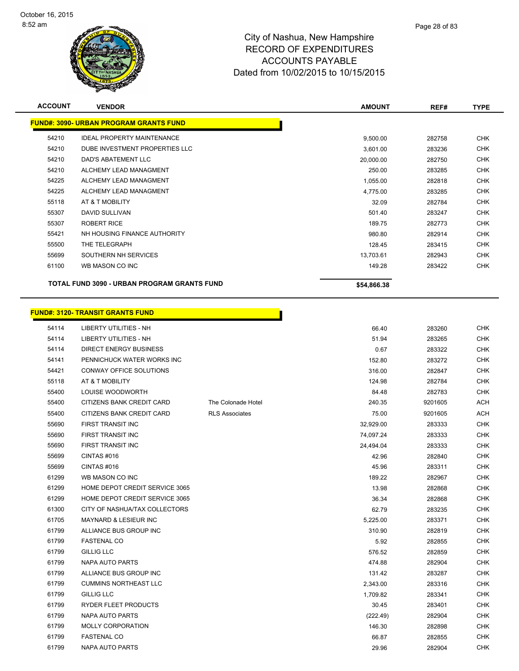

| <b>ACCOUNT</b> | <b>VENDOR</b>                                 | <b>AMOUNT</b> | REF#   | <b>TYPE</b> |
|----------------|-----------------------------------------------|---------------|--------|-------------|
|                | <b>FUND#: 3090- URBAN PROGRAM GRANTS FUND</b> |               |        |             |
| 54210          | <b>IDEAL PROPERTY MAINTENANCE</b>             | 9,500.00      | 282758 | <b>CHK</b>  |
| 54210          | DUBE INVESTMENT PROPERTIES LLC                | 3,601.00      | 283236 | <b>CHK</b>  |
| 54210          | DAD'S ABATEMENT LLC                           | 20,000.00     | 282750 | <b>CHK</b>  |
| 54210          | ALCHEMY LEAD MANAGMENT                        | 250.00        | 283285 | <b>CHK</b>  |
| 54225          | ALCHEMY LEAD MANAGMENT                        | 1,055.00      | 282818 | <b>CHK</b>  |
| 54225          | ALCHEMY LEAD MANAGMENT                        | 4,775.00      | 283285 | <b>CHK</b>  |
| 55118          | AT & T MOBILITY                               | 32.09         | 282784 | <b>CHK</b>  |
| 55307          | <b>DAVID SULLIVAN</b>                         | 501.40        | 283247 | <b>CHK</b>  |
| 55307          | <b>ROBERT RICE</b>                            | 189.75        | 282773 | <b>CHK</b>  |
| 55421          | NH HOUSING FINANCE AUTHORITY                  | 980.80        | 282914 | <b>CHK</b>  |
| 55500          | THE TELEGRAPH                                 | 128.45        | 283415 | <b>CHK</b>  |
| 55699          | SOUTHERN NH SERVICES                          | 13,703.61     | 282943 | <b>CHK</b>  |
| 61100          | WB MASON CO INC                               | 149.28        | 283422 | <b>CHK</b>  |
|                | TOTAL FUND 3090 - URBAN PROGRAM GRANTS FUND   | \$54,866.38   |        |             |

#### **FUND#: 3120- TRANSIT GRANTS FUND** h

| 54114 | LIBERTY UTILITIES - NH           |                       | 66.40     | 283260  | <b>CHK</b> |
|-------|----------------------------------|-----------------------|-----------|---------|------------|
| 54114 | <b>LIBERTY UTILITIES - NH</b>    |                       | 51.94     | 283265  | <b>CHK</b> |
| 54114 | <b>DIRECT ENERGY BUSINESS</b>    |                       | 0.67      | 283322  | <b>CHK</b> |
| 54141 | PENNICHUCK WATER WORKS INC       |                       | 152.80    | 283272  | <b>CHK</b> |
| 54421 | CONWAY OFFICE SOLUTIONS          |                       | 316.00    | 282847  | <b>CHK</b> |
| 55118 | AT & T MOBILITY                  |                       | 124.98    | 282784  | <b>CHK</b> |
| 55400 | LOUISE WOODWORTH                 |                       | 84.48     | 282783  | <b>CHK</b> |
| 55400 | CITIZENS BANK CREDIT CARD        | The Colonade Hotel    | 240.35    | 9201605 | <b>ACH</b> |
| 55400 | CITIZENS BANK CREDIT CARD        | <b>RLS Associates</b> | 75.00     | 9201605 | <b>ACH</b> |
| 55690 | FIRST TRANSIT INC                |                       | 32,929.00 | 283333  | <b>CHK</b> |
| 55690 | FIRST TRANSIT INC                |                       | 74,097.24 | 283333  | <b>CHK</b> |
| 55690 | FIRST TRANSIT INC                |                       | 24,494.04 | 283333  | <b>CHK</b> |
| 55699 | CINTAS#016                       |                       | 42.96     | 282840  | <b>CHK</b> |
| 55699 | CINTAS#016                       |                       | 45.96     | 283311  | <b>CHK</b> |
| 61299 | WB MASON CO INC                  |                       | 189.22    | 282967  | <b>CHK</b> |
| 61299 | HOME DEPOT CREDIT SERVICE 3065   |                       | 13.98     | 282868  | <b>CHK</b> |
| 61299 | HOME DEPOT CREDIT SERVICE 3065   |                       | 36.34     | 282868  | <b>CHK</b> |
| 61300 | CITY OF NASHUA/TAX COLLECTORS    |                       | 62.79     | 283235  | <b>CHK</b> |
| 61705 | <b>MAYNARD &amp; LESIEUR INC</b> |                       | 5,225.00  | 283371  | <b>CHK</b> |
| 61799 | ALLIANCE BUS GROUP INC           |                       | 310.90    | 282819  | <b>CHK</b> |
| 61799 | <b>FASTENAL CO</b>               |                       | 5.92      | 282855  | <b>CHK</b> |
| 61799 | <b>GILLIG LLC</b>                |                       | 576.52    | 282859  | <b>CHK</b> |
| 61799 | <b>NAPA AUTO PARTS</b>           |                       | 474.88    | 282904  | <b>CHK</b> |
| 61799 | ALLIANCE BUS GROUP INC           |                       | 131.42    | 283287  | <b>CHK</b> |
| 61799 | <b>CUMMINS NORTHEAST LLC</b>     |                       | 2,343.00  | 283316  | <b>CHK</b> |
| 61799 | <b>GILLIG LLC</b>                |                       | 1,709.82  | 283341  | <b>CHK</b> |
| 61799 | RYDER FLEET PRODUCTS             |                       | 30.45     | 283401  | <b>CHK</b> |
| 61799 | <b>NAPA AUTO PARTS</b>           |                       | (222.49)  | 282904  | <b>CHK</b> |
| 61799 | MOLLY CORPORATION                |                       | 146.30    | 282898  | <b>CHK</b> |
| 61799 | <b>FASTENAL CO</b>               |                       | 66.87     | 282855  | <b>CHK</b> |
| 61799 | NAPA AUTO PARTS                  |                       | 29.96     | 282904  | <b>CHK</b> |
|       |                                  |                       |           |         |            |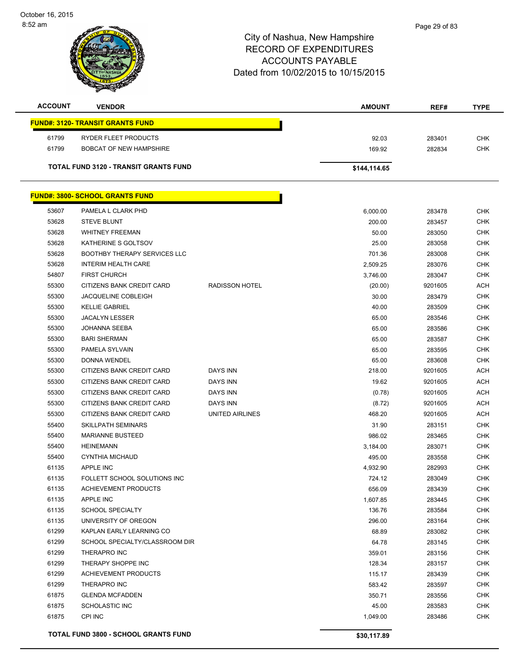October 16, 2015 8:52 am

| TYOF NASHUA |  |
|-------------|--|
|             |  |
| e           |  |
|             |  |
|             |  |
|             |  |

| <b>ACCOUNT</b> | <b>VENDOR</b>                                |                       | <b>AMOUNT</b> | REF#             | <b>TYPE</b> |
|----------------|----------------------------------------------|-----------------------|---------------|------------------|-------------|
|                | <b>FUND#: 3120- TRANSIT GRANTS FUND</b>      |                       |               |                  |             |
| 61799          | RYDER FLEET PRODUCTS                         |                       | 92.03         | 283401           | <b>CHK</b>  |
| 61799          | <b>BOBCAT OF NEW HAMPSHIRE</b>               |                       | 169.92        | 282834           | <b>CHK</b>  |
|                |                                              |                       |               |                  |             |
|                | <b>TOTAL FUND 3120 - TRANSIT GRANTS FUND</b> |                       | \$144,114.65  |                  |             |
|                | <b>FUND#: 3800- SCHOOL GRANTS FUND</b>       |                       |               |                  |             |
| 53607          | PAMELA L CLARK PHD                           |                       | 6,000.00      | 283478           | <b>CHK</b>  |
| 53628          | <b>STEVE BLUNT</b>                           |                       | 200.00        | 283457           | <b>CHK</b>  |
| 53628          | <b>WHITNEY FREEMAN</b>                       |                       | 50.00         | 283050           | CHK         |
| 53628          | KATHERINE S GOLTSOV                          |                       | 25.00         | 283058           | <b>CHK</b>  |
| 53628          | <b>BOOTHBY THERAPY SERVICES LLC</b>          |                       | 701.36        | 283008           | <b>CHK</b>  |
| 53628          | <b>INTERIM HEALTH CARE</b>                   |                       | 2,509.25      | 283076           | <b>CHK</b>  |
| 54807          | <b>FIRST CHURCH</b>                          |                       | 3,746.00      | 283047           | <b>CHK</b>  |
| 55300          | CITIZENS BANK CREDIT CARD                    | <b>RADISSON HOTEL</b> | (20.00)       | 9201605          | <b>ACH</b>  |
| 55300          | <b>JACQUELINE COBLEIGH</b>                   |                       | 30.00         | 283479           | <b>CHK</b>  |
| 55300          | <b>KELLIE GABRIEL</b>                        |                       | 40.00         | 283509           | <b>CHK</b>  |
| 55300          | <b>JACALYN LESSER</b>                        |                       | 65.00         | 283546           | <b>CHK</b>  |
| 55300          | JOHANNA SEEBA                                |                       | 65.00         | 283586           | <b>CHK</b>  |
| 55300          | <b>BARI SHERMAN</b>                          |                       | 65.00         | 283587           | <b>CHK</b>  |
| 55300          | PAMELA SYLVAIN                               |                       | 65.00         | 283595           | <b>CHK</b>  |
| 55300          | DONNA WENDEL                                 |                       | 65.00         | 283608           | <b>CHK</b>  |
| 55300          | CITIZENS BANK CREDIT CARD                    | DAYS INN              | 218.00        | 9201605          | <b>ACH</b>  |
| 55300          | CITIZENS BANK CREDIT CARD                    | <b>DAYS INN</b>       | 19.62         | 9201605          | <b>ACH</b>  |
| 55300          | CITIZENS BANK CREDIT CARD                    | DAYS INN              | (0.78)        | 9201605          | <b>ACH</b>  |
| 55300          | CITIZENS BANK CREDIT CARD                    | <b>DAYS INN</b>       | (8.72)        | 9201605          | <b>ACH</b>  |
| 55300          | CITIZENS BANK CREDIT CARD                    | UNITED AIRLINES       | 468.20        | 9201605          | <b>ACH</b>  |
| 55400          | SKILLPATH SEMINARS                           |                       | 31.90         | 283151           | <b>CHK</b>  |
| 55400          | <b>MARIANNE BUSTEED</b>                      |                       | 986.02        | 283465           | CHK         |
| 55400          | <b>HEINEMANN</b>                             |                       |               |                  | <b>CHK</b>  |
| 55400          | CYNTHIA MICHAUD                              |                       | 3,184.00      | 283071           | <b>CHK</b>  |
|                | <b>APPLE INC</b>                             |                       | 495.00        | 283558<br>282993 | <b>CHK</b>  |
| 61135<br>61135 | FOLLETT SCHOOL SOLUTIONS INC                 |                       | 4,932.90      | 283049           | <b>CHK</b>  |
|                |                                              |                       | 724.12        |                  | <b>CHK</b>  |
| 61135          | <b>ACHIEVEMENT PRODUCTS</b>                  |                       | 656.09        | 283439           |             |
| 61135          | <b>APPLE INC</b>                             |                       | 1,607.85      | 283445           | <b>CHK</b>  |
| 61135          | <b>SCHOOL SPECIALTY</b>                      |                       | 136.76        | 283584           | <b>CHK</b>  |
| 61135          | UNIVERSITY OF OREGON                         |                       | 296.00        | 283164           | <b>CHK</b>  |
| 61299          | KAPLAN EARLY LEARNING CO                     |                       | 68.89         | 283082           | <b>CHK</b>  |
| 61299          | SCHOOL SPECIALTY/CLASSROOM DIR               |                       | 64.78         | 283145           | <b>CHK</b>  |
| 61299          | THERAPRO INC                                 |                       | 359.01        | 283156           | CHK         |
| 61299          | THERAPY SHOPPE INC                           |                       | 128.34        | 283157           | CHK         |
| 61299          | ACHIEVEMENT PRODUCTS                         |                       | 115.17        | 283439           | <b>CHK</b>  |
| 61299          | THERAPRO INC                                 |                       | 583.42        | 283597           | CHK         |
| 61875          | <b>GLENDA MCFADDEN</b>                       |                       | 350.71        | 283556           | <b>CHK</b>  |
| 61875          | <b>SCHOLASTIC INC</b>                        |                       | 45.00         | 283583           | <b>CHK</b>  |
| 61875          | CPI INC                                      |                       | 1,049.00      | 283486           | <b>CHK</b>  |
|                | <b>TOTAL FUND 3800 - SCHOOL GRANTS FUND</b>  |                       | \$30,117.89   |                  |             |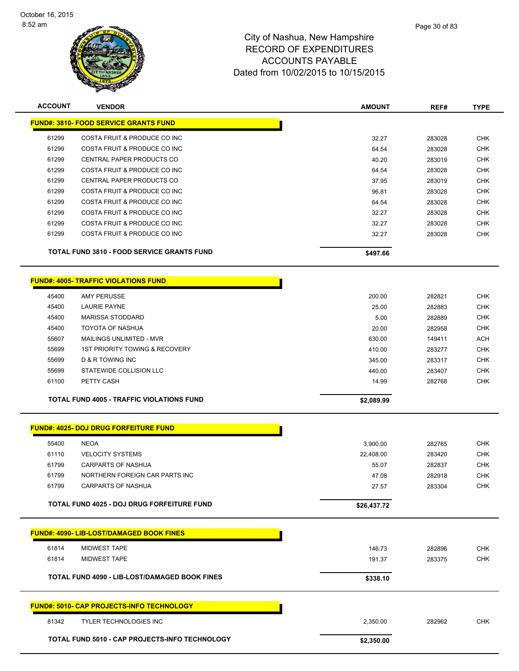

| <b>ACCOUNT</b> | <b>VENDOR</b>                                     | <b>AMOUNT</b> | REF#   | <b>TYPE</b> |
|----------------|---------------------------------------------------|---------------|--------|-------------|
|                | <b>FUND#: 3810- FOOD SERVICE GRANTS FUND</b>      |               |        |             |
| 61299          | COSTA FRUIT & PRODUCE CO INC                      | 32.27         | 283028 | <b>CHK</b>  |
| 61299          | COSTA FRUIT & PRODUCE CO INC                      | 64.54         | 283028 | <b>CHK</b>  |
| 61299          | CENTRAL PAPER PRODUCTS CO                         | 40.20         | 283019 | <b>CHK</b>  |
| 61299          | COSTA FRUIT & PRODUCE CO INC                      | 64.54         | 283028 | <b>CHK</b>  |
| 61299          | CENTRAL PAPER PRODUCTS CO                         | 37.95         | 283019 | <b>CHK</b>  |
| 61299          | COSTA FRUIT & PRODUCE CO INC                      | 96.81         | 283028 | <b>CHK</b>  |
| 61299          | COSTA FRUIT & PRODUCE CO INC                      | 64.54         | 283028 | <b>CHK</b>  |
| 61299          | COSTA FRUIT & PRODUCE CO INC                      | 32.27         | 283028 | <b>CHK</b>  |
| 61299          | COSTA FRUIT & PRODUCE CO INC                      | 32.27         | 283028 | <b>CHK</b>  |
| 61299          | COSTA FRUIT & PRODUCE CO INC                      | 32.27         | 283028 | <b>CHK</b>  |
|                | <b>TOTAL FUND 3810 - FOOD SERVICE GRANTS FUND</b> |               |        |             |
|                |                                                   | \$497.66      |        |             |
|                |                                                   |               |        |             |
|                | <b>FUND#: 4005- TRAFFIC VIOLATIONS FUND</b>       |               |        |             |
| 45400          | <b>AMY PERUSSE</b>                                | 200.00        | 282821 | <b>CHK</b>  |
| 45400          | <b>LAURIE PAYNE</b>                               | 25.00         | 282883 | <b>CHK</b>  |
| 45400          | <b>MARISSA STODDARD</b>                           | 5.00          | 282889 | <b>CHK</b>  |
| 45400          | <b>TOYOTA OF NASHUA</b>                           | 20.00         | 282958 | <b>CHK</b>  |
| 55607          | MAILINGS UNLIMITED - MVR                          | 630.00        | 149411 | <b>ACH</b>  |
| 55699          | <b>1ST PRIORITY TOWING &amp; RECOVERY</b>         | 410.00        | 283277 | <b>CHK</b>  |
| 55699          | <b>D &amp; R TOWING INC</b>                       | 345.00        | 283317 | <b>CHK</b>  |
| 55699          | STATEWIDE COLLISION LLC                           | 440.00        | 283407 | <b>CHK</b>  |
| 61100          | PETTY CASH                                        | 14.99         | 282768 | <b>CHK</b>  |
|                | <b>TOTAL FUND 4005 - TRAFFIC VIOLATIONS FUND</b>  | \$2,089.99    |        |             |
|                |                                                   |               |        |             |
|                |                                                   |               |        |             |
|                | FUND#: 4025- DOJ DRUG FORFEITURE FUND             |               |        |             |
| 55400          | <b>NEOA</b>                                       | 3,900.00      | 282765 | <b>CHK</b>  |
| 61110          | <b>VELOCITY SYSTEMS</b>                           | 22,408.00     | 283420 | <b>CHK</b>  |
| 61799          | CARPARTS OF NASHUA                                | 55.07         | 282837 | <b>CHK</b>  |

TOTAL FUND 4025 - DOJ DRUG FORFEITURE FUND<br>
\$26,437.72

|       | <b>FUND#: 4090- LIB-LOST/DAMAGED BOOK FINES</b>       |            |        |            |
|-------|-------------------------------------------------------|------------|--------|------------|
| 61814 | <b>MIDWEST TAPE</b>                                   | 146.73     | 282896 | <b>CHK</b> |
| 61814 | <b>MIDWEST TAPE</b>                                   | 191.37     | 283375 | <b>CHK</b> |
|       | <b>TOTAL FUND 4090 - LIB-LOST/DAMAGED BOOK FINES</b>  | \$338.10   |        |            |
|       | <b>FUND#: 5010- CAP PROJECTS-INFO TECHNOLOGY</b>      |            |        |            |
| 81342 | <b>TYLER TECHNOLOGIES INC</b>                         | 2,350.00   | 282962 | <b>CHK</b> |
|       | <b>TOTAL FUND 5010 - CAP PROJECTS-INFO TECHNOLOGY</b> | \$2,350.00 |        |            |

 61799 NORTHERN FOREIGN CAR PARTS INC 47.08 282918 CHK 61799 CARPARTS OF NASHUA 27.57 283304 CHK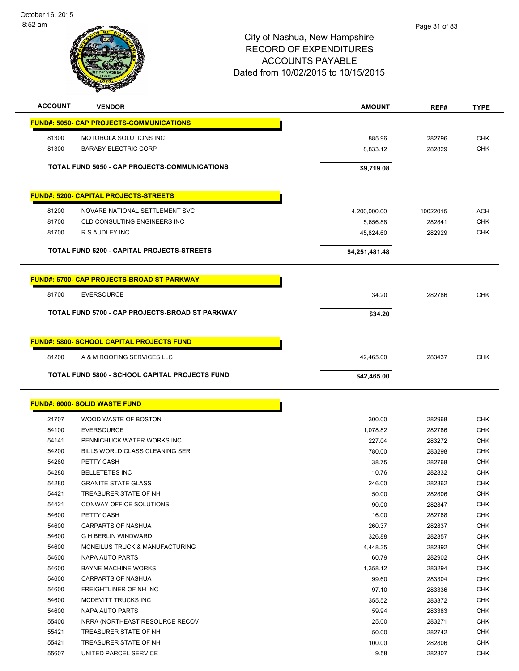October 16, 2015 8:52 am



| <b>ACCOUNT</b> | <b>VENDOR</b>                                         | <b>AMOUNT</b>  | REF#     | <b>TYPE</b> |
|----------------|-------------------------------------------------------|----------------|----------|-------------|
|                | <b>FUND#: 5050- CAP PROJECTS-COMMUNICATIONS</b>       |                |          |             |
| 81300          | MOTOROLA SOLUTIONS INC                                | 885.96         | 282796   | <b>CHK</b>  |
| 81300          | <b>BARABY ELECTRIC CORP</b>                           | 8,833.12       | 282829   | <b>CHK</b>  |
|                |                                                       |                |          |             |
|                | TOTAL FUND 5050 - CAP PROJECTS-COMMUNICATIONS         | \$9,719.08     |          |             |
|                | <b>FUND#: 5200- CAPITAL PROJECTS-STREETS</b>          |                |          |             |
|                |                                                       |                |          |             |
| 81200          | NOVARE NATIONAL SETTLEMENT SVC                        | 4,200,000.00   | 10022015 | <b>ACH</b>  |
| 81700          | <b>CLD CONSULTING ENGINEERS INC</b>                   | 5,656.88       | 282841   | <b>CHK</b>  |
| 81700          | R S AUDLEY INC                                        | 45,824.60      | 282929   | <b>CHK</b>  |
|                | TOTAL FUND 5200 - CAPITAL PROJECTS-STREETS            | \$4,251,481.48 |          |             |
|                | <b>FUND#: 5700- CAP PROJECTS-BROAD ST PARKWAY</b>     |                |          |             |
| 81700          | <b>EVERSOURCE</b>                                     | 34.20          | 282786   | <b>CHK</b>  |
|                | TOTAL FUND 5700 - CAP PROJECTS-BROAD ST PARKWAY       | \$34.20        |          |             |
|                |                                                       |                |          |             |
|                | <b>FUND#: 5800- SCHOOL CAPITAL PROJECTS FUND</b>      |                |          |             |
| 81200          | A & M ROOFING SERVICES LLC                            | 42,465.00      | 283437   | <b>CHK</b>  |
|                | <b>TOTAL FUND 5800 - SCHOOL CAPITAL PROJECTS FUND</b> | \$42,465.00    |          |             |
|                |                                                       |                |          |             |
|                | <b>FUND#: 6000- SOLID WASTE FUND</b>                  |                |          |             |
| 21707          | WOOD WASTE OF BOSTON                                  | 300.00         | 282968   | <b>CHK</b>  |
| 54100          | <b>EVERSOURCE</b>                                     | 1,078.82       | 282786   | <b>CHK</b>  |
| 54141          | PENNICHUCK WATER WORKS INC                            | 227.04         | 283272   | <b>CHK</b>  |
| 54200          | BILLS WORLD CLASS CLEANING SER                        | 780.00         | 283298   | <b>CHK</b>  |
| 54280          | PETTY CASH                                            | 38.75          | 282768   | <b>CHK</b>  |
| 54280          | <b>BELLETETES INC</b>                                 | 10.76          | 282832   | <b>CHK</b>  |
| 54280          | <b>GRANITE STATE GLASS</b>                            | 246.00         | 282862   | CHK         |
| 54421          | TREASURER STATE OF NH                                 | 50.00          | 282806   | CHK         |
| 54421          | CONWAY OFFICE SOLUTIONS                               | 90.00          | 282847   | <b>CHK</b>  |
| 54600          | PETTY CASH                                            | 16.00          | 282768   | <b>CHK</b>  |
| 54600          | <b>CARPARTS OF NASHUA</b>                             | 260.37         | 282837   | CHK         |
| 54600          | <b>G H BERLIN WINDWARD</b>                            | 326.88         | 282857   | <b>CHK</b>  |
| 54600          | MCNEILUS TRUCK & MANUFACTURING                        | 4,448.35       | 282892   | <b>CHK</b>  |
| 54600          | NAPA AUTO PARTS                                       | 60.79          | 282902   | <b>CHK</b>  |
| 54600          | <b>BAYNE MACHINE WORKS</b>                            | 1,358.12       | 283294   | <b>CHK</b>  |
| 54600          | CARPARTS OF NASHUA                                    | 99.60          | 283304   | CHK         |
| 54600          | FREIGHTLINER OF NH INC                                | 97.10          | 283336   | <b>CHK</b>  |
| 54600          | MCDEVITT TRUCKS INC                                   | 355.52         | 283372   | <b>CHK</b>  |
| 54600          | NAPA AUTO PARTS                                       | 59.94          | 283383   | CHK         |
| 55400          | NRRA (NORTHEAST RESOURCE RECOV                        | 25.00          | 283271   | CHK         |
| 55421          | TREASURER STATE OF NH                                 | 50.00          | 282742   | CHK         |
| 55421          | TREASURER STATE OF NH                                 | 100.00         | 282806   | CHK         |
| 55607          | UNITED PARCEL SERVICE                                 | 9.58           | 282807   | <b>CHK</b>  |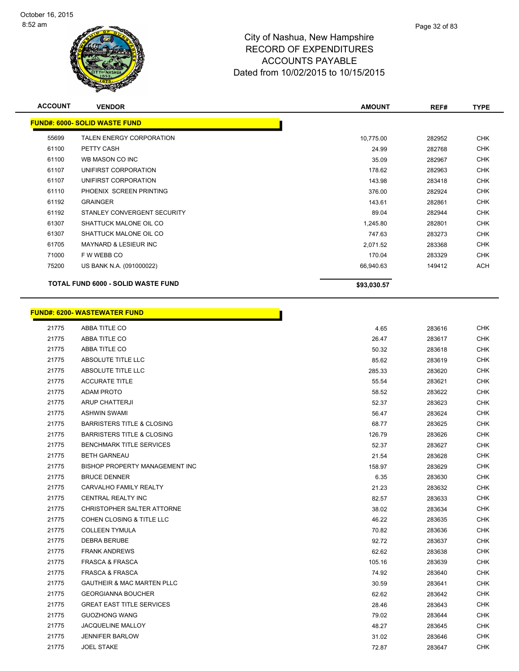

| <b>ACCOUNT</b> | <b>VENDOR</b>                             | <b>AMOUNT</b> | REF#   | <b>TYPE</b> |
|----------------|-------------------------------------------|---------------|--------|-------------|
|                | <b>FUND#: 6000- SOLID WASTE FUND</b>      |               |        |             |
| 55699          | <b>TALEN ENERGY CORPORATION</b>           | 10,775.00     | 282952 | <b>CHK</b>  |
| 61100          | PETTY CASH                                | 24.99         | 282768 | <b>CHK</b>  |
| 61100          | WB MASON CO INC                           | 35.09         | 282967 | <b>CHK</b>  |
| 61107          | UNIFIRST CORPORATION                      | 178.62        | 282963 | <b>CHK</b>  |
| 61107          | UNIFIRST CORPORATION                      | 143.98        | 283418 | <b>CHK</b>  |
| 61110          | PHOENIX SCREEN PRINTING                   | 376.00        | 282924 | <b>CHK</b>  |
| 61192          | <b>GRAINGER</b>                           | 143.61        | 282861 | <b>CHK</b>  |
| 61192          | STANLEY CONVERGENT SECURITY               | 89.04         | 282944 | <b>CHK</b>  |
| 61307          | SHATTUCK MALONE OIL CO                    | 1,245.80      | 282801 | <b>CHK</b>  |
| 61307          | SHATTUCK MALONE OIL CO                    | 747.63        | 283273 | CHK         |
| 61705          | <b>MAYNARD &amp; LESIEUR INC</b>          | 2,071.52      | 283368 | <b>CHK</b>  |
| 71000          | F W WEBB CO                               | 170.04        | 283329 | <b>CHK</b>  |
| 75200          | US BANK N.A. (091000022)                  | 66,940.63     | 149412 | <b>ACH</b>  |
|                | <b>TOTAL FUND 6000 - SOLID WASTE FUND</b> | \$93,030.57   |        |             |

# **FUND#: 6200- WASTEWATER FUND**

|       | <u>UND#: 6200- WASTEWATER FUND</u>    |        |        |            |
|-------|---------------------------------------|--------|--------|------------|
| 21775 | ABBA TITLE CO                         | 4.65   | 283616 | <b>CHK</b> |
| 21775 | ABBA TITLE CO                         | 26.47  | 283617 | <b>CHK</b> |
| 21775 | ABBA TITLE CO                         | 50.32  | 283618 | <b>CHK</b> |
| 21775 | ABSOLUTE TITLE LLC                    | 85.62  | 283619 | <b>CHK</b> |
| 21775 | ABSOLUTE TITLE LLC                    | 285.33 | 283620 | <b>CHK</b> |
| 21775 | <b>ACCURATE TITLE</b>                 | 55.54  | 283621 | CHK        |
| 21775 | <b>ADAM PROTO</b>                     | 58.52  | 283622 | <b>CHK</b> |
| 21775 | ARUP CHATTERJI                        | 52.37  | 283623 | <b>CHK</b> |
| 21775 | <b>ASHWIN SWAMI</b>                   | 56.47  | 283624 | <b>CHK</b> |
| 21775 | <b>BARRISTERS TITLE &amp; CLOSING</b> | 68.77  | 283625 | <b>CHK</b> |
| 21775 | <b>BARRISTERS TITLE &amp; CLOSING</b> | 126.79 | 283626 | <b>CHK</b> |
| 21775 | <b>BENCHMARK TITLE SERVICES</b>       | 52.37  | 283627 | <b>CHK</b> |
| 21775 | <b>BETH GARNEAU</b>                   | 21.54  | 283628 | <b>CHK</b> |
| 21775 | BISHOP PROPERTY MANAGEMENT INC        | 158.97 | 283629 | <b>CHK</b> |
| 21775 | <b>BRUCE DENNER</b>                   | 6.35   | 283630 | <b>CHK</b> |
| 21775 | CARVALHO FAMILY REALTY                | 21.23  | 283632 | <b>CHK</b> |
| 21775 | CENTRAL REALTY INC                    | 82.57  | 283633 | <b>CHK</b> |
| 21775 | CHRISTOPHER SALTER ATTORNE            | 38.02  | 283634 | <b>CHK</b> |
| 21775 | <b>COHEN CLOSING &amp; TITLE LLC</b>  | 46.22  | 283635 | <b>CHK</b> |
| 21775 | <b>COLLEEN TYMULA</b>                 | 70.82  | 283636 | <b>CHK</b> |
| 21775 | <b>DEBRA BERUBE</b>                   | 92.72  | 283637 | <b>CHK</b> |
| 21775 | <b>FRANK ANDREWS</b>                  | 62.62  | 283638 | <b>CHK</b> |
| 21775 | <b>FRASCA &amp; FRASCA</b>            | 105.16 | 283639 | <b>CHK</b> |
| 21775 | <b>FRASCA &amp; FRASCA</b>            | 74.92  | 283640 | <b>CHK</b> |
| 21775 | <b>GAUTHEIR &amp; MAC MARTEN PLLC</b> | 30.59  | 283641 | <b>CHK</b> |
| 21775 | <b>GEORGIANNA BOUCHER</b>             | 62.62  | 283642 | <b>CHK</b> |
| 21775 | <b>GREAT EAST TITLE SERVICES</b>      | 28.46  | 283643 | <b>CHK</b> |
| 21775 | <b>GUOZHONG WANG</b>                  | 79.02  | 283644 | <b>CHK</b> |
| 21775 | <b>JACQUELINE MALLOY</b>              | 48.27  | 283645 | <b>CHK</b> |
| 21775 | <b>JENNIFER BARLOW</b>                | 31.02  | 283646 | <b>CHK</b> |
| 21775 | <b>JOEL STAKE</b>                     | 72.87  | 283647 | <b>CHK</b> |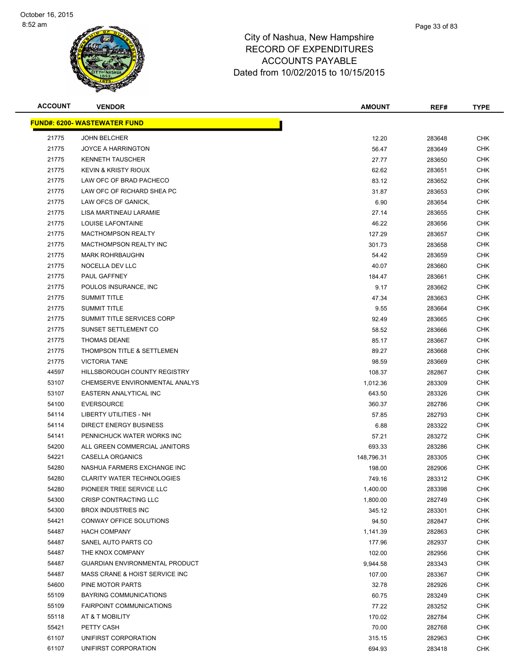

| <b>ACCOUNT</b> | <b>VENDOR</b>                         | <b>AMOUNT</b> | REF#   | <b>TYPE</b> |
|----------------|---------------------------------------|---------------|--------|-------------|
|                | <b>FUND#: 6200- WASTEWATER FUND</b>   |               |        |             |
| 21775          | <b>JOHN BELCHER</b>                   | 12.20         | 283648 | <b>CHK</b>  |
| 21775          | <b>JOYCE A HARRINGTON</b>             | 56.47         | 283649 | <b>CHK</b>  |
| 21775          | <b>KENNETH TAUSCHER</b>               | 27.77         | 283650 | <b>CHK</b>  |
| 21775          | <b>KEVIN &amp; KRISTY RIOUX</b>       | 62.62         | 283651 | <b>CHK</b>  |
| 21775          | LAW OFC OF BRAD PACHECO               | 83.12         | 283652 | <b>CHK</b>  |
| 21775          | LAW OFC OF RICHARD SHEA PC            | 31.87         | 283653 | <b>CHK</b>  |
| 21775          | LAW OFCS OF GANICK,                   | 6.90          | 283654 | <b>CHK</b>  |
| 21775          | LISA MARTINEAU LARAMIE                | 27.14         | 283655 | <b>CHK</b>  |
| 21775          | LOUISE LAFONTAINE                     | 46.22         | 283656 | <b>CHK</b>  |
| 21775          | <b>MACTHOMPSON REALTY</b>             | 127.29        | 283657 | CHK         |
| 21775          | MACTHOMPSON REALTY INC                | 301.73        | 283658 | CHK         |
| 21775          | <b>MARK ROHRBAUGHN</b>                | 54.42         | 283659 | <b>CHK</b>  |
| 21775          | NOCELLA DEV LLC                       | 40.07         | 283660 | <b>CHK</b>  |
| 21775          | PAUL GAFFNEY                          | 184.47        | 283661 | <b>CHK</b>  |
| 21775          | POULOS INSURANCE, INC                 | 9.17          | 283662 | CHK         |
| 21775          | <b>SUMMIT TITLE</b>                   | 47.34         | 283663 | <b>CHK</b>  |
| 21775          | <b>SUMMIT TITLE</b>                   | 9.55          | 283664 | <b>CHK</b>  |
| 21775          | SUMMIT TITLE SERVICES CORP            | 92.49         | 283665 | <b>CHK</b>  |
| 21775          | SUNSET SETTLEMENT CO                  | 58.52         | 283666 | <b>CHK</b>  |
| 21775          | <b>THOMAS DEANE</b>                   | 85.17         | 283667 | <b>CHK</b>  |
| 21775          | THOMPSON TITLE & SETTLEMEN            | 89.27         | 283668 | <b>CHK</b>  |
| 21775          | <b>VICTORIA TANE</b>                  | 98.59         | 283669 | <b>CHK</b>  |
| 44597          | HILLSBOROUGH COUNTY REGISTRY          | 108.37        | 282867 | <b>CHK</b>  |
| 53107          | CHEMSERVE ENVIRONMENTAL ANALYS        | 1,012.36      | 283309 | <b>CHK</b>  |
| 53107          | EASTERN ANALYTICAL INC                | 643.50        | 283326 | <b>CHK</b>  |
| 54100          | <b>EVERSOURCE</b>                     | 360.37        | 282786 | <b>CHK</b>  |
| 54114          | LIBERTY UTILITIES - NH                | 57.85         | 282793 | <b>CHK</b>  |
| 54114          | <b>DIRECT ENERGY BUSINESS</b>         | 6.88          | 283322 | <b>CHK</b>  |
| 54141          | PENNICHUCK WATER WORKS INC            | 57.21         | 283272 | <b>CHK</b>  |
| 54200          | ALL GREEN COMMERCIAL JANITORS         | 693.33        | 283286 | CHK         |
| 54221          | CASELLA ORGANICS                      | 148,796.31    | 283305 | CHK         |
| 54280          | NASHUA FARMERS EXCHANGE INC           | 198.00        | 282906 | CHK         |
| 54280          | <b>CLARITY WATER TECHNOLOGIES</b>     | 749.16        | 283312 | <b>CHK</b>  |
| 54280          | PIONEER TREE SERVICE LLC              | 1,400.00      | 283398 | <b>CHK</b>  |
| 54300          | CRISP CONTRACTING LLC                 | 1,800.00      | 282749 | <b>CHK</b>  |
| 54300          | <b>BROX INDUSTRIES INC</b>            | 345.12        | 283301 | <b>CHK</b>  |
| 54421          | CONWAY OFFICE SOLUTIONS               | 94.50         | 282847 | <b>CHK</b>  |
| 54487          | <b>HACH COMPANY</b>                   | 1,141.39      | 282863 | <b>CHK</b>  |
| 54487          | SANEL AUTO PARTS CO                   | 177.96        | 282937 | <b>CHK</b>  |
| 54487          | THE KNOX COMPANY                      | 102.00        | 282956 | CHK         |
| 54487          | <b>GUARDIAN ENVIRONMENTAL PRODUCT</b> | 9,944.58      | 283343 | <b>CHK</b>  |
| 54487          | MASS CRANE & HOIST SERVICE INC        | 107.00        | 283367 | <b>CHK</b>  |
| 54600          | PINE MOTOR PARTS                      | 32.78         | 282926 | <b>CHK</b>  |
| 55109          | <b>BAYRING COMMUNICATIONS</b>         | 60.75         | 283249 | <b>CHK</b>  |
| 55109          | <b>FAIRPOINT COMMUNICATIONS</b>       | 77.22         | 283252 | <b>CHK</b>  |
| 55118          | AT & T MOBILITY                       | 170.02        | 282784 | <b>CHK</b>  |
| 55421          | PETTY CASH                            | 70.00         | 282768 | <b>CHK</b>  |
| 61107          | UNIFIRST CORPORATION                  | 315.15        | 282963 | CHK         |
| 61107          | UNIFIRST CORPORATION                  | 694.93        | 283418 | <b>CHK</b>  |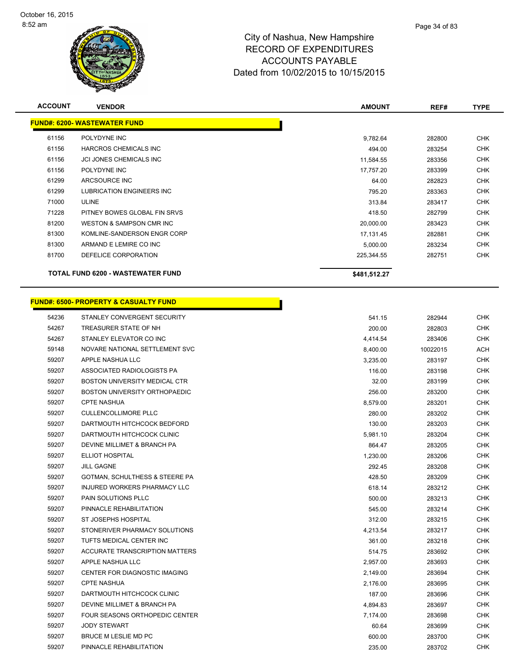

| <b>ACCOUNT</b> | <b>VENDOR</b>                                    | <b>AMOUNT</b> | REF#     | <b>TYPE</b> |
|----------------|--------------------------------------------------|---------------|----------|-------------|
|                | <b>FUND#: 6200- WASTEWATER FUND</b>              |               |          |             |
| 61156          | POLYDYNE INC                                     | 9,782.64      | 282800   | <b>CHK</b>  |
| 61156          | HARCROS CHEMICALS INC                            | 494.00        | 283254   | <b>CHK</b>  |
| 61156          | <b>JCI JONES CHEMICALS INC</b>                   | 11,584.55     | 283356   | <b>CHK</b>  |
| 61156          | POLYDYNE INC                                     | 17,757.20     | 283399   | <b>CHK</b>  |
| 61299          | ARCSOURCE INC                                    | 64.00         | 282823   | CHK         |
| 61299          | LUBRICATION ENGINEERS INC                        | 795.20        | 283363   | <b>CHK</b>  |
| 71000          | <b>ULINE</b>                                     | 313.84        | 283417   | <b>CHK</b>  |
| 71228          | PITNEY BOWES GLOBAL FIN SRVS                     | 418.50        | 282799   | CHK         |
| 81200          | WESTON & SAMPSON CMR INC                         | 20,000.00     | 283423   | <b>CHK</b>  |
| 81300          | KOMLINE-SANDERSON ENGR CORP                      | 17,131.45     | 282881   | <b>CHK</b>  |
| 81300          | ARMAND E LEMIRE CO INC                           | 5,000.00      | 283234   | CHK         |
| 81700          | DEFELICE CORPORATION                             | 225,344.55    | 282751   | <b>CHK</b>  |
|                | TOTAL FUND 6200 - WASTEWATER FUND                | \$481,512.27  |          |             |
|                | <b>FUND#: 6500- PROPERTY &amp; CASUALTY FUND</b> |               |          |             |
| 54236          | STANLEY CONVERGENT SECURITY                      | 541.15        | 282944   | <b>CHK</b>  |
| 54267          | TREASURER STATE OF NH                            | 200.00        | 282803   | <b>CHK</b>  |
| 54267          | STANLEY ELEVATOR CO INC                          | 4,414.54      | 283406   | <b>CHK</b>  |
| 59148          | NOVARE NATIONAL SETTLEMENT SVC                   | 8,400.00      | 10022015 | ACH         |
| 59207          | APPLE NASHUA LLC                                 | 3,235.00      | 283197   | CHK         |
| 59207          | ASSOCIATED RADIOLOGISTS PA                       | 116.00        | 283198   | <b>CHK</b>  |
| 59207          | BOSTON UNIVERSITY MEDICAL CTR                    | 32.00         | 283199   | <b>CHK</b>  |
| 59207          | <b>BOSTON UNIVERSITY ORTHOPAEDIC</b>             | 256.00        | 283200   | CHK         |
| 59207          | <b>CPTE NASHUA</b>                               | 8,579.00      | 283201   | <b>CHK</b>  |
| 59207          | <b>CULLENCOLLIMORE PLLC</b>                      | 280.00        | 283202   | CHK         |
| 59207          | DARTMOUTH HITCHCOCK BEDFORD                      | 130.00        | 283203   | <b>CHK</b>  |
| 59207          | DARTMOUTH HITCHCOCK CLINIC                       | 5,981.10      | 283204   | <b>CHK</b>  |
| 59207          | DEVINE MILLIMET & BRANCH PA                      | 864.47        | 283205   | CHK         |
| 59207          | <b>ELLIOT HOSPITAL</b>                           | 1,230.00      | 283206   | <b>CHK</b>  |
| 59207          | <b>JILL GAGNE</b>                                | 292.45        | 283208   | CHK         |
| 59207          | GOTMAN, SCHULTHESS & STEERE PA                   | 428.50        | 283209   | <b>CHK</b>  |
| 59207          | INJURED WORKERS PHARMACY LLC                     | 618.14        | 283212   | <b>CHK</b>  |
| 59207          | <b>PAIN SOLUTIONS PLLC</b>                       | 500.00        | 283213   | <b>CHK</b>  |
| 59207          | PINNACLE REHABILITATION                          | 545.00        | 283214   | <b>CHK</b>  |
| 59207          | ST JOSEPHS HOSPITAL                              | 312.00        | 283215   | <b>CHK</b>  |
| 59207          | STONERIVER PHARMACY SOLUTIONS                    | 4,213.54      | 283217   | <b>CHK</b>  |
| 59207          | TUFTS MEDICAL CENTER INC                         | 361.00        | 283218   | <b>CHK</b>  |
| 59207          | ACCURATE TRANSCRIPTION MATTERS                   | 514.75        | 283692   | <b>CHK</b>  |
| 59207          | APPLE NASHUA LLC                                 | 2,957.00      | 283693   | <b>CHK</b>  |
| 59207          | <b>CENTER FOR DIAGNOSTIC IMAGING</b>             | 2,149.00      | 283694   | <b>CHK</b>  |
| 59207          | <b>CPTE NASHUA</b>                               | 2,176.00      | 283695   | CHK         |
| 59207          | DARTMOUTH HITCHCOCK CLINIC                       | 187.00        | 283696   | CHK         |
| 59207          | DEVINE MILLIMET & BRANCH PA                      | 4,894.83      | 283697   | <b>CHK</b>  |
| 59207          | FOUR SEASONS ORTHOPEDIC CENTER                   | 7,174.00      | 283698   | CHK         |

 JODY STEWART 60.64 283699 CHK 59207 BRUCE M LESLIE MD PC 600.00 600.00 600.00 61 EXT AND THE 600.00 600.00 6 CHK PINNACLE REHABILITATION 235.00 283702 CHK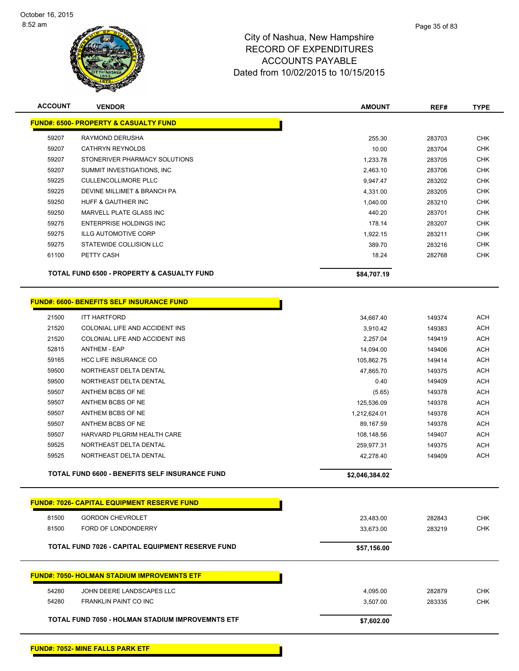

| <b>ACCOUNT</b> | <b>VENDOR</b>                                      | <b>AMOUNT</b>  | REF#   | <b>TYPE</b> |
|----------------|----------------------------------------------------|----------------|--------|-------------|
|                | <b>FUND#: 6500- PROPERTY &amp; CASUALTY FUND</b>   |                |        |             |
| 59207          | RAYMOND DERUSHA                                    | 255.30         | 283703 | <b>CHK</b>  |
| 59207          | <b>CATHRYN REYNOLDS</b>                            | 10.00          | 283704 | <b>CHK</b>  |
| 59207          | STONERIVER PHARMACY SOLUTIONS                      | 1,233.78       | 283705 | <b>CHK</b>  |
| 59207          | SUMMIT INVESTIGATIONS, INC                         | 2,463.10       | 283706 | <b>CHK</b>  |
| 59225          | <b>CULLENCOLLIMORE PLLC</b>                        | 9,947.47       | 283202 | <b>CHK</b>  |
| 59225          | DEVINE MILLIMET & BRANCH PA                        | 4,331.00       | 283205 | <b>CHK</b>  |
| 59250          | HUFF & GAUTHIER INC                                | 1,040.00       | 283210 | <b>CHK</b>  |
| 59250          | MARVELL PLATE GLASS INC                            | 440.20         | 283701 | <b>CHK</b>  |
| 59275          | <b>ENTERPRISE HOLDINGS INC</b>                     | 178.14         | 283207 | <b>CHK</b>  |
| 59275          | <b>ILLG AUTOMOTIVE CORP</b>                        | 1,922.15       | 283211 | CHK         |
| 59275          | STATEWIDE COLLISION LLC                            | 389.70         | 283216 | <b>CHK</b>  |
| 61100          | PETTY CASH                                         | 18.24          | 282768 | <b>CHK</b>  |
|                | TOTAL FUND 6500 - PROPERTY & CASUALTY FUND         | \$84,707.19    |        |             |
|                | <b>FUND#: 6600- BENEFITS SELF INSURANCE FUND</b>   |                |        |             |
| 21500          | <b>ITT HARTFORD</b>                                | 34,667.40      | 149374 | <b>ACH</b>  |
| 21520          | COLONIAL LIFE AND ACCIDENT INS                     | 3,910.42       | 149383 | <b>ACH</b>  |
| 21520          | COLONIAL LIFE AND ACCIDENT INS                     | 2.257.04       | 149419 | <b>ACH</b>  |
| 52815          | <b>ANTHEM - EAP</b>                                | 14,094.00      | 149406 | <b>ACH</b>  |
| 59165          | HCC LIFE INSURANCE CO                              | 105,862.75     | 149414 | <b>ACH</b>  |
| 59500          | NORTHEAST DELTA DENTAL                             | 47,865.70      | 149375 | <b>ACH</b>  |
| 59500          | NORTHEAST DELTA DENTAL                             | 0.40           | 149409 | <b>ACH</b>  |
| 59507          | ANTHEM BCBS OF NE                                  | (5.65)         | 149378 | <b>ACH</b>  |
| 59507          | ANTHEM BCBS OF NE                                  | 125,536.09     | 149378 | <b>ACH</b>  |
| 59507          | ANTHEM BCBS OF NE                                  | 1,212,624.01   | 149378 | <b>ACH</b>  |
| 59507          | ANTHEM BCBS OF NE                                  | 89,167.59      | 149378 | <b>ACH</b>  |
| 59507          | HARVARD PILGRIM HEALTH CARE                        | 108,148.56     | 149407 | <b>ACH</b>  |
| 59525          | NORTHEAST DELTA DENTAL                             | 259,977.31     | 149375 | <b>ACH</b>  |
| 59525          | NORTHEAST DELTA DENTAL                             | 42,278.40      | 149409 | <b>ACH</b>  |
|                | TOTAL FUND 6600 - BENEFITS SELF INSURANCE FUND     | \$2,046,384.02 |        |             |
|                | <b>FUND#: 7026- CAPITAL EQUIPMENT RESERVE FUND</b> |                |        |             |
|                |                                                    |                |        |             |
| 81500          | <b>GORDON CHEVROLET</b>                            | 23,483.00      | 282843 | <b>CHK</b>  |
| 81500          | FORD OF LONDONDERRY                                | 33,673.00      | 283219 | <b>CHK</b>  |
|                | TOTAL FUND 7026 - CAPITAL EQUIPMENT RESERVE FUND   | \$57,156.00    |        |             |
|                | <b>FUND#: 7050- HOLMAN STADIUM IMPROVEMNTS ETF</b> |                |        |             |
| 54280          | JOHN DEERE LANDSCAPES LLC                          | 4,095.00       | 282879 | <b>CHK</b>  |
| 54280          | <b>FRANKLIN PAINT CO INC</b>                       | 3,507.00       | 283335 | <b>CHK</b>  |
|                | TOTAL FUND 7050 - HOLMAN STADIUM IMPROVEMNTS ETF   | \$7,602.00     |        |             |
|                |                                                    |                |        |             |

**FUND#: 7052- MINE FALLS PARK ETF**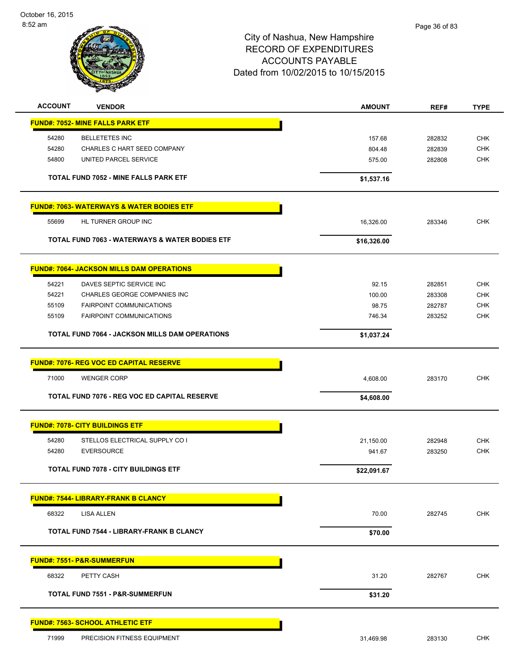

| <b>ACCOUNT</b> | <b>VENDOR</b>                                         | <b>AMOUNT</b> | REF#   | <b>TYPE</b> |
|----------------|-------------------------------------------------------|---------------|--------|-------------|
|                | <b>FUND#: 7052- MINE FALLS PARK ETF</b>               |               |        |             |
| 54280          | <b>BELLETETES INC</b>                                 | 157.68        | 282832 | <b>CHK</b>  |
| 54280          | CHARLES C HART SEED COMPANY                           | 804.48        | 282839 | <b>CHK</b>  |
| 54800          | UNITED PARCEL SERVICE                                 | 575.00        | 282808 | CHK         |
|                | TOTAL FUND 7052 - MINE FALLS PARK ETF                 | \$1,537.16    |        |             |
|                | <b>FUND#: 7063- WATERWAYS &amp; WATER BODIES ETF</b>  |               |        |             |
| 55699          | HL TURNER GROUP INC                                   | 16,326.00     | 283346 | <b>CHK</b>  |
|                | TOTAL FUND 7063 - WATERWAYS & WATER BODIES ETF        | \$16,326.00   |        |             |
|                | <b>FUND#: 7064- JACKSON MILLS DAM OPERATIONS</b>      |               |        |             |
| 54221          | DAVES SEPTIC SERVICE INC                              | 92.15         | 282851 | <b>CHK</b>  |
| 54221          | <b>CHARLES GEORGE COMPANIES INC</b>                   | 100.00        | 283308 | <b>CHK</b>  |
| 55109          | <b>FAIRPOINT COMMUNICATIONS</b>                       | 98.75         | 282787 | <b>CHK</b>  |
| 55109          | FAIRPOINT COMMUNICATIONS                              | 746.34        | 283252 | <b>CHK</b>  |
|                | <b>TOTAL FUND 7064 - JACKSON MILLS DAM OPERATIONS</b> | \$1,037.24    |        |             |
|                | <b>FUND#: 7076- REG VOC ED CAPITAL RESERVE</b>        |               |        |             |
| 71000          | <b>WENGER CORP</b>                                    | 4,608.00      | 283170 | <b>CHK</b>  |
|                | TOTAL FUND 7076 - REG VOC ED CAPITAL RESERVE          | \$4,608.00    |        |             |
|                | <b>FUND#: 7078- CITY BUILDINGS ETF</b>                |               |        |             |
| 54280          | STELLOS ELECTRICAL SUPPLY CO I                        | 21,150.00     | 282948 | <b>CHK</b>  |
| 54280          | <b>EVERSOURCE</b>                                     | 941.67        | 283250 | <b>CHK</b>  |
|                | <b>TOTAL FUND 7078 - CITY BUILDINGS ETF</b>           | \$22,091.67   |        |             |
|                | <b>FUND#: 7544- LIBRARY-FRANK B CLANCY</b>            |               |        |             |
| 68322          | LISA ALLEN                                            | 70.00         | 282745 | <b>CHK</b>  |
|                | <b>TOTAL FUND 7544 - LIBRARY-FRANK B CLANCY</b>       | \$70.00       |        |             |
|                | <b>FUND#: 7551- P&amp;R-SUMMERFUN</b>                 |               |        |             |
| 68322          | PETTY CASH                                            | 31.20         | 282767 | <b>CHK</b>  |
|                | <b>TOTAL FUND 7551 - P&amp;R-SUMMERFUN</b>            | \$31.20       |        |             |
|                | <b>FUND#: 7563- SCHOOL ATHLETIC ETF</b>               |               |        |             |
| 71999          | PRECISION FITNESS EQUIPMENT                           | 31,469.98     | 283130 | <b>CHK</b>  |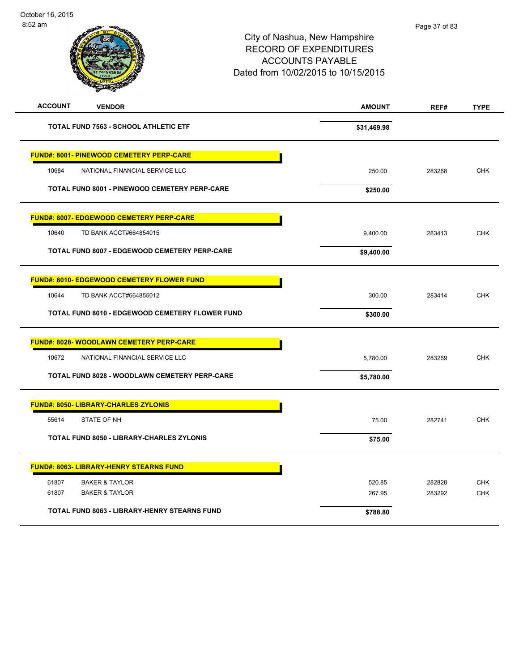# City of Nashua, New Hampshire RECORD OF EXPENDITURES ACCOUNTS PAYABLE Dated from 10/02/2015 to 10/15/2015

| <b>ACCOUNT</b><br><b>VENDOR</b>                        | <b>AMOUNT</b> | REF#   | <b>TYPE</b> |
|--------------------------------------------------------|---------------|--------|-------------|
| <b>TOTAL FUND 7563 - SCHOOL ATHLETIC ETF</b>           | \$31,469.98   |        |             |
| <b>FUND#: 8001- PINEWOOD CEMETERY PERP-CARE</b>        |               |        |             |
| 10684<br>NATIONAL FINANCIAL SERVICE LLC                | 250.00        | 283268 | <b>CHK</b>  |
| <b>TOTAL FUND 8001 - PINEWOOD CEMETERY PERP-CARE</b>   | \$250.00      |        |             |
| <b>FUND#: 8007- EDGEWOOD CEMETERY PERP-CARE</b>        |               |        |             |
| 10640<br>TD BANK ACCT#664854015                        | 9,400.00      | 283413 | <b>CHK</b>  |
| TOTAL FUND 8007 - EDGEWOOD CEMETERY PERP-CARE          | \$9,400.00    |        |             |
| <b>FUND#: 8010- EDGEWOOD CEMETERY FLOWER FUND</b>      |               |        |             |
| 10644<br>TD BANK ACCT#664855012                        | 300.00        | 283414 | <b>CHK</b>  |
| <b>TOTAL FUND 8010 - EDGEWOOD CEMETERY FLOWER FUND</b> | \$300.00      |        |             |
| <b>FUND#: 8028- WOODLAWN CEMETERY PERP-CARE</b>        |               |        |             |
| 10672<br>NATIONAL FINANCIAL SERVICE LLC                | 5,780.00      | 283269 | <b>CHK</b>  |
| TOTAL FUND 8028 - WOODLAWN CEMETERY PERP-CARE          | \$5,780.00    |        |             |
| <b>FUND#: 8050- LIBRARY-CHARLES ZYLONIS</b>            |               |        |             |
| STATE OF NH<br>55614                                   | 75.00         | 282741 | <b>CHK</b>  |
| TOTAL FUND 8050 - LIBRARY-CHARLES ZYLONIS              | \$75.00       |        |             |
| <b>FUND#: 8063- LIBRARY-HENRY STEARNS FUND</b>         |               |        |             |
| 61807<br><b>BAKER &amp; TAYLOR</b>                     | 520.85        | 282828 | <b>CHK</b>  |
| 61807<br><b>BAKER &amp; TAYLOR</b>                     | 267.95        | 283292 | <b>CHK</b>  |
| TOTAL FUND 8063 - LIBRARY-HENRY STEARNS FUND           | \$788.80      |        |             |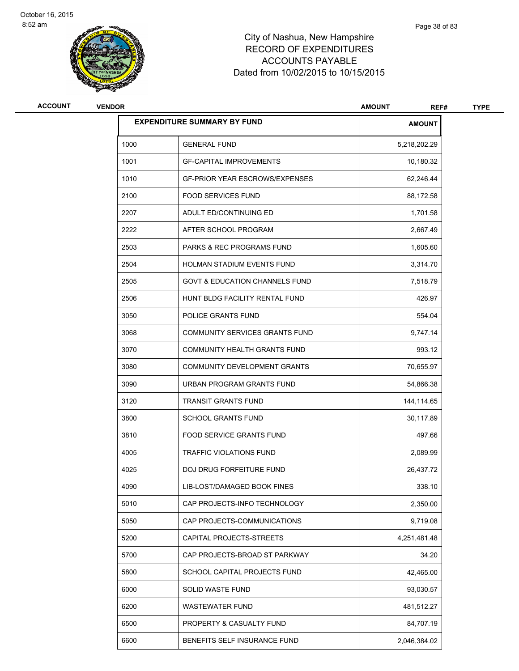

# City of Nashua, New Hampshire RECORD OF EXPENDITURES ACCOUNTS PAYABLE Dated from 10/02/2015 to 10/15/2015

| ACCOUNT | <b>VENDOR</b> |                                           | <b>AMOUNT</b><br>REF# | <b>TYPE</b> |
|---------|---------------|-------------------------------------------|-----------------------|-------------|
|         |               | <b>EXPENDITURE SUMMARY BY FUND</b>        | <b>AMOUNT</b>         |             |
|         | 1000          | <b>GENERAL FUND</b>                       | 5,218,202.29          |             |
|         | 1001          | <b>GF-CAPITAL IMPROVEMENTS</b>            | 10,180.32             |             |
|         | 1010          | <b>GF-PRIOR YEAR ESCROWS/EXPENSES</b>     | 62,246.44             |             |
|         | 2100          | <b>FOOD SERVICES FUND</b>                 | 88,172.58             |             |
|         | 2207          | ADULT ED/CONTINUING ED                    | 1,701.58              |             |
|         | 2222          | AFTER SCHOOL PROGRAM                      | 2,667.49              |             |
|         | 2503          | <b>PARKS &amp; REC PROGRAMS FUND</b>      | 1,605.60              |             |
|         | 2504          | HOLMAN STADIUM EVENTS FUND                | 3,314.70              |             |
|         | 2505          | <b>GOVT &amp; EDUCATION CHANNELS FUND</b> | 7,518.79              |             |
|         | 2506          | HUNT BLDG FACILITY RENTAL FUND            | 426.97                |             |
|         | 3050          | POLICE GRANTS FUND                        | 554.04                |             |
|         | 3068          | <b>COMMUNITY SERVICES GRANTS FUND</b>     | 9,747.14              |             |
|         | 3070          | COMMUNITY HEALTH GRANTS FUND              | 993.12                |             |
|         | 3080          | COMMUNITY DEVELOPMENT GRANTS              | 70,655.97             |             |
|         | 3090          | URBAN PROGRAM GRANTS FUND                 | 54,866.38             |             |
|         | 3120          | <b>TRANSIT GRANTS FUND</b>                | 144,114.65            |             |
|         | 3800          | <b>SCHOOL GRANTS FUND</b>                 | 30,117.89             |             |
|         | 3810          | <b>FOOD SERVICE GRANTS FUND</b>           | 497.66                |             |
|         | 4005          | <b>TRAFFIC VIOLATIONS FUND</b>            | 2,089.99              |             |
|         | 4025          | DOJ DRUG FORFEITURE FUND                  | 26,437.72             |             |
|         | 4090          | LIB-LOST/DAMAGED BOOK FINES               | 338.10                |             |
|         | 5010          | CAP PROJECTS-INFO TECHNOLOGY              | 2,350.00              |             |
|         | 5050          | CAP PROJECTS-COMMUNICATIONS               | 9,719.08              |             |
|         | 5200          | CAPITAL PROJECTS-STREETS                  | 4,251,481.48          |             |
|         | 5700          | CAP PROJECTS-BROAD ST PARKWAY             | 34.20                 |             |
|         | 5800          | SCHOOL CAPITAL PROJECTS FUND              | 42,465.00             |             |
|         | 6000          | SOLID WASTE FUND                          | 93,030.57             |             |
|         | 6200          | <b>WASTEWATER FUND</b>                    | 481,512.27            |             |
|         | 6500          | PROPERTY & CASUALTY FUND                  | 84,707.19             |             |
|         | 6600          | BENEFITS SELF INSURANCE FUND              | 2,046,384.02          |             |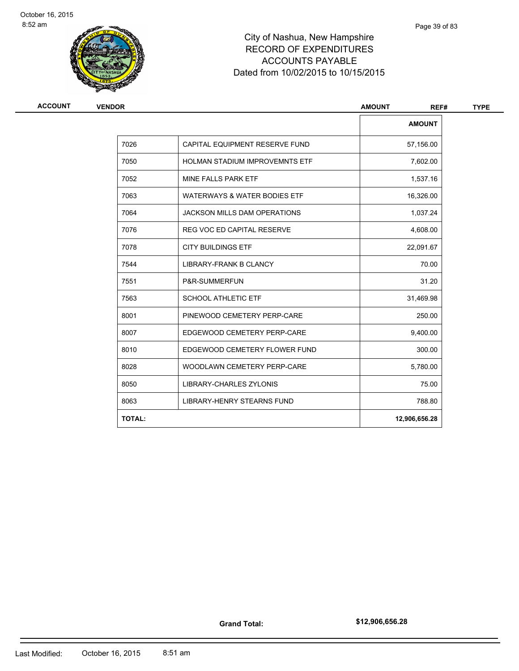

# City of Nashua, New Hampshire RECORD OF EXPENDITURES ACCOUNTS PAYABLE Dated from 10/02/2015 to 10/15/2015

| ACCOUNT<br><b>VENDOR</b> |                                       | <b>AMOUNT</b><br>REF# |
|--------------------------|---------------------------------------|-----------------------|
|                          |                                       | <b>AMOUNT</b>         |
| 7026                     | CAPITAL EQUIPMENT RESERVE FUND        | 57,156.00             |
| 7050                     | <b>HOLMAN STADIUM IMPROVEMNTS ETF</b> | 7,602.00              |
| 7052                     | MINE FALLS PARK ETF                   | 1,537.16              |
| 7063                     | WATERWAYS & WATER BODIES ETF          | 16,326.00             |
| 7064                     | <b>JACKSON MILLS DAM OPERATIONS</b>   | 1,037.24              |
| 7076                     | REG VOC ED CAPITAL RESERVE            | 4,608.00              |
| 7078                     | <b>CITY BUILDINGS ETF</b>             | 22,091.67             |
| 7544                     | <b>LIBRARY-FRANK B CLANCY</b>         | 70.00                 |
| 7551                     | P&R-SUMMERFUN                         | 31.20                 |
| 7563                     | <b>SCHOOL ATHLETIC ETF</b>            | 31,469.98             |
| 8001                     | PINEWOOD CEMETERY PERP-CARE           | 250.00                |
| 8007                     | EDGEWOOD CEMETERY PERP-CARE           | 9,400.00              |
| 8010                     | EDGEWOOD CEMETERY FLOWER FUND         | 300.00                |
| 8028                     | WOODLAWN CEMETERY PERP-CARE           | 5,780.00              |
| 8050                     | LIBRARY-CHARLES ZYLONIS               | 75.00                 |
| 8063                     | <b>LIBRARY-HENRY STEARNS FUND</b>     | 788.80                |
| <b>TOTAL:</b>            |                                       | 12,906,656.28         |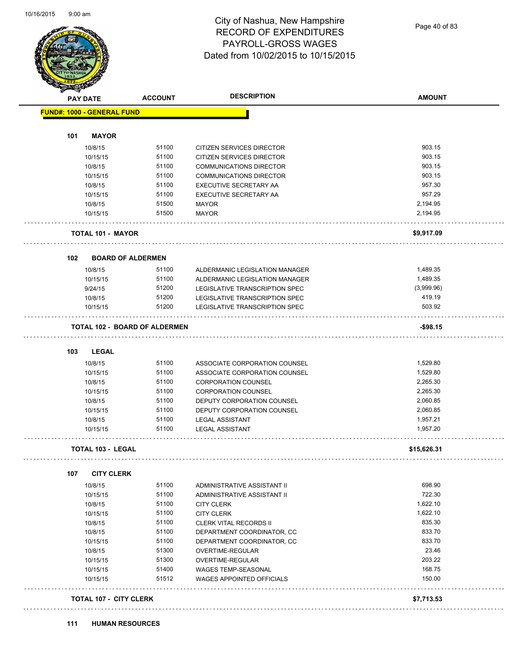Page 40 of 83

|     | <b>PAY DATE</b>                   | <b>ACCOUNT</b>                       | <b>DESCRIPTION</b>                                       | <b>AMOUNT</b>        |
|-----|-----------------------------------|--------------------------------------|----------------------------------------------------------|----------------------|
|     | <b>FUND#: 1000 - GENERAL FUND</b> |                                      |                                                          |                      |
| 101 | <b>MAYOR</b>                      |                                      |                                                          |                      |
|     | 10/8/15                           | 51100                                | CITIZEN SERVICES DIRECTOR                                | 903.15               |
|     | 10/15/15                          | 51100                                | CITIZEN SERVICES DIRECTOR                                | 903.15               |
|     | 10/8/15                           | 51100                                | <b>COMMUNICATIONS DIRECTOR</b>                           | 903.15               |
|     | 10/15/15                          | 51100                                | <b>COMMUNICATIONS DIRECTOR</b>                           | 903.15               |
|     | 10/8/15                           | 51100                                | <b>EXECUTIVE SECRETARY AA</b>                            | 957.30               |
|     | 10/15/15                          | 51100                                | EXECUTIVE SECRETARY AA                                   | 957.29               |
|     | 10/8/15                           | 51500                                | <b>MAYOR</b>                                             | 2,194.95             |
|     | 10/15/15                          | 51500                                | <b>MAYOR</b>                                             | 2,194.95             |
|     | <b>TOTAL 101 - MAYOR</b>          |                                      |                                                          | \$9,917.09           |
|     |                                   |                                      |                                                          |                      |
| 102 | <b>BOARD OF ALDERMEN</b>          |                                      |                                                          |                      |
|     | 10/8/15                           | 51100                                | ALDERMANIC LEGISLATION MANAGER                           | 1,489.35             |
|     | 10/15/15                          | 51100                                | ALDERMANIC LEGISLATION MANAGER                           | 1,489.35             |
|     | 9/24/15                           | 51200                                | LEGISLATIVE TRANSCRIPTION SPEC                           | (3,999.96)           |
|     | 10/8/15                           | 51200                                | LEGISLATIVE TRANSCRIPTION SPEC                           | 419.19               |
|     | 10/15/15                          | 51200                                | <b>LEGISLATIVE TRANSCRIPTION SPEC</b>                    | 503.92               |
|     |                                   | <b>TOTAL 102 - BOARD OF ALDERMEN</b> |                                                          | $-$ \$98.15          |
|     |                                   |                                      |                                                          |                      |
| 103 | <b>LEGAL</b><br>10/8/15           | 51100                                | ASSOCIATE CORPORATION COUNSEL                            | 1,529.80             |
|     | 10/15/15                          | 51100                                | ASSOCIATE CORPORATION COUNSEL                            | 1,529.80             |
|     |                                   | 51100                                |                                                          | 2,265.30             |
|     | 10/8/15<br>10/15/15               | 51100                                | <b>CORPORATION COUNSEL</b><br><b>CORPORATION COUNSEL</b> | 2,265.30             |
|     | 10/8/15                           | 51100                                | DEPUTY CORPORATION COUNSEL                               | 2,060.85             |
|     |                                   | 51100                                |                                                          | 2,060.85             |
|     | 10/15/15                          |                                      | DEPUTY CORPORATION COUNSEL<br><b>LEGAL ASSISTANT</b>     |                      |
|     | 10/8/15<br>10/15/15               | 51100<br>51100                       | <b>LEGAL ASSISTANT</b>                                   | 1,957.21<br>1,957.20 |
|     |                                   |                                      |                                                          |                      |
|     | <b>TOTAL 103 - LEGAL</b>          |                                      |                                                          | \$15,626.31          |
| 107 | <b>CITY CLERK</b>                 |                                      |                                                          |                      |
|     | 10/8/15                           | 51100                                | ADMINISTRATIVE ASSISTANT II                              | 698.90               |
|     | 10/15/15                          | 51100                                | ADMINISTRATIVE ASSISTANT II                              | 722.30               |
|     | 10/8/15                           | 51100                                | <b>CITY CLERK</b>                                        | 1,622.10             |
|     | 10/15/15                          | 51100                                | <b>CITY CLERK</b>                                        | 1,622.10             |
|     | 10/8/15                           | 51100                                | <b>CLERK VITAL RECORDS II</b>                            | 835.30               |
|     | 10/8/15                           | 51100                                | DEPARTMENT COORDINATOR, CC                               | 833.70               |
|     | 10/15/15                          | 51100                                | DEPARTMENT COORDINATOR, CC                               | 833.70               |
|     | 10/8/15                           | 51300                                | OVERTIME-REGULAR                                         | 23.46                |
|     | 10/15/15                          | 51300                                | OVERTIME-REGULAR                                         | 203.22               |
|     | 10/15/15                          | 51400                                | WAGES TEMP-SEASONAL                                      | 168.75               |
|     | 10/15/15                          | 51512                                | <b>WAGES APPOINTED OFFICIALS</b>                         | 150.00               |
|     |                                   |                                      |                                                          |                      |
|     | <b>TOTAL 107 - CITY CLERK</b>     |                                      |                                                          | \$7,713.53           |

**111 HUMAN RESOURCES**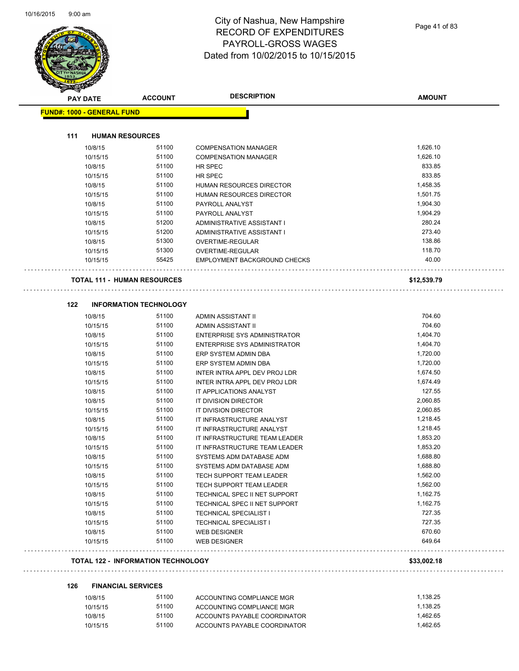÷,

÷,



# City of Nashua, New Hampshire RECORD OF EXPENDITURES PAYROLL-GROSS WAGES Dated from 10/02/2015 to 10/15/2015

| <b>PAY DATE</b>                           | <b>ACCOUNT</b>                | <b>DESCRIPTION</b>            | <b>AMOUNT</b> |
|-------------------------------------------|-------------------------------|-------------------------------|---------------|
| <b>FUND#: 1000 - GENERAL FUND</b>         |                               |                               |               |
| 111<br><b>HUMAN RESOURCES</b>             |                               |                               |               |
| 10/8/15                                   | 51100                         | <b>COMPENSATION MANAGER</b>   | 1,626.10      |
| 10/15/15                                  | 51100                         | <b>COMPENSATION MANAGER</b>   | 1,626.10      |
|                                           | 51100                         |                               | 833.85        |
| 10/8/15                                   | 51100                         | HR SPEC                       | 833.85        |
| 10/15/15                                  | 51100                         | HR SPEC                       | 1,458.35      |
| 10/8/15                                   |                               | HUMAN RESOURCES DIRECTOR      |               |
| 10/15/15                                  | 51100                         | HUMAN RESOURCES DIRECTOR      | 1,501.75      |
| 10/8/15                                   | 51100<br>51100                | PAYROLL ANALYST               | 1,904.30      |
| 10/15/15                                  |                               | PAYROLL ANALYST               | 1,904.29      |
| 10/8/15                                   | 51200                         | ADMINISTRATIVE ASSISTANT I    | 280.24        |
| 10/15/15                                  | 51200                         | ADMINISTRATIVE ASSISTANT I    | 273.40        |
| 10/8/15                                   | 51300                         | OVERTIME-REGULAR              | 138.86        |
| 10/15/15                                  | 51300                         | OVERTIME-REGULAR              | 118.70        |
| 10/15/15                                  | 55425                         | EMPLOYMENT BACKGROUND CHECKS  | 40.00         |
| <b>TOTAL 111 - HUMAN RESOURCES</b>        |                               |                               | \$12,539.79   |
| 122                                       | <b>INFORMATION TECHNOLOGY</b> |                               |               |
| 10/8/15                                   | 51100                         | ADMIN ASSISTANT II            | 704.60        |
| 10/15/15                                  | 51100                         | ADMIN ASSISTANT II            | 704.60        |
| 10/8/15                                   | 51100                         | ENTERPRISE SYS ADMINISTRATOR  | 1,404.70      |
| 10/15/15                                  | 51100                         | ENTERPRISE SYS ADMINISTRATOR  | 1,404.70      |
| 10/8/15                                   | 51100                         | ERP SYSTEM ADMIN DBA          | 1,720.00      |
| 10/15/15                                  | 51100                         | ERP SYSTEM ADMIN DBA          | 1,720.00      |
| 10/8/15                                   | 51100                         | INTER INTRA APPL DEV PROJ LDR | 1,674.50      |
| 10/15/15                                  | 51100                         | INTER INTRA APPL DEV PROJ LDR | 1,674.49      |
| 10/8/15                                   | 51100                         | IT APPLICATIONS ANALYST       | 127.55        |
| 10/8/15                                   | 51100                         | IT DIVISION DIRECTOR          | 2,060.85      |
| 10/15/15                                  | 51100                         | IT DIVISION DIRECTOR          | 2,060.85      |
| 10/8/15                                   | 51100                         | IT INFRASTRUCTURE ANALYST     | 1,218.45      |
| 10/15/15                                  | 51100                         | IT INFRASTRUCTURE ANALYST     | 1,218.45      |
| 10/8/15                                   | 51100                         | IT INFRASTRUCTURE TEAM LEADER | 1,853.20      |
| 10/15/15                                  | 51100                         | IT INFRASTRUCTURE TEAM LEADER | 1,853.20      |
| 10/8/15                                   | 51100                         | SYSTEMS ADM DATABASE ADM      | 1,688.80      |
| 10/15/15                                  | 51100                         | SYSTEMS ADM DATABASE ADM      | 1,688.80      |
| 10/8/15                                   | 51100                         | TECH SUPPORT TEAM LEADER      | 1,562.00      |
| 10/15/15                                  | 51100                         | TECH SUPPORT TEAM LEADER      | 1,562.00      |
| 10/8/15                                   | 51100                         | TECHNICAL SPEC II NET SUPPORT | 1,162.75      |
| 10/15/15                                  | 51100                         | TECHNICAL SPEC II NET SUPPORT | 1,162.75      |
| 10/8/15                                   | 51100                         | <b>TECHNICAL SPECIALIST I</b> | 727.35        |
| 10/15/15                                  | 51100                         | <b>TECHNICAL SPECIALIST I</b> | 727.35        |
| 10/8/15                                   | 51100                         | <b>WEB DESIGNER</b>           | 670.60        |
| 10/15/15                                  | 51100                         | <b>WEB DESIGNER</b>           | 649.64        |
| <b>TOTAL 122 - INFORMATION TECHNOLOGY</b> |                               |                               | \$33,002.18   |

#### **126 FINANCIAL SERVICES** 10/8/15 51100 ACCOUNTING COMPLIANCE MGR 1,138.25

| 10/0/10  | <b>UUILU</b> | AUUUN HING UUMFLIANUE MGR    | 1. I JU.ZJ |
|----------|--------------|------------------------------|------------|
| 10/15/15 | 51100        | ACCOUNTING COMPLIANCE MGR    | 1.138.25   |
| 10/8/15  | 51100        | ACCOUNTS PAYABLE COORDINATOR | 1.462.65   |
| 10/15/15 | 51100        | ACCOUNTS PAYABLE COORDINATOR | 1.462.65   |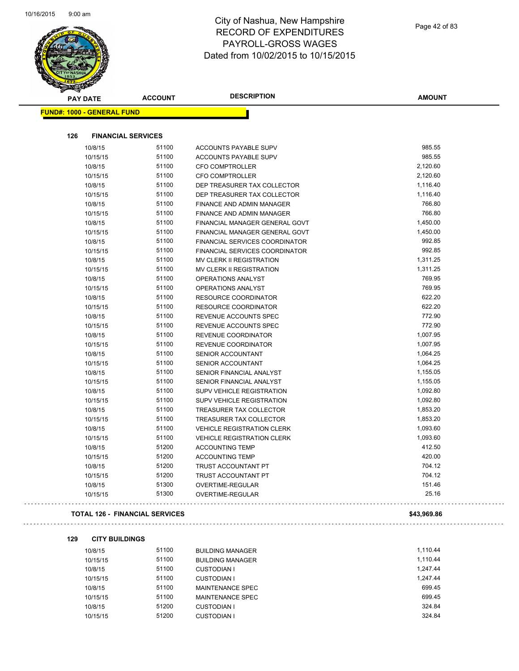$\overline{\phantom{0}}$ 



# City of Nashua, New Hampshire RECORD OF EXPENDITURES PAYROLL-GROSS WAGES Dated from 10/02/2015 to 10/15/2015

| <b>CONSTRAIN</b><br><b>PAY DATE</b> | <b>ACCOUNT</b>                 | <b>DESCRIPTION</b>                                               | <b>AMOUNT</b>    |
|-------------------------------------|--------------------------------|------------------------------------------------------------------|------------------|
| <b>FUND#: 1000 - GENERAL FUND</b>   |                                |                                                                  |                  |
| 126                                 | <b>FINANCIAL SERVICES</b>      |                                                                  |                  |
|                                     | 51100                          |                                                                  | 985.55           |
| 10/8/15<br>10/15/15                 | 51100                          | ACCOUNTS PAYABLE SUPV<br>ACCOUNTS PAYABLE SUPV                   | 985.55           |
| 10/8/15                             | 51100                          | <b>CFO COMPTROLLER</b>                                           | 2,120.60         |
| 10/15/15                            | 51100                          | <b>CFO COMPTROLLER</b>                                           | 2,120.60         |
| 10/8/15                             | 51100                          | DEP TREASURER TAX COLLECTOR                                      | 1,116.40         |
| 10/15/15                            | 51100                          | DEP TREASURER TAX COLLECTOR                                      | 1,116.40         |
| 10/8/15                             | 51100                          | FINANCE AND ADMIN MANAGER                                        | 766.80           |
| 10/15/15                            | 51100                          | <b>FINANCE AND ADMIN MANAGER</b>                                 | 766.80           |
|                                     | 51100                          |                                                                  | 1,450.00         |
| 10/8/15                             | 51100                          | FINANCIAL MANAGER GENERAL GOVT                                   | 1,450.00         |
| 10/15/15<br>10/8/15                 | 51100                          | FINANCIAL MANAGER GENERAL GOVT<br>FINANCIAL SERVICES COORDINATOR | 992.85           |
|                                     | 51100                          | <b>FINANCIAL SERVICES COORDINATOR</b>                            | 992.85           |
| 10/15/15<br>10/8/15                 | 51100                          | MV CLERK II REGISTRATION                                         | 1,311.25         |
|                                     | 51100                          |                                                                  | 1,311.25         |
| 10/15/15                            |                                | MV CLERK II REGISTRATION                                         |                  |
| 10/8/15                             | 51100                          | <b>OPERATIONS ANALYST</b>                                        | 769.95<br>769.95 |
| 10/15/15                            | 51100                          | OPERATIONS ANALYST                                               |                  |
| 10/8/15                             | 51100                          | RESOURCE COORDINATOR                                             | 622.20<br>622.20 |
| 10/15/15                            | 51100                          | <b>RESOURCE COORDINATOR</b>                                      |                  |
| 10/8/15                             | 51100                          | REVENUE ACCOUNTS SPEC                                            | 772.90           |
| 10/15/15                            | 51100                          | REVENUE ACCOUNTS SPEC                                            | 772.90           |
| 10/8/15                             | 51100                          | REVENUE COORDINATOR                                              | 1,007.95         |
| 10/15/15                            | 51100                          | REVENUE COORDINATOR                                              | 1,007.95         |
| 10/8/15                             | 51100                          | SENIOR ACCOUNTANT                                                | 1,064.25         |
| 10/15/15                            | 51100                          | SENIOR ACCOUNTANT                                                | 1,064.25         |
| 10/8/15                             | 51100                          | SENIOR FINANCIAL ANALYST                                         | 1,155.05         |
| 10/15/15                            | 51100                          | SENIOR FINANCIAL ANALYST                                         | 1,155.05         |
| 10/8/15                             | 51100                          | SUPV VEHICLE REGISTRATION                                        | 1,092.80         |
| 10/15/15                            | 51100                          | SUPV VEHICLE REGISTRATION                                        | 1,092.80         |
| 10/8/15                             | 51100                          | TREASURER TAX COLLECTOR                                          | 1,853.20         |
| 10/15/15                            | 51100                          | TREASURER TAX COLLECTOR                                          | 1,853.20         |
| 10/8/15                             | 51100                          | <b>VEHICLE REGISTRATION CLERK</b>                                | 1,093.60         |
| 10/15/15                            | 51100                          | <b>VEHICLE REGISTRATION CLERK</b>                                | 1,093.60         |
| 10/8/15                             | 51200                          | <b>ACCOUNTING TEMP</b>                                           | 412.50           |
| 10/15/15                            | 51200                          | <b>ACCOUNTING TEMP</b>                                           | 420.00           |
| 10/8/15                             | 51200                          | TRUST ACCOUNTANT PT                                              | 704.12           |
| 10/15/15                            | 51200                          | TRUST ACCOUNTANT PT                                              | 704.12           |
| 10/8/15<br>10/15/15                 | 51300<br>51300                 | OVERTIME-REGULAR<br>OVERTIME-REGULAR                             | 151.46<br>25.16  |
|                                     |                                |                                                                  |                  |
|                                     | TOTAL 126 - FINANCIAL SERVICES |                                                                  | \$43,969.86      |
| 129<br><b>CITY BUILDINGS</b>        |                                |                                                                  |                  |
| 10/8/15                             | 51100                          | <b>BUILDING MANAGER</b>                                          | 1,110.44         |
| 10/15/15                            | 51100                          | <b>BUILDING MANAGER</b>                                          | 1,110.44         |
| 10/8/15                             | 51100                          | <b>CUSTODIAN I</b>                                               | 1,247.44         |
| 10/15/15                            | 51100                          | <b>CUSTODIAN I</b>                                               | 1,247.44         |
| 10/8/15                             | 51100                          | <b>MAINTENANCE SPEC</b>                                          | 699.45           |
| 10/15/15                            | 51100                          | MAINTENANCE SPEC                                                 | 699.45           |

10/8/15 51200 CUSTODIAN I 324.84 10/15/15 51200 CUSTODIAN I 324.84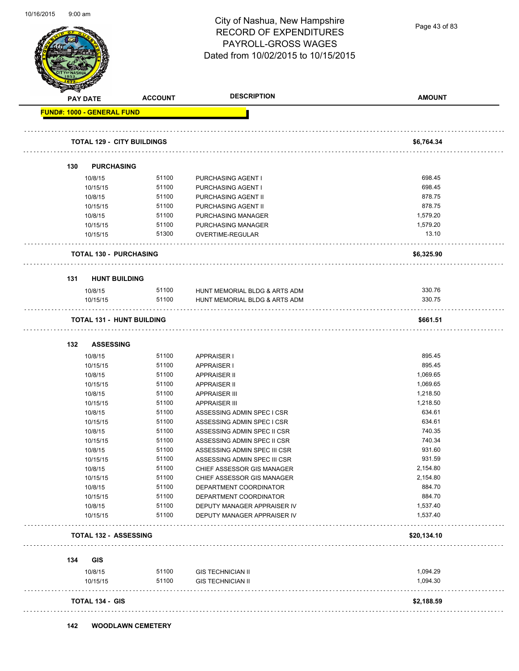Page 43 of 83

| <b>PAY DATE</b>                    | <b>ACCOUNT</b> | <b>DESCRIPTION</b>                                           | <b>AMOUNT</b>    |
|------------------------------------|----------------|--------------------------------------------------------------|------------------|
| <b>FUND#: 1000 - GENERAL FUND</b>  |                |                                                              |                  |
| <b>TOTAL 129 - CITY BUILDINGS</b>  |                |                                                              | \$6,764.34       |
|                                    |                |                                                              |                  |
| 130<br><b>PURCHASING</b>           |                |                                                              |                  |
| 10/8/15                            | 51100          | PURCHASING AGENT I                                           | 698.45           |
| 10/15/15                           | 51100          | PURCHASING AGENT I                                           | 698.45           |
| 10/8/15                            | 51100          | PURCHASING AGENT II                                          | 878.75           |
| 10/15/15                           | 51100          | PURCHASING AGENT II                                          | 878.75           |
| 10/8/15                            | 51100          | PURCHASING MANAGER                                           | 1,579.20         |
| 10/15/15                           | 51100          | PURCHASING MANAGER                                           | 1,579.20         |
| 10/15/15                           | 51300          | OVERTIME-REGULAR                                             | 13.10            |
| <b>TOTAL 130 - PURCHASING</b>      |                |                                                              | \$6,325.90       |
|                                    |                |                                                              |                  |
| <b>HUNT BUILDING</b><br>131        |                |                                                              |                  |
| 10/8/15                            | 51100          | HUNT MEMORIAL BLDG & ARTS ADM                                | 330.76           |
| 10/15/15                           | 51100          | HUNT MEMORIAL BLDG & ARTS ADM                                | 330.75           |
| <b>TOTAL 131 - HUNT BUILDING</b>   |                |                                                              | \$661.51         |
|                                    |                |                                                              |                  |
| 132<br><b>ASSESSING</b><br>10/8/15 | 51100          | <b>APPRAISER I</b>                                           | 895.45           |
|                                    |                |                                                              | 895.45           |
| 10/15/15                           | 51100          | <b>APPRAISER I</b>                                           | 1,069.65         |
| 10/8/15                            | 51100          | <b>APPRAISER II</b>                                          |                  |
| 10/15/15                           | 51100          | <b>APPRAISER II</b>                                          | 1,069.65         |
| 10/8/15                            | 51100          | <b>APPRAISER III</b>                                         | 1,218.50         |
| 10/15/15                           | 51100          | <b>APPRAISER III</b>                                         | 1,218.50         |
| 10/8/15                            | 51100          | ASSESSING ADMIN SPEC I CSR                                   | 634.61           |
| 10/15/15                           | 51100          | ASSESSING ADMIN SPEC I CSR                                   | 634.61           |
| 10/8/15                            | 51100          | ASSESSING ADMIN SPEC II CSR                                  | 740.35           |
| 10/15/15                           | 51100          | ASSESSING ADMIN SPEC II CSR                                  | 740.34<br>931.60 |
| 10/8/15                            | 51100<br>51100 | ASSESSING ADMIN SPEC III CSR<br>ASSESSING ADMIN SPEC III CSR | 931.59           |
| 10/15/15                           |                |                                                              | 2,154.80         |
| 10/8/15                            | 51100          | CHIEF ASSESSOR GIS MANAGER                                   |                  |
| 10/15/15                           | 51100          | CHIEF ASSESSOR GIS MANAGER                                   | 2,154.80         |
| 10/8/15                            | 51100          | DEPARTMENT COORDINATOR                                       | 884.70           |
| 10/15/15                           | 51100          | DEPARTMENT COORDINATOR                                       | 884.70           |
| 10/8/15                            | 51100          | DEPUTY MANAGER APPRAISER IV                                  | 1,537.40         |
| 10/15/15                           | 51100          | DEPUTY MANAGER APPRAISER IV                                  | 1,537.40         |
| <b>TOTAL 132 - ASSESSING</b>       |                |                                                              | \$20,134.10      |
| 134<br><b>GIS</b>                  |                |                                                              |                  |
| 10/8/15                            | 51100          | <b>GIS TECHNICIAN II</b>                                     | 1,094.29         |
| 10/15/15                           | 51100          | <b>GIS TECHNICIAN II</b>                                     | 1,094.30         |
| <b>TOTAL 134 - GIS</b>             |                |                                                              | \$2,188.59       |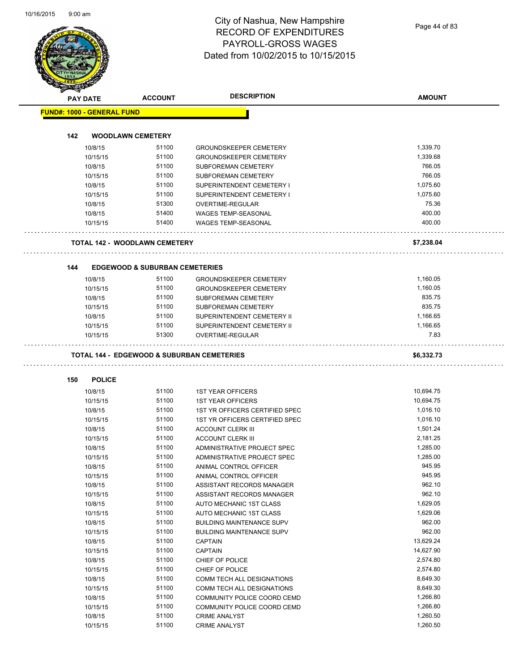| <b>PAY DATE</b>                   | <b>ACCOUNT</b>                                        | <b>DESCRIPTION</b>                                             | <b>AMOUNT</b>        |
|-----------------------------------|-------------------------------------------------------|----------------------------------------------------------------|----------------------|
| <b>FUND#: 1000 - GENERAL FUND</b> |                                                       |                                                                |                      |
|                                   |                                                       |                                                                |                      |
| 142                               | <b>WOODLAWN CEMETERY</b>                              |                                                                |                      |
| 10/8/15                           | 51100                                                 | <b>GROUNDSKEEPER CEMETERY</b>                                  | 1,339.70             |
| 10/15/15                          | 51100                                                 | <b>GROUNDSKEEPER CEMETERY</b>                                  | 1,339.68             |
| 10/8/15                           | 51100                                                 | SUBFOREMAN CEMETERY                                            | 766.05               |
| 10/15/15                          | 51100                                                 | <b>SUBFOREMAN CEMETERY</b>                                     | 766.05               |
| 10/8/15                           | 51100                                                 | SUPERINTENDENT CEMETERY I                                      | 1,075.60             |
| 10/15/15                          | 51100                                                 | SUPERINTENDENT CEMETERY I                                      | 1,075.60             |
| 10/8/15                           | 51300                                                 | OVERTIME-REGULAR                                               | 75.36                |
| 10/8/15                           | 51400                                                 | <b>WAGES TEMP-SEASONAL</b>                                     | 400.00               |
| 10/15/15                          | 51400                                                 | <b>WAGES TEMP-SEASONAL</b>                                     | 400.00               |
|                                   | <b>TOTAL 142 - WOODLAWN CEMETERY</b>                  |                                                                | \$7,238.04           |
|                                   |                                                       |                                                                |                      |
| 144                               | <b>EDGEWOOD &amp; SUBURBAN CEMETERIES</b><br>51100    |                                                                | 1,160.05             |
| 10/8/15<br>10/15/15               | 51100                                                 | <b>GROUNDSKEEPER CEMETERY</b><br><b>GROUNDSKEEPER CEMETERY</b> | 1.160.05             |
|                                   |                                                       |                                                                | 835.75               |
| 10/8/15                           | 51100                                                 | <b>SUBFOREMAN CEMETERY</b>                                     |                      |
| 10/15/15                          | 51100                                                 | <b>SUBFOREMAN CEMETERY</b>                                     | 835.75               |
| 10/8/15                           | 51100                                                 | SUPERINTENDENT CEMETERY II                                     | 1,166.65             |
| 10/15/15<br>10/15/15              | 51100<br>51300                                        | SUPERINTENDENT CEMETERY II<br>OVERTIME-REGULAR                 | 1,166.65<br>7.83     |
|                                   | <b>TOTAL 144 - EDGEWOOD &amp; SUBURBAN CEMETERIES</b> |                                                                | \$6,332.73           |
|                                   |                                                       |                                                                |                      |
| 150                               | <b>POLICE</b>                                         |                                                                |                      |
| 10/8/15                           | 51100                                                 | <b>1ST YEAR OFFICERS</b>                                       | 10,694.75            |
| 10/15/15                          | 51100                                                 | <b>1ST YEAR OFFICERS</b>                                       | 10,694.75            |
| 10/8/15                           | 51100                                                 | 1ST YR OFFICERS CERTIFIED SPEC                                 | 1,016.10             |
| 10/15/15                          | 51100                                                 | 1ST YR OFFICERS CERTIFIED SPEC                                 | 1,016.10             |
| 10/8/15                           | 51100<br>51100                                        | <b>ACCOUNT CLERK III</b>                                       | 1,501.24<br>2,181.25 |
| 10/15/15                          | 51100                                                 | <b>ACCOUNT CLERK III</b>                                       | 1,285.00             |
| 10/8/15                           |                                                       | ADMINISTRATIVE PROJECT SPEC                                    |                      |
| 10/15/15                          | 51100                                                 | ADMINISTRATIVE PROJECT SPEC                                    | 1,285.00             |
| 10/8/15                           | 51100                                                 | ANIMAL CONTROL OFFICER                                         | 945.95               |
| 10/15/15                          | 51100                                                 | ANIMAL CONTROL OFFICER                                         | 945.95               |
| 10/8/15                           | 51100                                                 | ASSISTANT RECORDS MANAGER                                      | 962.10               |
| 10/15/15                          | 51100                                                 | ASSISTANT RECORDS MANAGER                                      | 962.10               |
| 10/8/15                           | 51100                                                 | AUTO MECHANIC 1ST CLASS                                        | 1,629.05             |
| 10/15/15                          | 51100                                                 | AUTO MECHANIC 1ST CLASS                                        | 1,629.06             |
| 10/8/15                           | 51100                                                 | <b>BUILDING MAINTENANCE SUPV</b>                               | 962.00               |
| 10/15/15                          | 51100                                                 | <b>BUILDING MAINTENANCE SUPV</b>                               | 962.00               |
| 10/8/15                           | 51100                                                 | <b>CAPTAIN</b>                                                 | 13,629.24            |
| 10/15/15                          | 51100                                                 | <b>CAPTAIN</b>                                                 | 14,627.90            |
| 10/8/15                           | 51100                                                 | CHIEF OF POLICE                                                | 2,574.80             |
| 10/15/15                          | 51100                                                 | CHIEF OF POLICE                                                | 2,574.80             |
| 10/8/15                           | 51100                                                 | COMM TECH ALL DESIGNATIONS                                     | 8,649.30             |
| 10/15/15                          | 51100                                                 | COMM TECH ALL DESIGNATIONS                                     | 8,649.30             |
| 10/8/15                           | 51100                                                 | COMMUNITY POLICE COORD CEMD                                    | 1,266.80             |
|                                   | 51100                                                 | COMMUNITY POLICE COORD CEMD                                    | 1,266.80             |
| 10/15/15                          |                                                       |                                                                |                      |
| 10/8/15                           | 51100<br>51100                                        | <b>CRIME ANALYST</b>                                           | 1,260.50<br>1,260.50 |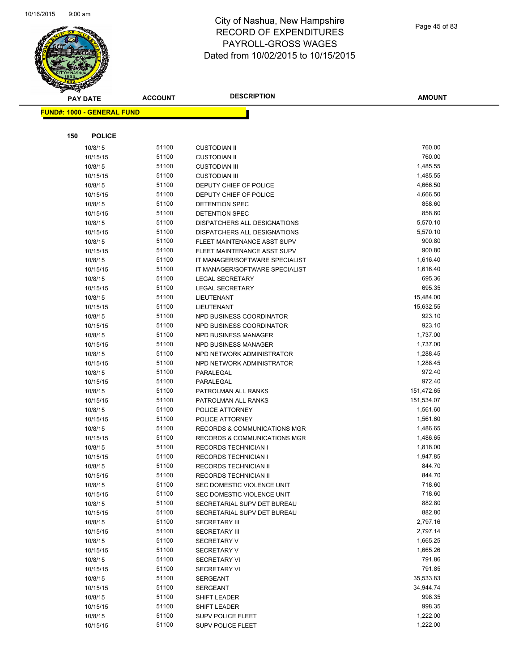

|     | <b>PAY DATE</b>                   | <b>ACCOUNT</b> | <b>DESCRIPTION</b>                      | <b>AMOUNT</b> |
|-----|-----------------------------------|----------------|-----------------------------------------|---------------|
|     | <b>FUND#: 1000 - GENERAL FUND</b> |                |                                         |               |
|     |                                   |                |                                         |               |
|     |                                   |                |                                         |               |
| 150 | <b>POLICE</b>                     |                |                                         |               |
|     | 10/8/15                           | 51100          | <b>CUSTODIAN II</b>                     | 760.00        |
|     | 10/15/15                          | 51100          | <b>CUSTODIAN II</b>                     | 760.00        |
|     | 10/8/15                           | 51100          | <b>CUSTODIAN III</b>                    | 1,485.55      |
|     | 10/15/15                          | 51100          | <b>CUSTODIAN III</b>                    | 1,485.55      |
|     | 10/8/15                           | 51100          | DEPUTY CHIEF OF POLICE                  | 4,666.50      |
|     | 10/15/15                          | 51100          | DEPUTY CHIEF OF POLICE                  | 4,666.50      |
|     | 10/8/15                           | 51100          | DETENTION SPEC                          | 858.60        |
|     | 10/15/15                          | 51100          | DETENTION SPEC                          | 858.60        |
|     | 10/8/15                           | 51100          | DISPATCHERS ALL DESIGNATIONS            | 5,570.10      |
|     | 10/15/15                          | 51100          | DISPATCHERS ALL DESIGNATIONS            | 5,570.10      |
|     | 10/8/15                           | 51100          | FLEET MAINTENANCE ASST SUPV             | 900.80        |
|     | 10/15/15                          | 51100          | FLEET MAINTENANCE ASST SUPV             | 900.80        |
|     | 10/8/15                           | 51100          | IT MANAGER/SOFTWARE SPECIALIST          | 1,616.40      |
|     | 10/15/15                          | 51100          | IT MANAGER/SOFTWARE SPECIALIST          | 1,616.40      |
|     | 10/8/15                           | 51100          | <b>LEGAL SECRETARY</b>                  | 695.36        |
|     | 10/15/15                          | 51100          | <b>LEGAL SECRETARY</b>                  | 695.35        |
|     | 10/8/15                           | 51100          | LIEUTENANT                              | 15,484.00     |
|     | 10/15/15                          | 51100          | <b>LIEUTENANT</b>                       | 15,632.55     |
|     | 10/8/15                           | 51100          | NPD BUSINESS COORDINATOR                | 923.10        |
|     | 10/15/15                          | 51100          | NPD BUSINESS COORDINATOR                | 923.10        |
|     | 10/8/15                           | 51100          | NPD BUSINESS MANAGER                    | 1,737.00      |
|     | 10/15/15                          | 51100          | <b>NPD BUSINESS MANAGER</b>             | 1,737.00      |
|     | 10/8/15                           | 51100          | NPD NETWORK ADMINISTRATOR               | 1,288.45      |
|     | 10/15/15                          | 51100          | NPD NETWORK ADMINISTRATOR               | 1,288.45      |
|     | 10/8/15                           | 51100          | PARALEGAL                               | 972.40        |
|     | 10/15/15                          | 51100          | PARALEGAL                               | 972.40        |
|     | 10/8/15                           | 51100          | PATROLMAN ALL RANKS                     | 151,472.65    |
|     | 10/15/15                          | 51100          | PATROLMAN ALL RANKS                     | 151,534.07    |
|     | 10/8/15                           | 51100          | POLICE ATTORNEY                         | 1,561.60      |
|     | 10/15/15                          | 51100          | POLICE ATTORNEY                         | 1,561.60      |
|     | 10/8/15                           | 51100          | <b>RECORDS &amp; COMMUNICATIONS MGR</b> | 1,486.65      |
|     | 10/15/15                          | 51100          | <b>RECORDS &amp; COMMUNICATIONS MGR</b> | 1,486.65      |
|     | 10/8/15                           | 51100          | <b>RECORDS TECHNICIAN I</b>             | 1,818.00      |
|     | 10/15/15                          | 51100          | <b>RECORDS TECHNICIAN I</b>             | 1,947.85      |
|     | 10/8/15                           | 51100          | <b>RECORDS TECHNICIAN II</b>            | 844.70        |
|     | 10/15/15                          | 51100          | RECORDS TECHNICIAN II                   | 844.70        |
|     | 10/8/15                           | 51100          | SEC DOMESTIC VIOLENCE UNIT              | 718.60        |
|     | 10/15/15                          | 51100          | SEC DOMESTIC VIOLENCE UNIT              | 718.60        |
|     | 10/8/15                           | 51100          | SECRETARIAL SUPV DET BUREAU             | 882.80        |
|     | 10/15/15                          | 51100          | SECRETARIAL SUPV DET BUREAU             | 882.80        |
|     | 10/8/15                           | 51100          | <b>SECRETARY III</b>                    | 2,797.16      |
|     | 10/15/15                          | 51100          | <b>SECRETARY III</b>                    | 2,797.14      |
|     | 10/8/15                           | 51100          | SECRETARY V                             | 1,665.25      |
|     | 10/15/15                          | 51100          | <b>SECRETARY V</b>                      | 1,665.26      |
|     | 10/8/15                           | 51100          | <b>SECRETARY VI</b>                     | 791.86        |
|     | 10/15/15                          | 51100          | <b>SECRETARY VI</b>                     | 791.85        |
|     | 10/8/15                           | 51100          | <b>SERGEANT</b>                         | 35,533.83     |
|     | 10/15/15                          | 51100          | SERGEANT                                | 34,944.74     |
|     | 10/8/15                           | 51100          | SHIFT LEADER                            | 998.35        |
|     | 10/15/15                          | 51100          | <b>SHIFT LEADER</b>                     | 998.35        |
|     | 10/8/15                           | 51100          | <b>SUPV POLICE FLEET</b>                | 1,222.00      |
|     | 10/15/15                          | 51100          | <b>SUPV POLICE FLEET</b>                | 1,222.00      |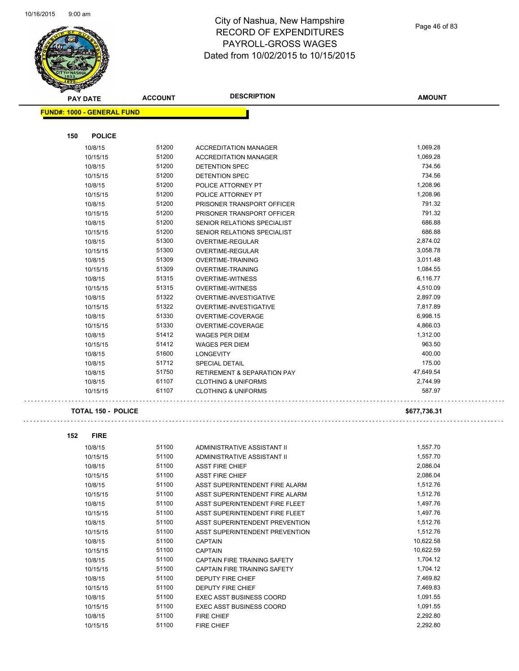$\hat{\mathcal{L}}$  .

 $\Box$ 



|     | <b>PAY DATE</b>                   | <b>ACCOUNT</b> | <b>DESCRIPTION</b>                                 | <b>AMOUNT</b>        |
|-----|-----------------------------------|----------------|----------------------------------------------------|----------------------|
|     | <b>FUND#: 1000 - GENERAL FUND</b> |                |                                                    |                      |
|     |                                   |                |                                                    |                      |
| 150 | <b>POLICE</b>                     |                |                                                    |                      |
|     | 10/8/15                           | 51200          | <b>ACCREDITATION MANAGER</b>                       | 1,069.28             |
|     | 10/15/15                          | 51200          | <b>ACCREDITATION MANAGER</b>                       | 1,069.28             |
|     | 10/8/15                           | 51200          | DETENTION SPEC                                     | 734.56               |
|     | 10/15/15                          | 51200          | <b>DETENTION SPEC</b>                              | 734.56               |
|     | 10/8/15                           | 51200          | POLICE ATTORNEY PT                                 | 1,208.96             |
|     | 10/15/15                          | 51200          | POLICE ATTORNEY PT                                 | 1,208.96             |
|     | 10/8/15                           | 51200          | PRISONER TRANSPORT OFFICER                         | 791.32               |
|     | 10/15/15                          | 51200          | PRISONER TRANSPORT OFFICER                         | 791.32               |
|     | 10/8/15                           | 51200<br>51200 | SENIOR RELATIONS SPECIALIST                        | 686.88<br>686.88     |
|     | 10/15/15                          |                | SENIOR RELATIONS SPECIALIST                        |                      |
|     | 10/8/15                           | 51300<br>51300 | OVERTIME-REGULAR                                   | 2,874.02<br>3,058.78 |
|     | 10/15/15                          | 51309          | OVERTIME-REGULAR<br><b>OVERTIME-TRAINING</b>       | 3,011.48             |
|     | 10/8/15                           | 51309          |                                                    | 1,084.55             |
|     | 10/15/15<br>10/8/15               | 51315          | OVERTIME-TRAINING                                  | 6,116.77             |
|     |                                   | 51315          | <b>OVERTIME-WITNESS</b><br><b>OVERTIME-WITNESS</b> | 4,510.09             |
|     | 10/15/15<br>10/8/15               | 51322          | OVERTIME-INVESTIGATIVE                             | 2,897.09             |
|     |                                   | 51322          | OVERTIME-INVESTIGATIVE                             | 7,817.89             |
|     | 10/15/15<br>10/8/15               | 51330          | OVERTIME-COVERAGE                                  | 6,998.15             |
|     | 10/15/15                          | 51330          | OVERTIME-COVERAGE                                  | 4,866.03             |
|     | 10/8/15                           | 51412          | <b>WAGES PER DIEM</b>                              | 1,312.00             |
|     | 10/15/15                          | 51412          | <b>WAGES PER DIEM</b>                              | 963.50               |
|     | 10/8/15                           | 51600          | <b>LONGEVITY</b>                                   | 400.00               |
|     | 10/8/15                           | 51712          | <b>SPECIAL DETAIL</b>                              | 175.00               |
|     | 10/8/15                           | 51750          | <b>RETIREMENT &amp; SEPARATION PAY</b>             | 47,649.54            |
|     | 10/8/15                           | 61107          | <b>CLOTHING &amp; UNIFORMS</b>                     | 2,744.99             |
|     | 10/15/15                          | 61107          | <b>CLOTHING &amp; UNIFORMS</b>                     | 587.97               |
|     | <b>TOTAL 150 - POLICE</b>         |                |                                                    | \$677,736.31         |
|     |                                   |                |                                                    |                      |
| 152 | <b>FIRE</b>                       |                |                                                    |                      |
|     | 10/8/15                           | 51100          | ADMINISTRATIVE ASSISTANT II                        | 1,557.70             |
|     | 10/15/15                          | 51100          | ADMINISTRATIVE ASSISTANT II                        | 1,557.70             |
|     | 10/8/15                           | 51100          | <b>ASST FIRE CHIEF</b>                             | 2,086.04             |
|     | 10/15/15                          | 51100          | <b>ASST FIRE CHIEF</b>                             | 2,086.04             |
|     | 10/8/15                           | 51100          | ASST SUPERINTENDENT FIRE ALARM                     | 1,512.76             |
|     | 10/15/15                          | 51100          | ASST SUPERINTENDENT FIRE ALARM                     | 1,512.76             |
|     | 10/8/15                           | 51100          | ASST SUPERINTENDENT FIRE FLEET                     | 1,497.76             |
|     | 10/15/15                          | 51100          | ASST SUPERINTENDENT FIRE FLEET                     | 1,497.76             |
|     | 10/8/15                           | 51100          | ASST SUPERINTENDENT PREVENTION                     | 1,512.76             |
|     | 10/15/15                          | 51100          | ASST SUPERINTENDENT PREVENTION                     | 1,512.76             |
|     | 10/8/15                           | 51100          | <b>CAPTAIN</b>                                     | 10,622.58            |
|     | 10/15/15                          | 51100          | <b>CAPTAIN</b>                                     | 10,622.59            |
|     | 10/8/15                           | 51100          | <b>CAPTAIN FIRE TRAINING SAFETY</b>                | 1,704.12             |
|     | 10/15/15                          | 51100          | CAPTAIN FIRE TRAINING SAFETY                       | 1,704.12             |
|     | 10/8/15                           | 51100          | <b>DEPUTY FIRE CHIEF</b>                           | 7,469.82             |
|     | 10/15/15                          | 51100          | DEPUTY FIRE CHIEF                                  | 7,469.83             |
|     | 10/8/15                           | 51100          | <b>EXEC ASST BUSINESS COORD</b>                    | 1,091.55             |
|     | 10/15/15                          | 51100          | <b>EXEC ASST BUSINESS COORD</b>                    | 1,091.55             |
|     | 10/8/15                           | 51100          | <b>FIRE CHIEF</b>                                  | 2,292.80             |
|     | 10/15/15                          | 51100          | FIRE CHIEF                                         | 2,292.80             |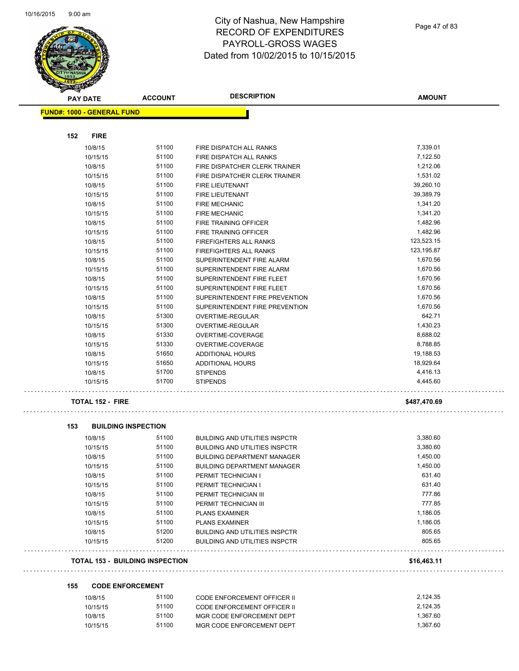L.

÷,



#### City of Nashua, New Hampshire RECORD OF EXPENDITURES PAYROLL-GROSS WAGES Dated from 10/02/2015 to 10/15/2015

Page 47 of 83

| <b>PAY DATE</b>                   | <b>ACCOUNT</b>                         | <b>DESCRIPTION</b>                    | <b>AMOUNT</b>        |
|-----------------------------------|----------------------------------------|---------------------------------------|----------------------|
| <b>FUND#: 1000 - GENERAL FUND</b> |                                        |                                       |                      |
|                                   |                                        |                                       |                      |
| 152<br><b>FIRE</b>                |                                        |                                       |                      |
| 10/8/15                           | 51100                                  | FIRE DISPATCH ALL RANKS               | 7,339.01             |
| 10/15/15                          | 51100                                  | FIRE DISPATCH ALL RANKS               | 7,122.50             |
| 10/8/15                           | 51100                                  | FIRE DISPATCHER CLERK TRAINER         | 1,212.06             |
| 10/15/15                          | 51100                                  | FIRE DISPATCHER CLERK TRAINER         | 1,531.02             |
| 10/8/15                           | 51100                                  | FIRE LIEUTENANT                       | 39,260.10            |
| 10/15/15                          | 51100                                  | FIRE LIEUTENANT                       | 39,389.79            |
| 10/8/15                           | 51100                                  | <b>FIRE MECHANIC</b>                  | 1,341.20             |
| 10/15/15                          | 51100                                  | <b>FIRE MECHANIC</b>                  | 1,341.20             |
| 10/8/15                           | 51100                                  | FIRE TRAINING OFFICER                 | 1,482.96             |
| 10/15/15                          | 51100                                  | FIRE TRAINING OFFICER                 | 1,482.96             |
| 10/8/15                           | 51100                                  | FIREFIGHTERS ALL RANKS                | 123,523.15           |
| 10/15/15                          | 51100                                  | FIREFIGHTERS ALL RANKS                | 123,195.87           |
| 10/8/15                           | 51100                                  | SUPERINTENDENT FIRE ALARM             | 1,670.56             |
| 10/15/15                          | 51100                                  | SUPERINTENDENT FIRE ALARM             | 1,670.56             |
| 10/8/15                           | 51100                                  | SUPERINTENDENT FIRE FLEET             | 1,670.56             |
| 10/15/15                          | 51100                                  | SUPERINTENDENT FIRE FLEET             | 1,670.56             |
| 10/8/15                           | 51100                                  | SUPERINTENDENT FIRE PREVENTION        | 1,670.56             |
| 10/15/15                          | 51100                                  | SUPERINTENDENT FIRE PREVENTION        | 1,670.56             |
| 10/8/15                           | 51300                                  | OVERTIME-REGULAR                      | 642.71               |
| 10/15/15                          | 51300                                  | <b>OVERTIME-REGULAR</b>               | 1,430.23             |
| 10/8/15                           | 51330                                  | OVERTIME-COVERAGE                     | 8,688.02             |
| 10/15/15                          | 51330                                  | OVERTIME-COVERAGE                     | 8,788.85             |
| 10/8/15                           | 51650                                  | <b>ADDITIONAL HOURS</b>               | 19,188.53            |
| 10/15/15                          | 51650                                  | <b>ADDITIONAL HOURS</b>               | 18,929.64            |
| 10/8/15                           | 51700                                  | <b>STIPENDS</b>                       | 4,416.13             |
| 10/15/15                          | 51700                                  | <b>STIPENDS</b>                       | 4,445.60             |
| <b>TOTAL 152 - FIRE</b>           |                                        |                                       | \$487,470.69         |
| 153                               | <b>BUILDING INSPECTION</b>             |                                       |                      |
| 10/8/15                           | 51100                                  | <b>BUILDING AND UTILITIES INSPCTR</b> | 3,380.60             |
| 10/15/15                          | 51100                                  | <b>BUILDING AND UTILITIES INSPCTR</b> | 3,380.60             |
| 10/8/15                           | 51100                                  | <b>BUILDING DEPARTMENT MANAGER</b>    | 1,450.00             |
| 10/15/15                          | 51100                                  | <b>BUILDING DEPARTMENT MANAGER</b>    | 1,450.00             |
| 10/8/15                           | 51100                                  | PERMIT TECHNICIAN I                   | 631.40               |
| 10/15/15                          | 51100                                  | PERMIT TECHNICIAN I                   | 631.40               |
| 10/8/15                           | 51100                                  | PERMIT TECHNICIAN III                 | 777.86               |
| 10/15/15                          | 51100                                  | PERMIT TECHNICIAN III                 | 777.85               |
| 10/8/15                           | 51100                                  | <b>PLANS EXAMINER</b>                 | 1,186.05             |
| 10/15/15                          | 51100                                  | <b>PLANS EXAMINER</b>                 | 1,186.05             |
| 10/8/15                           | 51200                                  | <b>BUILDING AND UTILITIES INSPCTR</b> | 805.65               |
| 10/15/15                          | 51200                                  | <b>BUILDING AND UTILITIES INSPCTR</b> | 805.65               |
|                                   | <b>TOTAL 153 - BUILDING INSPECTION</b> |                                       | \$16,463.11          |
|                                   |                                        |                                       |                      |
| 155                               | <b>CODE ENFORCEMENT</b>                |                                       |                      |
| 10/8/15                           | 51100                                  | <b>CODE ENFORCEMENT OFFICER II</b>    | 2,124.35             |
| 10/15/15                          | 51100                                  | <b>CODE ENFORCEMENT OFFICER II</b>    | 2,124.35             |
| 10/8/15                           | 51100                                  | MGR CODE ENFORCEMENT DEPT             | 1,367.60<br>1,367.60 |
| 10/15/15                          | 51100                                  | MGR CODE ENFORCEMENT DEPT             |                      |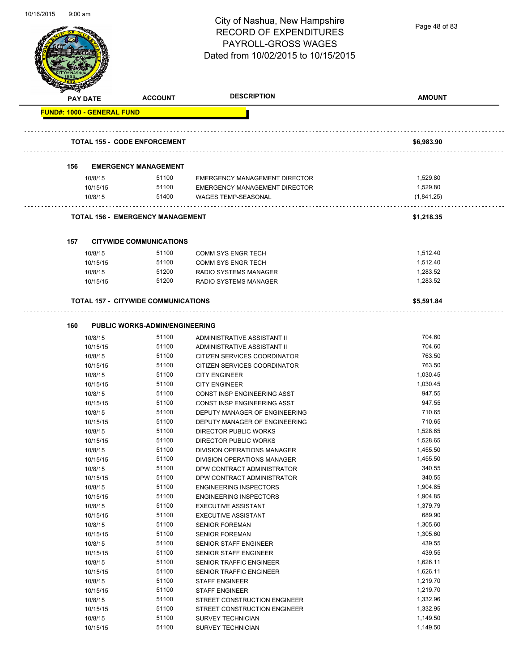Page 48 of 83

|     | <b>PAY DATE</b>                   | <b>ACCOUNT</b>                             | <b>DESCRIPTION</b>                   | <b>AMOUNT</b>        |
|-----|-----------------------------------|--------------------------------------------|--------------------------------------|----------------------|
|     | <b>FUND#: 1000 - GENERAL FUND</b> |                                            |                                      |                      |
|     |                                   | <b>TOTAL 155 - CODE ENFORCEMENT</b>        |                                      | \$6,983.90           |
| 156 |                                   | <b>EMERGENCY MANAGEMENT</b>                |                                      |                      |
|     | 10/8/15                           | 51100                                      | <b>EMERGENCY MANAGEMENT DIRECTOR</b> | 1.529.80             |
|     | 10/15/15                          | 51100                                      | <b>EMERGENCY MANAGEMENT DIRECTOR</b> | 1,529.80             |
|     | 10/8/15                           | 51400                                      | <b>WAGES TEMP-SEASONAL</b>           | (1,841.25)           |
|     |                                   | <b>TOTAL 156 - EMERGENCY MANAGEMENT</b>    |                                      | \$1,218.35           |
|     |                                   |                                            |                                      |                      |
| 157 |                                   | <b>CITYWIDE COMMUNICATIONS</b>             |                                      |                      |
|     | 10/8/15                           | 51100                                      | <b>COMM SYS ENGR TECH</b>            | 1,512.40             |
|     | 10/15/15                          | 51100                                      | <b>COMM SYS ENGR TECH</b>            | 1,512.40             |
|     | 10/8/15                           | 51200<br>51200                             | <b>RADIO SYSTEMS MANAGER</b>         | 1,283.52<br>1,283.52 |
|     | 10/15/15                          |                                            | RADIO SYSTEMS MANAGER                |                      |
|     |                                   | <b>TOTAL 157 - CITYWIDE COMMUNICATIONS</b> |                                      | \$5,591.84           |
| 160 |                                   | <b>PUBLIC WORKS-ADMIN/ENGINEERING</b>      |                                      |                      |
|     | 10/8/15                           | 51100                                      | ADMINISTRATIVE ASSISTANT II          | 704.60               |
|     | 10/15/15                          | 51100                                      | ADMINISTRATIVE ASSISTANT II          | 704.60               |
|     | 10/8/15                           | 51100                                      | CITIZEN SERVICES COORDINATOR         | 763.50               |
|     | 10/15/15                          | 51100                                      | CITIZEN SERVICES COORDINATOR         | 763.50               |
|     | 10/8/15                           | 51100                                      | <b>CITY ENGINEER</b>                 | 1,030.45             |
|     | 10/15/15                          | 51100                                      | <b>CITY ENGINEER</b>                 | 1,030.45             |
|     | 10/8/15                           | 51100                                      | CONST INSP ENGINEERING ASST          | 947.55               |
|     | 10/15/15                          | 51100                                      | CONST INSP ENGINEERING ASST          | 947.55               |
|     | 10/8/15                           | 51100                                      | DEPUTY MANAGER OF ENGINEERING        | 710.65               |
|     | 10/15/15                          | 51100                                      | DEPUTY MANAGER OF ENGINEERING        | 710.65               |
|     | 10/8/15                           | 51100                                      | DIRECTOR PUBLIC WORKS                | 1,528.65             |
|     | 10/15/15                          | 51100                                      | <b>DIRECTOR PUBLIC WORKS</b>         | 1,528.65             |
|     | 10/8/15                           | 51100                                      | DIVISION OPERATIONS MANAGER          | 1,455.50             |
|     | 10/15/15                          | 51100                                      | DIVISION OPERATIONS MANAGER          | 1,455.50             |
|     | 10/8/15                           | 51100                                      | DPW CONTRACT ADMINISTRATOR           | 340.55               |
|     | 10/15/15                          | 51100                                      | DPW CONTRACT ADMINISTRATOR           | 340.55               |
|     | 10/8/15                           | 51100                                      | <b>ENGINEERING INSPECTORS</b>        | 1,904.85             |
|     | 10/15/15                          | 51100                                      | <b>ENGINEERING INSPECTORS</b>        | 1,904.85             |
|     | 10/8/15                           | 51100                                      | <b>EXECUTIVE ASSISTANT</b>           | 1,379.79             |
|     | 10/15/15                          | 51100                                      | <b>EXECUTIVE ASSISTANT</b>           | 689.90               |
|     | 10/8/15                           | 51100                                      | <b>SENIOR FOREMAN</b>                | 1,305.60             |
|     | 10/15/15                          | 51100                                      | <b>SENIOR FOREMAN</b>                | 1,305.60             |
|     | 10/8/15                           | 51100                                      | SENIOR STAFF ENGINEER                | 439.55               |
|     | 10/15/15                          | 51100                                      | <b>SENIOR STAFF ENGINEER</b>         | 439.55               |
|     | 10/8/15                           | 51100                                      | SENIOR TRAFFIC ENGINEER              | 1,626.11             |
|     | 10/15/15                          | 51100                                      | SENIOR TRAFFIC ENGINEER              | 1,626.11             |
|     | 10/8/15                           | 51100                                      | <b>STAFF ENGINEER</b>                | 1,219.70             |
|     | 10/15/15                          | 51100                                      | <b>STAFF ENGINEER</b>                | 1,219.70             |
|     | 10/8/15                           | 51100                                      | STREET CONSTRUCTION ENGINEER         | 1,332.96             |
|     | 10/15/15                          | 51100                                      | STREET CONSTRUCTION ENGINEER         | 1,332.95             |
|     | 10/8/15                           | 51100                                      | <b>SURVEY TECHNICIAN</b>             | 1,149.50             |
|     | 10/15/15                          | 51100                                      | SURVEY TECHNICIAN                    | 1,149.50             |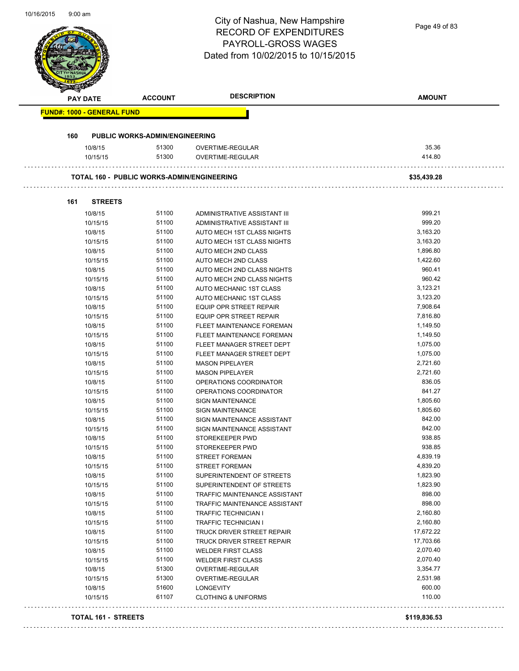**BE** 

# City of Nashua, New Hampshire RECORD OF EXPENDITURES PAYROLL-GROSS WAGES

| <b>PAY DATE</b>                   | <b>ACCOUNT</b>                                    | <b>DESCRIPTION</b>                                  | <b>AMOUNT</b>        |
|-----------------------------------|---------------------------------------------------|-----------------------------------------------------|----------------------|
| <b>FUND#: 1000 - GENERAL FUND</b> |                                                   |                                                     |                      |
| 160                               | <b>PUBLIC WORKS-ADMIN/ENGINEERING</b>             |                                                     |                      |
| 10/8/15                           | 51300                                             | OVERTIME-REGULAR                                    | 35.36                |
| 10/15/15                          | 51300                                             | OVERTIME-REGULAR                                    | 414.80               |
|                                   | <b>TOTAL 160 - PUBLIC WORKS-ADMIN/ENGINEERING</b> |                                                     | \$35,439.28          |
|                                   |                                                   |                                                     |                      |
| <b>STREETS</b><br>161             |                                                   |                                                     |                      |
| 10/8/15                           | 51100                                             | ADMINISTRATIVE ASSISTANT III                        | 999.21               |
| 10/15/15                          | 51100                                             | ADMINISTRATIVE ASSISTANT III                        | 999.20               |
| 10/8/15                           | 51100                                             | AUTO MECH 1ST CLASS NIGHTS                          | 3,163.20             |
| 10/15/15                          | 51100                                             | AUTO MECH 1ST CLASS NIGHTS                          | 3,163.20             |
| 10/8/15                           | 51100                                             | AUTO MECH 2ND CLASS                                 | 1,896.80             |
| 10/15/15                          | 51100                                             | AUTO MECH 2ND CLASS                                 | 1,422.60             |
| 10/8/15                           | 51100                                             | AUTO MECH 2ND CLASS NIGHTS                          | 960.41               |
| 10/15/15                          | 51100                                             | AUTO MECH 2ND CLASS NIGHTS                          | 960.42               |
| 10/8/15                           | 51100                                             | AUTO MECHANIC 1ST CLASS                             | 3,123.21             |
| 10/15/15                          | 51100                                             | AUTO MECHANIC 1ST CLASS                             | 3,123.20             |
| 10/8/15                           | 51100                                             | EQUIP OPR STREET REPAIR                             | 7,908.64             |
| 10/15/15                          | 51100                                             | <b>EQUIP OPR STREET REPAIR</b>                      | 7,816.80             |
| 10/8/15                           | 51100<br>51100                                    | FLEET MAINTENANCE FOREMAN                           | 1,149.50             |
| 10/15/15                          | 51100                                             | FLEET MAINTENANCE FOREMAN                           | 1,149.50<br>1,075.00 |
| 10/8/15                           | 51100                                             | FLEET MANAGER STREET DEPT                           | 1,075.00             |
| 10/15/15<br>10/8/15               | 51100                                             | FLEET MANAGER STREET DEPT<br><b>MASON PIPELAYER</b> | 2,721.60             |
| 10/15/15                          | 51100                                             | <b>MASON PIPELAYER</b>                              | 2,721.60             |
| 10/8/15                           | 51100                                             | OPERATIONS COORDINATOR                              | 836.05               |
| 10/15/15                          | 51100                                             | OPERATIONS COORDINATOR                              | 841.27               |
| 10/8/15                           | 51100                                             | <b>SIGN MAINTENANCE</b>                             | 1,805.60             |
| 10/15/15                          | 51100                                             | <b>SIGN MAINTENANCE</b>                             | 1,805.60             |
| 10/8/15                           | 51100                                             | SIGN MAINTENANCE ASSISTANT                          | 842.00               |
| 10/15/15                          | 51100                                             | SIGN MAINTENANCE ASSISTANT                          | 842.00               |
| 10/8/15                           | 51100                                             | STOREKEEPER PWD                                     | 938.85               |
| 10/15/15                          | 51100                                             | STOREKEEPER PWD                                     | 938.85               |
| 10/8/15                           | 51100                                             | <b>STREET FOREMAN</b>                               | 4,839.19             |
| 10/15/15                          | 51100                                             | <b>STREET FOREMAN</b>                               | 4,839.20             |
| 10/8/15                           | 51100                                             | SUPERINTENDENT OF STREETS                           | 1,823.90             |
| 10/15/15                          | 51100                                             | SUPERINTENDENT OF STREETS                           | 1,823.90             |
| 10/8/15                           | 51100                                             | TRAFFIC MAINTENANCE ASSISTANT                       | 898.00               |
| 10/15/15                          | 51100                                             | TRAFFIC MAINTENANCE ASSISTANT                       | 898.00               |
| 10/8/15                           | 51100                                             | <b>TRAFFIC TECHNICIAN I</b>                         | 2,160.80             |
| 10/15/15                          | 51100                                             | <b>TRAFFIC TECHNICIAN I</b>                         | 2,160.80             |
| 10/8/15                           | 51100                                             | TRUCK DRIVER STREET REPAIR                          | 17,672.22            |
| 10/15/15                          | 51100                                             | TRUCK DRIVER STREET REPAIR                          | 17,703.66            |
| 10/8/15                           | 51100                                             | <b>WELDER FIRST CLASS</b>                           | 2,070.40             |
| 10/15/15                          | 51100                                             | <b>WELDER FIRST CLASS</b>                           | 2,070.40             |
| 10/8/15                           | 51300                                             | OVERTIME-REGULAR                                    | 3,354.77             |
| 10/15/15                          | 51300                                             | OVERTIME-REGULAR                                    | 2,531.98             |
| 10/8/15                           | 51600                                             | <b>LONGEVITY</b>                                    | 600.00               |
| 10/15/15                          | 61107                                             | <b>CLOTHING &amp; UNIFORMS</b>                      | 110.00               |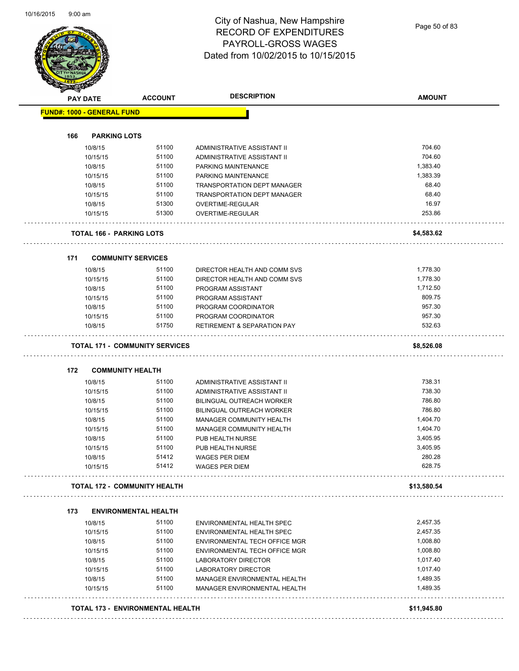Page 50 of 83

|     | <b>PAY DATE</b>                   | <b>ACCOUNT</b>                          | <b>DESCRIPTION</b>                                            | <b>AMOUNT</b>    |
|-----|-----------------------------------|-----------------------------------------|---------------------------------------------------------------|------------------|
|     | <b>FUND#: 1000 - GENERAL FUND</b> |                                         |                                                               |                  |
|     |                                   |                                         |                                                               |                  |
| 166 | <b>PARKING LOTS</b>               |                                         |                                                               |                  |
|     | 10/8/15                           | 51100                                   | ADMINISTRATIVE ASSISTANT II                                   | 704.60           |
|     | 10/15/15                          | 51100                                   | ADMINISTRATIVE ASSISTANT II                                   | 704.60           |
|     | 10/8/15                           | 51100                                   | PARKING MAINTENANCE                                           | 1,383.40         |
|     | 10/15/15                          | 51100                                   | PARKING MAINTENANCE                                           | 1,383.39         |
|     | 10/8/15                           | 51100                                   | TRANSPORTATION DEPT MANAGER                                   | 68.40            |
|     | 10/15/15                          | 51100                                   | TRANSPORTATION DEPT MANAGER                                   | 68.40            |
|     | 10/8/15                           | 51300                                   | OVERTIME-REGULAR                                              | 16.97            |
|     | 10/15/15                          | 51300                                   | OVERTIME-REGULAR                                              | 253.86           |
|     | <b>TOTAL 166 - PARKING LOTS</b>   |                                         |                                                               | \$4,583.62       |
|     |                                   |                                         |                                                               |                  |
| 171 |                                   | <b>COMMUNITY SERVICES</b>               |                                                               |                  |
|     | 10/8/15                           | 51100                                   | DIRECTOR HEALTH AND COMM SVS                                  | 1,778.30         |
|     | 10/15/15                          | 51100                                   | DIRECTOR HEALTH AND COMM SVS                                  | 1,778.30         |
|     | 10/8/15                           | 51100                                   | PROGRAM ASSISTANT                                             | 1,712.50         |
|     | 10/15/15                          | 51100                                   | PROGRAM ASSISTANT                                             | 809.75           |
|     | 10/8/15                           | 51100                                   | PROGRAM COORDINATOR                                           | 957.30           |
|     | 10/15/15                          | 51100                                   | PROGRAM COORDINATOR                                           | 957.30           |
|     | 10/8/15                           | 51750                                   | <b>RETIREMENT &amp; SEPARATION PAY</b>                        | 532.63           |
|     |                                   | <b>TOTAL 171 - COMMUNITY SERVICES</b>   |                                                               | \$8,526.08       |
| 172 | <b>COMMUNITY HEALTH</b>           |                                         |                                                               |                  |
|     |                                   | 51100                                   |                                                               | 738.31           |
|     | 10/8/15                           | 51100                                   | ADMINISTRATIVE ASSISTANT II<br>ADMINISTRATIVE ASSISTANT II    | 738.30           |
|     | 10/15/15                          | 51100                                   |                                                               | 786.80           |
|     | 10/8/15                           | 51100                                   | BILINGUAL OUTREACH WORKER<br><b>BILINGUAL OUTREACH WORKER</b> | 786.80           |
|     | 10/15/15                          | 51100                                   |                                                               |                  |
|     | 10/8/15                           |                                         | MANAGER COMMUNITY HEALTH                                      | 1,404.70         |
|     | 10/15/15                          | 51100                                   | MANAGER COMMUNITY HEALTH                                      | 1,404.70         |
|     | 10/8/15                           | 51100                                   | PUB HEALTH NURSE                                              | 3,405.95         |
|     | 10/15/15                          | 51100                                   | PUB HEALTH NURSE                                              | 3,405.95         |
|     | 10/8/15<br>10/15/15               | 51412<br>51412                          | <b>WAGES PER DIEM</b><br><b>WAGES PER DIEM</b>                | 280.28<br>628.75 |
|     |                                   | <b>TOTAL 172 - COMMUNITY HEALTH</b>     |                                                               | \$13,580.54      |
|     |                                   |                                         |                                                               |                  |
| 173 |                                   | <b>ENVIRONMENTAL HEALTH</b><br>51100    |                                                               |                  |
|     | 10/8/15                           |                                         | ENVIRONMENTAL HEALTH SPEC                                     | 2,457.35         |
|     | 10/15/15                          | 51100                                   | ENVIRONMENTAL HEALTH SPEC                                     | 2,457.35         |
|     | 10/8/15                           | 51100                                   | ENVIRONMENTAL TECH OFFICE MGR                                 | 1,008.80         |
|     | 10/15/15                          | 51100                                   | ENVIRONMENTAL TECH OFFICE MGR                                 | 1,008.80         |
|     | 10/8/15                           | 51100                                   | LABORATORY DIRECTOR                                           | 1,017.40         |
|     | 10/15/15                          | 51100                                   | LABORATORY DIRECTOR                                           | 1,017.40         |
|     | 10/8/15                           | 51100                                   | MANAGER ENVIRONMENTAL HEALTH                                  | 1,489.35         |
|     | 10/15/15                          | 51100                                   | MANAGER ENVIRONMENTAL HEALTH                                  | 1,489.35         |
|     |                                   | <b>TOTAL 173 - ENVIRONMENTAL HEALTH</b> |                                                               | \$11,945.80      |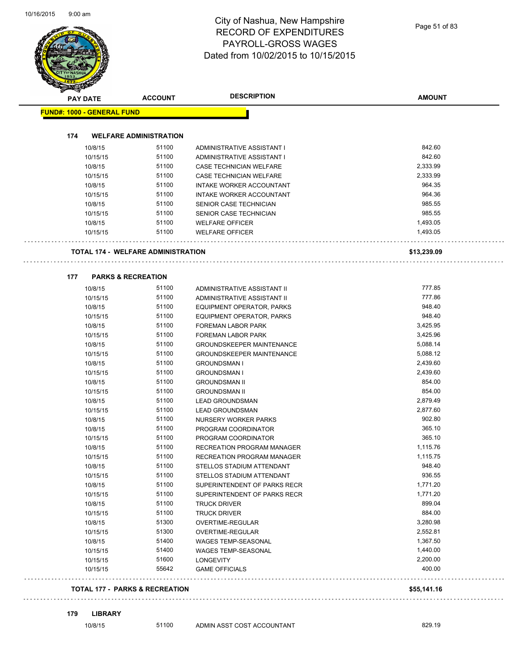| <b>PAY DATE</b>                   | <b>ACCOUNT</b>                            | <b>DESCRIPTION</b>               | <b>AMOUNT</b> |
|-----------------------------------|-------------------------------------------|----------------------------------|---------------|
| <b>FUND#: 1000 - GENERAL FUND</b> |                                           |                                  |               |
|                                   |                                           |                                  |               |
| 174                               | <b>WELFARE ADMINISTRATION</b>             |                                  |               |
| 10/8/15                           | 51100                                     | ADMINISTRATIVE ASSISTANT I       | 842.60        |
| 10/15/15                          | 51100                                     | ADMINISTRATIVE ASSISTANT I       | 842.60        |
| 10/8/15                           | 51100                                     | CASE TECHNICIAN WELFARE          | 2,333.99      |
| 10/15/15                          | 51100                                     | CASE TECHNICIAN WELFARE          | 2,333.99      |
| 10/8/15                           | 51100                                     | <b>INTAKE WORKER ACCOUNTANT</b>  | 964.35        |
| 10/15/15                          | 51100                                     | INTAKE WORKER ACCOUNTANT         | 964.36        |
| 10/8/15                           | 51100                                     | SENIOR CASE TECHNICIAN           | 985.55        |
| 10/15/15                          | 51100                                     | SENIOR CASE TECHNICIAN           | 985.55        |
| 10/8/15                           | 51100                                     | <b>WELFARE OFFICER</b>           | 1,493.05      |
| 10/15/15                          | 51100                                     | <b>WELFARE OFFICER</b>           | 1,493.05      |
|                                   | <b>TOTAL 174 - WELFARE ADMINISTRATION</b> |                                  | \$13,239.09   |
|                                   |                                           |                                  |               |
| 177                               | <b>PARKS &amp; RECREATION</b>             |                                  |               |
| 10/8/15                           | 51100                                     | ADMINISTRATIVE ASSISTANT II      | 777.85        |
| 10/15/15                          | 51100                                     | ADMINISTRATIVE ASSISTANT II      | 777.86        |
| 10/8/15                           | 51100                                     | EQUIPMENT OPERATOR, PARKS        | 948.40        |
| 10/15/15                          | 51100                                     | EQUIPMENT OPERATOR, PARKS        | 948.40        |
| 10/8/15                           | 51100                                     | FOREMAN LABOR PARK               | 3,425.95      |
| 10/15/15                          | 51100                                     | FOREMAN LABOR PARK               | 3,425.96      |
| 10/8/15                           | 51100                                     | <b>GROUNDSKEEPER MAINTENANCE</b> | 5,088.14      |
| 10/15/15                          | 51100                                     | <b>GROUNDSKEEPER MAINTENANCE</b> | 5,088.12      |
| 10/8/15                           | 51100                                     | <b>GROUNDSMAN I</b>              | 2,439.60      |
| 10/15/15                          | 51100                                     | <b>GROUNDSMAN I</b>              | 2,439.60      |
| 10/8/15                           | 51100                                     | <b>GROUNDSMAN II</b>             | 854.00        |
| 10/15/15                          | 51100                                     | <b>GROUNDSMAN II</b>             | 854.00        |
| 10/8/15                           | 51100                                     | <b>LEAD GROUNDSMAN</b>           | 2,879.49      |
| 10/15/15                          | 51100                                     | <b>LEAD GROUNDSMAN</b>           | 2,877.60      |
| 10/8/15                           | 51100                                     | NURSERY WORKER PARKS             | 902.80        |
| 10/8/15                           | 51100                                     | PROGRAM COORDINATOR              | 365.10        |
| 10/15/15                          | 51100                                     | PROGRAM COORDINATOR              | 365.10        |
| 10/8/15                           | 51100                                     | RECREATION PROGRAM MANAGER       | 1,115.76      |
| 10/15/15                          | 51100                                     | RECREATION PROGRAM MANAGER       | 1,115.75      |
| 10/8/15                           | 51100                                     | STELLOS STADIUM ATTENDANT        | 948.40        |
| 10/15/15                          | 51100                                     | STELLOS STADIUM ATTENDANT        | 936.55        |
| 10/8/15                           | 51100                                     | SUPERINTENDENT OF PARKS RECR     | 1,771.20      |
| 10/15/15                          | 51100                                     | SUPERINTENDENT OF PARKS RECR     | 1,771.20      |
| 10/8/15                           | 51100                                     | <b>TRUCK DRIVER</b>              | 899.04        |
| 10/15/15                          | 51100                                     | <b>TRUCK DRIVER</b>              | 884.00        |
| 10/8/15                           | 51300                                     | OVERTIME-REGULAR                 | 3,280.98      |
| 10/15/15                          | 51300                                     | OVERTIME-REGULAR                 | 2,552.81      |
| 10/8/15                           | 51400                                     | WAGES TEMP-SEASONAL              | 1,367.50      |
| 10/15/15                          | 51400                                     | WAGES TEMP-SEASONAL              | 1,440.00      |
| 10/15/15                          | 51600                                     | LONGEVITY                        | 2,200.00      |
| 10/15/15                          | 55642                                     | <b>GAME OFFICIALS</b>            | 400.00        |

#### **179 LIBRARY**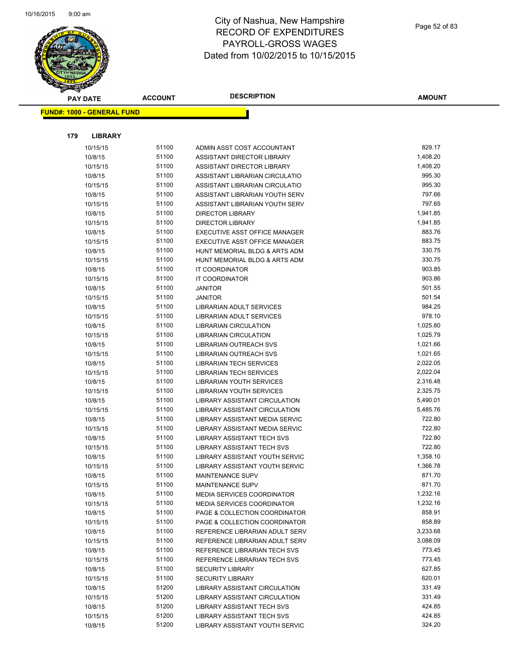

| <b>PAY DATE</b>                   | <b>ACCOUNT</b> | <b>DESCRIPTION</b>                                | <b>AMOUNT</b>    |
|-----------------------------------|----------------|---------------------------------------------------|------------------|
| <b>FUND#: 1000 - GENERAL FUND</b> |                |                                                   |                  |
|                                   |                |                                                   |                  |
|                                   |                |                                                   |                  |
| 179<br><b>LIBRARY</b>             |                |                                                   |                  |
| 10/15/15                          | 51100          | ADMIN ASST COST ACCOUNTANT                        | 829.17           |
| 10/8/15                           | 51100          | ASSISTANT DIRECTOR LIBRARY                        | 1,408.20         |
| 10/15/15                          | 51100          | ASSISTANT DIRECTOR LIBRARY                        | 1,408.20         |
| 10/8/15                           | 51100          | ASSISTANT LIBRARIAN CIRCULATIO                    | 995.30           |
| 10/15/15                          | 51100          | ASSISTANT LIBRARIAN CIRCULATIO                    | 995.30           |
| 10/8/15                           | 51100          | ASSISTANT LIBRARIAN YOUTH SERV                    | 797.66           |
| 10/15/15                          | 51100          | ASSISTANT LIBRARIAN YOUTH SERV                    | 797.65           |
| 10/8/15                           | 51100          | <b>DIRECTOR LIBRARY</b>                           | 1,941.85         |
| 10/15/15                          | 51100          | <b>DIRECTOR LIBRARY</b>                           | 1,941.85         |
| 10/8/15                           | 51100          | EXECUTIVE ASST OFFICE MANAGER                     | 883.76           |
| 10/15/15                          | 51100          | EXECUTIVE ASST OFFICE MANAGER                     | 883.75           |
| 10/8/15                           | 51100          | HUNT MEMORIAL BLDG & ARTS ADM                     | 330.75           |
| 10/15/15                          | 51100          | HUNT MEMORIAL BLDG & ARTS ADM                     | 330.75           |
| 10/8/15                           | 51100          | IT COORDINATOR                                    | 903.85           |
| 10/15/15                          | 51100<br>51100 | IT COORDINATOR                                    | 903.86<br>501.55 |
| 10/8/15                           | 51100          | <b>JANITOR</b>                                    | 501.54           |
| 10/15/15<br>10/8/15               | 51100          | <b>JANITOR</b><br><b>LIBRARIAN ADULT SERVICES</b> | 984.25           |
| 10/15/15                          | 51100          | LIBRARIAN ADULT SERVICES                          | 978.10           |
| 10/8/15                           | 51100          | <b>LIBRARIAN CIRCULATION</b>                      | 1,025.80         |
| 10/15/15                          | 51100          | <b>LIBRARIAN CIRCULATION</b>                      | 1,025.79         |
| 10/8/15                           | 51100          | LIBRARIAN OUTREACH SVS                            | 1,021.66         |
| 10/15/15                          | 51100          | LIBRARIAN OUTREACH SVS                            | 1,021.65         |
| 10/8/15                           | 51100          | <b>LIBRARIAN TECH SERVICES</b>                    | 2,022.05         |
| 10/15/15                          | 51100          | <b>LIBRARIAN TECH SERVICES</b>                    | 2,022.04         |
| 10/8/15                           | 51100          | LIBRARIAN YOUTH SERVICES                          | 2,316.48         |
| 10/15/15                          | 51100          | LIBRARIAN YOUTH SERVICES                          | 2,325.75         |
| 10/8/15                           | 51100          | LIBRARY ASSISTANT CIRCULATION                     | 5,490.01         |
| 10/15/15                          | 51100          | LIBRARY ASSISTANT CIRCULATION                     | 5,485.76         |
| 10/8/15                           | 51100          | LIBRARY ASSISTANT MEDIA SERVIC                    | 722.80           |
| 10/15/15                          | 51100          | LIBRARY ASSISTANT MEDIA SERVIC                    | 722.80           |
| 10/8/15                           | 51100          | <b>LIBRARY ASSISTANT TECH SVS</b>                 | 722.80           |
| 10/15/15                          | 51100          | LIBRARY ASSISTANT TECH SVS                        | 722.80           |
| 10/8/15                           | 51100          | LIBRARY ASSISTANT YOUTH SERVIC                    | 1,358.10         |
| 10/15/15                          | 51100          | <b>LIBRARY ASSISTANT YOUTH SERVIC</b>             | 1,366.78         |
| 10/8/15                           | 51100          | MAINTENANCE SUPV                                  | 871.70           |
| 10/15/15                          | 51100          | <b>MAINTENANCE SUPV</b>                           | 871.70           |
| 10/8/15                           | 51100          | MEDIA SERVICES COORDINATOR                        | 1,232.16         |
| 10/15/15                          | 51100          | MEDIA SERVICES COORDINATOR                        | 1,232.16         |
| 10/8/15                           | 51100          | PAGE & COLLECTION COORDINATOR                     | 858.91           |
| 10/15/15                          | 51100          | PAGE & COLLECTION COORDINATOR                     | 858.89           |
| 10/8/15                           | 51100          | REFERENCE LIBRARIAN ADULT SERV                    | 3,233.68         |
| 10/15/15                          | 51100          | REFERENCE LIBRARIAN ADULT SERV                    | 3,088.09         |
| 10/8/15                           | 51100          | REFERENCE LIBRARIAN TECH SVS                      | 773.45           |
| 10/15/15                          | 51100          | REFERENCE LIBRARIAN TECH SVS                      | 773.45           |
| 10/8/15                           | 51100          | <b>SECURITY LIBRARY</b>                           | 627.85           |
| 10/15/15                          | 51100          | <b>SECURITY LIBRARY</b>                           | 620.01           |
| 10/8/15                           | 51200          | LIBRARY ASSISTANT CIRCULATION                     | 331.49           |
| 10/15/15                          | 51200          | LIBRARY ASSISTANT CIRCULATION                     | 331.49           |
| 10/8/15                           | 51200          | <b>LIBRARY ASSISTANT TECH SVS</b>                 | 424.85           |
| 10/15/15                          | 51200          | LIBRARY ASSISTANT TECH SVS                        | 424.85           |
| 10/8/15                           | 51200          | LIBRARY ASSISTANT YOUTH SERVIC                    | 324.20           |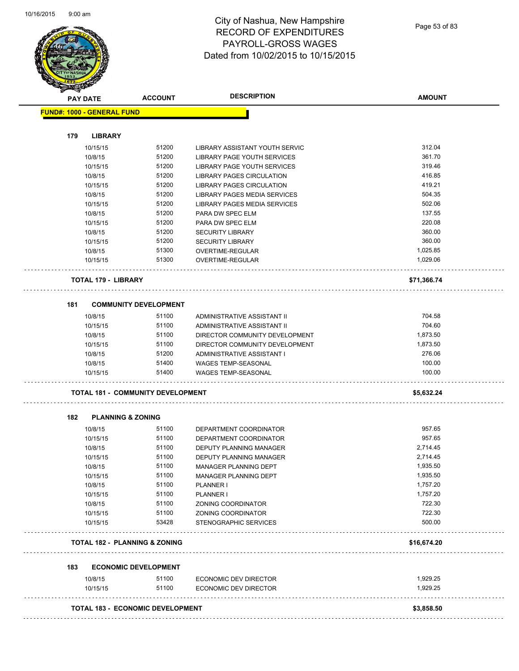

| <b>PAY DATE</b>                   | <b>ACCOUNT</b>                           | <b>DESCRIPTION</b>               | <b>AMOUNT</b> |
|-----------------------------------|------------------------------------------|----------------------------------|---------------|
| <b>FUND#: 1000 - GENERAL FUND</b> |                                          |                                  |               |
| 179<br><b>LIBRARY</b>             |                                          |                                  |               |
| 10/15/15                          | 51200                                    | LIBRARY ASSISTANT YOUTH SERVIC   | 312.04        |
| 10/8/15                           | 51200                                    | LIBRARY PAGE YOUTH SERVICES      | 361.70        |
| 10/15/15                          | 51200                                    | LIBRARY PAGE YOUTH SERVICES      | 319.46        |
| 10/8/15                           | 51200                                    | <b>LIBRARY PAGES CIRCULATION</b> | 416.85        |
| 10/15/15                          | 51200                                    | <b>LIBRARY PAGES CIRCULATION</b> | 419.21        |
| 10/8/15                           | 51200                                    | LIBRARY PAGES MEDIA SERVICES     | 504.35        |
| 10/15/15                          | 51200                                    | LIBRARY PAGES MEDIA SERVICES     | 502.06        |
| 10/8/15                           | 51200                                    | PARA DW SPEC ELM                 | 137.55        |
| 10/15/15                          | 51200                                    | PARA DW SPEC ELM                 | 220.08        |
| 10/8/15                           | 51200                                    | <b>SECURITY LIBRARY</b>          | 360.00        |
| 10/15/15                          | 51200                                    | <b>SECURITY LIBRARY</b>          | 360.00        |
| 10/8/15                           | 51300                                    | OVERTIME-REGULAR                 | 1,025.85      |
| 10/15/15                          | 51300                                    | OVERTIME-REGULAR                 | 1,029.06      |
| <b>TOTAL 179 - LIBRARY</b>        |                                          |                                  | \$71,366.74   |
| 181                               | <b>COMMUNITY DEVELOPMENT</b>             |                                  |               |
| 10/8/15                           | 51100                                    | ADMINISTRATIVE ASSISTANT II      | 704.58        |
| 10/15/15                          | 51100                                    | ADMINISTRATIVE ASSISTANT II      | 704.60        |
| 10/8/15                           | 51100                                    | DIRECTOR COMMUNITY DEVELOPMENT   | 1,873.50      |
| 10/15/15                          | 51100                                    | DIRECTOR COMMUNITY DEVELOPMENT   | 1,873.50      |
| 10/8/15                           | 51200                                    | ADMINISTRATIVE ASSISTANT I       | 276.06        |
| 10/8/15                           | 51400                                    | WAGES TEMP-SEASONAL              | 100.00        |
| 10/15/15                          | 51400                                    | WAGES TEMP-SEASONAL              | 100.00        |
|                                   | <b>TOTAL 181 - COMMUNITY DEVELOPMENT</b> |                                  | \$5,632.24    |
| 182                               | <b>PLANNING &amp; ZONING</b>             |                                  |               |
| 10/8/15                           | 51100                                    | DEPARTMENT COORDINATOR           | 957.65        |
| 10/15/15                          | 51100                                    | DEPARTMENT COORDINATOR           | 957.65        |
| 10/8/15                           | 51100                                    | DEPUTY PLANNING MANAGER          | 2,714.45      |
| 10/15/15                          | 51100                                    | DEPUTY PLANNING MANAGER          | 2,714.45      |
| 10/8/15                           | 51100                                    | MANAGER PLANNING DEPT            | 1,935.50      |
| 10/15/15                          | 51100                                    | MANAGER PLANNING DEPT            | 1,935.50      |
| 10/8/15                           | 51100                                    | PLANNER I                        | 1,757.20      |
| 10/15/15                          | 51100                                    | PLANNER I                        | 1,757.20      |
| 10/8/15                           | 51100                                    | ZONING COORDINATOR               | 722.30        |
| 10/15/15                          | 51100                                    | ZONING COORDINATOR               | 722.30        |
| 10/15/15                          | 53428                                    | STENOGRAPHIC SERVICES            | 500.00        |
|                                   | <b>TOTAL 182 - PLANNING &amp; ZONING</b> |                                  | \$16,674.20   |
| 183                               | <b>ECONOMIC DEVELOPMENT</b>              |                                  |               |
| 10/8/15                           | 51100                                    | ECONOMIC DEV DIRECTOR            | 1,929.25      |
| 10/15/15                          | 51100                                    | ECONOMIC DEV DIRECTOR            | 1,929.25      |
|                                   |                                          |                                  |               |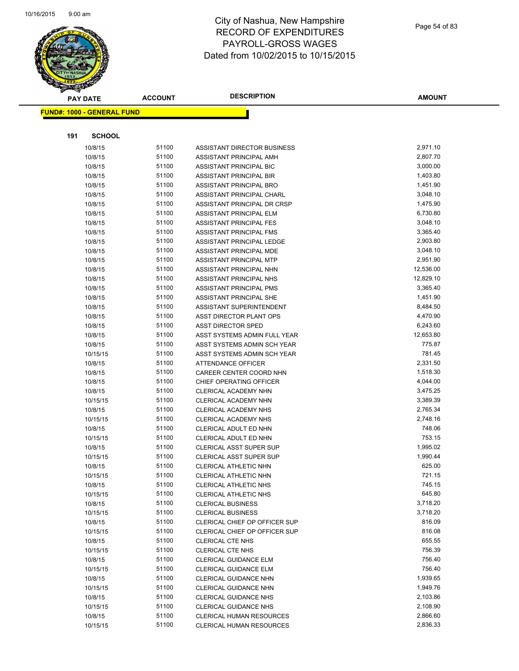

| <b>PAY DATE</b>                   | <b>ACCOUNT</b> | <b>DESCRIPTION</b>                 | AMOUNT               |
|-----------------------------------|----------------|------------------------------------|----------------------|
| <b>FUND#: 1000 - GENERAL FUND</b> |                |                                    |                      |
|                                   |                |                                    |                      |
| 191<br><b>SCHOOL</b>              |                |                                    |                      |
|                                   | 51100          | <b>ASSISTANT DIRECTOR BUSINESS</b> | 2,971.10             |
| 10/8/15<br>10/8/15                | 51100          | ASSISTANT PRINCIPAL AMH            | 2,807.70             |
| 10/8/15                           | 51100          | ASSISTANT PRINCIPAL BIC            | 3,000.00             |
| 10/8/15                           | 51100          | ASSISTANT PRINCIPAL BIR            | 1,403.80             |
| 10/8/15                           | 51100          | ASSISTANT PRINCIPAL BRO            | 1,451.90             |
| 10/8/15                           | 51100          | ASSISTANT PRINCIPAL CHARL          | 3,048.10             |
| 10/8/15                           | 51100          | ASSISTANT PRINCIPAL DR CRSP        | 1,475.90             |
| 10/8/15                           | 51100          | ASSISTANT PRINCIPAL ELM            | 6,730.80             |
| 10/8/15                           | 51100          | ASSISTANT PRINCIPAL FES            | 3,048.10             |
| 10/8/15                           | 51100          | ASSISTANT PRINCIPAL FMS            | 3,365.40             |
| 10/8/15                           | 51100          | ASSISTANT PRINCIPAL LEDGE          | 2,903.80             |
| 10/8/15                           | 51100          | ASSISTANT PRINCIPAL MDE            | 3,048.10             |
| 10/8/15                           | 51100          | ASSISTANT PRINCIPAL MTP            | 2,951.90             |
| 10/8/15                           | 51100          | ASSISTANT PRINCIPAL NHN            | 12,536.00            |
| 10/8/15                           | 51100          | ASSISTANT PRINCIPAL NHS            | 12,829.10            |
| 10/8/15                           | 51100          | ASSISTANT PRINCIPAL PMS            | 3,365.40             |
| 10/8/15                           | 51100          | ASSISTANT PRINCIPAL SHE            | 1,451.90             |
| 10/8/15                           | 51100          | ASSISTANT SUPERINTENDENT           | 8,484.50             |
| 10/8/15                           | 51100          | ASST DIRECTOR PLANT OPS            | 4,470.90             |
| 10/8/15                           | 51100          | <b>ASST DIRECTOR SPED</b>          | 6,243.60             |
| 10/8/15                           | 51100          | ASST SYSTEMS ADMIN FULL YEAR       | 12,653.80            |
| 10/8/15                           | 51100          | ASST SYSTEMS ADMIN SCH YEAR        | 775.87               |
| 10/15/15                          | 51100          | ASST SYSTEMS ADMIN SCH YEAR        | 781.45               |
| 10/8/15                           | 51100          | ATTENDANCE OFFICER                 | 2,331.50             |
| 10/8/15                           | 51100          | CAREER CENTER COORD NHN            | 1,518.30             |
| 10/8/15                           | 51100          | CHIEF OPERATING OFFICER            | 4,044.00             |
| 10/8/15                           | 51100          | <b>CLERICAL ACADEMY NHN</b>        | 3,475.25             |
| 10/15/15                          | 51100          | CLERICAL ACADEMY NHN               | 3,389.39             |
| 10/8/15                           | 51100          | <b>CLERICAL ACADEMY NHS</b>        | 2,765.34             |
| 10/15/15                          | 51100          | CLERICAL ACADEMY NHS               | 2,748.16             |
| 10/8/15                           | 51100          | CLERICAL ADULT ED NHN              | 748.06               |
| 10/15/15                          | 51100          | CLERICAL ADULT ED NHN              | 753.15               |
| 10/8/15                           | 51100          | <b>CLERICAL ASST SUPER SUP</b>     | 1,995.02             |
| 10/15/15                          | 51100          | <b>CLERICAL ASST SUPER SUP</b>     | 1,990.44             |
| 10/8/15                           | 51100          | <b>CLERICAL ATHLETIC NHN</b>       | 625.00               |
| 10/15/15                          | 51100          | CLERICAL ATHLETIC NHN              | 721.15               |
| 10/8/15                           | 51100          | CLERICAL ATHLETIC NHS              | 745.15               |
| 10/15/15                          | 51100          | CLERICAL ATHLETIC NHS              | 645.80               |
| 10/8/15                           | 51100          | <b>CLERICAL BUSINESS</b>           | 3,718.20             |
| 10/15/15                          | 51100          | <b>CLERICAL BUSINESS</b>           | 3,718.20             |
| 10/8/15                           | 51100          | CLERICAL CHIEF OP OFFICER SUP      | 816.09               |
| 10/15/15                          | 51100          | CLERICAL CHIEF OP OFFICER SUP      | 816.08               |
| 10/8/15                           | 51100          | <b>CLERICAL CTE NHS</b>            | 655.55               |
| 10/15/15                          | 51100          | <b>CLERICAL CTE NHS</b>            | 756.39               |
| 10/8/15                           | 51100          | CLERICAL GUIDANCE ELM              | 756.40               |
| 10/15/15                          | 51100          | CLERICAL GUIDANCE ELM              | 756.40               |
| 10/8/15                           | 51100          | CLERICAL GUIDANCE NHN              | 1,939.65             |
| 10/15/15                          | 51100          | CLERICAL GUIDANCE NHN              | 1,949.76             |
| 10/8/15                           | 51100          | <b>CLERICAL GUIDANCE NHS</b>       | 2,103.86             |
| 10/15/15                          | 51100          | <b>CLERICAL GUIDANCE NHS</b>       | 2,108.90             |
| 10/8/15                           | 51100<br>51100 | <b>CLERICAL HUMAN RESOURCES</b>    | 2,866.60<br>2,836.33 |
| 10/15/15                          |                | <b>CLERICAL HUMAN RESOURCES</b>    |                      |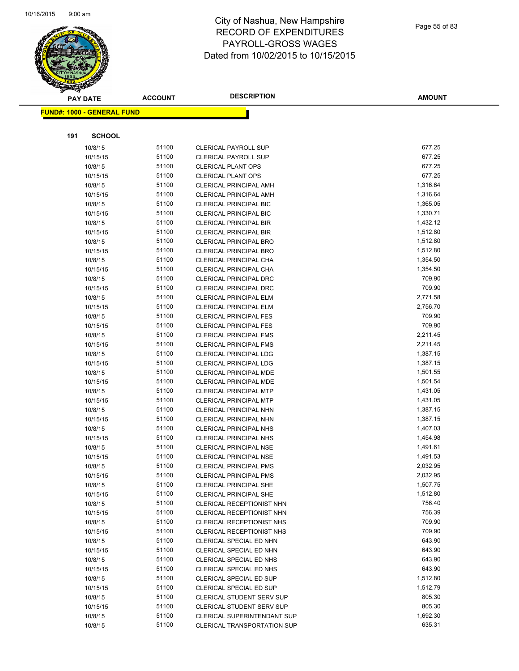

|     | <b>PAY DATE</b>                    | <b>ACCOUNT</b> | <b>DESCRIPTION</b>                                             | <b>AMOUNT</b>        |
|-----|------------------------------------|----------------|----------------------------------------------------------------|----------------------|
|     | <u> FUND#: 1000 - GENERAL FUND</u> |                |                                                                |                      |
|     |                                    |                |                                                                |                      |
|     |                                    |                |                                                                |                      |
| 191 | <b>SCHOOL</b>                      |                |                                                                |                      |
|     | 10/8/15                            | 51100          | <b>CLERICAL PAYROLL SUP</b>                                    | 677.25               |
|     | 10/15/15                           | 51100          | <b>CLERICAL PAYROLL SUP</b>                                    | 677.25               |
|     | 10/8/15                            | 51100          | <b>CLERICAL PLANT OPS</b>                                      | 677.25               |
|     | 10/15/15                           | 51100          | <b>CLERICAL PLANT OPS</b>                                      | 677.25               |
|     | 10/8/15                            | 51100          | <b>CLERICAL PRINCIPAL AMH</b>                                  | 1,316.64             |
|     | 10/15/15                           | 51100          | CLERICAL PRINCIPAL AMH                                         | 1,316.64             |
|     | 10/8/15                            | 51100          | <b>CLERICAL PRINCIPAL BIC</b>                                  | 1,365.05             |
|     | 10/15/15                           | 51100          | <b>CLERICAL PRINCIPAL BIC</b>                                  | 1,330.71             |
|     | 10/8/15                            | 51100          | <b>CLERICAL PRINCIPAL BIR</b>                                  | 1,432.12             |
|     | 10/15/15                           | 51100          | <b>CLERICAL PRINCIPAL BIR</b>                                  | 1,512.80             |
|     | 10/8/15                            | 51100          | <b>CLERICAL PRINCIPAL BRO</b>                                  | 1,512.80             |
|     | 10/15/15                           | 51100          | CLERICAL PRINCIPAL BRO                                         | 1,512.80             |
|     | 10/8/15                            | 51100          | <b>CLERICAL PRINCIPAL CHA</b>                                  | 1,354.50             |
|     | 10/15/15                           | 51100          | CLERICAL PRINCIPAL CHA                                         | 1,354.50             |
|     | 10/8/15                            | 51100          | <b>CLERICAL PRINCIPAL DRC</b>                                  | 709.90<br>709.90     |
|     | 10/15/15                           | 51100          | <b>CLERICAL PRINCIPAL DRC</b><br>CLERICAL PRINCIPAL ELM        |                      |
|     | 10/8/15                            | 51100<br>51100 |                                                                | 2,771.58<br>2,756.70 |
|     | 10/15/15                           | 51100          | CLERICAL PRINCIPAL ELM<br><b>CLERICAL PRINCIPAL FES</b>        | 709.90               |
|     | 10/8/15                            | 51100          |                                                                | 709.90               |
|     | 10/15/15<br>10/8/15                | 51100          | <b>CLERICAL PRINCIPAL FES</b><br><b>CLERICAL PRINCIPAL FMS</b> | 2,211.45             |
|     | 10/15/15                           | 51100          | <b>CLERICAL PRINCIPAL FMS</b>                                  | 2,211.45             |
|     | 10/8/15                            | 51100          | CLERICAL PRINCIPAL LDG                                         | 1,387.15             |
|     | 10/15/15                           | 51100          | <b>CLERICAL PRINCIPAL LDG</b>                                  | 1,387.15             |
|     | 10/8/15                            | 51100          | CLERICAL PRINCIPAL MDE                                         | 1,501.55             |
|     | 10/15/15                           | 51100          | CLERICAL PRINCIPAL MDE                                         | 1,501.54             |
|     | 10/8/15                            | 51100          | <b>CLERICAL PRINCIPAL MTP</b>                                  | 1,431.05             |
|     | 10/15/15                           | 51100          | <b>CLERICAL PRINCIPAL MTP</b>                                  | 1,431.05             |
|     | 10/8/15                            | 51100          | <b>CLERICAL PRINCIPAL NHN</b>                                  | 1,387.15             |
|     | 10/15/15                           | 51100          | <b>CLERICAL PRINCIPAL NHN</b>                                  | 1,387.15             |
|     | 10/8/15                            | 51100          | <b>CLERICAL PRINCIPAL NHS</b>                                  | 1,407.03             |
|     | 10/15/15                           | 51100          | <b>CLERICAL PRINCIPAL NHS</b>                                  | 1,454.98             |
|     | 10/8/15                            | 51100          | <b>CLERICAL PRINCIPAL NSE</b>                                  | 1,491.61             |
|     | 10/15/15                           | 51100          | <b>CLERICAL PRINCIPAL NSE</b>                                  | 1,491.53             |
|     | 10/8/15                            | 51100          | <b>CLERICAL PRINCIPAL PMS</b>                                  | 2,032.95             |
|     | 10/15/15                           | 51100          | CLERICAL PRINCIPAL PMS                                         | 2,032.95             |
|     | 10/8/15                            | 51100          | <b>CLERICAL PRINCIPAL SHE</b>                                  | 1,507.75             |
|     | 10/15/15                           | 51100          | <b>CLERICAL PRINCIPAL SHE</b>                                  | 1,512.80             |
|     | 10/8/15                            | 51100          | <b>CLERICAL RECEPTIONIST NHN</b>                               | 756.40               |
|     | 10/15/15                           | 51100          | CLERICAL RECEPTIONIST NHN                                      | 756.39               |
|     | 10/8/15                            | 51100          | CLERICAL RECEPTIONIST NHS                                      | 709.90               |
|     | 10/15/15                           | 51100          | CLERICAL RECEPTIONIST NHS                                      | 709.90               |
|     | 10/8/15                            | 51100          | CLERICAL SPECIAL ED NHN                                        | 643.90               |
|     | 10/15/15                           | 51100          | <b>CLERICAL SPECIAL ED NHN</b>                                 | 643.90               |
|     | 10/8/15                            | 51100          | <b>CLERICAL SPECIAL ED NHS</b>                                 | 643.90               |
|     | 10/15/15                           | 51100          | CLERICAL SPECIAL ED NHS                                        | 643.90               |
|     | 10/8/15                            | 51100          | CLERICAL SPECIAL ED SUP                                        | 1,512.80             |
|     | 10/15/15                           | 51100          | CLERICAL SPECIAL ED SUP                                        | 1,512.79             |
|     | 10/8/15                            | 51100          | CLERICAL STUDENT SERV SUP                                      | 805.30               |
|     | 10/15/15                           | 51100          | <b>CLERICAL STUDENT SERV SUP</b>                               | 805.30               |
|     | 10/8/15                            | 51100          | CLERICAL SUPERINTENDANT SUP                                    | 1,692.30             |
|     | 10/8/15                            | 51100          | CLERICAL TRANSPORTATION SUP                                    | 635.31               |
|     |                                    |                |                                                                |                      |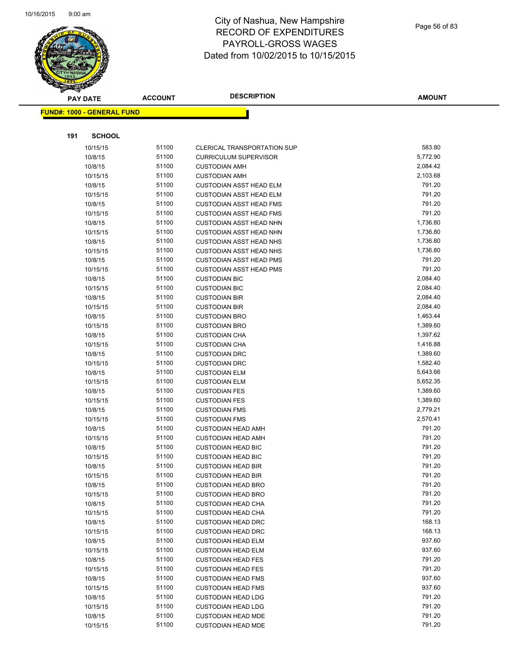

| <b>PAY DATE</b>                   | <b>ACCOUNT</b> | <b>DESCRIPTION</b>                                               | <b>AMOUNT</b>    |
|-----------------------------------|----------------|------------------------------------------------------------------|------------------|
| <b>FUND#: 1000 - GENERAL FUND</b> |                |                                                                  |                  |
|                                   |                |                                                                  |                  |
|                                   |                |                                                                  |                  |
| 191<br><b>SCHOOL</b>              |                |                                                                  |                  |
| 10/15/15                          | 51100          | CLERICAL TRANSPORTATION SUP                                      | 583.80           |
| 10/8/15                           | 51100          | <b>CURRICULUM SUPERVISOR</b>                                     | 5,772.90         |
| 10/8/15                           | 51100          | <b>CUSTODIAN AMH</b>                                             | 2,084.42         |
| 10/15/15                          | 51100          | <b>CUSTODIAN AMH</b>                                             | 2,103.68         |
| 10/8/15                           | 51100          | <b>CUSTODIAN ASST HEAD ELM</b>                                   | 791.20           |
| 10/15/15                          | 51100          | <b>CUSTODIAN ASST HEAD ELM</b>                                   | 791.20<br>791.20 |
| 10/8/15                           | 51100<br>51100 | <b>CUSTODIAN ASST HEAD FMS</b>                                   | 791.20           |
| 10/15/15                          | 51100          | <b>CUSTODIAN ASST HEAD FMS</b><br><b>CUSTODIAN ASST HEAD NHN</b> | 1,736.80         |
| 10/8/15<br>10/15/15               | 51100          | <b>CUSTODIAN ASST HEAD NHN</b>                                   | 1,736.80         |
| 10/8/15                           | 51100          | <b>CUSTODIAN ASST HEAD NHS</b>                                   | 1,736.80         |
| 10/15/15                          | 51100          | <b>CUSTODIAN ASST HEAD NHS</b>                                   | 1,736.80         |
| 10/8/15                           | 51100          | <b>CUSTODIAN ASST HEAD PMS</b>                                   | 791.20           |
| 10/15/15                          | 51100          | <b>CUSTODIAN ASST HEAD PMS</b>                                   | 791.20           |
| 10/8/15                           | 51100          | <b>CUSTODIAN BIC</b>                                             | 2,084.40         |
| 10/15/15                          | 51100          | <b>CUSTODIAN BIC</b>                                             | 2,084.40         |
| 10/8/15                           | 51100          | <b>CUSTODIAN BIR</b>                                             | 2,084.40         |
| 10/15/15                          | 51100          | <b>CUSTODIAN BIR</b>                                             | 2,084.40         |
| 10/8/15                           | 51100          | <b>CUSTODIAN BRO</b>                                             | 1,463.44         |
| 10/15/15                          | 51100          | <b>CUSTODIAN BRO</b>                                             | 1,389.60         |
| 10/8/15                           | 51100          | <b>CUSTODIAN CHA</b>                                             | 1,397.62         |
| 10/15/15                          | 51100          | <b>CUSTODIAN CHA</b>                                             | 1,416.88         |
| 10/8/15                           | 51100          | <b>CUSTODIAN DRC</b>                                             | 1,389.60         |
| 10/15/15                          | 51100          | <b>CUSTODIAN DRC</b>                                             | 1,582.40         |
| 10/8/15                           | 51100          | <b>CUSTODIAN ELM</b>                                             | 5,643.66         |
| 10/15/15                          | 51100          | <b>CUSTODIAN ELM</b>                                             | 5,652.35         |
| 10/8/15                           | 51100          | <b>CUSTODIAN FES</b>                                             | 1,389.60         |
| 10/15/15                          | 51100          | <b>CUSTODIAN FES</b>                                             | 1,389.60         |
| 10/8/15                           | 51100          | <b>CUSTODIAN FMS</b>                                             | 2,779.21         |
| 10/15/15                          | 51100          | <b>CUSTODIAN FMS</b>                                             | 2,570.41         |
| 10/8/15                           | 51100          | <b>CUSTODIAN HEAD AMH</b>                                        | 791.20           |
| 10/15/15                          | 51100          | <b>CUSTODIAN HEAD AMH</b>                                        | 791.20           |
| 10/8/15                           | 51100          | <b>CUSTODIAN HEAD BIC</b>                                        | 791.20           |
| 10/15/15                          | 51100          | <b>CUSTODIAN HEAD BIC</b>                                        | 791.20           |
| 10/8/15                           | 51100          | <b>CUSTODIAN HEAD BIR</b>                                        | 791.20           |
| 10/15/15                          | 51100          | <b>CUSTODIAN HEAD BIR</b>                                        | 791.20           |
| 10/8/15                           | 51100          | <b>CUSTODIAN HEAD BRO</b>                                        | 791.20           |
| 10/15/15                          | 51100          | <b>CUSTODIAN HEAD BRO</b>                                        | 791.20           |
| 10/8/15                           | 51100          | <b>CUSTODIAN HEAD CHA</b>                                        | 791.20           |
| 10/15/15                          | 51100          | <b>CUSTODIAN HEAD CHA</b>                                        | 791.20           |
| 10/8/15                           | 51100          | <b>CUSTODIAN HEAD DRC</b>                                        | 168.13           |
| 10/15/15                          | 51100          | <b>CUSTODIAN HEAD DRC</b>                                        | 168.13           |
| 10/8/15                           | 51100          | <b>CUSTODIAN HEAD ELM</b>                                        | 937.60           |
| 10/15/15                          | 51100          | <b>CUSTODIAN HEAD ELM</b>                                        | 937.60           |
| 10/8/15                           | 51100          | <b>CUSTODIAN HEAD FES</b>                                        | 791.20           |
| 10/15/15                          | 51100          | <b>CUSTODIAN HEAD FES</b>                                        | 791.20           |
| 10/8/15                           | 51100          | <b>CUSTODIAN HEAD FMS</b>                                        | 937.60           |
| 10/15/15                          | 51100          | <b>CUSTODIAN HEAD FMS</b>                                        | 937.60           |
| 10/8/15                           | 51100          | <b>CUSTODIAN HEAD LDG</b>                                        | 791.20           |
| 10/15/15                          | 51100          | <b>CUSTODIAN HEAD LDG</b>                                        | 791.20           |
| 10/8/15                           | 51100          | <b>CUSTODIAN HEAD MDE</b>                                        | 791.20           |
| 10/15/15                          | 51100          | <b>CUSTODIAN HEAD MDE</b>                                        | 791.20           |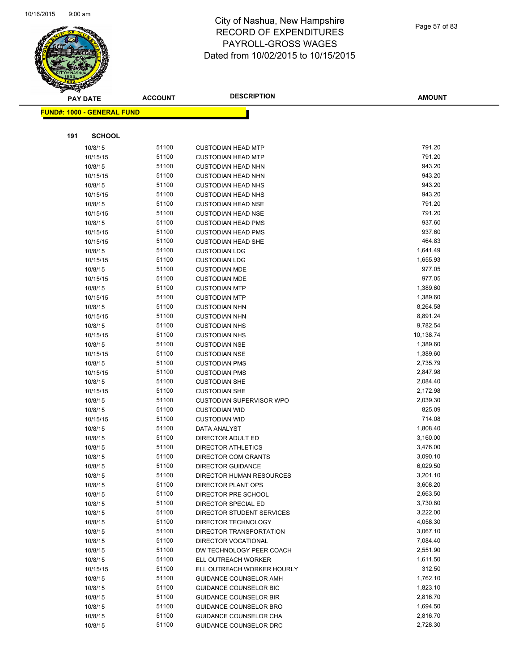

|     | <b>PAY DATE</b>                   | <b>ACCOUNT</b> | <b>DESCRIPTION</b>                                             | AMOUNT               |
|-----|-----------------------------------|----------------|----------------------------------------------------------------|----------------------|
|     | <b>FUND#: 1000 - GENERAL FUND</b> |                |                                                                |                      |
|     |                                   |                |                                                                |                      |
|     |                                   |                |                                                                |                      |
| 191 | <b>SCHOOL</b>                     |                |                                                                |                      |
|     | 10/8/15                           | 51100          | <b>CUSTODIAN HEAD MTP</b>                                      | 791.20               |
|     | 10/15/15                          | 51100          | <b>CUSTODIAN HEAD MTP</b>                                      | 791.20               |
|     | 10/8/15                           | 51100          | <b>CUSTODIAN HEAD NHN</b>                                      | 943.20               |
|     | 10/15/15                          | 51100          | <b>CUSTODIAN HEAD NHN</b>                                      | 943.20               |
|     | 10/8/15                           | 51100          | <b>CUSTODIAN HEAD NHS</b>                                      | 943.20               |
|     | 10/15/15                          | 51100          | <b>CUSTODIAN HEAD NHS</b>                                      | 943.20               |
|     | 10/8/15                           | 51100          | <b>CUSTODIAN HEAD NSE</b>                                      | 791.20               |
|     | 10/15/15                          | 51100          | <b>CUSTODIAN HEAD NSE</b>                                      | 791.20               |
|     | 10/8/15                           | 51100          | <b>CUSTODIAN HEAD PMS</b>                                      | 937.60               |
|     | 10/15/15                          | 51100          | <b>CUSTODIAN HEAD PMS</b>                                      | 937.60               |
|     | 10/15/15                          | 51100          | <b>CUSTODIAN HEAD SHE</b>                                      | 464.83               |
|     | 10/8/15                           | 51100          | <b>CUSTODIAN LDG</b>                                           | 1,641.49             |
|     | 10/15/15                          | 51100          | <b>CUSTODIAN LDG</b>                                           | 1,655.93             |
|     | 10/8/15                           | 51100          | <b>CUSTODIAN MDE</b>                                           | 977.05               |
|     | 10/15/15                          | 51100          | <b>CUSTODIAN MDE</b>                                           | 977.05               |
|     | 10/8/15                           | 51100          | <b>CUSTODIAN MTP</b>                                           | 1,389.60             |
|     | 10/15/15                          | 51100<br>51100 | <b>CUSTODIAN MTP</b>                                           | 1,389.60<br>8,264.58 |
|     | 10/8/15                           | 51100          | <b>CUSTODIAN NHN</b>                                           | 8,891.24             |
|     | 10/15/15<br>10/8/15               | 51100          | <b>CUSTODIAN NHN</b><br><b>CUSTODIAN NHS</b>                   | 9,782.54             |
|     | 10/15/15                          | 51100          | <b>CUSTODIAN NHS</b>                                           | 10,138.74            |
|     | 10/8/15                           | 51100          | <b>CUSTODIAN NSE</b>                                           | 1,389.60             |
|     | 10/15/15                          | 51100          | <b>CUSTODIAN NSE</b>                                           | 1,389.60             |
|     | 10/8/15                           | 51100          | <b>CUSTODIAN PMS</b>                                           | 2,735.79             |
|     | 10/15/15                          | 51100          | <b>CUSTODIAN PMS</b>                                           | 2,847.98             |
|     | 10/8/15                           | 51100          | <b>CUSTODIAN SHE</b>                                           | 2,084.40             |
|     | 10/15/15                          | 51100          | <b>CUSTODIAN SHE</b>                                           | 2,172.98             |
|     | 10/8/15                           | 51100          | <b>CUSTODIAN SUPERVISOR WPO</b>                                | 2,039.30             |
|     | 10/8/15                           | 51100          | <b>CUSTODIAN WID</b>                                           | 825.09               |
|     | 10/15/15                          | 51100          | <b>CUSTODIAN WID</b>                                           | 714.08               |
|     | 10/8/15                           | 51100          | DATA ANALYST                                                   | 1,808.40             |
|     | 10/8/15                           | 51100          | DIRECTOR ADULT ED                                              | 3,160.00             |
|     | 10/8/15                           | 51100          | DIRECTOR ATHLETICS                                             | 3,476.00             |
|     | 10/8/15                           | 51100          | DIRECTOR COM GRANTS                                            | 3,090.10             |
|     | 10/8/15                           | 51100          | <b>DIRECTOR GUIDANCE</b>                                       | 6,029.50             |
|     | 10/8/15                           | 51100          | DIRECTOR HUMAN RESOURCES                                       | 3,201.10             |
|     | 10/8/15                           | 51100          | <b>DIRECTOR PLANT OPS</b>                                      | 3,608.20             |
|     | 10/8/15                           | 51100          | DIRECTOR PRE SCHOOL                                            | 2,663.50             |
|     | 10/8/15                           | 51100          | DIRECTOR SPECIAL ED                                            | 3,730.80             |
|     | 10/8/15                           | 51100          | <b>DIRECTOR STUDENT SERVICES</b>                               | 3,222.00             |
|     | 10/8/15                           | 51100          | DIRECTOR TECHNOLOGY                                            | 4,058.30             |
|     | 10/8/15                           | 51100          | DIRECTOR TRANSPORTATION                                        | 3,067.10             |
|     | 10/8/15                           | 51100          | DIRECTOR VOCATIONAL                                            | 7,084.40             |
|     | 10/8/15                           | 51100          | DW TECHNOLOGY PEER COACH                                       | 2,551.90             |
|     | 10/8/15                           | 51100          | ELL OUTREACH WORKER                                            | 1,611.50             |
|     | 10/15/15                          | 51100          | ELL OUTREACH WORKER HOURLY                                     | 312.50               |
|     | 10/8/15                           | 51100          | <b>GUIDANCE COUNSELOR AMH</b>                                  | 1,762.10             |
|     | 10/8/15                           | 51100<br>51100 | <b>GUIDANCE COUNSELOR BIC</b>                                  | 1,823.10             |
|     | 10/8/15                           | 51100          | <b>GUIDANCE COUNSELOR BIR</b><br><b>GUIDANCE COUNSELOR BRO</b> | 2,816.70<br>1,694.50 |
|     | 10/8/15<br>10/8/15                | 51100          | <b>GUIDANCE COUNSELOR CHA</b>                                  | 2,816.70             |
|     | 10/8/15                           | 51100          | GUIDANCE COUNSELOR DRC                                         | 2,728.30             |
|     |                                   |                |                                                                |                      |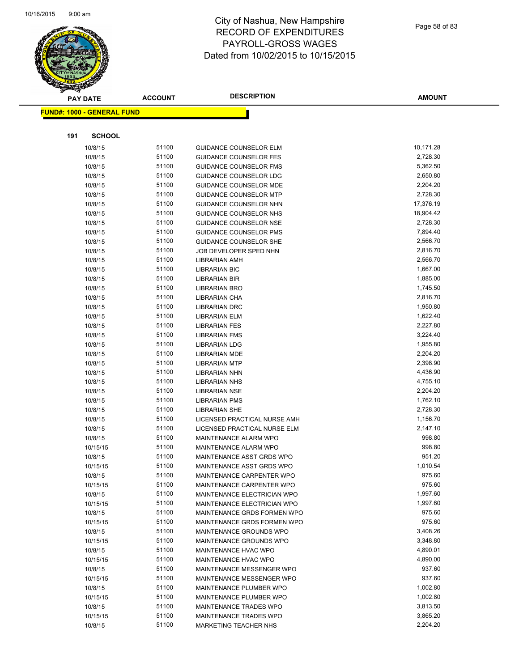

|     | <b>PAY DATE</b>                   | <b>ACCOUNT</b> | <b>DESCRIPTION</b>                           | <b>AMOUNT</b>        |
|-----|-----------------------------------|----------------|----------------------------------------------|----------------------|
|     | <b>FUND#: 1000 - GENERAL FUND</b> |                |                                              |                      |
|     |                                   |                |                                              |                      |
|     |                                   |                |                                              |                      |
| 191 | <b>SCHOOL</b>                     |                |                                              |                      |
|     | 10/8/15                           | 51100          | <b>GUIDANCE COUNSELOR ELM</b>                | 10,171.28            |
|     | 10/8/15                           | 51100          | <b>GUIDANCE COUNSELOR FES</b>                | 2,728.30             |
|     | 10/8/15                           | 51100          | <b>GUIDANCE COUNSELOR FMS</b>                | 5,362.50             |
|     | 10/8/15                           | 51100          | <b>GUIDANCE COUNSELOR LDG</b>                | 2,650.80             |
|     | 10/8/15                           | 51100          | <b>GUIDANCE COUNSELOR MDE</b>                | 2,204.20             |
|     | 10/8/15                           | 51100          | <b>GUIDANCE COUNSELOR MTP</b>                | 2,728.30             |
|     | 10/8/15                           | 51100          | <b>GUIDANCE COUNSELOR NHN</b>                | 17,376.19            |
|     | 10/8/15                           | 51100          | GUIDANCE COUNSELOR NHS                       | 18,904.42            |
|     | 10/8/15                           | 51100          | <b>GUIDANCE COUNSELOR NSE</b>                | 2,728.30             |
|     | 10/8/15                           | 51100          | <b>GUIDANCE COUNSELOR PMS</b>                | 7,894.40             |
|     | 10/8/15                           | 51100          | <b>GUIDANCE COUNSELOR SHE</b>                | 2,566.70             |
|     | 10/8/15                           | 51100          | JOB DEVELOPER SPED NHN                       | 2,816.70             |
|     | 10/8/15                           | 51100<br>51100 | LIBRARIAN AMH                                | 2,566.70             |
|     | 10/8/15                           |                | <b>LIBRARIAN BIC</b>                         | 1,667.00<br>1,885.00 |
|     | 10/8/15                           | 51100<br>51100 | <b>LIBRARIAN BIR</b><br><b>LIBRARIAN BRO</b> | 1,745.50             |
|     | 10/8/15<br>10/8/15                | 51100          | LIBRARIAN CHA                                | 2,816.70             |
|     | 10/8/15                           | 51100          | <b>LIBRARIAN DRC</b>                         | 1,950.80             |
|     | 10/8/15                           | 51100          | <b>LIBRARIAN ELM</b>                         | 1,622.40             |
|     | 10/8/15                           | 51100          | <b>LIBRARIAN FES</b>                         | 2,227.80             |
|     | 10/8/15                           | 51100          | LIBRARIAN FMS                                | 3,224.40             |
|     | 10/8/15                           | 51100          | <b>LIBRARIAN LDG</b>                         | 1,955.80             |
|     | 10/8/15                           | 51100          | <b>LIBRARIAN MDE</b>                         | 2,204.20             |
|     | 10/8/15                           | 51100          | <b>LIBRARIAN MTP</b>                         | 2,398.90             |
|     | 10/8/15                           | 51100          | LIBRARIAN NHN                                | 4,436.90             |
|     | 10/8/15                           | 51100          | LIBRARIAN NHS                                | 4,755.10             |
|     | 10/8/15                           | 51100          | <b>LIBRARIAN NSE</b>                         | 2,204.20             |
|     | 10/8/15                           | 51100          | <b>LIBRARIAN PMS</b>                         | 1,762.10             |
|     | 10/8/15                           | 51100          | <b>LIBRARIAN SHE</b>                         | 2,728.30             |
|     | 10/8/15                           | 51100          | LICENSED PRACTICAL NURSE AMH                 | 1,156.70             |
|     | 10/8/15                           | 51100          | LICENSED PRACTICAL NURSE ELM                 | 2,147.10             |
|     | 10/8/15                           | 51100          | MAINTENANCE ALARM WPO                        | 998.80               |
|     | 10/15/15                          | 51100          | MAINTENANCE ALARM WPO                        | 998.80               |
|     | 10/8/15                           | 51100          | MAINTENANCE ASST GRDS WPO                    | 951.20               |
|     | 10/15/15                          | 51100          | MAINTENANCE ASST GRDS WPO                    | 1,010.54             |
|     | 10/8/15                           | 51100          | MAINTENANCE CARPENTER WPO                    | 975.60               |
|     | 10/15/15                          | 51100          | MAINTENANCE CARPENTER WPO                    | 975.60               |
|     | 10/8/15                           | 51100          | MAINTENANCE ELECTRICIAN WPO                  | 1,997.60             |
|     | 10/15/15                          | 51100          | MAINTENANCE ELECTRICIAN WPO                  | 1,997.60             |
|     | 10/8/15                           | 51100          | MAINTENANCE GRDS FORMEN WPO                  | 975.60               |
|     | 10/15/15                          | 51100          | MAINTENANCE GRDS FORMEN WPO                  | 975.60               |
|     | 10/8/15                           | 51100          | MAINTENANCE GROUNDS WPO                      | 3,408.26             |
|     | 10/15/15                          | 51100          | MAINTENANCE GROUNDS WPO                      | 3,348.80             |
|     | 10/8/15                           | 51100          | MAINTENANCE HVAC WPO                         | 4,890.01             |
|     | 10/15/15                          | 51100          | MAINTENANCE HVAC WPO                         | 4,890.00             |
|     | 10/8/15                           | 51100          | MAINTENANCE MESSENGER WPO                    | 937.60               |
|     | 10/15/15                          | 51100          | MAINTENANCE MESSENGER WPO                    | 937.60               |
|     | 10/8/15                           | 51100          | MAINTENANCE PLUMBER WPO                      | 1,002.80             |
|     | 10/15/15                          | 51100          | MAINTENANCE PLUMBER WPO                      | 1,002.80             |
|     | 10/8/15                           | 51100          | MAINTENANCE TRADES WPO                       | 3,813.50             |
|     | 10/15/15                          | 51100          | MAINTENANCE TRADES WPO                       | 3,865.20             |
|     | 10/8/15                           | 51100          | MARKETING TEACHER NHS                        | 2,204.20             |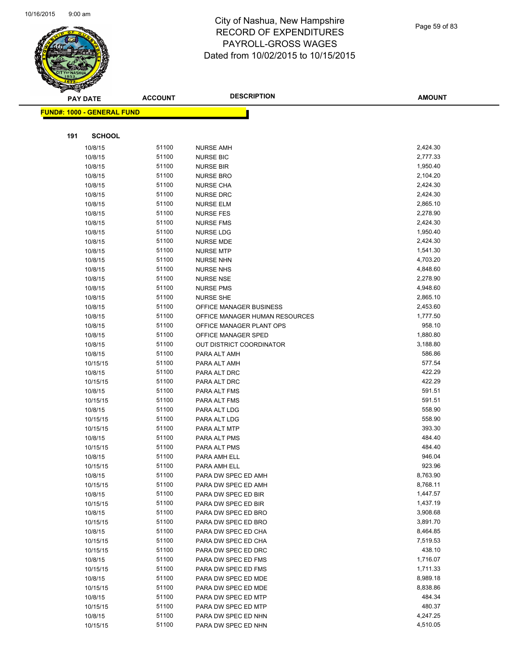

Page 59 of 83

|     | <b>PAY DATE</b>                    | <b>ACCOUNT</b> | <b>DESCRIPTION</b>             | <b>AMOUNT</b>      |
|-----|------------------------------------|----------------|--------------------------------|--------------------|
|     | <u> FUND#: 1000 - GENERAL FUND</u> |                |                                |                    |
|     |                                    |                |                                |                    |
|     |                                    |                |                                |                    |
| 191 | <b>SCHOOL</b>                      |                |                                |                    |
|     | 10/8/15                            | 51100          | <b>NURSE AMH</b>               | 2,424.30           |
|     | 10/8/15                            | 51100          | <b>NURSE BIC</b>               | 2,777.33           |
|     | 10/8/15                            | 51100          | <b>NURSE BIR</b>               | 1,950.40           |
|     | 10/8/15                            | 51100          | <b>NURSE BRO</b>               | 2,104.20           |
|     | 10/8/15                            | 51100          | <b>NURSE CHA</b>               | 2,424.30           |
|     | 10/8/15                            | 51100          | <b>NURSE DRC</b>               | 2,424.30           |
|     | 10/8/15                            | 51100          | <b>NURSE ELM</b>               | 2,865.10           |
|     | 10/8/15                            | 51100          | <b>NURSE FES</b>               | 2,278.90           |
|     | 10/8/15                            | 51100          | <b>NURSE FMS</b>               | 2,424.30           |
|     | 10/8/15                            | 51100          | <b>NURSE LDG</b>               | 1,950.40           |
|     | 10/8/15                            | 51100          | <b>NURSE MDE</b>               | 2,424.30           |
|     | 10/8/15                            | 51100          | <b>NURSE MTP</b>               | 1,541.30           |
|     | 10/8/15                            | 51100          | <b>NURSE NHN</b>               | 4,703.20           |
|     | 10/8/15                            | 51100          | <b>NURSE NHS</b>               | 4,848.60           |
|     | 10/8/15                            | 51100          | <b>NURSE NSE</b>               | 2,278.90           |
|     | 10/8/15                            | 51100          | <b>NURSE PMS</b>               | 4,948.60           |
|     | 10/8/15                            | 51100          | <b>NURSE SHE</b>               | 2,865.10           |
|     | 10/8/15                            | 51100          | OFFICE MANAGER BUSINESS        | 2,453.60           |
|     | 10/8/15                            | 51100          | OFFICE MANAGER HUMAN RESOURCES | 1,777.50           |
|     | 10/8/15                            | 51100          | OFFICE MANAGER PLANT OPS       | 958.10             |
|     | 10/8/15                            | 51100          | OFFICE MANAGER SPED            | 1,880.80           |
|     | 10/8/15                            | 51100<br>51100 | OUT DISTRICT COORDINATOR       | 3,188.80<br>586.86 |
|     | 10/8/15                            | 51100          | PARA ALT AMH                   | 577.54             |
|     | 10/15/15                           | 51100          | PARA ALT AMH                   | 422.29             |
|     | 10/8/15<br>10/15/15                | 51100          | PARA ALT DRC<br>PARA ALT DRC   | 422.29             |
|     | 10/8/15                            | 51100          | PARA ALT FMS                   | 591.51             |
|     | 10/15/15                           | 51100          | PARA ALT FMS                   | 591.51             |
|     | 10/8/15                            | 51100          | PARA ALT LDG                   | 558.90             |
|     | 10/15/15                           | 51100          | PARA ALT LDG                   | 558.90             |
|     | 10/15/15                           | 51100          | PARA ALT MTP                   | 393.30             |
|     | 10/8/15                            | 51100          | PARA ALT PMS                   | 484.40             |
|     | 10/15/15                           | 51100          | PARA ALT PMS                   | 484.40             |
|     | 10/8/15                            | 51100          | PARA AMH ELL                   | 946.04             |
|     | 10/15/15                           | 51100          | PARA AMH ELL                   | 923.96             |
|     | 10/8/15                            | 51100          | PARA DW SPEC ED AMH            | 8,763.90           |
|     | 10/15/15                           | 51100          | PARA DW SPEC ED AMH            | 8,768.11           |
|     | 10/8/15                            | 51100          | PARA DW SPEC ED BIR            | 1,447.57           |
|     | 10/15/15                           | 51100          | PARA DW SPEC ED BIR            | 1,437.19           |
|     | 10/8/15                            | 51100          | PARA DW SPEC ED BRO            | 3,908.68           |
|     | 10/15/15                           | 51100          | PARA DW SPEC ED BRO            | 3,891.70           |
|     | 10/8/15                            | 51100          | PARA DW SPEC ED CHA            | 8,464.85           |
|     | 10/15/15                           | 51100          | PARA DW SPEC ED CHA            | 7,519.53           |
|     | 10/15/15                           | 51100          | PARA DW SPEC ED DRC            | 438.10             |
|     | 10/8/15                            | 51100          | PARA DW SPEC ED FMS            | 1,716.07           |
|     | 10/15/15                           | 51100          | PARA DW SPEC ED FMS            | 1,711.33           |
|     | 10/8/15                            | 51100          | PARA DW SPEC ED MDE            | 8,989.18           |
|     | 10/15/15                           | 51100          | PARA DW SPEC ED MDE            | 8,838.86           |
|     | 10/8/15                            | 51100          | PARA DW SPEC ED MTP            | 484.34             |
|     | 10/15/15                           | 51100          | PARA DW SPEC ED MTP            | 480.37             |
|     | 10/8/15                            | 51100          | PARA DW SPEC ED NHN            | 4,247.25           |
|     | 10/15/15                           | 51100          | PARA DW SPEC ED NHN            | 4,510.05           |
|     |                                    |                |                                |                    |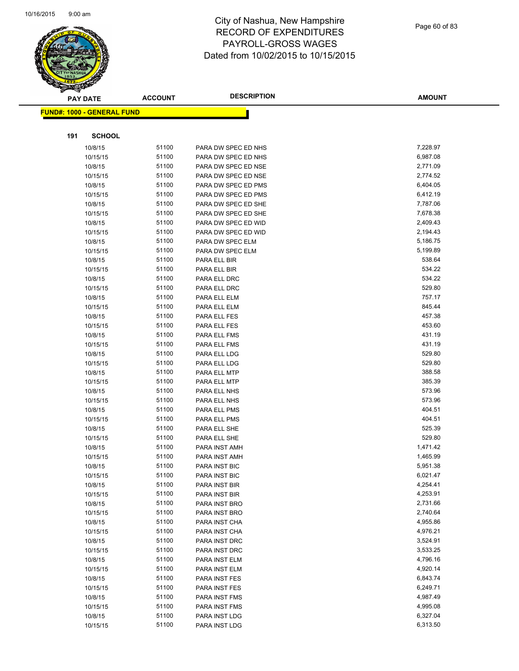

|     | <b>PAY DATE</b>                    | <b>ACCOUNT</b> | <b>DESCRIPTION</b>   | <b>AMOUNT</b> |
|-----|------------------------------------|----------------|----------------------|---------------|
|     | <u> FUND#: 1000 - GENERAL FUND</u> |                |                      |               |
|     |                                    |                |                      |               |
|     |                                    |                |                      |               |
| 191 | <b>SCHOOL</b>                      |                |                      |               |
|     | 10/8/15                            | 51100          | PARA DW SPEC ED NHS  | 7,228.97      |
|     | 10/15/15                           | 51100          | PARA DW SPEC ED NHS  | 6,987.08      |
|     | 10/8/15                            | 51100          | PARA DW SPEC ED NSE  | 2,771.09      |
|     | 10/15/15                           | 51100          | PARA DW SPEC ED NSE  | 2,774.52      |
|     | 10/8/15                            | 51100          | PARA DW SPEC ED PMS  | 6,404.05      |
|     | 10/15/15                           | 51100          | PARA DW SPEC ED PMS  | 6,412.19      |
|     | 10/8/15                            | 51100          | PARA DW SPEC ED SHE  | 7,787.06      |
|     | 10/15/15                           | 51100          | PARA DW SPEC ED SHE  | 7,678.38      |
|     | 10/8/15                            | 51100          | PARA DW SPEC ED WID  | 2,409.43      |
|     | 10/15/15                           | 51100          | PARA DW SPEC ED WID  | 2,194.43      |
|     | 10/8/15                            | 51100          | PARA DW SPEC ELM     | 5,186.75      |
|     | 10/15/15                           | 51100          | PARA DW SPEC ELM     | 5,199.89      |
|     | 10/8/15                            | 51100          | PARA ELL BIR         | 538.64        |
|     | 10/15/15                           | 51100          | PARA ELL BIR         | 534.22        |
|     | 10/8/15                            | 51100          | PARA ELL DRC         | 534.22        |
|     | 10/15/15                           | 51100          | PARA ELL DRC         | 529.80        |
|     | 10/8/15                            | 51100          | PARA ELL ELM         | 757.17        |
|     | 10/15/15                           | 51100          | PARA ELL ELM         | 845.44        |
|     | 10/8/15                            | 51100          | PARA ELL FES         | 457.38        |
|     | 10/15/15                           | 51100          | PARA ELL FES         | 453.60        |
|     | 10/8/15                            | 51100          | PARA ELL FMS         | 431.19        |
|     | 10/15/15                           | 51100          | PARA ELL FMS         | 431.19        |
|     | 10/8/15                            | 51100          | PARA ELL LDG         | 529.80        |
|     | 10/15/15                           | 51100          | PARA ELL LDG         | 529.80        |
|     | 10/8/15                            | 51100          | PARA ELL MTP         | 388.58        |
|     | 10/15/15                           | 51100          | PARA ELL MTP         | 385.39        |
|     | 10/8/15                            | 51100          | PARA ELL NHS         | 573.96        |
|     | 10/15/15                           | 51100          | PARA ELL NHS         | 573.96        |
|     | 10/8/15                            | 51100          | PARA ELL PMS         | 404.51        |
|     | 10/15/15                           | 51100          | PARA ELL PMS         | 404.51        |
|     | 10/8/15                            | 51100          | PARA ELL SHE         | 525.39        |
|     | 10/15/15                           | 51100          | PARA ELL SHE         | 529.80        |
|     | 10/8/15                            | 51100          | PARA INST AMH        | 1,471.42      |
|     | 10/15/15                           | 51100          | PARA INST AMH        | 1,465.99      |
|     | 10/8/15                            | 51100          | <b>PARA INST BIC</b> | 5,951.38      |
|     | 10/15/15                           | 51100          | PARA INST BIC        | 6,021.47      |
|     | 10/8/15                            | 51100          | PARA INST BIR        | 4,254.41      |
|     | 10/15/15                           | 51100          | PARA INST BIR        | 4,253.91      |
|     | 10/8/15                            | 51100          | PARA INST BRO        | 2,731.66      |
|     | 10/15/15                           | 51100          | PARA INST BRO        | 2,740.64      |
|     | 10/8/15                            | 51100          | PARA INST CHA        | 4,955.86      |
|     | 10/15/15                           | 51100          | PARA INST CHA        | 4,976.21      |
|     | 10/8/15                            | 51100          | PARA INST DRC        | 3,524.91      |
|     | 10/15/15                           | 51100          | PARA INST DRC        | 3,533.25      |
|     | 10/8/15                            | 51100          | PARA INST ELM        | 4,796.16      |
|     | 10/15/15                           | 51100          | PARA INST ELM        | 4,920.14      |
|     | 10/8/15                            | 51100          | PARA INST FES        | 6,843.74      |
|     | 10/15/15                           | 51100          | PARA INST FES        | 6,249.71      |
|     | 10/8/15                            | 51100          | PARA INST FMS        | 4,987.49      |
|     | 10/15/15                           | 51100          | PARA INST FMS        | 4,995.08      |
|     | 10/8/15                            | 51100          | PARA INST LDG        | 6,327.04      |
|     | 10/15/15                           | 51100          | PARA INST LDG        | 6,313.50      |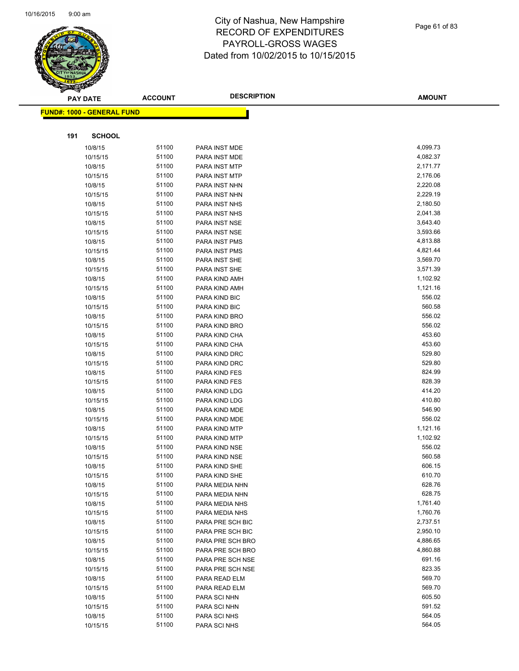

|     | <b>PAY DATE</b>                   | <b>ACCOUNT</b> | <b>DESCRIPTION</b> | <b>AMOUNT</b> |
|-----|-----------------------------------|----------------|--------------------|---------------|
|     | <b>FUND#: 1000 - GENERAL FUND</b> |                |                    |               |
|     |                                   |                |                    |               |
|     |                                   |                |                    |               |
| 191 | <b>SCHOOL</b>                     |                |                    |               |
|     | 10/8/15                           | 51100          | PARA INST MDE      | 4,099.73      |
|     | 10/15/15                          | 51100          | PARA INST MDE      | 4,082.37      |
|     | 10/8/15                           | 51100          | PARA INST MTP      | 2,171.77      |
|     | 10/15/15                          | 51100          | PARA INST MTP      | 2,176.06      |
|     | 10/8/15                           | 51100          | PARA INST NHN      | 2,220.08      |
|     | 10/15/15                          | 51100          | PARA INST NHN      | 2,229.19      |
|     | 10/8/15                           | 51100          | PARA INST NHS      | 2,180.50      |
|     | 10/15/15                          | 51100          | PARA INST NHS      | 2,041.38      |
|     | 10/8/15                           | 51100          | PARA INST NSE      | 3,643.40      |
|     | 10/15/15                          | 51100          | PARA INST NSE      | 3,593.66      |
|     | 10/8/15                           | 51100          | PARA INST PMS      | 4,813.88      |
|     | 10/15/15                          | 51100          | PARA INST PMS      | 4,821.44      |
|     | 10/8/15                           | 51100          | PARA INST SHE      | 3,569.70      |
|     | 10/15/15                          | 51100          | PARA INST SHE      | 3,571.39      |
|     | 10/8/15                           | 51100          | PARA KIND AMH      | 1,102.92      |
|     | 10/15/15                          | 51100          | PARA KIND AMH      | 1,121.16      |
|     | 10/8/15                           | 51100          | PARA KIND BIC      | 556.02        |
|     | 10/15/15                          | 51100          | PARA KIND BIC      | 560.58        |
|     | 10/8/15                           | 51100          | PARA KIND BRO      | 556.02        |
|     | 10/15/15                          | 51100          | PARA KIND BRO      | 556.02        |
|     | 10/8/15                           | 51100          | PARA KIND CHA      | 453.60        |
|     | 10/15/15                          | 51100          | PARA KIND CHA      | 453.60        |
|     | 10/8/15                           | 51100          | PARA KIND DRC      | 529.80        |
|     | 10/15/15                          | 51100          | PARA KIND DRC      | 529.80        |
|     | 10/8/15                           | 51100          | PARA KIND FES      | 824.99        |
|     | 10/15/15                          | 51100          | PARA KIND FES      | 828.39        |
|     | 10/8/15                           | 51100          | PARA KIND LDG      | 414.20        |
|     | 10/15/15                          | 51100          | PARA KIND LDG      | 410.80        |
|     | 10/8/15                           | 51100          | PARA KIND MDE      | 546.90        |
|     | 10/15/15                          | 51100          | PARA KIND MDE      | 556.02        |
|     | 10/8/15                           | 51100          | PARA KIND MTP      | 1,121.16      |
|     | 10/15/15                          | 51100          | PARA KIND MTP      | 1,102.92      |
|     | 10/8/15                           | 51100          | PARA KIND NSE      | 556.02        |
|     | 10/15/15                          | 51100          | PARA KIND NSE      | 560.58        |
|     | 10/8/15                           | 51100          | PARA KIND SHE      | 606.15        |
|     | 10/15/15                          | 51100          | PARA KIND SHE      | 610.70        |
|     | 10/8/15                           | 51100          | PARA MEDIA NHN     | 628.76        |
|     | 10/15/15                          | 51100          | PARA MEDIA NHN     | 628.75        |
|     | 10/8/15                           | 51100          | PARA MEDIA NHS     | 1,761.40      |
|     | 10/15/15                          | 51100          | PARA MEDIA NHS     | 1,760.76      |
|     | 10/8/15                           | 51100          | PARA PRE SCH BIC   | 2,737.51      |
|     | 10/15/15                          | 51100          | PARA PRE SCH BIC   | 2,950.10      |
|     | 10/8/15                           | 51100          | PARA PRE SCH BRO   | 4,886.65      |
|     | 10/15/15                          | 51100          | PARA PRE SCH BRO   | 4,860.88      |
|     | 10/8/15                           | 51100          | PARA PRE SCH NSE   | 691.16        |
|     | 10/15/15                          | 51100          | PARA PRE SCH NSE   | 823.35        |
|     | 10/8/15                           | 51100          | PARA READ ELM      | 569.70        |
|     | 10/15/15                          | 51100          | PARA READ ELM      | 569.70        |
|     | 10/8/15                           | 51100          | PARA SCI NHN       | 605.50        |
|     | 10/15/15                          | 51100          | PARA SCI NHN       | 591.52        |
|     | 10/8/15                           | 51100          | PARA SCI NHS       | 564.05        |
|     | 10/15/15                          | 51100          | PARA SCI NHS       | 564.05        |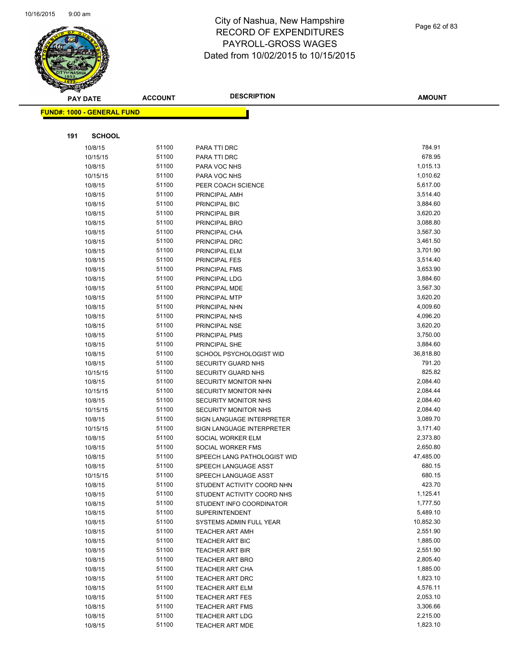

Page 62 of 83

|     | <b>PAY DATE</b>                   | <b>ACCOUNT</b> | <b>DESCRIPTION</b>          | <b>AMOUNT</b> |
|-----|-----------------------------------|----------------|-----------------------------|---------------|
|     | <b>FUND#: 1000 - GENERAL FUND</b> |                |                             |               |
|     |                                   |                |                             |               |
|     |                                   |                |                             |               |
| 191 | <b>SCHOOL</b>                     |                |                             |               |
|     | 10/8/15                           | 51100          | PARA TTI DRC                | 784.91        |
|     | 10/15/15                          | 51100          | PARA TTI DRC                | 678.95        |
|     | 10/8/15                           | 51100          | PARA VOC NHS                | 1,015.13      |
|     | 10/15/15                          | 51100          | PARA VOC NHS                | 1,010.62      |
|     | 10/8/15                           | 51100          | PEER COACH SCIENCE          | 5,617.00      |
|     | 10/8/15                           | 51100          | PRINCIPAL AMH               | 3,514.40      |
|     | 10/8/15                           | 51100          | PRINCIPAL BIC               | 3,884.60      |
|     | 10/8/15                           | 51100          | PRINCIPAL BIR               | 3,620.20      |
|     | 10/8/15                           | 51100          | PRINCIPAL BRO               | 3,088.80      |
|     | 10/8/15                           | 51100          | PRINCIPAL CHA               | 3,567.30      |
|     | 10/8/15                           | 51100          | PRINCIPAL DRC               | 3,461.50      |
|     | 10/8/15                           | 51100          | PRINCIPAL ELM               | 3,701.90      |
|     | 10/8/15                           | 51100          | PRINCIPAL FES               | 3,514.40      |
|     | 10/8/15                           | 51100          | PRINCIPAL FMS               | 3,653.90      |
|     | 10/8/15                           | 51100          | PRINCIPAL LDG               | 3,884.60      |
|     | 10/8/15                           | 51100          | PRINCIPAL MDE               | 3,567.30      |
|     | 10/8/15                           | 51100          | PRINCIPAL MTP               | 3,620.20      |
|     | 10/8/15                           | 51100          | PRINCIPAL NHN               | 4,009.60      |
|     | 10/8/15                           | 51100          | PRINCIPAL NHS               | 4,096.20      |
|     | 10/8/15                           | 51100          | PRINCIPAL NSE               | 3,620.20      |
|     | 10/8/15                           | 51100          | PRINCIPAL PMS               | 3,750.00      |
|     | 10/8/15                           | 51100          | PRINCIPAL SHE               | 3,884.60      |
|     | 10/8/15                           | 51100          | SCHOOL PSYCHOLOGIST WID     | 36,818.80     |
|     | 10/8/15                           | 51100          | <b>SECURITY GUARD NHS</b>   | 791.20        |
|     | 10/15/15                          | 51100          | SECURITY GUARD NHS          | 825.82        |
|     | 10/8/15                           | 51100          | SECURITY MONITOR NHN        | 2,084.40      |
|     | 10/15/15                          | 51100          | SECURITY MONITOR NHN        | 2,084.44      |
|     | 10/8/15                           | 51100          | <b>SECURITY MONITOR NHS</b> | 2,084.40      |
|     | 10/15/15                          | 51100          | <b>SECURITY MONITOR NHS</b> | 2,084.40      |
|     | 10/8/15                           | 51100          | SIGN LANGUAGE INTERPRETER   | 3,089.70      |
|     | 10/15/15                          | 51100          | SIGN LANGUAGE INTERPRETER   | 3,171.40      |
|     | 10/8/15                           | 51100          | SOCIAL WORKER ELM           | 2,373.80      |
|     | 10/8/15                           | 51100          | SOCIAL WORKER FMS           | 2,650.80      |
|     | 10/8/15                           | 51100          | SPEECH LANG PATHOLOGIST WID | 47,485.00     |
|     | 10/8/15                           | 51100          | SPEECH LANGUAGE ASST        | 680.15        |
|     | 10/15/15                          | 51100          | SPEECH LANGUAGE ASST        | 680.15        |
|     | 10/8/15                           | 51100          | STUDENT ACTIVITY COORD NHN  | 423.70        |
|     | 10/8/15                           | 51100          | STUDENT ACTIVITY COORD NHS  | 1,125.41      |
|     | 10/8/15                           | 51100          | STUDENT INFO COORDINATOR    | 1,777.50      |
|     | 10/8/15                           | 51100          | <b>SUPERINTENDENT</b>       | 5,489.10      |
|     | 10/8/15                           | 51100          | SYSTEMS ADMIN FULL YEAR     | 10,852.30     |
|     | 10/8/15                           | 51100          | <b>TEACHER ART AMH</b>      | 2,551.90      |
|     | 10/8/15                           | 51100          | <b>TEACHER ART BIC</b>      | 1,885.00      |
|     | 10/8/15                           | 51100          | <b>TEACHER ART BIR</b>      | 2,551.90      |
|     | 10/8/15                           | 51100          | TEACHER ART BRO             | 2,805.40      |
|     | 10/8/15                           | 51100          | TEACHER ART CHA             | 1,885.00      |
|     | 10/8/15                           | 51100          | TEACHER ART DRC             | 1,823.10      |
|     | 10/8/15                           | 51100          | TEACHER ART ELM             | 4,576.11      |
|     | 10/8/15                           | 51100          | <b>TEACHER ART FES</b>      | 2,053.10      |
|     | 10/8/15                           | 51100          | <b>TEACHER ART FMS</b>      | 3,306.66      |
|     | 10/8/15                           | 51100          | <b>TEACHER ART LDG</b>      | 2,215.00      |
|     | 10/8/15                           | 51100          | TEACHER ART MDE             | 1,823.10      |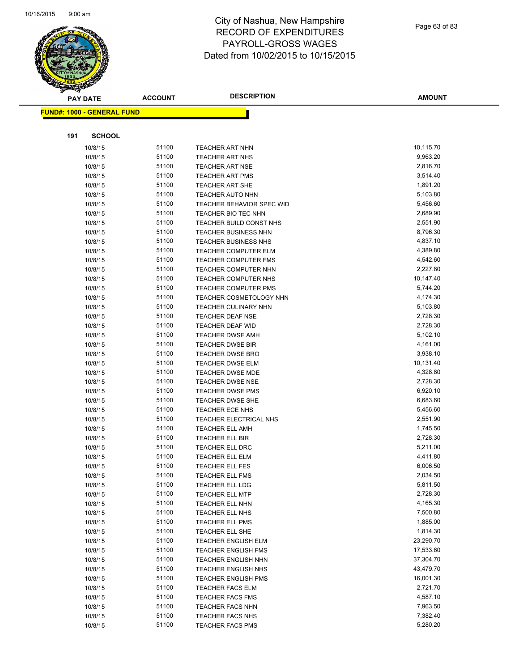

|     | <b>PAY DATE</b>                   | <b>ACCOUNT</b> | <b>DESCRIPTION</b>                          | <b>AMOUNT</b>        |
|-----|-----------------------------------|----------------|---------------------------------------------|----------------------|
|     | <b>FUND#: 1000 - GENERAL FUND</b> |                |                                             |                      |
|     |                                   |                |                                             |                      |
|     |                                   |                |                                             |                      |
| 191 | <b>SCHOOL</b>                     |                |                                             |                      |
|     | 10/8/15                           | 51100          | TEACHER ART NHN                             | 10,115.70            |
|     | 10/8/15                           | 51100          | <b>TEACHER ART NHS</b>                      | 9,963.20             |
|     | 10/8/15                           | 51100          | <b>TEACHER ART NSE</b>                      | 2,816.70             |
|     | 10/8/15                           | 51100          | TEACHER ART PMS                             | 3,514.40             |
|     | 10/8/15                           | 51100          | TEACHER ART SHE                             | 1,891.20             |
|     | 10/8/15                           | 51100          | <b>TEACHER AUTO NHN</b>                     | 5,103.80             |
|     | 10/8/15                           | 51100          | TEACHER BEHAVIOR SPEC WID                   | 5,456.60             |
|     | 10/8/15                           | 51100          | TEACHER BIO TEC NHN                         | 2,689.90             |
|     | 10/8/15                           | 51100          | TEACHER BUILD CONST NHS                     | 2,551.90             |
|     | 10/8/15                           | 51100          | <b>TEACHER BUSINESS NHN</b>                 | 8,796.30             |
|     | 10/8/15                           | 51100          | <b>TEACHER BUSINESS NHS</b>                 | 4,837.10             |
|     | 10/8/15                           | 51100          | TEACHER COMPUTER ELM                        | 4,389.80             |
|     | 10/8/15                           | 51100          | <b>TEACHER COMPUTER FMS</b>                 | 4,542.60             |
|     | 10/8/15                           | 51100          | TEACHER COMPUTER NHN                        | 2,227.80             |
|     | 10/8/15                           | 51100          | TEACHER COMPUTER NHS                        | 10,147.40            |
|     | 10/8/15                           | 51100          | <b>TEACHER COMPUTER PMS</b>                 | 5,744.20             |
|     | 10/8/15                           | 51100          | TEACHER COSMETOLOGY NHN                     | 4,174.30             |
|     | 10/8/15                           | 51100          | TEACHER CULINARY NHN                        | 5,103.80<br>2,728.30 |
|     | 10/8/15                           | 51100<br>51100 | <b>TEACHER DEAF NSE</b>                     | 2,728.30             |
|     | 10/8/15                           | 51100          | TEACHER DEAF WID<br><b>TEACHER DWSE AMH</b> | 5,102.10             |
|     | 10/8/15<br>10/8/15                | 51100          | <b>TEACHER DWSE BIR</b>                     | 4,161.00             |
|     | 10/8/15                           | 51100          | <b>TEACHER DWSE BRO</b>                     | 3,938.10             |
|     | 10/8/15                           | 51100          | TEACHER DWSE ELM                            | 10,131.40            |
|     | 10/8/15                           | 51100          | TEACHER DWSE MDE                            | 4,328.80             |
|     | 10/8/15                           | 51100          | <b>TEACHER DWSE NSE</b>                     | 2,728.30             |
|     | 10/8/15                           | 51100          | <b>TEACHER DWSE PMS</b>                     | 6,920.10             |
|     | 10/8/15                           | 51100          | TEACHER DWSE SHE                            | 6,683.60             |
|     | 10/8/15                           | 51100          | TEACHER ECE NHS                             | 5,456.60             |
|     | 10/8/15                           | 51100          | TEACHER ELECTRICAL NHS                      | 2,551.90             |
|     | 10/8/15                           | 51100          | <b>TEACHER ELL AMH</b>                      | 1,745.50             |
|     | 10/8/15                           | 51100          | <b>TEACHER ELL BIR</b>                      | 2,728.30             |
|     | 10/8/15                           | 51100          | TEACHER ELL DRC                             | 5,211.00             |
|     | 10/8/15                           | 51100          | <b>TEACHER ELL ELM</b>                      | 4,411.80             |
|     | 10/8/15                           | 51100          | <b>TEACHER ELL FES</b>                      | 6,006.50             |
|     | 10/8/15                           | 51100          | <b>TEACHER ELL FMS</b>                      | 2,034.50             |
|     | 10/8/15                           | 51100          | <b>TEACHER ELL LDG</b>                      | 5,811.50             |
|     | 10/8/15                           | 51100          | <b>TEACHER ELL MTP</b>                      | 2,728.30             |
|     | 10/8/15                           | 51100          | TEACHER ELL NHN                             | 4,165.30             |
|     | 10/8/15                           | 51100          | TEACHER ELL NHS                             | 7,500.80             |
|     | 10/8/15                           | 51100          | <b>TEACHER ELL PMS</b>                      | 1,885.00             |
|     | 10/8/15                           | 51100          | TEACHER ELL SHE                             | 1,814.30             |
|     | 10/8/15                           | 51100          | <b>TEACHER ENGLISH ELM</b>                  | 23,290.70            |
|     | 10/8/15                           | 51100          | <b>TEACHER ENGLISH FMS</b>                  | 17,533.60            |
|     | 10/8/15                           | 51100          | <b>TEACHER ENGLISH NHN</b>                  | 37,304.70            |
|     | 10/8/15                           | 51100          | <b>TEACHER ENGLISH NHS</b>                  | 43,479.70            |
|     | 10/8/15                           | 51100          | <b>TEACHER ENGLISH PMS</b>                  | 16,001.30            |
|     | 10/8/15                           | 51100          | <b>TEACHER FACS ELM</b>                     | 2,721.70             |
|     | 10/8/15                           | 51100          | <b>TEACHER FACS FMS</b>                     | 4,587.10             |
|     | 10/8/15                           | 51100          | <b>TEACHER FACS NHN</b>                     | 7,963.50             |
|     | 10/8/15                           | 51100          | <b>TEACHER FACS NHS</b>                     | 7,382.40             |
|     | 10/8/15                           | 51100          | <b>TEACHER FACS PMS</b>                     | 5,280.20             |
|     |                                   |                |                                             |                      |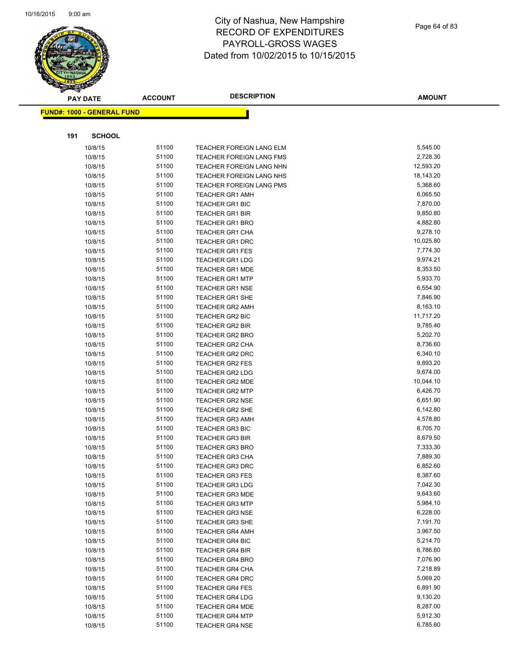

|     | <b>PAY DATE</b>                   | <b>ACCOUNT</b> | <b>DESCRIPTION</b>                               | <b>AMOUNT</b>        |
|-----|-----------------------------------|----------------|--------------------------------------------------|----------------------|
|     | <b>FUND#: 1000 - GENERAL FUND</b> |                |                                                  |                      |
|     |                                   |                |                                                  |                      |
|     |                                   |                |                                                  |                      |
| 191 | <b>SCHOOL</b>                     |                |                                                  |                      |
|     | 10/8/15                           | 51100          | TEACHER FOREIGN LANG ELM                         | 5,545.00             |
|     | 10/8/15                           | 51100          | <b>TEACHER FOREIGN LANG FMS</b>                  | 2,728.30             |
|     | 10/8/15                           | 51100          | TEACHER FOREIGN LANG NHN                         | 12,593.20            |
|     | 10/8/15                           | 51100          | TEACHER FOREIGN LANG NHS                         | 18,143.20            |
|     | 10/8/15                           | 51100          | <b>TEACHER FOREIGN LANG PMS</b>                  | 5,368.60             |
|     | 10/8/15                           | 51100          | <b>TEACHER GR1 AMH</b>                           | 6,065.50             |
|     | 10/8/15                           | 51100          | <b>TEACHER GR1 BIC</b>                           | 7,870.00             |
|     | 10/8/15                           | 51100          | <b>TEACHER GR1 BIR</b>                           | 9,850.80             |
|     | 10/8/15                           | 51100          | <b>TEACHER GR1 BRO</b>                           | 4,882.80             |
|     | 10/8/15                           | 51100          | <b>TEACHER GR1 CHA</b>                           | 9,278.10             |
|     | 10/8/15                           | 51100          | <b>TEACHER GR1 DRC</b>                           | 10,025.80            |
|     | 10/8/15                           | 51100          | <b>TEACHER GR1 FES</b>                           | 7,774.30             |
|     | 10/8/15                           | 51100          | <b>TEACHER GR1 LDG</b>                           | 9,974.21             |
|     | 10/8/15                           | 51100          | <b>TEACHER GR1 MDE</b>                           | 8,353.50             |
|     | 10/8/15                           | 51100          | <b>TEACHER GR1 MTP</b>                           | 5,933.70             |
|     | 10/8/15                           | 51100          | <b>TEACHER GR1 NSE</b>                           | 6,554.90             |
|     | 10/8/15                           | 51100<br>51100 | <b>TEACHER GR1 SHE</b>                           | 7,846.90<br>8,163.10 |
|     | 10/8/15                           | 51100          | <b>TEACHER GR2 AMH</b>                           | 11,717.20            |
|     | 10/8/15                           | 51100          | <b>TEACHER GR2 BIC</b><br><b>TEACHER GR2 BIR</b> | 9,785.40             |
|     | 10/8/15<br>10/8/15                | 51100          | <b>TEACHER GR2 BRO</b>                           | 5,202.70             |
|     | 10/8/15                           | 51100          | <b>TEACHER GR2 CHA</b>                           | 8,736.60             |
|     | 10/8/15                           | 51100          | <b>TEACHER GR2 DRC</b>                           | 6,340.10             |
|     | 10/8/15                           | 51100          | <b>TEACHER GR2 FES</b>                           | 9,893.20             |
|     | 10/8/15                           | 51100          | <b>TEACHER GR2 LDG</b>                           | 9,674.00             |
|     | 10/8/15                           | 51100          | <b>TEACHER GR2 MDE</b>                           | 10,044.10            |
|     | 10/8/15                           | 51100          | <b>TEACHER GR2 MTP</b>                           | 6,426.70             |
|     | 10/8/15                           | 51100          | <b>TEACHER GR2 NSE</b>                           | 6,651.90             |
|     | 10/8/15                           | 51100          | <b>TEACHER GR2 SHE</b>                           | 6,142.80             |
|     | 10/8/15                           | 51100          | <b>TEACHER GR3 AMH</b>                           | 4,578.80             |
|     | 10/8/15                           | 51100          | <b>TEACHER GR3 BIC</b>                           | 8,705.70             |
|     | 10/8/15                           | 51100          | <b>TEACHER GR3 BIR</b>                           | 8,679.50             |
|     | 10/8/15                           | 51100          | <b>TEACHER GR3 BRO</b>                           | 7,333.30             |
|     | 10/8/15                           | 51100          | <b>TEACHER GR3 CHA</b>                           | 7,889.30             |
|     | 10/8/15                           | 51100          | <b>TEACHER GR3 DRC</b>                           | 6,852.60             |
|     | 10/8/15                           | 51100          | <b>TEACHER GR3 FES</b>                           | 8,387.60             |
|     | 10/8/15                           | 51100          | <b>TEACHER GR3 LDG</b>                           | 7,042.30             |
|     | 10/8/15                           | 51100          | <b>TEACHER GR3 MDE</b>                           | 9,643.60             |
|     | 10/8/15                           | 51100          | <b>TEACHER GR3 MTP</b>                           | 5,984.10             |
|     | 10/8/15                           | 51100          | <b>TEACHER GR3 NSE</b>                           | 6,228.00             |
|     | 10/8/15                           | 51100          | <b>TEACHER GR3 SHE</b>                           | 7,191.70             |
|     | 10/8/15                           | 51100          | <b>TEACHER GR4 AMH</b>                           | 3,967.50             |
|     | 10/8/15                           | 51100          | <b>TEACHER GR4 BIC</b>                           | 5,214.70             |
|     | 10/8/15                           | 51100          | <b>TEACHER GR4 BIR</b>                           | 6,786.60             |
|     | 10/8/15                           | 51100          | <b>TEACHER GR4 BRO</b>                           | 7,076.90             |
|     | 10/8/15                           | 51100          | <b>TEACHER GR4 CHA</b>                           | 7,218.89             |
|     | 10/8/15                           | 51100          | <b>TEACHER GR4 DRC</b>                           | 5,069.20             |
|     | 10/8/15                           | 51100          | <b>TEACHER GR4 FES</b>                           | 6,891.90             |
|     | 10/8/15                           | 51100          | <b>TEACHER GR4 LDG</b>                           | 9,130.20             |
|     | 10/8/15                           | 51100          | <b>TEACHER GR4 MDE</b>                           | 8,287.00             |
|     | 10/8/15                           | 51100          | <b>TEACHER GR4 MTP</b>                           | 5,912.30             |
|     | 10/8/15                           | 51100          | <b>TEACHER GR4 NSE</b>                           | 6,785.60             |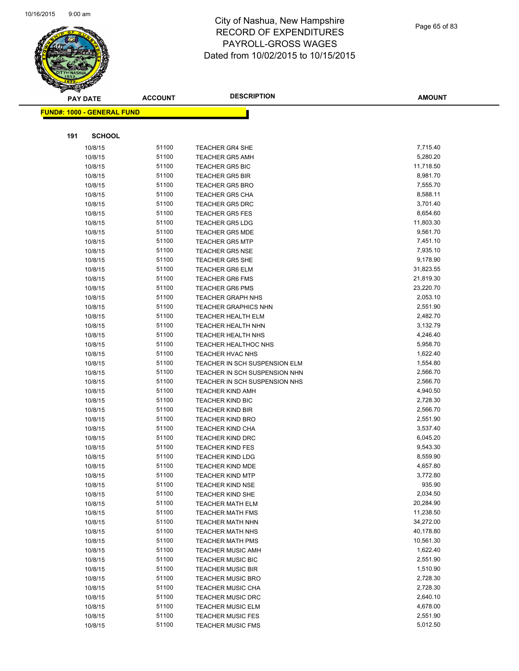

Page 65 of 83

|     | <b>PAY DATE</b>                   | <b>ACCOUNT</b> | <b>DESCRIPTION</b>                                   | <b>AMOUNT</b>          |
|-----|-----------------------------------|----------------|------------------------------------------------------|------------------------|
|     | <b>FUND#: 1000 - GENERAL FUND</b> |                |                                                      |                        |
|     |                                   |                |                                                      |                        |
| 191 | <b>SCHOOL</b>                     |                |                                                      |                        |
|     |                                   |                |                                                      |                        |
|     | 10/8/15<br>10/8/15                | 51100<br>51100 | <b>TEACHER GR4 SHE</b>                               | 7,715.40<br>5,280.20   |
|     |                                   | 51100          | <b>TEACHER GR5 AMH</b>                               | 11,718.50              |
|     | 10/8/15<br>10/8/15                | 51100          | <b>TEACHER GR5 BIC</b><br><b>TEACHER GR5 BIR</b>     | 8,981.70               |
|     | 10/8/15                           | 51100          | <b>TEACHER GR5 BRO</b>                               | 7,555.70               |
|     | 10/8/15                           | 51100          | <b>TEACHER GR5 CHA</b>                               | 8,588.11               |
|     | 10/8/15                           | 51100          | <b>TEACHER GR5 DRC</b>                               | 3,701.40               |
|     | 10/8/15                           | 51100          | <b>TEACHER GR5 FES</b>                               | 8,654.60               |
|     | 10/8/15                           | 51100          | <b>TEACHER GR5 LDG</b>                               | 11,803.30              |
|     | 10/8/15                           | 51100          | <b>TEACHER GR5 MDE</b>                               | 9,561.70               |
|     | 10/8/15                           | 51100          | <b>TEACHER GR5 MTP</b>                               | 7,451.10               |
|     | 10/8/15                           | 51100          | <b>TEACHER GR5 NSE</b>                               | 7,935.10               |
|     | 10/8/15                           | 51100          | TEACHER GR5 SHE                                      | 9,178.90               |
|     | 10/8/15                           | 51100          | <b>TEACHER GR6 ELM</b>                               | 31,823.55              |
|     | 10/8/15                           | 51100          | <b>TEACHER GR6 FMS</b>                               | 21,819.30              |
|     | 10/8/15                           | 51100          | <b>TEACHER GR6 PMS</b>                               | 23,220.70              |
|     | 10/8/15                           | 51100          | <b>TEACHER GRAPH NHS</b>                             | 2,053.10               |
|     | 10/8/15                           | 51100          | <b>TEACHER GRAPHICS NHN</b>                          | 2,551.90               |
|     | 10/8/15                           | 51100          | TEACHER HEALTH ELM                                   | 2,482.70               |
|     | 10/8/15                           | 51100          | <b>TEACHER HEALTH NHN</b>                            | 3,132.79               |
|     | 10/8/15                           | 51100          | TEACHER HEALTH NHS                                   | 4,246.40               |
|     | 10/8/15                           | 51100          | <b>TEACHER HEALTHOC NHS</b>                          | 5,958.70               |
|     | 10/8/15                           | 51100          | <b>TEACHER HVAC NHS</b>                              | 1,622.40               |
|     | 10/8/15                           | 51100          | TEACHER IN SCH SUSPENSION ELM                        | 1,554.80               |
|     | 10/8/15                           | 51100          | TEACHER IN SCH SUSPENSION NHN                        | 2,566.70               |
|     | 10/8/15                           | 51100          | TEACHER IN SCH SUSPENSION NHS                        | 2,566.70               |
|     | 10/8/15                           | 51100          | TEACHER KIND AMH                                     | 4,940.50               |
|     | 10/8/15                           | 51100          | <b>TEACHER KIND BIC</b>                              | 2,728.30               |
|     | 10/8/15                           | 51100          | <b>TEACHER KIND BIR</b>                              | 2,566.70               |
|     | 10/8/15                           | 51100          | <b>TEACHER KIND BRO</b>                              | 2,551.90               |
|     | 10/8/15                           | 51100          | <b>TEACHER KIND CHA</b>                              | 3,537.40               |
|     | 10/8/15                           | 51100          | <b>TEACHER KIND DRC</b>                              | 6,045.20               |
|     | 10/8/15                           | 51100          | <b>TEACHER KIND FES</b>                              | 9,543.30               |
|     | 10/8/15                           | 51100          | <b>TEACHER KIND LDG</b>                              | 8,559.90               |
|     | 10/8/15                           | 51100          | <b>TEACHER KIND MDE</b>                              | 4,657.80               |
|     | 10/8/15                           | 51100          | <b>TEACHER KIND MTP</b>                              | 3,772.80               |
|     | 10/8/15                           | 51100          | <b>TEACHER KIND NSE</b>                              | 935.90                 |
|     | 10/8/15                           | 51100          | <b>TEACHER KIND SHE</b>                              | 2,034.50               |
|     | 10/8/15                           | 51100          | <b>TEACHER MATH ELM</b>                              | 20,284.90              |
|     | 10/8/15                           | 51100          | <b>TEACHER MATH FMS</b>                              | 11,238.50              |
|     | 10/8/15                           | 51100          | <b>TEACHER MATH NHN</b>                              | 34,272.00              |
|     | 10/8/15                           | 51100          | <b>TEACHER MATH NHS</b>                              | 40,178.80<br>10,561.30 |
|     | 10/8/15<br>10/8/15                | 51100<br>51100 | <b>TEACHER MATH PMS</b>                              | 1,622.40               |
|     | 10/8/15                           | 51100          | <b>TEACHER MUSIC AMH</b><br><b>TEACHER MUSIC BIC</b> | 2,551.90               |
|     |                                   | 51100          | <b>TEACHER MUSIC BIR</b>                             | 1,510.90               |
|     | 10/8/15<br>10/8/15                | 51100          | <b>TEACHER MUSIC BRO</b>                             | 2,728.30               |
|     | 10/8/15                           | 51100          | TEACHER MUSIC CHA                                    | 2,728.30               |
|     | 10/8/15                           | 51100          | <b>TEACHER MUSIC DRC</b>                             | 2,640.10               |
|     | 10/8/15                           | 51100          | <b>TEACHER MUSIC ELM</b>                             | 4,678.00               |
|     | 10/8/15                           | 51100          | <b>TEACHER MUSIC FES</b>                             | 2,551.90               |
|     | 10/8/15                           | 51100          | <b>TEACHER MUSIC FMS</b>                             | 5,012.50               |
|     |                                   |                |                                                      |                        |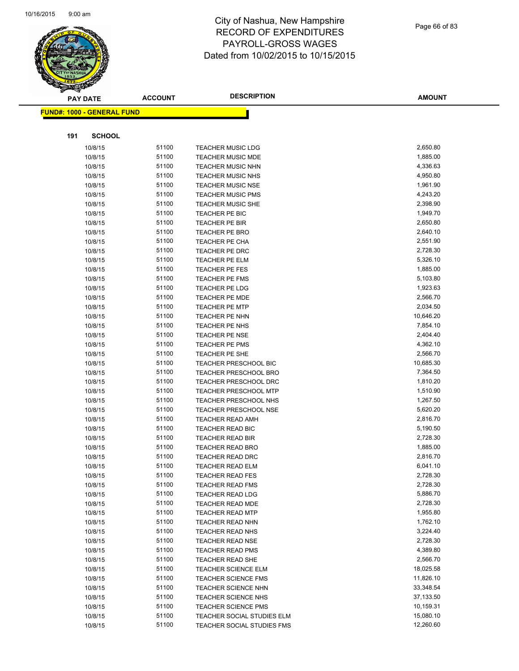

|     | <b>PAY DATE</b>                    | <b>ACCOUNT</b> | <b>DESCRIPTION</b>                      | <b>AMOUNT</b>        |
|-----|------------------------------------|----------------|-----------------------------------------|----------------------|
|     | <u> FUND#: 1000 - GENERAL FUND</u> |                |                                         |                      |
|     |                                    |                |                                         |                      |
| 191 | <b>SCHOOL</b>                      |                |                                         |                      |
|     |                                    |                |                                         |                      |
|     | 10/8/15                            | 51100          | <b>TEACHER MUSIC LDG</b>                | 2,650.80             |
|     | 10/8/15                            | 51100          | <b>TEACHER MUSIC MDE</b>                | 1,885.00             |
|     | 10/8/15                            | 51100          | <b>TEACHER MUSIC NHN</b>                | 4,336.63             |
|     | 10/8/15                            | 51100          | <b>TEACHER MUSIC NHS</b>                | 4,950.80             |
|     | 10/8/15                            | 51100          | TEACHER MUSIC NSE                       | 1,961.90             |
|     | 10/8/15                            | 51100          | <b>TEACHER MUSIC PMS</b>                | 4,243.20             |
|     | 10/8/15                            | 51100          | <b>TEACHER MUSIC SHE</b>                | 2,398.90             |
|     | 10/8/15                            | 51100          | TEACHER PE BIC                          | 1,949.70             |
|     | 10/8/15                            | 51100          | TEACHER PE BIR                          | 2,650.80             |
|     | 10/8/15                            | 51100          | <b>TEACHER PE BRO</b>                   | 2,640.10             |
|     | 10/8/15                            | 51100<br>51100 | TEACHER PE CHA                          | 2,551.90<br>2,728.30 |
|     | 10/8/15<br>10/8/15                 | 51100          | TEACHER PE DRC                          | 5,326.10             |
|     |                                    | 51100          | TEACHER PE ELM                          | 1,885.00             |
|     | 10/8/15<br>10/8/15                 | 51100          | TEACHER PE FES                          | 5,103.80             |
|     | 10/8/15                            | 51100          | <b>TEACHER PE FMS</b><br>TEACHER PE LDG | 1,923.63             |
|     | 10/8/15                            | 51100          | <b>TEACHER PE MDE</b>                   | 2,566.70             |
|     | 10/8/15                            | 51100          | <b>TEACHER PE MTP</b>                   | 2,034.50             |
|     | 10/8/15                            | 51100          | TEACHER PE NHN                          | 10,646.20            |
|     | 10/8/15                            | 51100          | TEACHER PE NHS                          | 7,854.10             |
|     | 10/8/15                            | 51100          | <b>TEACHER PE NSE</b>                   | 2,404.40             |
|     | 10/8/15                            | 51100          | TEACHER PE PMS                          | 4,362.10             |
|     | 10/8/15                            | 51100          | TEACHER PE SHE                          | 2,566.70             |
|     | 10/8/15                            | 51100          | <b>TEACHER PRESCHOOL BIC</b>            | 10,685.30            |
|     | 10/8/15                            | 51100          | TEACHER PRESCHOOL BRO                   | 7,364.50             |
|     | 10/8/15                            | 51100          | <b>TEACHER PRESCHOOL DRC</b>            | 1,810.20             |
|     | 10/8/15                            | 51100          | <b>TEACHER PRESCHOOL MTP</b>            | 1,510.90             |
|     | 10/8/15                            | 51100          | <b>TEACHER PRESCHOOL NHS</b>            | 1,267.50             |
|     | 10/8/15                            | 51100          | <b>TEACHER PRESCHOOL NSE</b>            | 5,620.20             |
|     | 10/8/15                            | 51100          | TEACHER READ AMH                        | 2,816.70             |
|     | 10/8/15                            | 51100          | TEACHER READ BIC                        | 5,190.50             |
|     | 10/8/15                            | 51100          | <b>TEACHER READ BIR</b>                 | 2,728.30             |
|     | 10/8/15                            | 51100          | <b>TEACHER READ BRO</b>                 | 1,885.00             |
|     | 10/8/15                            | 51100          | <b>TEACHER READ DRC</b>                 | 2,816.70             |
|     | 10/8/15                            | 51100          | <b>TEACHER READ ELM</b>                 | 6,041.10             |
|     | 10/8/15                            | 51100          | <b>TEACHER READ FES</b>                 | 2,728.30             |
|     | 10/8/15                            | 51100          | <b>TEACHER READ FMS</b>                 | 2,728.30             |
|     | 10/8/15                            | 51100          | <b>TEACHER READ LDG</b>                 | 5,886.70             |
|     | 10/8/15                            | 51100          | TEACHER READ MDE                        | 2,728.30             |
|     | 10/8/15                            | 51100          | <b>TEACHER READ MTP</b>                 | 1,955.80             |
|     | 10/8/15                            | 51100          | <b>TEACHER READ NHN</b>                 | 1,762.10             |
|     | 10/8/15                            | 51100          | <b>TEACHER READ NHS</b>                 | 3,224.40             |
|     | 10/8/15                            | 51100          | <b>TEACHER READ NSE</b>                 | 2,728.30             |
|     | 10/8/15                            | 51100          | <b>TEACHER READ PMS</b>                 | 4,389.80             |
|     | 10/8/15                            | 51100          | <b>TEACHER READ SHE</b>                 | 2,566.70             |
|     | 10/8/15                            | 51100          | TEACHER SCIENCE ELM                     | 18,025.58            |
|     | 10/8/15                            | 51100          | <b>TEACHER SCIENCE FMS</b>              | 11,826.10            |
|     | 10/8/15                            | 51100          | TEACHER SCIENCE NHN                     | 33,348.54            |
|     | 10/8/15                            | 51100          | TEACHER SCIENCE NHS                     | 37,133.50            |
|     | 10/8/15                            | 51100          | <b>TEACHER SCIENCE PMS</b>              | 10,159.31            |
|     | 10/8/15                            | 51100          | TEACHER SOCIAL STUDIES ELM              | 15,080.10            |
|     | 10/8/15                            | 51100          | TEACHER SOCIAL STUDIES FMS              | 12,260.60            |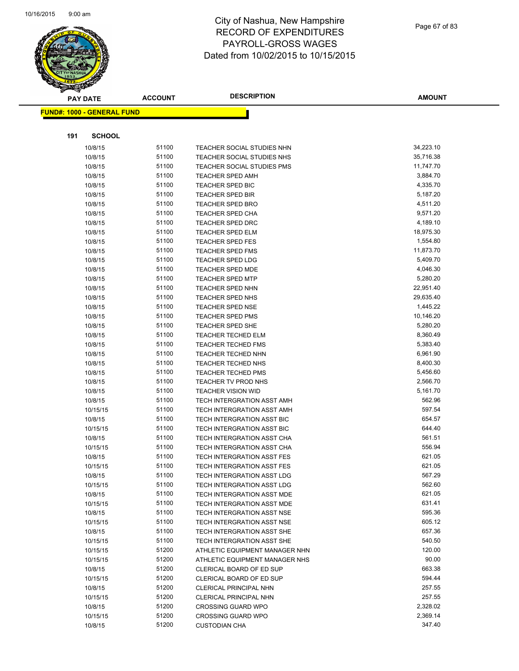

|     | <b>PAY DATE</b>                   | <b>ACCOUNT</b> | <b>DESCRIPTION</b>                                 | <b>AMOUNT</b>         |
|-----|-----------------------------------|----------------|----------------------------------------------------|-----------------------|
|     | <b>FUND#: 1000 - GENERAL FUND</b> |                |                                                    |                       |
|     |                                   |                |                                                    |                       |
|     |                                   |                |                                                    |                       |
| 191 | <b>SCHOOL</b>                     |                |                                                    |                       |
|     | 10/8/15                           | 51100          | TEACHER SOCIAL STUDIES NHN                         | 34,223.10             |
|     | 10/8/15                           | 51100          | TEACHER SOCIAL STUDIES NHS                         | 35,716.38             |
|     | 10/8/15                           | 51100          | <b>TEACHER SOCIAL STUDIES PMS</b>                  | 11,747.70             |
|     | 10/8/15                           | 51100          | <b>TEACHER SPED AMH</b>                            | 3,884.70              |
|     | 10/8/15                           | 51100          | <b>TEACHER SPED BIC</b>                            | 4,335.70              |
|     | 10/8/15                           | 51100          | <b>TEACHER SPED BIR</b>                            | 5,187.20              |
|     | 10/8/15                           | 51100          | <b>TEACHER SPED BRO</b>                            | 4,511.20              |
|     | 10/8/15                           | 51100          | <b>TEACHER SPED CHA</b>                            | 9,571.20              |
|     | 10/8/15                           | 51100          | <b>TEACHER SPED DRC</b>                            | 4,189.10              |
|     | 10/8/15                           | 51100          | <b>TEACHER SPED ELM</b>                            | 18,975.30             |
|     | 10/8/15                           | 51100          | <b>TEACHER SPED FES</b>                            | 1,554.80              |
|     | 10/8/15                           | 51100          | <b>TEACHER SPED FMS</b>                            | 11,873.70             |
|     | 10/8/15                           | 51100          | <b>TEACHER SPED LDG</b>                            | 5,409.70              |
|     | 10/8/15                           | 51100          | <b>TEACHER SPED MDE</b>                            | 4,046.30              |
|     | 10/8/15                           | 51100          | <b>TEACHER SPED MTP</b>                            | 5,280.20              |
|     | 10/8/15                           | 51100          | <b>TEACHER SPED NHN</b><br><b>TEACHER SPED NHS</b> | 22,951.40             |
|     | 10/8/15                           | 51100<br>51100 | <b>TEACHER SPED NSE</b>                            | 29,635.40<br>1,445.22 |
|     | 10/8/15                           | 51100          | <b>TEACHER SPED PMS</b>                            | 10,146.20             |
|     | 10/8/15<br>10/8/15                | 51100          | TEACHER SPED SHE                                   | 5,280.20              |
|     | 10/8/15                           | 51100          | <b>TEACHER TECHED ELM</b>                          | 8,360.49              |
|     | 10/8/15                           | 51100          | <b>TEACHER TECHED FMS</b>                          | 5,383.40              |
|     | 10/8/15                           | 51100          | <b>TEACHER TECHED NHN</b>                          | 6,961.90              |
|     | 10/8/15                           | 51100          | <b>TEACHER TECHED NHS</b>                          | 8,400.30              |
|     | 10/8/15                           | 51100          | <b>TEACHER TECHED PMS</b>                          | 5,456.60              |
|     | 10/8/15                           | 51100          | TEACHER TV PROD NHS                                | 2,566.70              |
|     | 10/8/15                           | 51100          | <b>TEACHER VISION WID</b>                          | 5,161.70              |
|     | 10/8/15                           | 51100          | TECH INTERGRATION ASST AMH                         | 562.96                |
|     | 10/15/15                          | 51100          | TECH INTERGRATION ASST AMH                         | 597.54                |
|     | 10/8/15                           | 51100          | TECH INTERGRATION ASST BIC                         | 654.57                |
|     | 10/15/15                          | 51100          | TECH INTERGRATION ASST BIC                         | 644.40                |
|     | 10/8/15                           | 51100          | TECH INTERGRATION ASST CHA                         | 561.51                |
|     | 10/15/15                          | 51100          | TECH INTERGRATION ASST CHA                         | 556.94                |
|     | 10/8/15                           | 51100          | <b>TECH INTERGRATION ASST FES</b>                  | 621.05                |
|     | 10/15/15                          | 51100          | TECH INTERGRATION ASST FES                         | 621.05                |
|     | 10/8/15                           | 51100          | TECH INTERGRATION ASST LDG                         | 567.29                |
|     | 10/15/15                          | 51100          | TECH INTERGRATION ASST LDG                         | 562.60                |
|     | 10/8/15                           | 51100          | TECH INTERGRATION ASST MDE                         | 621.05                |
|     | 10/15/15                          | 51100          | TECH INTERGRATION ASST MDE                         | 631.41                |
|     | 10/8/15                           | 51100          | TECH INTERGRATION ASST NSE                         | 595.36                |
|     | 10/15/15                          | 51100          | TECH INTERGRATION ASST NSE                         | 605.12                |
|     | 10/8/15                           | 51100          | TECH INTERGRATION ASST SHE                         | 657.36                |
|     | 10/15/15                          | 51100          | TECH INTERGRATION ASST SHE                         | 540.50                |
|     | 10/15/15                          | 51200          | ATHLETIC EQUIPMENT MANAGER NHN                     | 120.00                |
|     | 10/15/15                          | 51200          | ATHLETIC EQUIPMENT MANAGER NHS                     | 90.00                 |
|     | 10/8/15                           | 51200          | CLERICAL BOARD OF ED SUP                           | 663.38                |
|     | 10/15/15                          | 51200          | CLERICAL BOARD OF ED SUP                           | 594.44                |
|     | 10/8/15                           | 51200          | CLERICAL PRINCIPAL NHN                             | 257.55                |
|     | 10/15/15                          | 51200          | CLERICAL PRINCIPAL NHN                             | 257.55                |
|     | 10/8/15                           | 51200          | <b>CROSSING GUARD WPO</b>                          | 2,328.02              |
|     | 10/15/15                          | 51200          | <b>CROSSING GUARD WPO</b>                          | 2,369.14              |
|     | 10/8/15                           | 51200          | <b>CUSTODIAN CHA</b>                               | 347.40                |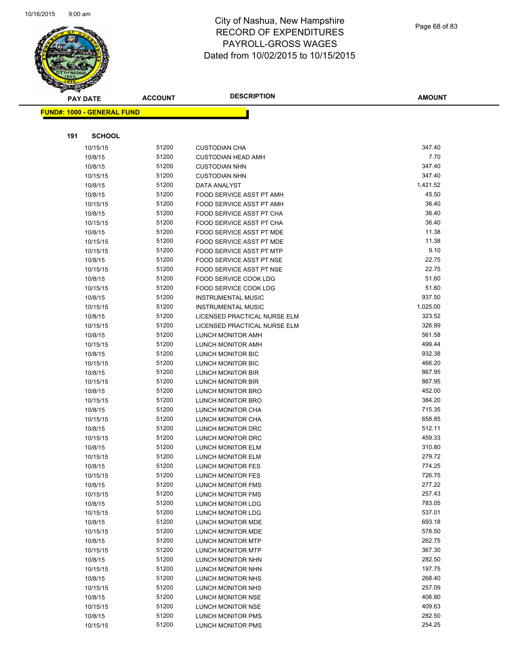

Page 68 of 83

|     | <b>PAY DATE</b>                   | <b>ACCOUNT</b> | <b>DESCRIPTION</b>                     | <b>AMOUNT</b>    |
|-----|-----------------------------------|----------------|----------------------------------------|------------------|
|     | <b>FUND#: 1000 - GENERAL FUND</b> |                |                                        |                  |
|     |                                   |                |                                        |                  |
|     |                                   |                |                                        |                  |
| 191 | <b>SCHOOL</b>                     |                |                                        |                  |
|     | 10/15/15                          | 51200          | <b>CUSTODIAN CHA</b>                   | 347.40           |
|     | 10/8/15                           | 51200          | <b>CUSTODIAN HEAD AMH</b>              | 7.70             |
|     | 10/8/15                           | 51200          | <b>CUSTODIAN NHN</b>                   | 347.40           |
|     | 10/15/15                          | 51200          | <b>CUSTODIAN NHN</b>                   | 347.40           |
|     | 10/8/15                           | 51200          | DATA ANALYST                           | 1,421.52         |
|     | 10/8/15                           | 51200          | FOOD SERVICE ASST PT AMH               | 45.50            |
|     | 10/15/15                          | 51200          | <b>FOOD SERVICE ASST PT AMH</b>        | 36.40            |
|     | 10/8/15                           | 51200          | <b>FOOD SERVICE ASST PT CHA</b>        | 36.40            |
|     | 10/15/15                          | 51200          | FOOD SERVICE ASST PT CHA               | 36.40            |
|     | 10/8/15                           | 51200          | FOOD SERVICE ASST PT MDE               | 11.38            |
|     | 10/15/15                          | 51200          | FOOD SERVICE ASST PT MDE               | 11.38            |
|     | 10/15/15                          | 51200          | FOOD SERVICE ASST PT MTP               | 9.10             |
|     | 10/8/15                           | 51200          | FOOD SERVICE ASST PT NSE               | 22.75            |
|     | 10/15/15                          | 51200          | FOOD SERVICE ASST PT NSE               | 22.75            |
|     | 10/8/15                           | 51200          | FOOD SERVICE COOK LDG                  | 51.60            |
|     | 10/15/15                          | 51200          | FOOD SERVICE COOK LDG                  | 51.60            |
|     | 10/8/15                           | 51200          | <b>INSTRUMENTAL MUSIC</b>              | 937.50           |
|     | 10/15/15                          | 51200          | <b>INSTRUMENTAL MUSIC</b>              | 1,025.00         |
|     | 10/8/15                           | 51200          | LICENSED PRACTICAL NURSE ELM           | 323.52           |
|     | 10/15/15                          | 51200          | LICENSED PRACTICAL NURSE ELM           | 326.89           |
|     | 10/8/15                           | 51200          | LUNCH MONITOR AMH                      | 561.58           |
|     | 10/15/15                          | 51200          | LUNCH MONITOR AMH                      | 499.44           |
|     | 10/8/15                           | 51200          | LUNCH MONITOR BIC                      | 932.38           |
|     | 10/15/15                          | 51200          | LUNCH MONITOR BIC                      | 466.20           |
|     | 10/8/15                           | 51200          | LUNCH MONITOR BIR                      | 867.95           |
|     | 10/15/15                          | 51200          | LUNCH MONITOR BIR                      | 867.95           |
|     | 10/8/15                           | 51200          | LUNCH MONITOR BRO                      | 452.00           |
|     | 10/15/15                          | 51200          | LUNCH MONITOR BRO                      | 384.20           |
|     | 10/8/15                           | 51200          | LUNCH MONITOR CHA                      | 715.35           |
|     | 10/15/15                          | 51200          | LUNCH MONITOR CHA                      | 658.85           |
|     | 10/8/15                           | 51200          | LUNCH MONITOR DRC                      | 512.11           |
|     | 10/15/15                          | 51200          | LUNCH MONITOR DRC                      | 459.33           |
|     | 10/8/15                           | 51200          | LUNCH MONITOR ELM                      | 310.80           |
|     | 10/15/15                          | 51200          | LUNCH MONITOR ELM                      | 279.72           |
|     | 10/8/15                           | 51200<br>51200 | LUNCH MONITOR FES                      | 774.25<br>726.75 |
|     | 10/15/15                          | 51200          | LUNCH MONITOR FES                      | 277.22           |
|     | 10/8/15<br>10/15/15               | 51200          | LUNCH MONITOR FMS                      | 257.43           |
|     | 10/8/15                           | 51200          | LUNCH MONITOR FMS                      | 783.05           |
|     | 10/15/15                          | 51200          | LUNCH MONITOR LDG<br>LUNCH MONITOR LDG | 537.01           |
|     | 10/8/15                           | 51200          | LUNCH MONITOR MDE                      | 693.18           |
|     | 10/15/15                          | 51200          | LUNCH MONITOR MDE                      | 578.50           |
|     | 10/8/15                           | 51200          | LUNCH MONITOR MTP                      | 262.75           |
|     | 10/15/15                          | 51200          | LUNCH MONITOR MTP                      | 367.30           |
|     | 10/8/15                           | 51200          | LUNCH MONITOR NHN                      | 282.50           |
|     | 10/15/15                          | 51200          | LUNCH MONITOR NHN                      | 197.75           |
|     | 10/8/15                           | 51200          | LUNCH MONITOR NHS                      | 268.40           |
|     | 10/15/15                          | 51200          | LUNCH MONITOR NHS                      | 257.09           |
|     | 10/8/15                           | 51200          | LUNCH MONITOR NSE                      | 406.80           |
|     | 10/15/15                          | 51200          | LUNCH MONITOR NSE                      | 409.63           |
|     | 10/8/15                           | 51200          | LUNCH MONITOR PMS                      | 282.50           |
|     | 10/15/15                          | 51200          | LUNCH MONITOR PMS                      | 254.25           |
|     |                                   |                |                                        |                  |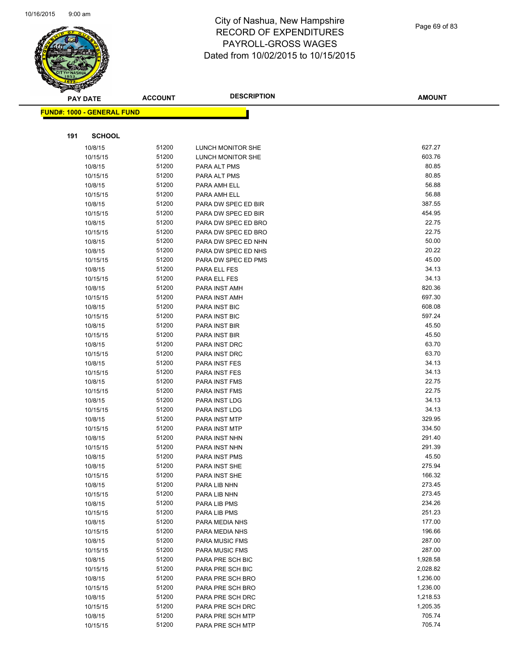

Page 69 of 83

|     | <b>PAY DATE</b>                   | <b>ACCOUNT</b> | <b>DESCRIPTION</b>             | <b>AMOUNT</b>  |
|-----|-----------------------------------|----------------|--------------------------------|----------------|
|     | <b>FUND#: 1000 - GENERAL FUND</b> |                |                                |                |
|     |                                   |                |                                |                |
|     |                                   |                |                                |                |
| 191 | <b>SCHOOL</b>                     |                |                                |                |
|     | 10/8/15                           | 51200          | LUNCH MONITOR SHE              | 627.27         |
|     | 10/15/15                          | 51200          | LUNCH MONITOR SHE              | 603.76         |
|     | 10/8/15                           | 51200          | PARA ALT PMS                   | 80.85          |
|     | 10/15/15                          | 51200          | PARA ALT PMS                   | 80.85          |
|     | 10/8/15                           | 51200          | PARA AMH ELL                   | 56.88          |
|     | 10/15/15                          | 51200          | PARA AMH ELL                   | 56.88          |
|     | 10/8/15                           | 51200          | PARA DW SPEC ED BIR            | 387.55         |
|     | 10/15/15                          | 51200          | PARA DW SPEC ED BIR            | 454.95         |
|     | 10/8/15                           | 51200          | PARA DW SPEC ED BRO            | 22.75          |
|     | 10/15/15                          | 51200          | PARA DW SPEC ED BRO            | 22.75          |
|     | 10/8/15                           | 51200          | PARA DW SPEC ED NHN            | 50.00          |
|     | 10/8/15                           | 51200          | PARA DW SPEC ED NHS            | 20.22          |
|     | 10/15/15                          | 51200          | PARA DW SPEC ED PMS            | 45.00          |
|     | 10/8/15                           | 51200          | PARA ELL FES                   | 34.13          |
|     | 10/15/15                          | 51200          | PARA ELL FES                   | 34.13          |
|     | 10/8/15                           | 51200          | PARA INST AMH                  | 820.36         |
|     | 10/15/15                          | 51200          | PARA INST AMH                  | 697.30         |
|     | 10/8/15                           | 51200          | PARA INST BIC                  | 608.08         |
|     | 10/15/15                          | 51200          | PARA INST BIC                  | 597.24         |
|     | 10/8/15                           | 51200          | PARA INST BIR                  | 45.50          |
|     | 10/15/15                          | 51200          | PARA INST BIR                  | 45.50          |
|     | 10/8/15                           | 51200          | PARA INST DRC                  | 63.70<br>63.70 |
|     | 10/15/15                          | 51200<br>51200 | PARA INST DRC                  | 34.13          |
|     | 10/8/15                           | 51200          | PARA INST FES                  | 34.13          |
|     | 10/15/15<br>10/8/15               | 51200          | PARA INST FES<br>PARA INST FMS | 22.75          |
|     | 10/15/15                          | 51200          | PARA INST FMS                  | 22.75          |
|     | 10/8/15                           | 51200          | PARA INST LDG                  | 34.13          |
|     | 10/15/15                          | 51200          | PARA INST LDG                  | 34.13          |
|     | 10/8/15                           | 51200          | PARA INST MTP                  | 329.95         |
|     | 10/15/15                          | 51200          | PARA INST MTP                  | 334.50         |
|     | 10/8/15                           | 51200          | PARA INST NHN                  | 291.40         |
|     | 10/15/15                          | 51200          | PARA INST NHN                  | 291.39         |
|     | 10/8/15                           | 51200          | PARA INST PMS                  | 45.50          |
|     | 10/8/15                           | 51200          | PARA INST SHE                  | 275.94         |
|     | 10/15/15                          | 51200          | PARA INST SHE                  | 166.32         |
|     | 10/8/15                           | 51200          | PARA LIB NHN                   | 273.45         |
|     | 10/15/15                          | 51200          | PARA LIB NHN                   | 273.45         |
|     | 10/8/15                           | 51200          | PARA LIB PMS                   | 234.26         |
|     | 10/15/15                          | 51200          | PARA LIB PMS                   | 251.23         |
|     | 10/8/15                           | 51200          | PARA MEDIA NHS                 | 177.00         |
|     | 10/15/15                          | 51200          | PARA MEDIA NHS                 | 196.66         |
|     | 10/8/15                           | 51200          | PARA MUSIC FMS                 | 287.00         |
|     | 10/15/15                          | 51200          | PARA MUSIC FMS                 | 287.00         |
|     | 10/8/15                           | 51200          | PARA PRE SCH BIC               | 1,928.58       |
|     | 10/15/15                          | 51200          | PARA PRE SCH BIC               | 2,028.82       |
|     | 10/8/15                           | 51200          | PARA PRE SCH BRO               | 1,236.00       |
|     | 10/15/15                          | 51200          | PARA PRE SCH BRO               | 1,236.00       |
|     | 10/8/15                           | 51200          | PARA PRE SCH DRC               | 1,218.53       |
|     | 10/15/15                          | 51200          | PARA PRE SCH DRC               | 1,205.35       |
|     | 10/8/15                           | 51200          | PARA PRE SCH MTP               | 705.74         |
|     | 10/15/15                          | 51200          | PARA PRE SCH MTP               | 705.74         |
|     |                                   |                |                                |                |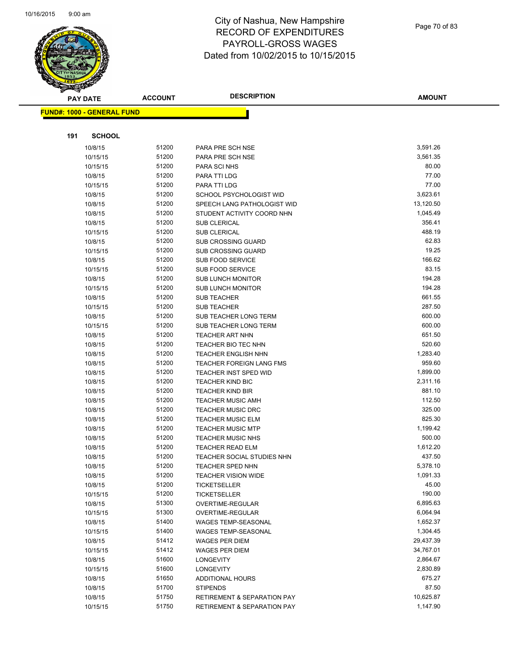

Page 70 of 83

| <b>PAY DATE</b>                   | <b>ACCOUNT</b> | <b>DESCRIPTION</b>                                   | <b>AMOUNT</b>    |
|-----------------------------------|----------------|------------------------------------------------------|------------------|
| <b>FUND#: 1000 - GENERAL FUND</b> |                |                                                      |                  |
|                                   |                |                                                      |                  |
|                                   |                |                                                      |                  |
| 191<br><b>SCHOOL</b>              |                |                                                      |                  |
| 10/8/15                           | 51200          | PARA PRE SCH NSE                                     | 3,591.26         |
| 10/15/15                          | 51200          | PARA PRE SCH NSE                                     | 3,561.35         |
| 10/15/15                          | 51200          | PARA SCI NHS                                         | 80.00            |
| 10/8/15                           | 51200          | PARA TTI LDG                                         | 77.00            |
| 10/15/15                          | 51200          | PARA TTI LDG                                         | 77.00            |
| 10/8/15                           | 51200          | SCHOOL PSYCHOLOGIST WID                              | 3,623.61         |
| 10/8/15                           | 51200          | SPEECH LANG PATHOLOGIST WID                          | 13,120.50        |
| 10/8/15                           | 51200          | STUDENT ACTIVITY COORD NHN                           | 1,045.49         |
| 10/8/15                           | 51200          | <b>SUB CLERICAL</b>                                  | 356.41           |
| 10/15/15                          | 51200          | SUB CLERICAL                                         | 488.19           |
| 10/8/15                           | 51200          | <b>SUB CROSSING GUARD</b>                            | 62.83            |
| 10/15/15                          | 51200          | <b>SUB CROSSING GUARD</b>                            | 19.25            |
| 10/8/15                           | 51200          | <b>SUB FOOD SERVICE</b>                              | 166.62           |
| 10/15/15                          | 51200          | <b>SUB FOOD SERVICE</b>                              | 83.15            |
| 10/8/15                           | 51200          | <b>SUB LUNCH MONITOR</b>                             | 194.28           |
| 10/15/15                          | 51200          | <b>SUB LUNCH MONITOR</b>                             | 194.28           |
| 10/8/15                           | 51200          | SUB TEACHER                                          | 661.55           |
| 10/15/15                          | 51200          | <b>SUB TEACHER</b>                                   | 287.50           |
| 10/8/15                           | 51200          | SUB TEACHER LONG TERM                                | 600.00           |
| 10/15/15                          | 51200          | <b>SUB TEACHER LONG TERM</b>                         | 600.00           |
| 10/8/15                           | 51200          | <b>TEACHER ART NHN</b>                               | 651.50           |
| 10/8/15                           | 51200          | TEACHER BIO TEC NHN                                  | 520.60           |
| 10/8/15                           | 51200          | <b>TEACHER ENGLISH NHN</b>                           | 1,283.40         |
| 10/8/15                           | 51200          | <b>TEACHER FOREIGN LANG FMS</b>                      | 959.60           |
| 10/8/15                           | 51200          | <b>TEACHER INST SPED WID</b>                         | 1,899.00         |
| 10/8/15                           | 51200          | <b>TEACHER KIND BIC</b>                              | 2,311.16         |
| 10/8/15                           | 51200          | <b>TEACHER KIND BIR</b>                              | 881.10           |
| 10/8/15                           | 51200<br>51200 | <b>TEACHER MUSIC AMH</b>                             | 112.50<br>325.00 |
| 10/8/15                           | 51200          | <b>TEACHER MUSIC DRC</b>                             | 825.30           |
| 10/8/15                           | 51200          | <b>TEACHER MUSIC ELM</b><br><b>TEACHER MUSIC MTP</b> | 1,199.42         |
| 10/8/15<br>10/8/15                | 51200          | <b>TEACHER MUSIC NHS</b>                             | 500.00           |
| 10/8/15                           | 51200          | <b>TEACHER READ ELM</b>                              | 1,612.20         |
| 10/8/15                           | 51200          | <b>TEACHER SOCIAL STUDIES NHN</b>                    | 437.50           |
| 10/8/15                           | 51200          | <b>TEACHER SPED NHN</b>                              | 5,378.10         |
| 10/8/15                           | 51200          | <b>TEACHER VISION WIDE</b>                           | 1,091.33         |
| 10/8/15                           | 51200          | <b>TICKETSELLER</b>                                  | 45.00            |
| 10/15/15                          | 51200          | <b>TICKETSELLER</b>                                  | 190.00           |
| 10/8/15                           | 51300          | OVERTIME-REGULAR                                     | 6,895.63         |
| 10/15/15                          | 51300          | <b>OVERTIME-REGULAR</b>                              | 6,064.94         |
| 10/8/15                           | 51400          | <b>WAGES TEMP-SEASONAL</b>                           | 1,652.37         |
| 10/15/15                          | 51400          | WAGES TEMP-SEASONAL                                  | 1,304.45         |
| 10/8/15                           | 51412          | <b>WAGES PER DIEM</b>                                | 29,437.39        |
| 10/15/15                          | 51412          | <b>WAGES PER DIEM</b>                                | 34,767.01        |
| 10/8/15                           | 51600          | <b>LONGEVITY</b>                                     | 2,864.67         |
| 10/15/15                          | 51600          | <b>LONGEVITY</b>                                     | 2,830.89         |
| 10/8/15                           | 51650          | <b>ADDITIONAL HOURS</b>                              | 675.27           |
| 10/8/15                           | 51700          | <b>STIPENDS</b>                                      | 87.50            |
| 10/8/15                           | 51750          | <b>RETIREMENT &amp; SEPARATION PAY</b>               | 10,625.87        |
| 10/15/15                          | 51750          | <b>RETIREMENT &amp; SEPARATION PAY</b>               | 1,147.90         |
|                                   |                |                                                      |                  |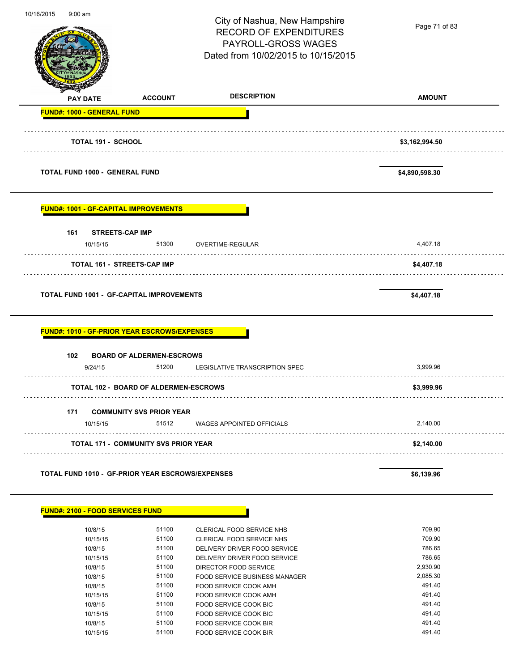|                                                                                     |                                                    | City of Nashua, New Hampshire<br><b>RECORD OF EXPENDITURES</b><br>PAYROLL-GROSS WAGES<br>Dated from 10/02/2015 to 10/15/2015                                                            | Page 71 of 83                                                |
|-------------------------------------------------------------------------------------|----------------------------------------------------|-----------------------------------------------------------------------------------------------------------------------------------------------------------------------------------------|--------------------------------------------------------------|
| <b>PAY DATE</b>                                                                     | <b>ACCOUNT</b>                                     | <b>DESCRIPTION</b>                                                                                                                                                                      | <b>AMOUNT</b>                                                |
| <b>FUND#: 1000 - GENERAL FUND</b>                                                   |                                                    |                                                                                                                                                                                         |                                                              |
| <b>TOTAL 191 - SCHOOL</b>                                                           |                                                    |                                                                                                                                                                                         | \$3,162,994.50                                               |
| <b>TOTAL FUND 1000 - GENERAL FUND</b>                                               |                                                    |                                                                                                                                                                                         | \$4,890,598.30                                               |
| <b>FUND#: 1001 - GF-CAPITAL IMPROVEMENTS</b>                                        |                                                    |                                                                                                                                                                                         |                                                              |
| <b>STREETS-CAP IMP</b><br>161<br>10/15/15                                           | 51300                                              | OVERTIME-REGULAR                                                                                                                                                                        | 4,407.18                                                     |
| <b>TOTAL 161 - STREETS-CAP IMP</b>                                                  |                                                    |                                                                                                                                                                                         | \$4,407.18                                                   |
| <b>TOTAL FUND 1001 - GF-CAPITAL IMPROVEMENTS</b>                                    |                                                    |                                                                                                                                                                                         | \$4,407.18                                                   |
| <u> FUND#: 1010 - GF-PRIOR YEAR ESCROWS/EXPENSES</u><br>102 <sub>1</sub><br>9/24/15 | <b>BOARD OF ALDERMEN-ESCROWS</b><br>51200          |                                                                                                                                                                                         |                                                              |
|                                                                                     |                                                    | LEGISLATIVE TRANSCRIPTION SPEC                                                                                                                                                          | 3.999.96                                                     |
|                                                                                     | <b>TOTAL 102 - BOARD OF ALDERMEN-ESCROWS</b>       |                                                                                                                                                                                         | \$3,999.96                                                   |
|                                                                                     |                                                    |                                                                                                                                                                                         |                                                              |
| 171<br>10/15/15                                                                     | <b>COMMUNITY SVS PRIOR YEAR</b><br>51512           | WAGES APPOINTED OFFICIALS                                                                                                                                                               | 2,140.00                                                     |
|                                                                                     | <b>TOTAL 171 - COMMUNITY SVS PRIOR YEAR</b>        |                                                                                                                                                                                         | \$2,140.00                                                   |
| TOTAL FUND 1010 - GF-PRIOR YEAR ESCROWS/EXPENSES                                    |                                                    |                                                                                                                                                                                         | \$6,139.96                                                   |
| <b>FUND#: 2100 - FOOD SERVICES FUND</b>                                             |                                                    |                                                                                                                                                                                         |                                                              |
| 10/8/15<br>10/15/15<br>10/8/15<br>10/15/15<br>10/8/15<br>10/8/15                    | 51100<br>51100<br>51100<br>51100<br>51100<br>51100 | CLERICAL FOOD SERVICE NHS<br>CLERICAL FOOD SERVICE NHS<br>DELIVERY DRIVER FOOD SERVICE<br>DELIVERY DRIVER FOOD SERVICE<br>DIRECTOR FOOD SERVICE<br><b>FOOD SERVICE BUSINESS MANAGER</b> | 709.90<br>709.90<br>786.65<br>786.65<br>2,930.90<br>2,085.30 |

10/8/15 51100 FOOD SERVICE COOK BIR 491.40 10/15/15 51100 FOOD SERVICE COOK BIR 491.40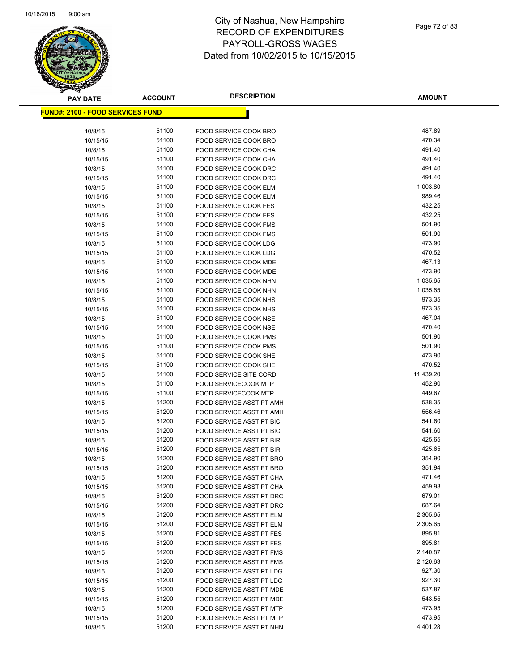

| <b>PAY DATE</b>     | <b>ACCOUNT</b>                           | <b>DESCRIPTION</b>                                         | <b>AMOUNT</b>       |
|---------------------|------------------------------------------|------------------------------------------------------------|---------------------|
|                     | <u> FUND#: 2100 - FOOD SERVICES FUND</u> |                                                            |                     |
|                     |                                          |                                                            |                     |
| 10/8/15             | 51100                                    | FOOD SERVICE COOK BRO                                      | 487.89              |
| 10/15/15            | 51100                                    | FOOD SERVICE COOK BRO                                      | 470.34              |
| 10/8/15             | 51100                                    | FOOD SERVICE COOK CHA                                      | 491.40              |
| 10/15/15            | 51100                                    | FOOD SERVICE COOK CHA                                      | 491.40              |
| 10/8/15             | 51100                                    | FOOD SERVICE COOK DRC                                      | 491.40              |
| 10/15/15            | 51100                                    | <b>FOOD SERVICE COOK DRC</b>                               | 491.40              |
| 10/8/15             | 51100                                    | FOOD SERVICE COOK ELM                                      | 1,003.80            |
| 10/15/15            | 51100                                    | FOOD SERVICE COOK ELM                                      | 989.46              |
| 10/8/15             | 51100                                    | <b>FOOD SERVICE COOK FES</b>                               | 432.25              |
| 10/15/15            | 51100                                    | <b>FOOD SERVICE COOK FES</b>                               | 432.25              |
| 10/8/15             | 51100                                    | FOOD SERVICE COOK FMS                                      | 501.90              |
| 10/15/15            | 51100                                    | <b>FOOD SERVICE COOK FMS</b>                               | 501.90              |
| 10/8/15             | 51100                                    | FOOD SERVICE COOK LDG                                      | 473.90              |
| 10/15/15            | 51100                                    | <b>FOOD SERVICE COOK LDG</b>                               | 470.52              |
| 10/8/15             | 51100                                    | FOOD SERVICE COOK MDE                                      | 467.13              |
| 10/15/15            | 51100                                    | FOOD SERVICE COOK MDE                                      | 473.90              |
| 10/8/15             | 51100                                    | FOOD SERVICE COOK NHN                                      | 1,035.65            |
| 10/15/15            | 51100                                    | FOOD SERVICE COOK NHN                                      | 1,035.65            |
| 10/8/15             | 51100                                    | <b>FOOD SERVICE COOK NHS</b>                               | 973.35              |
| 10/15/15            | 51100                                    | FOOD SERVICE COOK NHS                                      | 973.35              |
| 10/8/15             | 51100                                    | FOOD SERVICE COOK NSE                                      | 467.04              |
| 10/15/15            | 51100                                    | FOOD SERVICE COOK NSE                                      | 470.40              |
| 10/8/15             | 51100                                    | FOOD SERVICE COOK PMS                                      | 501.90              |
| 10/15/15            | 51100                                    | FOOD SERVICE COOK PMS                                      | 501.90              |
| 10/8/15             | 51100                                    | FOOD SERVICE COOK SHE                                      | 473.90              |
| 10/15/15            | 51100                                    | FOOD SERVICE COOK SHE<br>FOOD SERVICE SITE CORD            | 470.52              |
| 10/8/15             | 51100<br>51100                           |                                                            | 11,439.20<br>452.90 |
| 10/8/15             | 51100                                    | <b>FOOD SERVICECOOK MTP</b><br><b>FOOD SERVICECOOK MTP</b> | 449.67              |
| 10/15/15<br>10/8/15 | 51200                                    | FOOD SERVICE ASST PT AMH                                   | 538.35              |
| 10/15/15            | 51200                                    | FOOD SERVICE ASST PT AMH                                   | 556.46              |
| 10/8/15             | 51200                                    | FOOD SERVICE ASST PT BIC                                   | 541.60              |
| 10/15/15            | 51200                                    | FOOD SERVICE ASST PT BIC                                   | 541.60              |
| 10/8/15             | 51200                                    | <b>FOOD SERVICE ASST PT BIR</b>                            | 425.65              |
| 10/15/15            | 51200                                    | FOOD SERVICE ASST PT BIR                                   | 425.65              |
| 10/8/15             | 51200                                    | <b>FOOD SERVICE ASST PT BRO</b>                            | 354.90              |
| 10/15/15            | 51200                                    | FOOD SERVICE ASST PT BRO                                   | 351.94              |
| 10/8/15             | 51200                                    | FOOD SERVICE ASST PT CHA                                   | 471.46              |
| 10/15/15            | 51200                                    | FOOD SERVICE ASST PT CHA                                   | 459.93              |
| 10/8/15             | 51200                                    | FOOD SERVICE ASST PT DRC                                   | 679.01              |
| 10/15/15            | 51200                                    | <b>FOOD SERVICE ASST PT DRC</b>                            | 687.64              |
| 10/8/15             | 51200                                    | FOOD SERVICE ASST PT ELM                                   | 2,305.65            |
| 10/15/15            | 51200                                    | FOOD SERVICE ASST PT ELM                                   | 2,305.65            |
| 10/8/15             | 51200                                    | FOOD SERVICE ASST PT FES                                   | 895.81              |
| 10/15/15            | 51200                                    | FOOD SERVICE ASST PT FES                                   | 895.81              |
| 10/8/15             | 51200                                    | FOOD SERVICE ASST PT FMS                                   | 2,140.87            |
| 10/15/15            | 51200                                    | FOOD SERVICE ASST PT FMS                                   | 2,120.63            |
| 10/8/15             | 51200                                    | FOOD SERVICE ASST PT LDG                                   | 927.30              |
| 10/15/15            | 51200                                    | FOOD SERVICE ASST PT LDG                                   | 927.30              |
| 10/8/15             | 51200                                    | FOOD SERVICE ASST PT MDE                                   | 537.87              |
| 10/15/15            | 51200                                    | FOOD SERVICE ASST PT MDE                                   | 543.55              |
| 10/8/15             | 51200                                    | FOOD SERVICE ASST PT MTP                                   | 473.95              |
| 10/15/15            | 51200                                    | FOOD SERVICE ASST PT MTP                                   | 473.95              |
| 10/8/15             | 51200                                    | FOOD SERVICE ASST PT NHN                                   | 4,401.28            |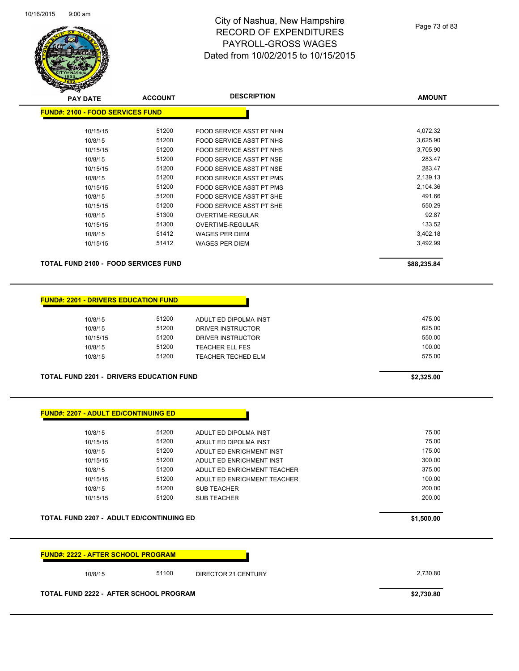

| <b>PAY DATE</b>                             | <b>ACCOUNT</b> | <b>DESCRIPTION</b>       | <b>AMOUNT</b> |
|---------------------------------------------|----------------|--------------------------|---------------|
| <b>FUND#: 2100 - FOOD SERVICES FUND</b>     |                |                          |               |
| 10/15/15                                    | 51200          | FOOD SERVICE ASST PT NHN | 4,072.32      |
| 10/8/15                                     | 51200          | FOOD SERVICE ASST PT NHS | 3,625.90      |
| 10/15/15                                    | 51200          | FOOD SERVICE ASST PT NHS | 3,705.90      |
| 10/8/15                                     | 51200          | FOOD SERVICE ASST PT NSE | 283.47        |
| 10/15/15                                    | 51200          | FOOD SERVICE ASST PT NSE | 283.47        |
| 10/8/15                                     | 51200          | FOOD SERVICE ASST PT PMS | 2,139.13      |
| 10/15/15                                    | 51200          | FOOD SERVICE ASST PT PMS | 2,104.36      |
| 10/8/15                                     | 51200          | FOOD SERVICE ASST PT SHE | 491.66        |
| 10/15/15                                    | 51200          | FOOD SERVICE ASST PT SHE | 550.29        |
| 10/8/15                                     | 51300          | OVERTIME-REGULAR         | 92.87         |
| 10/15/15                                    | 51300          | <b>OVERTIME-REGULAR</b>  | 133.52        |
| 10/8/15                                     | 51412          | <b>WAGES PER DIEM</b>    | 3,402.18      |
| 10/15/15                                    | 51412          | <b>WAGES PER DIEM</b>    | 3,492.99      |
| <b>TOTAL FUND 2100 - FOOD SERVICES FUND</b> |                |                          | \$88,235.84   |
|                                             |                |                          |               |

#### **FUND#: 2201 - DRIVERS EDUCATION FUND**

| 10/8/15  | 51200 | ADULT ED DIPOLMA INST  | 475.00 |
|----------|-------|------------------------|--------|
| 10/8/15  | 51200 | DRIVER INSTRUCTOR      | 625.00 |
| 10/15/15 | 51200 | DRIVER INSTRUCTOR      | 550.00 |
| 10/8/15  | 51200 | <b>TEACHER ELL FES</b> | 100.00 |
| 10/8/15  | 51200 | TEACHER TECHED ELM     | 575.00 |
|          |       |                        |        |

#### **TOTAL FUND 2201 - DRIVERS EDUCATION FUND \$2,325.00**

|  | FUND#: 2207 - ADULT ED/CONTINUING ED_ |  |
|--|---------------------------------------|--|
|--|---------------------------------------|--|

| 10/8/15  | 51200 | ADULT ED DIPOLMA INST       | 75.00  |
|----------|-------|-----------------------------|--------|
| 10/15/15 | 51200 | ADULT ED DIPOLMA INST       | 75.00  |
| 10/8/15  | 51200 | ADULT ED ENRICHMENT INST    | 175.00 |
| 10/15/15 | 51200 | ADULT ED ENRICHMENT INST    | 300.00 |
| 10/8/15  | 51200 | ADULT ED ENRICHMENT TEACHER | 375.00 |
| 10/15/15 | 51200 | ADULT ED ENRICHMENT TEACHER | 100.00 |
| 10/8/15  | 51200 | <b>SUB TEACHER</b>          | 200.00 |
| 10/15/15 | 51200 | <b>SUB TEACHER</b>          | 200.00 |
|          |       |                             |        |

#### **TOTAL FUND 2207 - ADULT ED/CONTINUING ED \$1,500.00**

| <b>FUND#: 2222 - AFTER SCHOOL PROGRAM</b> |       |                            |            |
|-------------------------------------------|-------|----------------------------|------------|
| 10/8/15                                   | 51100 | <b>DIRECTOR 21 CENTURY</b> | 2,730.80   |
| TOTAL FUND 2222 - AFTER SCHOOL PROGRAM    |       |                            | \$2,730.80 |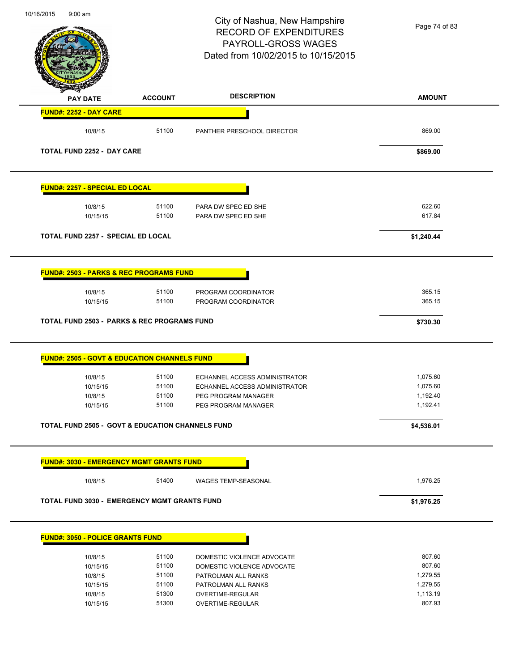|                                                                                                                                                                                                                                                                                                                                                   |                | PAYROLL-GROSS WAGES<br>Dated from 10/02/2015 to 10/15/2015 |                      |
|---------------------------------------------------------------------------------------------------------------------------------------------------------------------------------------------------------------------------------------------------------------------------------------------------------------------------------------------------|----------------|------------------------------------------------------------|----------------------|
|                                                                                                                                                                                                                                                                                                                                                   |                |                                                            |                      |
| <b>PAY DATE</b>                                                                                                                                                                                                                                                                                                                                   | <b>ACCOUNT</b> | <b>DESCRIPTION</b>                                         | <b>AMOUNT</b>        |
| <b>FUND#: 2252 - DAY CARE</b>                                                                                                                                                                                                                                                                                                                     |                |                                                            |                      |
| 10/8/15                                                                                                                                                                                                                                                                                                                                           | 51100          | PANTHER PRESCHOOL DIRECTOR                                 | 869.00               |
| <b>TOTAL FUND 2252 - DAY CARE</b>                                                                                                                                                                                                                                                                                                                 |                |                                                            | \$869.00             |
| <b>FUND#: 2257 - SPECIAL ED LOCAL</b>                                                                                                                                                                                                                                                                                                             |                |                                                            |                      |
| 10/8/15                                                                                                                                                                                                                                                                                                                                           | 51100          | PARA DW SPEC ED SHE                                        | 622.60               |
| 10/15/15                                                                                                                                                                                                                                                                                                                                          | 51100          | PARA DW SPEC ED SHE                                        | 617.84               |
| TOTAL FUND 2257 - SPECIAL ED LOCAL                                                                                                                                                                                                                                                                                                                |                |                                                            | \$1,240.44           |
| <b>FUND#: 2503 - PARKS &amp; REC PROGRAMS FUND</b>                                                                                                                                                                                                                                                                                                |                |                                                            |                      |
| 10/8/15                                                                                                                                                                                                                                                                                                                                           | 51100          | PROGRAM COORDINATOR                                        | 365.15               |
| 10/15/15                                                                                                                                                                                                                                                                                                                                          | 51100          | PROGRAM COORDINATOR                                        | 365.15               |
|                                                                                                                                                                                                                                                                                                                                                   |                |                                                            |                      |
|                                                                                                                                                                                                                                                                                                                                                   |                |                                                            | \$730.30             |
|                                                                                                                                                                                                                                                                                                                                                   |                |                                                            |                      |
| 10/8/15                                                                                                                                                                                                                                                                                                                                           | 51100          | ECHANNEL ACCESS ADMINISTRATOR                              | 1,075.60             |
| 10/15/15                                                                                                                                                                                                                                                                                                                                          | 51100          | ECHANNEL ACCESS ADMINISTRATOR                              | 1,075.60             |
| 10/8/15<br>10/15/15                                                                                                                                                                                                                                                                                                                               | 51100<br>51100 | PEG PROGRAM MANAGER<br>PEG PROGRAM MANAGER                 | 1,192.40<br>1,192.41 |
|                                                                                                                                                                                                                                                                                                                                                   |                |                                                            | \$4,536.01           |
|                                                                                                                                                                                                                                                                                                                                                   |                |                                                            |                      |
|                                                                                                                                                                                                                                                                                                                                                   |                |                                                            |                      |
| 10/8/15                                                                                                                                                                                                                                                                                                                                           | 51400          | <b>WAGES TEMP-SEASONAL</b>                                 | 1,976.25             |
|                                                                                                                                                                                                                                                                                                                                                   |                |                                                            | \$1,976.25           |
|                                                                                                                                                                                                                                                                                                                                                   |                |                                                            |                      |
| 10/8/15                                                                                                                                                                                                                                                                                                                                           | 51100          | DOMESTIC VIOLENCE ADVOCATE                                 | 807.60               |
| 10/15/15                                                                                                                                                                                                                                                                                                                                          | 51100          | DOMESTIC VIOLENCE ADVOCATE                                 | 807.60               |
| 10/8/15                                                                                                                                                                                                                                                                                                                                           | 51100          | PATROLMAN ALL RANKS                                        | 1,279.55             |
| <b>TOTAL FUND 2503 - PARKS &amp; REC PROGRAMS FUND</b><br><b>FUND#: 2505 - GOVT &amp; EDUCATION CHANNELS FUND</b><br>TOTAL FUND 2505 - GOVT & EDUCATION CHANNELS FUND<br><b>FUND#: 3030 - EMERGENCY MGMT GRANTS FUND</b><br><b>TOTAL FUND 3030 - EMERGENCY MGMT GRANTS FUND</b><br><b>FUND#: 3050 - POLICE GRANTS FUND</b><br>10/15/15<br>10/8/15 | 51100<br>51300 | PATROLMAN ALL RANKS<br>OVERTIME-REGULAR                    | 1,279.55<br>1,113.19 |

10/16/2015 9:00 am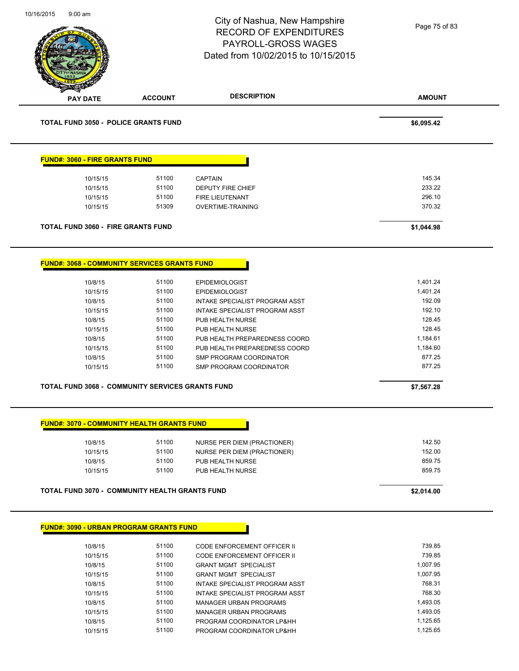| 10/16/2015<br>$9:00$ am                  |                                                                                                              |                                                                               | City of Nashua, New Hampshire<br><b>RECORD OF EXPENDITURES</b><br>PAYROLL-GROSS WAGES<br>Dated from 10/02/2015 to 10/15/2015                                                                                                                              | Page 75 of 83                                                                                              |
|------------------------------------------|--------------------------------------------------------------------------------------------------------------|-------------------------------------------------------------------------------|-----------------------------------------------------------------------------------------------------------------------------------------------------------------------------------------------------------------------------------------------------------|------------------------------------------------------------------------------------------------------------|
| <b>PAY DATE</b>                          |                                                                                                              | <b>ACCOUNT</b>                                                                | <b>DESCRIPTION</b>                                                                                                                                                                                                                                        | <b>AMOUNT</b>                                                                                              |
|                                          | <b>TOTAL FUND 3050 - POLICE GRANTS FUND</b>                                                                  |                                                                               |                                                                                                                                                                                                                                                           | \$6,095.42                                                                                                 |
|                                          | <b>FUND#: 3060 - FIRE GRANTS FUND</b>                                                                        |                                                                               |                                                                                                                                                                                                                                                           |                                                                                                            |
|                                          | 10/15/15                                                                                                     | 51100                                                                         | <b>CAPTAIN</b>                                                                                                                                                                                                                                            | 145.34                                                                                                     |
|                                          | 10/15/15                                                                                                     | 51100                                                                         | DEPUTY FIRE CHIEF                                                                                                                                                                                                                                         | 233.22                                                                                                     |
|                                          | 10/15/15                                                                                                     | 51100                                                                         | FIRE LIEUTENANT                                                                                                                                                                                                                                           | 296.10                                                                                                     |
|                                          | 10/15/15                                                                                                     | 51309                                                                         | <b>OVERTIME-TRAINING</b>                                                                                                                                                                                                                                  | 370.32                                                                                                     |
|                                          | <b>TOTAL FUND 3060 - FIRE GRANTS FUND</b>                                                                    |                                                                               |                                                                                                                                                                                                                                                           | \$1,044.98                                                                                                 |
| 10/8/15<br>10/8/15<br>10/8/15<br>10/8/15 | 10/15/15<br>10/15/15<br>10/15/15<br>10/15/15<br>10/15/15<br>TOTAL FUND 3068 - COMMUNITY SERVICES GRANTS FUND | 51100<br>51100<br>51100<br>51100<br>51100<br>51100<br>51100<br>51100<br>51100 | <b>EPIDEMIOLOGIST</b><br>INTAKE SPECIALIST PROGRAM ASST<br>INTAKE SPECIALIST PROGRAM ASST<br>PUB HEALTH NURSE<br>PUB HEALTH NURSE<br>PUB HEALTH PREPAREDNESS COORD<br>PUB HEALTH PREPAREDNESS COORD<br>SMP PROGRAM COORDINATOR<br>SMP PROGRAM COORDINATOR | 1,401.24<br>192.09<br>192.10<br>128.45<br>128.45<br>1,184.61<br>1,184.60<br>877.25<br>877.25<br>\$7,567.28 |
|                                          | <b>FUND#: 3070 - COMMUNITY HEALTH GRANTS FUND</b>                                                            |                                                                               |                                                                                                                                                                                                                                                           |                                                                                                            |
| 10/8/15                                  |                                                                                                              | 51100                                                                         | NURSE PER DIEM (PRACTIONER)                                                                                                                                                                                                                               | 142.50                                                                                                     |
|                                          | 10/15/15                                                                                                     | 51100                                                                         | NURSE PER DIEM (PRACTIONER)                                                                                                                                                                                                                               | 152.00                                                                                                     |
| 10/8/15                                  |                                                                                                              | 51100                                                                         | PUB HEALTH NURSE                                                                                                                                                                                                                                          | 859.75                                                                                                     |
|                                          | 10/15/15                                                                                                     | 51100                                                                         | PUB HEALTH NURSE                                                                                                                                                                                                                                          | 859.75                                                                                                     |
|                                          | <b>TOTAL FUND 3070 - COMMUNITY HEALTH GRANTS FUND</b>                                                        |                                                                               |                                                                                                                                                                                                                                                           | \$2,014.00                                                                                                 |
|                                          | <b>FUND#: 3090 - URBAN PROGRAM GRANTS FUND</b>                                                               |                                                                               |                                                                                                                                                                                                                                                           |                                                                                                            |
| 10/8/15                                  |                                                                                                              | 51100                                                                         | <b>CODE ENFORCEMENT OFFICER II</b>                                                                                                                                                                                                                        | 739.85                                                                                                     |
|                                          | 10/15/15                                                                                                     | 51100                                                                         | CODE ENFORCEMENT OFFICER II                                                                                                                                                                                                                               | 739.85                                                                                                     |
| 10/8/15                                  |                                                                                                              | 51100                                                                         | <b>GRANT MGMT SPECIALIST</b>                                                                                                                                                                                                                              | 1,007.95                                                                                                   |
|                                          | 10/15/15                                                                                                     | 51100                                                                         | <b>GRANT MGMT SPECIALIST</b>                                                                                                                                                                                                                              | 1,007.95                                                                                                   |

10/8/15 51100 INTAKE SPECIALIST PROGRAM ASST 768.31 10/15/15 51100 INTAKE SPECIALIST PROGRAM ASST **10/15/15** 768.30 10/8/15 51100 MANAGER URBAN PROGRAMS 1,493.05 10/15/15 51100 MANAGER URBAN PROGRAMS 1,493.05 10/8/15 51100 PROGRAM COORDINATOR LP&HH 1,125.65 10/15/15 51100 PROGRAM COORDINATOR LP&HH 1,125.65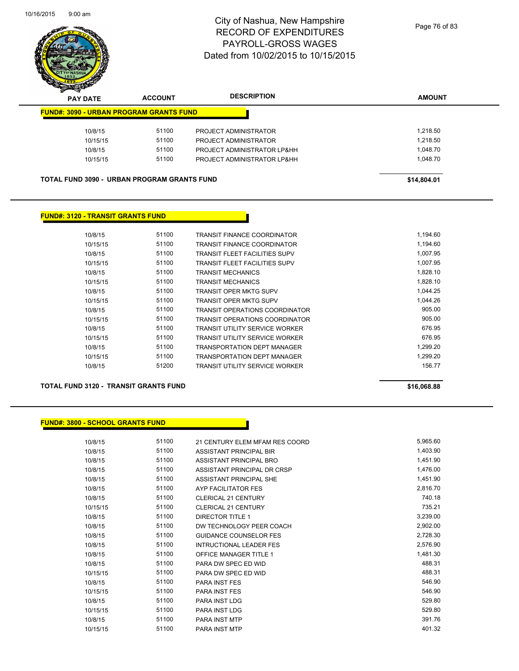

| $\mathbf{z}$<br>⊸<br><b>PAY DATE</b> | <b>ACCOUNT</b>                                     | <b>DESCRIPTION</b>          | <b>AMOUNT</b> |
|--------------------------------------|----------------------------------------------------|-----------------------------|---------------|
|                                      | <b>FUND#: 3090 - URBAN PROGRAM GRANTS FUND</b>     |                             |               |
| 10/8/15                              | 51100                                              | PROJECT ADMINISTRATOR       | 1,218.50      |
| 10/15/15                             | 51100                                              | PROJECT ADMINISTRATOR       | 1,218.50      |
| 10/8/15                              | 51100                                              | PROJECT ADMINISTRATOR LP&HH | 1.048.70      |
| 10/15/15                             | 51100                                              | PROJECT ADMINISTRATOR LP&HH | 1.048.70      |
|                                      |                                                    |                             |               |
|                                      | <b>TOTAL FUND 3090 - URBAN PROGRAM GRANTS FUND</b> |                             | \$14,804.01   |

#### **FUND#: 3120 - TRANSIT GRANTS FUND**

| 10/8/15  | 51100 | TRANSIT FINANCE COORDINATOR           | 1.194.60 |
|----------|-------|---------------------------------------|----------|
| 10/15/15 | 51100 | <b>TRANSIT FINANCE COORDINATOR</b>    | 1,194.60 |
| 10/8/15  | 51100 | TRANSIT FLEET FACILITIES SUPV         | 1,007.95 |
| 10/15/15 | 51100 | <b>TRANSIT FLEET FACILITIES SUPV</b>  | 1.007.95 |
| 10/8/15  | 51100 | TRANSIT MECHANICS                     | 1,828.10 |
| 10/15/15 | 51100 | <b>TRANSIT MECHANICS</b>              | 1.828.10 |
| 10/8/15  | 51100 | TRANSIT OPER MKTG SUPV                | 1,044.25 |
| 10/15/15 | 51100 | <b>TRANSIT OPER MKTG SUPV</b>         | 1.044.26 |
| 10/8/15  | 51100 | <b>TRANSIT OPERATIONS COORDINATOR</b> | 905.00   |
| 10/15/15 | 51100 | <b>TRANSIT OPERATIONS COORDINATOR</b> | 905.00   |
| 10/8/15  | 51100 | <b>TRANSIT UTILITY SERVICE WORKER</b> | 676.95   |
| 10/15/15 | 51100 | <b>TRANSIT UTILITY SERVICE WORKER</b> | 676.95   |
| 10/8/15  | 51100 | <b>TRANSPORTATION DEPT MANAGER</b>    | 1.299.20 |
| 10/15/15 | 51100 | <b>TRANSPORTATION DEPT MANAGER</b>    | 1.299.20 |
| 10/8/15  | 51200 | TRANSIT UTILITY SERVICE WORKER        | 156.77   |
|          |       |                                       |          |

#### **TOTAL FUND 3120 - TRANSIT GRANTS FUND \$16,068.88**

#### **FUND#: 3800 - SCHOOL GRANTS FUND**

10/8/15 51100 21 CENTURY ELEM MFAM RES COORD 5,965.60 10/8/15 51100 ASSISTANT PRINCIPAL BIR 1,403.90 10/8/15 51100 ASSISTANT PRINCIPAL BRO 1,451.90 10/8/15 51100 ASSISTANT PRINCIPAL DR CRSP 1,476.00 10/8/15 51100 ASSISTANT PRINCIPAL SHE 1,451.90 10/8/15 51100 AYP FACILITATOR FES 2,816.70 10/8/15 51100 CLERICAL 21 CENTURY 740.18 10/15/15 51100 CLERICAL 21 CENTURY 735.21 10/8/15 51100 DIRECTOR TITLE 1 3,239.00 10/8/15 51100 DW TECHNOLOGY PEER COACH 2,902.00 10/8/15 51100 GUIDANCE COUNSELOR FES 2,728.30 10/8/15 51100 INTRUCTIONAL LEADER FES 2,576.90 10/8/15 51100 OFFICE MANAGER TITLE 1 1,481.30 10/8/15 51100 PARA DW SPEC ED WID 488.31 10/15/15 51100 PARA DW SPEC ED WID 488.31 10/8/15 51100 PARA INST FES 546.90 10/15/15 51100 PARA INST FES 546.90 10/8/15 51100 PARA INST LDG 529.80 10/15/15 529.80 51100 PARA INST LDG 529.80 529.80 10/8/15 51100 PARA INST MTP 391.76 10/15/15 51100 PARA INST MTP 401.32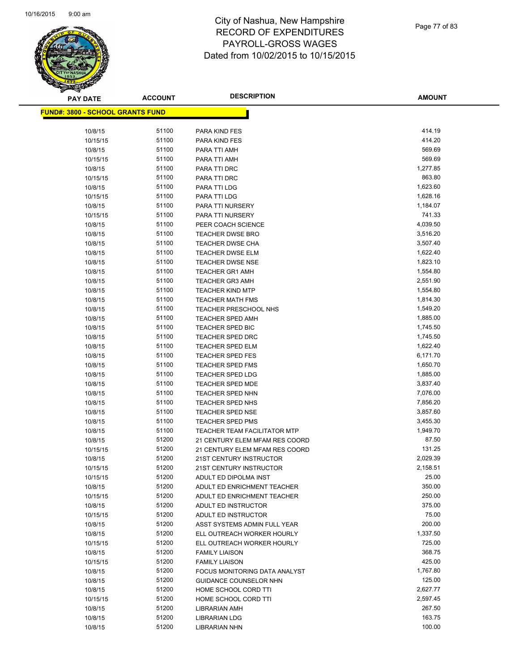

Page 77 of 83

| <b>PAY DATE</b>                          | <b>ACCOUNT</b> | <b>DESCRIPTION</b>                                 | <b>AMOUNT</b>        |
|------------------------------------------|----------------|----------------------------------------------------|----------------------|
| <u> FUND#: 3800 - SCHOOL GRANTS FUND</u> |                |                                                    |                      |
|                                          |                |                                                    |                      |
| 10/8/15                                  | 51100          | PARA KIND FES                                      | 414.19               |
| 10/15/15                                 | 51100          | PARA KIND FES                                      | 414.20               |
| 10/8/15                                  | 51100          | PARA TTI AMH                                       | 569.69               |
| 10/15/15                                 | 51100          | PARA TTI AMH                                       | 569.69               |
| 10/8/15                                  | 51100          | PARA TTI DRC                                       | 1,277.85             |
| 10/15/15                                 | 51100          | PARA TTI DRC                                       | 863.80               |
| 10/8/15                                  | 51100          | PARA TTI LDG                                       | 1,623.60             |
| 10/15/15                                 | 51100          | <b>PARA TTI LDG</b>                                | 1,628.16             |
| 10/8/15                                  | 51100          | PARA TTI NURSERY                                   | 1,184.07             |
| 10/15/15                                 | 51100          | PARA TTI NURSERY                                   | 741.33               |
| 10/8/15                                  | 51100          | PEER COACH SCIENCE                                 | 4,039.50             |
| 10/8/15                                  | 51100          | <b>TEACHER DWSE BRO</b>                            | 3,516.20             |
| 10/8/15                                  | 51100          | <b>TEACHER DWSE CHA</b>                            | 3,507.40             |
| 10/8/15                                  | 51100          | <b>TEACHER DWSE ELM</b>                            | 1,622.40             |
| 10/8/15                                  | 51100          | <b>TEACHER DWSE NSE</b>                            | 1,823.10             |
| 10/8/15                                  | 51100          | <b>TEACHER GR1 AMH</b>                             | 1,554.80             |
| 10/8/15                                  | 51100          | <b>TEACHER GR3 AMH</b>                             | 2,551.90             |
| 10/8/15                                  | 51100          | <b>TEACHER KIND MTP</b>                            | 1,554.80             |
| 10/8/15                                  | 51100          | <b>TEACHER MATH FMS</b>                            | 1,814.30             |
| 10/8/15                                  | 51100          | <b>TEACHER PRESCHOOL NHS</b>                       | 1,549.20             |
| 10/8/15                                  | 51100          | <b>TEACHER SPED AMH</b>                            | 1,885.00             |
| 10/8/15                                  | 51100          | TEACHER SPED BIC                                   | 1,745.50             |
| 10/8/15                                  | 51100          | <b>TEACHER SPED DRC</b>                            | 1,745.50             |
| 10/8/15                                  | 51100          | <b>TEACHER SPED ELM</b>                            | 1,622.40             |
| 10/8/15                                  | 51100          | <b>TEACHER SPED FES</b>                            | 6,171.70             |
| 10/8/15                                  | 51100          | <b>TEACHER SPED FMS</b>                            | 1,650.70             |
| 10/8/15                                  | 51100<br>51100 | <b>TEACHER SPED LDG</b><br><b>TEACHER SPED MDE</b> | 1,885.00<br>3,837.40 |
| 10/8/15<br>10/8/15                       | 51100          | <b>TEACHER SPED NHN</b>                            | 7,076.00             |
| 10/8/15                                  | 51100          | TEACHER SPED NHS                                   | 7,856.20             |
| 10/8/15                                  | 51100          | <b>TEACHER SPED NSE</b>                            | 3,857.60             |
| 10/8/15                                  | 51100          | <b>TEACHER SPED PMS</b>                            | 3,455.30             |
| 10/8/15                                  | 51100          | <b>TEACHER TEAM FACILITATOR MTP</b>                | 1,949.70             |
| 10/8/15                                  | 51200          | 21 CENTURY ELEM MFAM RES COORD                     | 87.50                |
| 10/15/15                                 | 51200          | 21 CENTURY ELEM MFAM RES COORD                     | 131.25               |
| 10/8/15                                  | 51200          | 21ST CENTURY INSTRUCTOR                            | 2,029.39             |
| 10/15/15                                 | 51200          | 21ST CENTURY INSTRUCTOR                            | 2,158.51             |
| 10/15/15                                 | 51200          | ADULT ED DIPOLMA INST                              | 25.00                |
| 10/8/15                                  | 51200          | ADULT ED ENRICHMENT TEACHER                        | 350.00               |
| 10/15/15                                 | 51200          | ADULT ED ENRICHMENT TEACHER                        | 250.00               |
| 10/8/15                                  | 51200          | ADULT ED INSTRUCTOR                                | 375.00               |
| 10/15/15                                 | 51200          | ADULT ED INSTRUCTOR                                | 75.00                |
| 10/8/15                                  | 51200          | ASST SYSTEMS ADMIN FULL YEAR                       | 200.00               |
| 10/8/15                                  | 51200          | ELL OUTREACH WORKER HOURLY                         | 1,337.50             |
| 10/15/15                                 | 51200          | ELL OUTREACH WORKER HOURLY                         | 725.00               |
| 10/8/15                                  | 51200          | <b>FAMILY LIAISON</b>                              | 368.75               |
| 10/15/15                                 | 51200          | <b>FAMILY LIAISON</b>                              | 425.00               |
| 10/8/15                                  | 51200          | FOCUS MONITORING DATA ANALYST                      | 1,767.80             |
| 10/8/15                                  | 51200          | <b>GUIDANCE COUNSELOR NHN</b>                      | 125.00               |
| 10/8/15                                  | 51200          | HOME SCHOOL CORD TTI                               | 2,627.77             |
| 10/15/15                                 | 51200          | HOME SCHOOL CORD TTI                               | 2,597.45             |
| 10/8/15                                  | 51200          | LIBRARIAN AMH                                      | 267.50               |
| 10/8/15                                  | 51200          | LIBRARIAN LDG                                      | 163.75               |
| 10/8/15                                  | 51200          | LIBRARIAN NHN                                      | 100.00               |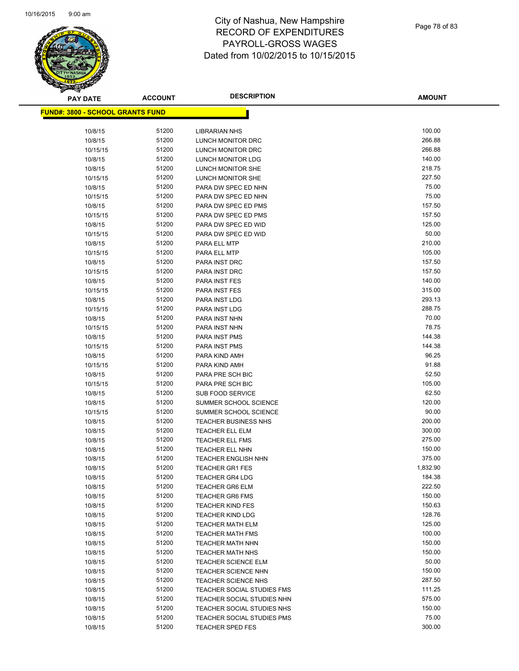

| <b>PAY DATE</b>                          | <b>ACCOUNT</b> | <b>DESCRIPTION</b>                               | <b>AMOUNT</b>   |
|------------------------------------------|----------------|--------------------------------------------------|-----------------|
| <u> FUND#: 3800 - SCHOOL GRANTS FUND</u> |                |                                                  |                 |
|                                          |                |                                                  |                 |
| 10/8/15                                  | 51200          | <b>LIBRARIAN NHS</b>                             | 100.00          |
| 10/8/15                                  | 51200          | <b>LUNCH MONITOR DRC</b>                         | 266.88          |
| 10/15/15                                 | 51200          | LUNCH MONITOR DRC                                | 266.88          |
| 10/8/15                                  | 51200          | LUNCH MONITOR LDG                                | 140.00          |
| 10/8/15                                  | 51200          | LUNCH MONITOR SHE                                | 218.75          |
| 10/15/15                                 | 51200          | <b>LUNCH MONITOR SHE</b>                         | 227.50          |
| 10/8/15                                  | 51200          | PARA DW SPEC ED NHN                              | 75.00           |
| 10/15/15                                 | 51200          | PARA DW SPEC ED NHN                              | 75.00           |
| 10/8/15                                  | 51200          | PARA DW SPEC ED PMS                              | 157.50          |
| 10/15/15                                 | 51200          | PARA DW SPEC ED PMS                              | 157.50          |
| 10/8/15                                  | 51200          | PARA DW SPEC ED WID                              | 125.00          |
| 10/15/15                                 | 51200          | PARA DW SPEC ED WID                              | 50.00           |
| 10/8/15                                  | 51200          | PARA ELL MTP                                     | 210.00          |
| 10/15/15                                 | 51200          | PARA ELL MTP                                     | 105.00          |
| 10/8/15                                  | 51200          | PARA INST DRC                                    | 157.50          |
| 10/15/15                                 | 51200          | PARA INST DRC                                    | 157.50          |
| 10/8/15                                  | 51200          | PARA INST FES                                    | 140.00          |
| 10/15/15                                 | 51200          | <b>PARA INST FES</b>                             | 315.00          |
| 10/8/15                                  | 51200          | PARA INST LDG                                    | 293.13          |
| 10/15/15                                 | 51200          | PARA INST LDG                                    | 288.75          |
| 10/8/15                                  | 51200          | PARA INST NHN                                    | 70.00           |
| 10/15/15                                 | 51200          | PARA INST NHN                                    | 78.75           |
| 10/8/15                                  | 51200          | PARA INST PMS                                    | 144.38          |
| 10/15/15                                 | 51200          | PARA INST PMS                                    | 144.38          |
| 10/8/15                                  | 51200          | PARA KIND AMH                                    | 96.25           |
| 10/15/15                                 | 51200          | PARA KIND AMH                                    | 91.88           |
| 10/8/15                                  | 51200          | PARA PRE SCH BIC                                 | 52.50           |
| 10/15/15                                 | 51200          | PARA PRE SCH BIC                                 | 105.00          |
| 10/8/15                                  | 51200          | <b>SUB FOOD SERVICE</b>                          | 62.50           |
| 10/8/15                                  | 51200          | SUMMER SCHOOL SCIENCE                            | 120.00          |
| 10/15/15                                 | 51200          | SUMMER SCHOOL SCIENCE                            | 90.00<br>200.00 |
| 10/8/15                                  | 51200<br>51200 | <b>TEACHER BUSINESS NHS</b>                      | 300.00          |
| 10/8/15<br>10/8/15                       | 51200          | <b>TEACHER ELL ELM</b><br><b>TEACHER ELL FMS</b> | 275.00          |
| 10/8/15                                  | 51200          | <b>TEACHER ELL NHN</b>                           | 150.00          |
| 10/8/15                                  | 51200          | <b>TEACHER ENGLISH NHN</b>                       | 375.00          |
| 10/8/15                                  | 51200          | <b>TEACHER GR1 FES</b>                           | 1,832.90        |
| 10/8/15                                  | 51200          | <b>TEACHER GR4 LDG</b>                           | 184.38          |
| 10/8/15                                  | 51200          | <b>TEACHER GR6 ELM</b>                           | 222.50          |
| 10/8/15                                  | 51200          | <b>TEACHER GR6 FMS</b>                           | 150.00          |
| 10/8/15                                  | 51200          | <b>TEACHER KIND FES</b>                          | 150.63          |
| 10/8/15                                  | 51200          | <b>TEACHER KIND LDG</b>                          | 128.76          |
| 10/8/15                                  | 51200          | <b>TEACHER MATH ELM</b>                          | 125.00          |
| 10/8/15                                  | 51200          | <b>TEACHER MATH FMS</b>                          | 100.00          |
| 10/8/15                                  | 51200          | TEACHER MATH NHN                                 | 150.00          |
| 10/8/15                                  | 51200          | <b>TEACHER MATH NHS</b>                          | 150.00          |
| 10/8/15                                  | 51200          | <b>TEACHER SCIENCE ELM</b>                       | 50.00           |
| 10/8/15                                  | 51200          | <b>TEACHER SCIENCE NHN</b>                       | 150.00          |
| 10/8/15                                  | 51200          | <b>TEACHER SCIENCE NHS</b>                       | 287.50          |
| 10/8/15                                  | 51200          | <b>TEACHER SOCIAL STUDIES FMS</b>                | 111.25          |
| 10/8/15                                  | 51200          | TEACHER SOCIAL STUDIES NHN                       | 575.00          |
| 10/8/15                                  | 51200          | TEACHER SOCIAL STUDIES NHS                       | 150.00          |
| 10/8/15                                  | 51200          | TEACHER SOCIAL STUDIES PMS                       | 75.00           |
| 10/8/15                                  | 51200          | TEACHER SPED FES                                 | 300.00          |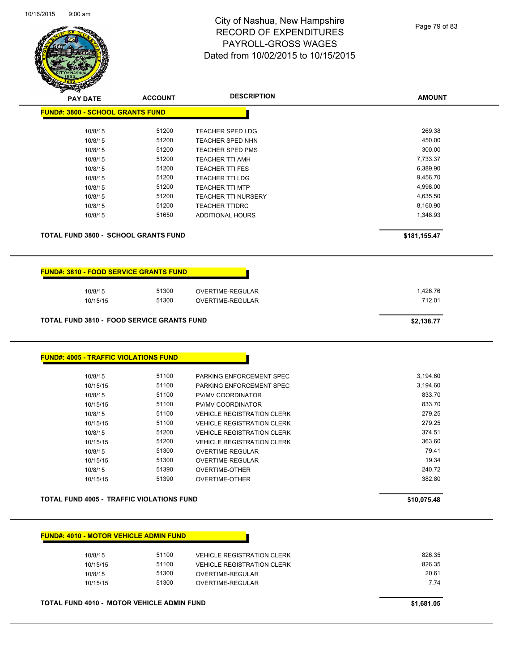

| <b>STARTING CARD</b>                                                                                         |                | <b>DESCRIPTION</b>                             |                  |
|--------------------------------------------------------------------------------------------------------------|----------------|------------------------------------------------|------------------|
| <b>PAY DATE</b>                                                                                              | <b>ACCOUNT</b> |                                                | <b>AMOUNT</b>    |
| <b>FUND#: 3800 - SCHOOL GRANTS FUND</b>                                                                      |                |                                                |                  |
| 10/8/15                                                                                                      | 51200          | <b>TEACHER SPED LDG</b>                        | 269.38           |
| 10/8/15                                                                                                      | 51200          | <b>TEACHER SPED NHN</b>                        | 450.00           |
| 10/8/15                                                                                                      | 51200          | <b>TEACHER SPED PMS</b>                        | 300.00           |
| 10/8/15                                                                                                      | 51200          | <b>TEACHER TTI AMH</b>                         | 7,733.37         |
| 10/8/15                                                                                                      | 51200          | <b>TEACHER TTI FES</b>                         | 6,389.90         |
| 10/8/15                                                                                                      | 51200          | <b>TEACHER TTI LDG</b>                         | 9,456.70         |
| 10/8/15                                                                                                      | 51200          | <b>TEACHER TTI MTP</b>                         | 4,998.00         |
| 10/8/15                                                                                                      | 51200          | <b>TEACHER TTI NURSERY</b>                     | 4,635.50         |
| 10/8/15                                                                                                      | 51200          | <b>TEACHER TTIDRC</b>                          | 8,160.90         |
| 10/8/15                                                                                                      | 51650          | <b>ADDITIONAL HOURS</b>                        | 1,348.93         |
| <b>TOTAL FUND 3800 - SCHOOL GRANTS FUND</b>                                                                  |                |                                                | \$181,155.47     |
| <b>FUND#: 3810 - FOOD SERVICE GRANTS FUND</b>                                                                |                |                                                |                  |
| 10/8/15                                                                                                      | 51300          | OVERTIME-REGULAR                               | 1,426.76         |
| 10/15/15                                                                                                     | 51300          | OVERTIME-REGULAR                               | 712.01           |
|                                                                                                              |                |                                                |                  |
|                                                                                                              |                |                                                | \$2,138.77       |
|                                                                                                              |                |                                                |                  |
|                                                                                                              |                |                                                |                  |
| 10/8/15                                                                                                      | 51100          | PARKING ENFORCEMENT SPEC                       | 3,194.60         |
| 10/15/15                                                                                                     | 51100          | PARKING ENFORCEMENT SPEC                       | 3,194.60         |
| 10/8/15                                                                                                      | 51100          | PV/MV COORDINATOR                              | 833.70           |
| 10/15/15                                                                                                     | 51100          | PV/MV COORDINATOR                              | 833.70           |
| 10/8/15                                                                                                      | 51100          | <b>VEHICLE REGISTRATION CLERK</b>              | 279.25           |
| 10/15/15                                                                                                     | 51100          | <b>VEHICLE REGISTRATION CLERK</b>              | 279.25           |
| 10/8/15                                                                                                      | 51200          | <b>VEHICLE REGISTRATION CLERK</b>              | 374.51           |
| 10/15/15                                                                                                     | 51200          | <b>VEHICLE REGISTRATION CLERK</b>              | 363.60           |
| 10/8/15                                                                                                      | 51300          | OVERTIME-REGULAR                               | 79.41            |
| 10/15/15                                                                                                     | 51300          | OVERTIME-REGULAR                               | 19.34            |
| 10/8/15<br>10/15/15                                                                                          | 51390<br>51390 | <b>OVERTIME-OTHER</b><br><b>OVERTIME-OTHER</b> | 240.72<br>382.80 |
| <b>TOTAL FUND 3810 - FOOD SERVICE GRANTS FUND</b><br><b>FUND#: 4005 - TRAFFIC VIOLATIONS FUND</b>            |                |                                                |                  |
|                                                                                                              |                |                                                | \$10,075.48      |
|                                                                                                              |                |                                                |                  |
|                                                                                                              |                |                                                |                  |
| 10/8/15                                                                                                      | 51100          | <b>VEHICLE REGISTRATION CLERK</b>              | 826.35           |
| 10/15/15                                                                                                     | 51100          | <b>VEHICLE REGISTRATION CLERK</b>              | 826.35           |
| <b>TOTAL FUND 4005 - TRAFFIC VIOLATIONS FUND</b><br><b>FUND#: 4010 - MOTOR VEHICLE ADMIN FUND</b><br>10/8/15 | 51300          | OVERTIME-REGULAR                               | 20.61            |

**TOTAL FUND 4010 - MOTOR VEHICLE ADMIN FUND \$1,681.05**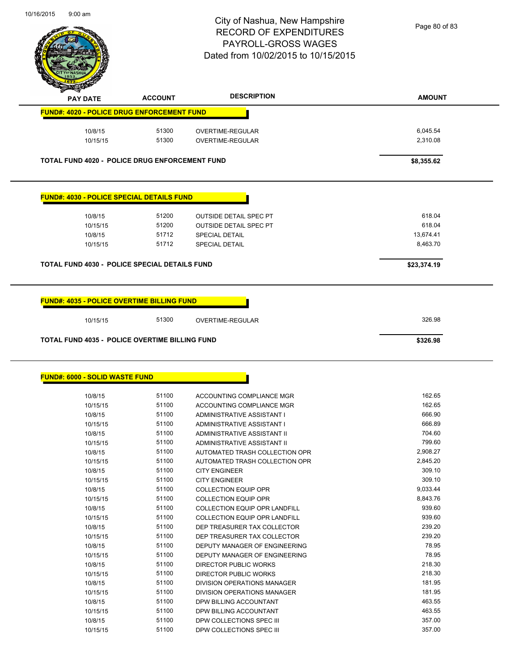$\overline{\phantom{a}}$ 



# City of Nashua, New Hampshire RECORD OF EXPENDITURES PAYROLL-GROSS WAGES Dated from 10/02/2015 to 10/15/2015

|                                                               |                | <b>DESCRIPTION</b>                                       |                  |
|---------------------------------------------------------------|----------------|----------------------------------------------------------|------------------|
| <b>PAY DATE</b>                                               | <b>ACCOUNT</b> |                                                          | <b>AMOUNT</b>    |
| <b>FUND#: 4020 - POLICE DRUG ENFORCEMENT FUND</b>             |                |                                                          |                  |
| 10/8/15                                                       | 51300          | OVERTIME-REGULAR                                         | 6,045.54         |
| 10/15/15                                                      | 51300          | OVERTIME-REGULAR                                         | 2,310.08         |
|                                                               |                |                                                          |                  |
| <b>TOTAL FUND 4020 - POLICE DRUG ENFORCEMENT FUND</b>         |                |                                                          | \$8,355.62       |
| <b>FUND#: 4030 - POLICE SPECIAL DETAILS FUND</b>              |                |                                                          |                  |
|                                                               |                |                                                          |                  |
| 10/8/15                                                       | 51200          | <b>OUTSIDE DETAIL SPEC PT</b>                            | 618.04           |
| 10/15/15                                                      | 51200          | <b>OUTSIDE DETAIL SPEC PT</b>                            | 618.04           |
| 10/8/15                                                       | 51712          | <b>SPECIAL DETAIL</b>                                    | 13,674.41        |
| 10/15/15                                                      | 51712          | <b>SPECIAL DETAIL</b>                                    | 8,463.70         |
| <b>TOTAL FUND 4030 - POLICE SPECIAL DETAILS FUND</b>          |                |                                                          | \$23,374.19      |
| <b>FUND#: 4035 - POLICE OVERTIME BILLING FUND</b><br>10/15/15 | 51300          | OVERTIME-REGULAR                                         | 326.98           |
| <b>TOTAL FUND 4035 - POLICE OVERTIME BILLING FUND</b>         |                |                                                          | \$326.98         |
| <b>FUND#: 6000 - SOLID WASTE FUND</b>                         |                |                                                          |                  |
|                                                               |                |                                                          |                  |
|                                                               |                |                                                          |                  |
| 10/8/15<br>10/15/15                                           | 51100          | ACCOUNTING COMPLIANCE MGR                                | 162.65           |
|                                                               | 51100<br>51100 | ACCOUNTING COMPLIANCE MGR                                | 162.65<br>666.90 |
| 10/8/15<br>10/15/15                                           | 51100          | ADMINISTRATIVE ASSISTANT I<br>ADMINISTRATIVE ASSISTANT I | 666.89           |
| 10/8/15                                                       | 51100          | ADMINISTRATIVE ASSISTANT II                              | 704.60           |
| 10/15/15                                                      | 51100          | ADMINISTRATIVE ASSISTANT II                              | 799.60           |
| 10/8/15                                                       | 51100          | AUTOMATED TRASH COLLECTION OPR                           | 2,908.27         |
| 10/15/15                                                      | 51100          | AUTOMATED TRASH COLLECTION OPR                           | 2,845.20         |
| 10/8/15                                                       | 51100          | <b>CITY ENGINEER</b>                                     | 309.10           |
| 10/15/15                                                      | 51100          | <b>CITY ENGINEER</b>                                     | 309.10           |
| 10/8/15                                                       | 51100          | <b>COLLECTION EQUIP OPR</b>                              | 9,033.44         |
|                                                               | 51100          | <b>COLLECTION EQUIP OPR</b>                              | 8,843.76         |
| 10/15/15<br>10/8/15                                           | 51100          | COLLECTION EQUIP OPR LANDFILL                            | 939.60           |
| 10/15/15                                                      | 51100          | COLLECTION EQUIP OPR LANDFILL                            | 939.60           |
|                                                               |                |                                                          | 239.20           |
| 10/8/15                                                       | 51100          | DEP TREASURER TAX COLLECTOR                              | 239.20           |
| 10/15/15                                                      | 51100          | DEP TREASURER TAX COLLECTOR                              |                  |
| 10/8/15                                                       | 51100          | DEPUTY MANAGER OF ENGINEERING                            | 78.95            |
| 10/15/15                                                      | 51100          | DEPUTY MANAGER OF ENGINEERING                            | 78.95            |
| 10/8/15                                                       | 51100          | DIRECTOR PUBLIC WORKS                                    | 218.30           |
| 10/15/15                                                      | 51100          | DIRECTOR PUBLIC WORKS                                    | 218.30           |
| 10/8/15                                                       | 51100          | DIVISION OPERATIONS MANAGER                              | 181.95           |
| 10/15/15                                                      | 51100          | DIVISION OPERATIONS MANAGER                              | 181.95           |
| 10/8/15<br>10/15/15                                           | 51100<br>51100 | DPW BILLING ACCOUNTANT<br>DPW BILLING ACCOUNTANT         | 463.55<br>463.55 |

10/8/15 51100 DPW COLLECTIONS SPEC III 357.00

10/15/15 51100 DPW COLLECTIONS SPEC III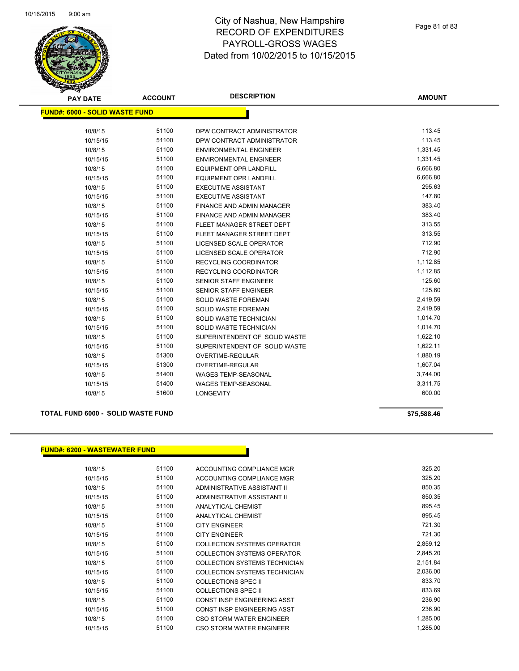

| <b>PAY DATE</b>                       | <b>ACCOUNT</b> | <b>DESCRIPTION</b>               | <b>AMOUNT</b> |
|---------------------------------------|----------------|----------------------------------|---------------|
| <b>FUND#: 6000 - SOLID WASTE FUND</b> |                |                                  |               |
|                                       |                |                                  |               |
| 10/8/15                               | 51100          | DPW CONTRACT ADMINISTRATOR       | 113.45        |
| 10/15/15                              | 51100          | DPW CONTRACT ADMINISTRATOR       | 113.45        |
| 10/8/15                               | 51100          | <b>ENVIRONMENTAL ENGINEER</b>    | 1,331.45      |
| 10/15/15                              | 51100          | <b>ENVIRONMENTAL ENGINEER</b>    | 1,331.45      |
| 10/8/15                               | 51100          | <b>EQUIPMENT OPR LANDFILL</b>    | 6,666.80      |
| 10/15/15                              | 51100          | <b>EQUIPMENT OPR LANDFILL</b>    | 6,666.80      |
| 10/8/15                               | 51100          | <b>EXECUTIVE ASSISTANT</b>       | 295.63        |
| 10/15/15                              | 51100          | <b>EXECUTIVE ASSISTANT</b>       | 147.80        |
| 10/8/15                               | 51100          | <b>FINANCE AND ADMIN MANAGER</b> | 383.40        |
| 10/15/15                              | 51100          | FINANCE AND ADMIN MANAGER        | 383.40        |
| 10/8/15                               | 51100          | FLEET MANAGER STREET DEPT        | 313.55        |
| 10/15/15                              | 51100          | FLEET MANAGER STREET DEPT        | 313.55        |
| 10/8/15                               | 51100          | LICENSED SCALE OPERATOR          | 712.90        |
| 10/15/15                              | 51100          | LICENSED SCALE OPERATOR          | 712.90        |
| 10/8/15                               | 51100          | <b>RECYCLING COORDINATOR</b>     | 1,112.85      |
| 10/15/15                              | 51100          | RECYCLING COORDINATOR            | 1,112.85      |
| 10/8/15                               | 51100          | <b>SENIOR STAFF ENGINEER</b>     | 125.60        |
| 10/15/15                              | 51100          | SENIOR STAFF ENGINEER            | 125.60        |
| 10/8/15                               | 51100          | <b>SOLID WASTE FOREMAN</b>       | 2,419.59      |
| 10/15/15                              | 51100          | <b>SOLID WASTE FOREMAN</b>       | 2,419.59      |
| 10/8/15                               | 51100          | SOLID WASTE TECHNICIAN           | 1,014.70      |
| 10/15/15                              | 51100          | SOLID WASTE TECHNICIAN           | 1,014.70      |
| 10/8/15                               | 51100          | SUPERINTENDENT OF SOLID WASTE    | 1,622.10      |
| 10/15/15                              | 51100          | SUPERINTENDENT OF SOLID WASTE    | 1,622.11      |
| 10/8/15                               | 51300          | OVERTIME-REGULAR                 | 1,880.19      |
| 10/15/15                              | 51300          | <b>OVERTIME-REGULAR</b>          | 1,607.04      |
| 10/8/15                               | 51400          | WAGES TEMP-SEASONAL              | 3,744.00      |
| 10/15/15                              | 51400          | <b>WAGES TEMP-SEASONAL</b>       | 3,311.75      |
| 10/8/15                               | 51600          | <b>LONGEVITY</b>                 | 600.00        |

#### **TOTAL FUND 6000 - SOLID WASTE FUND \$75,588.46**

#### **FUND#: 6200 - WASTEWATER FUND**

| 10/8/15  | 51100 | ACCOUNTING COMPLIANCE MGR          | 325.20   |
|----------|-------|------------------------------------|----------|
| 10/15/15 | 51100 | ACCOUNTING COMPLIANCE MGR          | 325.20   |
| 10/8/15  | 51100 | ADMINISTRATIVE ASSISTANT II        | 850.35   |
| 10/15/15 | 51100 | ADMINISTRATIVE ASSISTANT II        | 850.35   |
| 10/8/15  | 51100 | ANALYTICAL CHEMIST                 | 895.45   |
| 10/15/15 | 51100 | ANALYTICAL CHEMIST                 | 895.45   |
| 10/8/15  | 51100 | <b>CITY ENGINEER</b>               | 721.30   |
| 10/15/15 | 51100 | <b>CITY ENGINEER</b>               | 721.30   |
| 10/8/15  | 51100 | COLLECTION SYSTEMS OPERATOR        | 2,859.12 |
| 10/15/15 | 51100 | <b>COLLECTION SYSTEMS OPERATOR</b> | 2,845.20 |
| 10/8/15  | 51100 | COLLECTION SYSTEMS TECHNICIAN      | 2,151.84 |
| 10/15/15 | 51100 | COLLECTION SYSTEMS TECHNICIAN      | 2,036.00 |
| 10/8/15  | 51100 | <b>COLLECTIONS SPEC II</b>         | 833.70   |
| 10/15/15 | 51100 | COLLECTIONS SPEC II                | 833.69   |
| 10/8/15  | 51100 | CONST INSP ENGINEERING ASST        | 236.90   |
| 10/15/15 | 51100 | CONST INSP ENGINEERING ASST        | 236.90   |
| 10/8/15  | 51100 | CSO STORM WATER ENGINEER           | 1,285.00 |
| 10/15/15 | 51100 | CSO STORM WATER ENGINEER           | 1.285.00 |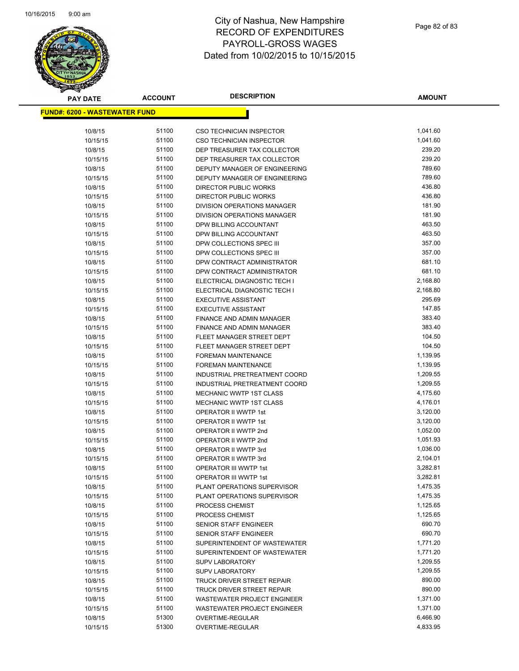

| <b>PAY DATE</b>                       | ACCOUNT        | <b>DESCRIPTION</b>                                   | <b>AMOUNT</b>        |
|---------------------------------------|----------------|------------------------------------------------------|----------------------|
| <u> FUND#: 6200 - WASTEWATER FUND</u> |                |                                                      |                      |
|                                       |                |                                                      |                      |
| 10/8/15                               | 51100          | <b>CSO TECHNICIAN INSPECTOR</b>                      | 1,041.60             |
| 10/15/15                              | 51100          | <b>CSO TECHNICIAN INSPECTOR</b>                      | 1,041.60             |
| 10/8/15                               | 51100          | DEP TREASURER TAX COLLECTOR                          | 239.20               |
| 10/15/15                              | 51100          | DEP TREASURER TAX COLLECTOR                          | 239.20               |
| 10/8/15                               | 51100          | DEPUTY MANAGER OF ENGINEERING                        | 789.60               |
| 10/15/15                              | 51100          | DEPUTY MANAGER OF ENGINEERING                        | 789.60               |
| 10/8/15                               | 51100          | DIRECTOR PUBLIC WORKS                                | 436.80               |
| 10/15/15                              | 51100          | <b>DIRECTOR PUBLIC WORKS</b>                         | 436.80               |
| 10/8/15                               | 51100          | <b>DIVISION OPERATIONS MANAGER</b>                   | 181.90               |
| 10/15/15                              | 51100          | DIVISION OPERATIONS MANAGER                          | 181.90               |
| 10/8/15                               | 51100          | DPW BILLING ACCOUNTANT                               | 463.50               |
| 10/15/15                              | 51100          | DPW BILLING ACCOUNTANT                               | 463.50               |
| 10/8/15                               | 51100          | DPW COLLECTIONS SPEC III                             | 357.00               |
| 10/15/15                              | 51100          | DPW COLLECTIONS SPEC III                             | 357.00               |
| 10/8/15                               | 51100          | DPW CONTRACT ADMINISTRATOR                           | 681.10               |
| 10/15/15                              | 51100          | DPW CONTRACT ADMINISTRATOR                           | 681.10               |
| 10/8/15                               | 51100          | ELECTRICAL DIAGNOSTIC TECH I                         | 2,168.80             |
| 10/15/15                              | 51100          | ELECTRICAL DIAGNOSTIC TECH I                         | 2,168.80             |
| 10/8/15                               | 51100          | <b>EXECUTIVE ASSISTANT</b>                           | 295.69               |
| 10/15/15                              | 51100          | <b>EXECUTIVE ASSISTANT</b>                           | 147.85               |
| 10/8/15                               | 51100          | FINANCE AND ADMIN MANAGER                            | 383.40               |
| 10/15/15                              | 51100          | FINANCE AND ADMIN MANAGER                            | 383.40               |
| 10/8/15                               | 51100          | FLEET MANAGER STREET DEPT                            | 104.50               |
| 10/15/15                              | 51100          | FLEET MANAGER STREET DEPT                            | 104.50               |
| 10/8/15                               | 51100          | <b>FOREMAN MAINTENANCE</b>                           | 1,139.95             |
| 10/15/15                              | 51100          | <b>FOREMAN MAINTENANCE</b>                           | 1,139.95             |
| 10/8/15                               | 51100          | INDUSTRIAL PRETREATMENT COORD                        | 1,209.55             |
| 10/15/15                              | 51100          | INDUSTRIAL PRETREATMENT COORD                        | 1,209.55             |
| 10/8/15                               | 51100          | <b>MECHANIC WWTP 1ST CLASS</b>                       | 4,175.60             |
| 10/15/15                              | 51100          | <b>MECHANIC WWTP 1ST CLASS</b>                       | 4,176.01             |
| 10/8/15                               | 51100          | OPERATOR II WWTP 1st                                 | 3,120.00             |
| 10/15/15                              | 51100          | OPERATOR II WWTP 1st                                 | 3,120.00             |
| 10/8/15                               | 51100          | OPERATOR II WWTP 2nd                                 | 1,052.00             |
| 10/15/15                              | 51100          | OPERATOR II WWTP 2nd                                 | 1,051.93             |
| 10/8/15                               | 51100<br>51100 | OPERATOR II WWTP 3rd                                 | 1,036.00<br>2,104.01 |
| 10/15/15<br>10/8/15                   | 51100          | OPERATOR II WWTP 3rd<br><b>OPERATOR III WWTP 1st</b> | 3,282.81             |
| 10/15/15                              | 51100          | <b>OPERATOR III WWTP 1st</b>                         | 3,282.81             |
| 10/8/15                               | 51100          | PLANT OPERATIONS SUPERVISOR                          | 1,475.35             |
| 10/15/15                              | 51100          | PLANT OPERATIONS SUPERVISOR                          | 1,475.35             |
| 10/8/15                               | 51100          | PROCESS CHEMIST                                      | 1,125.65             |
| 10/15/15                              | 51100          | PROCESS CHEMIST                                      | 1,125.65             |
| 10/8/15                               | 51100          | <b>SENIOR STAFF ENGINEER</b>                         | 690.70               |
| 10/15/15                              | 51100          | <b>SENIOR STAFF ENGINEER</b>                         | 690.70               |
| 10/8/15                               | 51100          | SUPERINTENDENT OF WASTEWATER                         | 1,771.20             |
| 10/15/15                              | 51100          | SUPERINTENDENT OF WASTEWATER                         | 1,771.20             |
| 10/8/15                               | 51100          | <b>SUPV LABORATORY</b>                               | 1,209.55             |
| 10/15/15                              | 51100          | <b>SUPV LABORATORY</b>                               | 1,209.55             |
| 10/8/15                               | 51100          | TRUCK DRIVER STREET REPAIR                           | 890.00               |
| 10/15/15                              | 51100          | TRUCK DRIVER STREET REPAIR                           | 890.00               |
| 10/8/15                               | 51100          | WASTEWATER PROJECT ENGINEER                          | 1,371.00             |
| 10/15/15                              | 51100          | WASTEWATER PROJECT ENGINEER                          | 1,371.00             |
| 10/8/15                               | 51300          | OVERTIME-REGULAR                                     | 6,466.90             |
| 10/15/15                              | 51300          | OVERTIME-REGULAR                                     | 4,833.95             |